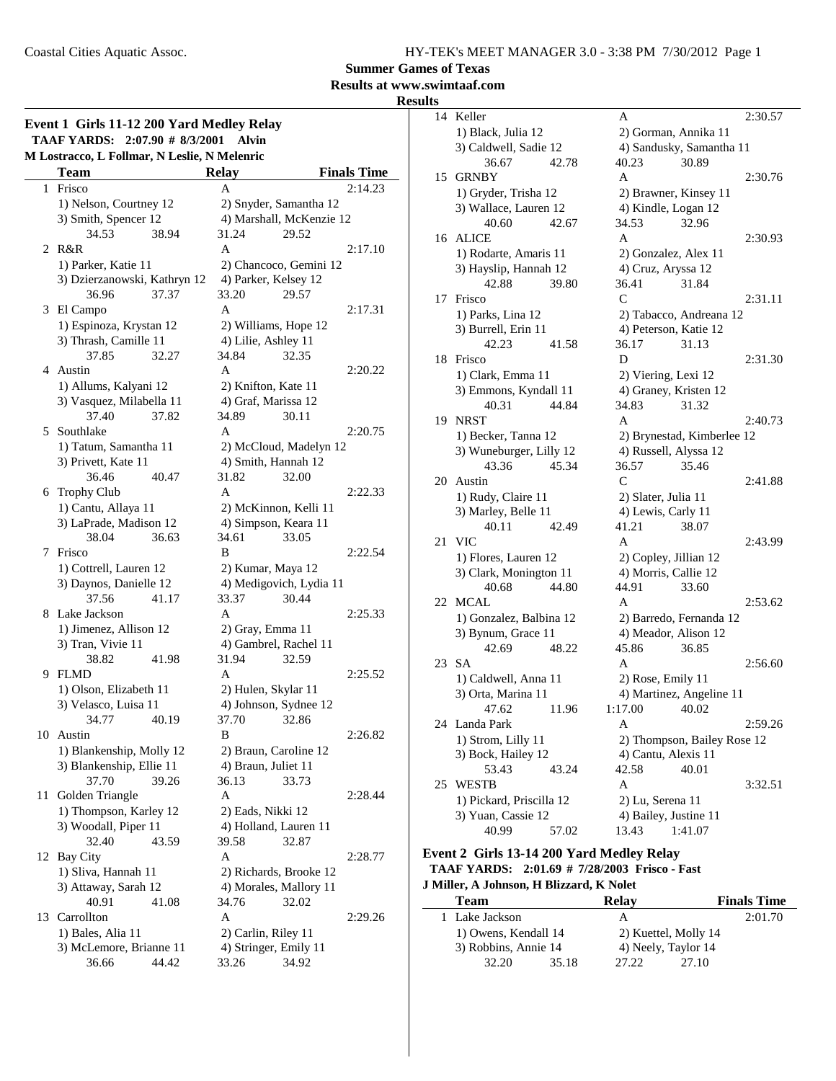**Summer Games of Texas**

**Results at www.swimtaaf.com**

#### **Results**

|    | M Lostracco, L Follmar, N Leslie, N Melenric |                     |                                                  |                    |
|----|----------------------------------------------|---------------------|--------------------------------------------------|--------------------|
|    | Team                                         | <b>Relay</b>        |                                                  | <b>Finals Time</b> |
| 1  | Frisco                                       | А                   |                                                  | 2:14.23            |
|    | 1) Nelson, Courtney 12                       |                     | 2) Snyder, Samantha 12                           |                    |
|    | 3) Smith, Spencer 12                         |                     | 4) Marshall, McKenzie 12                         |                    |
|    | 34.53<br>38.94                               | 31.24               | 29.52                                            |                    |
| 2  | R&R                                          | A                   |                                                  | 2:17.10            |
|    | 1) Parker, Katie 11                          |                     | 2) Chancoco, Gemini 12                           |                    |
|    | 3) Dzierzanowski, Kathryn 12                 |                     | 4) Parker, Kelsey 12                             |                    |
|    | 37.37<br>36.96                               | 33.20               | 29.57                                            |                    |
| 3  | El Campo                                     | A                   |                                                  | 2:17.31            |
|    | 1) Espinoza, Krystan 12                      |                     | 2) Williams, Hope 12                             |                    |
|    | 3) Thrash, Camille 11                        | 4) Lilie, Ashley 11 |                                                  |                    |
|    | 37.85<br>32.27                               | 34.84               | 32.35                                            |                    |
| 4  | Austin                                       | A                   |                                                  | 2:20.22            |
|    | 1) Allums, Kalyani 12                        |                     | 2) Knifton, Kate 11                              |                    |
|    | 3) Vasquez, Milabella 11                     |                     | 4) Graf, Marissa 12                              |                    |
|    | 37.40<br>37.82                               | 34.89               | 30.11                                            |                    |
| 5  | Southlake                                    | A                   |                                                  | 2:20.75            |
|    | 1) Tatum, Samantha 11                        |                     | 2) McCloud, Madelyn 12                           |                    |
|    | 3) Privett, Kate 11                          |                     | 4) Smith, Hannah 12                              |                    |
|    | 36.46<br>40.47                               | 31.82               | 32.00                                            |                    |
| 6  | <b>Trophy Club</b>                           | A                   |                                                  | 2:22.33            |
|    | 1) Cantu, Allaya 11                          |                     | 2) McKinnon, Kelli 11                            |                    |
|    | 3) LaPrade, Madison 12                       |                     | 4) Simpson, Keara 11                             |                    |
|    | 38.04<br>36.63                               | 34.61               | 33.05                                            |                    |
| 7  | Frisco                                       | B                   |                                                  | 2:22.54            |
|    | 1) Cottrell, Lauren 12                       |                     | 2) Kumar, Maya 12                                |                    |
|    | 3) Daynos, Danielle 12                       |                     | 4) Medigovich, Lydia 11                          |                    |
|    | 37.56<br>41.17                               | 33.37               | 30.44                                            |                    |
| 8  | Lake Jackson                                 | A                   |                                                  | 2:25.33            |
|    | 1) Jimenez, Allison 12                       | 2) Gray, Emma 11    |                                                  |                    |
|    | 3) Tran, Vivie 11                            |                     | 4) Gambrel, Rachel 11                            |                    |
|    | 38.82<br>41.98                               | 31.94               | 32.59                                            |                    |
| 9. | <b>FLMD</b>                                  | A                   |                                                  | 2:25.52            |
|    | 1) Olson, Elizabeth 11                       |                     | 2) Hulen, Skylar 11                              |                    |
|    | 3) Velasco, Luisa 11                         |                     | 4) Johnson, Sydnee 12                            |                    |
|    | 34.77<br>40.19                               | 37.70               | 32.86                                            |                    |
|    | 10 Austin                                    | В                   |                                                  | 2:26.82            |
|    | 1) Blankenship, Molly 12                     |                     | 2) Braun, Caroline 12                            |                    |
|    | 3) Blankenship, Ellie 11                     | 4) Braun, Juliet 11 |                                                  |                    |
|    | 37.70<br>39.26                               | 36.13               | 33.73                                            |                    |
| 11 | Golden Triangle                              | A                   |                                                  | 2:28.44            |
|    | 1) Thompson, Karley 12                       | 2) Eads, Nikki 12   |                                                  |                    |
|    | 3) Woodall, Piper 11                         |                     | 4) Holland, Lauren 11                            |                    |
|    | 32.40<br>43.59                               | 39.58               | 32.87                                            |                    |
| 12 | <b>Bay City</b>                              | A                   |                                                  | 2:28.77            |
|    |                                              |                     |                                                  |                    |
|    | 1) Sliva, Hannah 11                          |                     | 2) Richards, Brooke 12<br>4) Morales, Mallory 11 |                    |
|    | 3) Attaway, Sarah 12                         | 34.76               |                                                  |                    |
|    | 40.91<br>41.08                               | A                   | 32.02                                            |                    |
|    | 13 Carrollton                                |                     |                                                  | 2:29.26            |
|    | 1) Bales, Alia 11                            | 2) Carlin, Riley 11 |                                                  |                    |
|    | 3) McLemore, Brianne 11                      |                     | 4) Stringer, Emily 11                            |                    |
|    | 36.66<br>44.42                               | 33.26               | 34.92                                            |                    |

| 14 | Keller                   | Α                           | 2:30.57 |
|----|--------------------------|-----------------------------|---------|
|    | 1) Black, Julia 12       | 2) Gorman, Annika 11        |         |
|    | 3) Caldwell, Sadie 12    | 4) Sandusky, Samantha 11    |         |
|    | 36.67<br>42.78           | 40.23<br>30.89              |         |
| 15 | <b>GRNBY</b>             | A                           | 2:30.76 |
|    | 1) Gryder, Trisha 12     | 2) Brawner, Kinsey 11       |         |
|    | 3) Wallace, Lauren 12    | 4) Kindle, Logan 12         |         |
|    | 40.60<br>42.67           | 34.53<br>32.96              |         |
| 16 | ALICE                    | A                           | 2:30.93 |
|    | 1) Rodarte, Amaris 11    | 2) Gonzalez, Alex 11        |         |
|    | 3) Hayslip, Hannah 12    | 4) Cruz, Aryssa 12          |         |
|    | 42.88<br>39.80           | 36.41<br>31.84              |         |
| 17 | Frisco                   | C                           | 2:31.11 |
|    | 1) Parks, Lina 12        | 2) Tabacco, Andreana 12     |         |
|    | 3) Burrell, Erin 11      | 4) Peterson, Katie 12       |         |
|    | 42.23<br>41.58           | 36.17<br>31.13              |         |
| 18 | Frisco                   | D                           | 2:31.30 |
|    | 1) Clark, Emma 11        | 2) Viering, Lexi 12         |         |
|    | 3) Emmons, Kyndall 11    | 4) Graney, Kristen 12       |         |
|    | 40.31<br>44.84           | 34.83<br>31.32              |         |
| 19 | <b>NRST</b>              | A                           | 2:40.73 |
|    | 1) Becker, Tanna 12      | 2) Brynestad, Kimberlee 12  |         |
|    | 3) Wuneburger, Lilly 12  | 4) Russell, Alyssa 12       |         |
|    | 43.36<br>45.34           | 36.57<br>35.46              |         |
| 20 | Austin                   | C                           | 2:41.88 |
|    | 1) Rudy, Claire 11       | 2) Slater, Julia 11         |         |
|    | 3) Marley, Belle 11      | 4) Lewis, Carly 11          |         |
|    | 40.11<br>42.49           | 41.21<br>38.07              |         |
| 21 | VIC                      | А                           | 2:43.99 |
|    | 1) Flores, Lauren 12     | 2) Copley, Jillian 12       |         |
|    | 3) Clark, Monington 11   | 4) Morris, Callie 12        |         |
|    | 44.80<br>40.68           | 44.91<br>33.60              |         |
| 22 | <b>MCAL</b>              | A                           | 2:53.62 |
|    | 1) Gonzalez, Balbina 12  | 2) Barredo, Fernanda 12     |         |
|    | 3) Bynum, Grace 11       | 4) Meador, Alison 12        |         |
|    | 42.69<br>48.22           | 45.86<br>36.85              |         |
| 23 | SА                       | A                           | 2:56.60 |
|    | 1) Caldwell, Anna 11     | 2) Rose, Emily 11           |         |
|    | 3) Orta, Marina 11       | 4) Martinez, Angeline 11    |         |
|    | 47.62<br>11.96           | 1:17.00<br>40.02            |         |
| 24 | Landa Park               | A                           | 2:59.26 |
|    | 1) Strom, Lilly 11       | 2) Thompson, Bailey Rose 12 |         |
|    | 3) Bock, Hailey 12       | 4) Cantu, Alexis 11         |         |
|    | 53.43<br>43.24           | 42.58<br>40.01              |         |
| 25 | WESTB                    | Α                           | 3:32.51 |
|    | 1) Pickard, Priscilla 12 | 2) Lu, Serena 11            |         |
|    | 3) Yuan, Cassie 12       | 4) Bailey, Justine 11       |         |
|    | 40.99<br>57.02           | 13.43<br>1:41.07            |         |

#### **Event 2 Girls 13-14 200 Yard Medley Relay TAAF YARDS: 2:01.69 # Frisco - Fast 7/28/2003 J Miller, A Johnson, H Blizzard, K Nolet**

| <b>Team</b>          | <b>Relay</b>            | <b>Finals Time</b> |
|----------------------|-------------------------|--------------------|
| 1 Lake Jackson       |                         | 2:01.70            |
| 1) Owens, Kendall 14 | 2) Kuettel, Molly 14    |                    |
| 3) Robbins, Annie 14 | 4) Neely, Taylor 14     |                    |
| 32.20                | 35.18<br>27.10<br>27.22 |                    |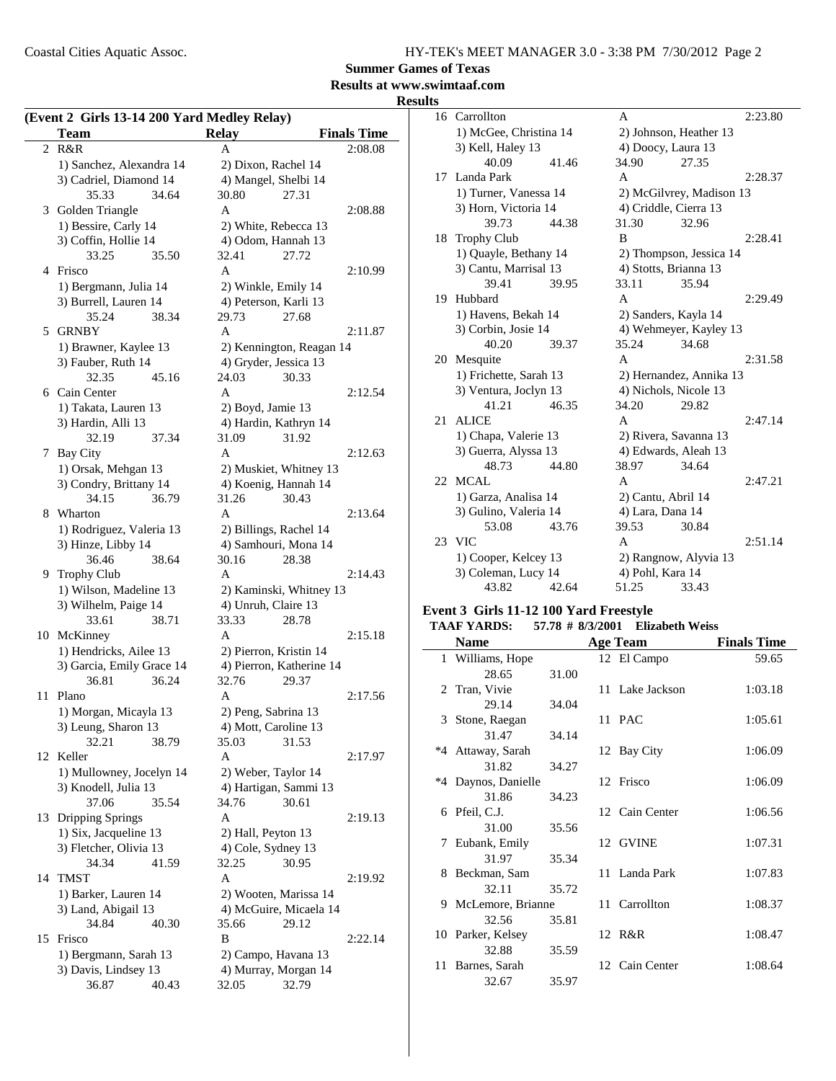**Summer Games of Texas**

### **Results at www.swimtaaf.com**

**Results**

|    | (Event 2 Girls 13-14 200 Yard Medley Relay)<br>Team | <b>Relay</b>             | <b>Finals Time</b> |
|----|-----------------------------------------------------|--------------------------|--------------------|
| 2  | R&R                                                 | A                        | 2:08.08            |
|    | 1) Sanchez, Alexandra 14                            | 2) Dixon, Rachel 14      |                    |
|    | 3) Cadriel, Diamond 14                              | 4) Mangel, Shelbi 14     |                    |
|    | 35.33<br>34.64                                      | 30.80<br>27.31           |                    |
|    | 3 Golden Triangle                                   | A                        | 2:08.88            |
|    |                                                     |                          |                    |
|    | 1) Bessire, Carly 14                                | 2) White, Rebecca 13     |                    |
|    | 3) Coffin, Hollie 14                                | 4) Odom, Hannah 13       |                    |
|    | 33.25<br>35.50                                      | 32.41<br>27.72           |                    |
|    | 4 Frisco                                            | A                        | 2:10.99            |
|    | 1) Bergmann, Julia 14                               | 2) Winkle, Emily 14      |                    |
|    | 3) Burrell, Lauren 14                               | 4) Peterson, Karli 13    |                    |
|    | 35.24<br>38.34                                      | 29.73<br>27.68           |                    |
| 5  | <b>GRNBY</b>                                        | A                        | 2:11.87            |
|    | 1) Brawner, Kaylee 13                               | 2) Kennington, Reagan 14 |                    |
|    | 3) Fauber, Ruth 14                                  | 4) Gryder, Jessica 13    |                    |
|    | 32.35<br>45.16                                      | 24.03<br>30.33           |                    |
|    | 6 Cain Center                                       | A                        | 2:12.54            |
|    | 1) Takata, Lauren 13                                | 2) Boyd, Jamie 13        |                    |
|    | 3) Hardin, Alli 13                                  | 4) Hardin, Kathryn 14    |                    |
|    | 32.19<br>37.34                                      | 31.09<br>31.92           |                    |
| 7  | Bay City                                            | A                        | 2:12.63            |
|    | 1) Orsak, Mehgan 13                                 | 2) Muskiet, Whitney 13   |                    |
|    | 3) Condry, Brittany 14                              | 4) Koenig, Hannah 14     |                    |
|    | 34.15<br>36.79                                      | 31.26<br>30.43           |                    |
|    | 8 Wharton                                           | A                        | 2:13.64            |
|    | 1) Rodriguez, Valeria 13                            | 2) Billings, Rachel 14   |                    |
|    | 3) Hinze, Libby 14                                  | 4) Samhouri, Mona 14     |                    |
|    | 36.46<br>38.64                                      | 30.16<br>28.38           |                    |
| 9. | <b>Trophy Club</b>                                  | A                        | 2:14.43            |
|    | 1) Wilson, Madeline 13                              | 2) Kaminski, Whitney 13  |                    |
|    | 3) Wilhelm, Paige 14                                | 4) Unruh, Claire 13      |                    |
|    | 33.61<br>38.71                                      | 33.33<br>28.78           |                    |
|    | 10 McKinney                                         | A                        | 2:15.18            |
|    | 1) Hendricks, Ailee 13                              | 2) Pierron, Kristin 14   |                    |
|    | 3) Garcia, Emily Grace 14                           | 4) Pierron, Katherine 14 |                    |
|    | 36.81<br>36.24                                      | 32.76<br>29.37           |                    |
| 11 | Plano                                               | A                        | 2:17.56            |
|    | 1) Morgan, Micayla 13                               | 2) Peng, Sabrina 13      |                    |
|    | 3) Leung, Sharon 13                                 | 4) Mott, Caroline 13     |                    |
|    | 32.21<br>38.79                                      | 35.03<br>31.53           |                    |
|    | 12 Keller                                           | A                        | 2:17.97            |
|    | 1) Mullowney, Jocelyn 14                            | 2) Weber, Taylor 14      |                    |
|    | 3) Knodell, Julia 13                                | 4) Hartigan, Sammi 13    |                    |
|    | 37.06<br>35.54                                      | 30.61<br>34.76           |                    |
| 13 | Dripping Springs                                    | A                        | 2:19.13            |
|    | 1) Six, Jacqueline 13                               | 2) Hall, Peyton 13       |                    |
|    | 3) Fletcher, Olivia 13                              | 4) Cole, Sydney 13       |                    |
|    | 34.34<br>41.59                                      | 32.25<br>30.95           |                    |
| 14 | <b>TMST</b>                                         | A                        | 2:19.92            |
|    |                                                     |                          |                    |
|    | 1) Barker, Lauren 14                                | 2) Wooten, Marissa 14    |                    |
|    | 3) Land, Abigail 13                                 | 4) McGuire, Micaela 14   |                    |
|    | 34.84<br>40.30                                      | 35.66<br>29.12           |                    |
|    | 15 Frisco                                           | B                        | 2:22.14            |
|    | 1) Bergmann, Sarah 13                               | 2) Campo, Havana 13      |                    |
|    | 3) Davis, Lindsey 13                                | 4) Murray, Morgan 14     |                    |
|    | 36.87<br>40.43                                      | 32.05<br>32.79           |                    |

| 16 | Carrollton             |       | A                      |                          | 2:23.80 |
|----|------------------------|-------|------------------------|--------------------------|---------|
|    | 1) McGee, Christina 14 |       |                        | 2) Johnson, Heather 13   |         |
|    | 3) Kell, Haley 13      |       | 4) Doocy, Laura 13     |                          |         |
|    | 40.09                  | 41.46 | 34.90                  | 27.35                    |         |
|    | 17 Landa Park          |       | A                      |                          | 2:28.37 |
|    | 1) Turner, Vanessa 14  |       |                        | 2) McGilvrey, Madison 13 |         |
|    | 3) Horn, Victoria 14   |       | 4) Criddle, Cierra 13  |                          |         |
|    | 39.73                  | 44.38 | 31.30                  | 32.96                    |         |
| 18 | <b>Trophy Club</b>     |       | B                      |                          | 2:28.41 |
|    | 1) Quayle, Bethany 14  |       |                        | 2) Thompson, Jessica 14  |         |
|    | 3) Cantu, Marrisal 13  |       | 4) Stotts, Brianna 13  |                          |         |
|    | 39.41                  | 39.95 | 33.11                  | 35.94                    |         |
| 19 | Hubbard                |       | $\mathsf{A}$           |                          | 2:29.49 |
|    | 1) Havens, Bekah 14    |       | 2) Sanders, Kayla 14   |                          |         |
|    | 3) Corbin, Josie 14    |       | 4) Wehmeyer, Kayley 13 |                          |         |
|    | 40.20                  | 39.37 | 35.24                  | 34.68                    |         |
| 20 | Mesquite               |       | A                      |                          | 2:31.58 |
|    | 1) Frichette, Sarah 13 |       |                        | 2) Hernandez, Annika 13  |         |
|    | 3) Ventura, Joclyn 13  |       | 4) Nichols, Nicole 13  |                          |         |
|    | 41.21                  | 46.35 | 34.20                  | 29.82                    |         |
| 21 | <b>ALICE</b>           |       | A                      |                          | 2:47.14 |
|    | 1) Chapa, Valerie 13   |       | 2) Rivera, Savanna 13  |                          |         |
|    | 3) Guerra, Alyssa 13   |       | 4) Edwards, Aleah 13   |                          |         |
|    | 48.73                  | 44.80 | 38.97                  | 34.64                    |         |
| 22 | MCAL                   |       | A                      |                          | 2:47.21 |
|    | 1) Garza, Analisa 14   |       | 2) Cantu, Abril 14     |                          |         |
|    | 3) Gulino, Valeria 14  |       | 4) Lara, Dana 14       |                          |         |
|    | 53.08                  | 43.76 | 39.53                  | 30.84                    |         |
| 23 | <b>VIC</b>             |       | A                      |                          | 2:51.14 |
|    | 1) Cooper, Kelcey 13   |       |                        | 2) Rangnow, Alyvia 13    |         |
|    | 3) Coleman, Lucy 14    |       | 4) Pohl, Kara 14       |                          |         |
|    | 43.82                  | 42.64 | 51.25                  | 33.43                    |         |

#### **Event 3 Girls 11-12 100 Yard Freestyle TAAF YARDS: 57.78 # Elizabeth Weiss 8/3/2001**

| 1788 17880.<br>$\frac{1}{2}$ $\frac{1}{2}$ $\frac{1}{2}$ $\frac{1}{2}$ $\frac{1}{2}$ $\frac{1}{2}$ $\frac{1}{2}$ $\frac{1}{2}$ $\frac{1}{2}$ $\frac{1}{2}$ $\frac{1}{2}$ $\frac{1}{2}$ $\frac{1}{2}$ $\frac{1}{2}$ $\frac{1}{2}$ $\frac{1}{2}$ $\frac{1}{2}$ $\frac{1}{2}$ $\frac{1}{2}$ $\frac{1}{2}$ $\frac{1}{2}$ $\frac{1}{2}$ |       |  |                 |                    |  |  |
|------------------------------------------------------------------------------------------------------------------------------------------------------------------------------------------------------------------------------------------------------------------------------------------------------------------------------------|-------|--|-----------------|--------------------|--|--|
| <b>Name</b>                                                                                                                                                                                                                                                                                                                        |       |  | <b>Age Team</b> | <b>Finals Time</b> |  |  |
| 1 Williams, Hope                                                                                                                                                                                                                                                                                                                   |       |  | 12 El Campo     | 59.65              |  |  |
| 28.65                                                                                                                                                                                                                                                                                                                              | 31.00 |  |                 |                    |  |  |
| 2 Tran, Vivie                                                                                                                                                                                                                                                                                                                      |       |  | 11 Lake Jackson | 1:03.18            |  |  |
| 29.14                                                                                                                                                                                                                                                                                                                              | 34.04 |  |                 |                    |  |  |
| 3 Stone, Raegan                                                                                                                                                                                                                                                                                                                    |       |  | 11 PAC          | 1:05.61            |  |  |
| 31.47                                                                                                                                                                                                                                                                                                                              | 34.14 |  |                 |                    |  |  |
| *4 Attaway, Sarah                                                                                                                                                                                                                                                                                                                  |       |  | 12 Bay City     | 1:06.09            |  |  |
| 31.82                                                                                                                                                                                                                                                                                                                              | 34.27 |  |                 |                    |  |  |
| *4 Daynos, Danielle                                                                                                                                                                                                                                                                                                                |       |  | 12 Frisco       | 1:06.09            |  |  |
| 31.86                                                                                                                                                                                                                                                                                                                              | 34.23 |  |                 |                    |  |  |
| 6 Pfeil, C.J.                                                                                                                                                                                                                                                                                                                      |       |  | 12 Cain Center  | 1:06.56            |  |  |
| 31.00                                                                                                                                                                                                                                                                                                                              | 35.56 |  |                 |                    |  |  |
| 7 Eubank, Emily                                                                                                                                                                                                                                                                                                                    |       |  | 12 GVINE        | 1:07.31            |  |  |
| 31.97                                                                                                                                                                                                                                                                                                                              | 35.34 |  |                 |                    |  |  |
| 8 Beckman, Sam                                                                                                                                                                                                                                                                                                                     |       |  | 11 Landa Park   | 1:07.83            |  |  |
| 32.11                                                                                                                                                                                                                                                                                                                              | 35.72 |  |                 |                    |  |  |
| 9 McLemore, Brianne                                                                                                                                                                                                                                                                                                                |       |  | 11 Carrollton   | 1:08.37            |  |  |
| 32.56                                                                                                                                                                                                                                                                                                                              | 35.81 |  |                 |                    |  |  |
| 10 Parker, Kelsey                                                                                                                                                                                                                                                                                                                  |       |  | 12 R&R          | 1:08.47            |  |  |
| 32.88                                                                                                                                                                                                                                                                                                                              | 35.59 |  |                 |                    |  |  |
| 11 Barnes, Sarah                                                                                                                                                                                                                                                                                                                   |       |  | 12 Cain Center  | 1:08.64            |  |  |
| 32.67                                                                                                                                                                                                                                                                                                                              | 35.97 |  |                 |                    |  |  |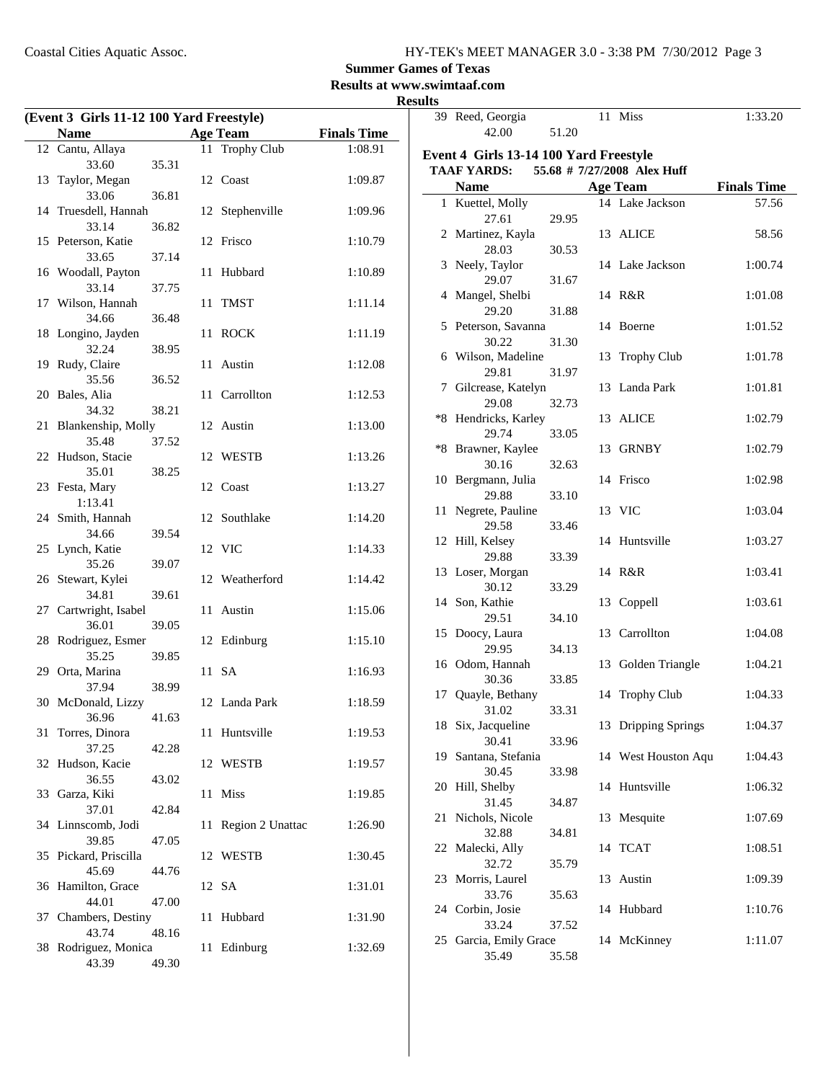**Summer Games of Texas**

**Results at www.swimtaaf.com**

| (Event 3 Girls 11-12 100 Yard Freestyle) |       |  |                     |                    | wwww | 39 Reed, Georgia                       |       | 11 Miss                     | 1:33.20            |
|------------------------------------------|-------|--|---------------------|--------------------|------|----------------------------------------|-------|-----------------------------|--------------------|
| <b>Name</b>                              |       |  | <b>Age Team</b>     | <b>Finals Time</b> |      | 42.00                                  | 51.20 |                             |                    |
| 12 Cantu, Allaya                         |       |  | 11 Trophy Club      | 1:08.91            |      |                                        |       |                             |                    |
| 33.60                                    | 35.31 |  |                     |                    |      | Event 4 Girls 13-14 100 Yard Freestyle |       |                             |                    |
| 13 Taylor, Megan                         |       |  | 12 Coast            | 1:09.87            |      | <b>TAAF YARDS:</b>                     |       | 55.68 # 7/27/2008 Alex Huff |                    |
| 33.06                                    | 36.81 |  |                     |                    |      | <b>Name</b>                            |       | <b>Age Team</b>             | <b>Finals Time</b> |
| 14 Truesdell, Hannah                     |       |  | 12 Stephenville     | 1:09.96            |      | 1 Kuettel, Molly                       |       | 14 Lake Jackson             | 57.56              |
| 33.14                                    | 36.82 |  |                     |                    |      | 27.61                                  | 29.95 |                             |                    |
| 15 Peterson, Katie                       |       |  | 12 Frisco           | 1:10.79            |      | 2 Martinez, Kayla                      |       | 13 ALICE                    | 58.56              |
| 33.65                                    | 37.14 |  |                     |                    |      | 28.03                                  | 30.53 |                             |                    |
| 16 Woodall, Payton                       |       |  | 11 Hubbard          | 1:10.89            |      | 3 Neely, Taylor                        |       | 14 Lake Jackson             | 1:00.74            |
| 33.14                                    | 37.75 |  |                     |                    |      | 29.07                                  | 31.67 |                             |                    |
| 17 Wilson, Hannah                        |       |  | 11 TMST             | 1:11.14            |      | 4 Mangel, Shelbi                       |       | 14 R&R                      | 1:01.08            |
| 34.66                                    | 36.48 |  |                     |                    |      | 29.20                                  | 31.88 |                             |                    |
| 18 Longino, Jayden                       |       |  | 11 ROCK             | 1:11.19            |      | 5 Peterson, Savanna                    |       | 14 Boerne                   | 1:01.52            |
|                                          |       |  |                     |                    |      | 30.22                                  | 31.30 |                             |                    |
| 32.24                                    | 38.95 |  |                     |                    |      | 6 Wilson, Madeline                     |       | 13 Trophy Club              | 1:01.78            |
| 19 Rudy, Claire<br>35.56                 |       |  | 11 Austin           | 1:12.08            |      | 29.81                                  | 31.97 |                             |                    |
|                                          | 36.52 |  |                     |                    |      | 7 Gilcrease, Katelyn                   |       | 13 Landa Park               | 1:01.81            |
| 20 Bales, Alia                           |       |  | 11 Carrollton       | 1:12.53            |      | 29.08                                  | 32.73 |                             |                    |
| 34.32                                    | 38.21 |  |                     |                    |      | *8 Hendricks, Karley                   |       | 13 ALICE                    | 1:02.79            |
| 21 Blankenship, Molly                    |       |  | 12 Austin           | 1:13.00            |      | 29.74                                  | 33.05 |                             |                    |
| 35.48                                    | 37.52 |  |                     |                    |      | *8 Brawner, Kaylee                     |       | 13 GRNBY                    | 1:02.79            |
| 22 Hudson, Stacie                        |       |  | 12 WESTB            | 1:13.26            |      | 30.16                                  | 32.63 |                             |                    |
| 35.01                                    | 38.25 |  |                     |                    |      | 10 Bergmann, Julia                     |       | 14 Frisco                   | 1:02.98            |
| 23 Festa, Mary                           |       |  | 12 Coast            | 1:13.27            |      | 29.88                                  | 33.10 |                             |                    |
| 1:13.41                                  |       |  |                     |                    |      | 11 Negrete, Pauline                    |       | 13 VIC                      | 1:03.04            |
| 24 Smith, Hannah                         |       |  | 12 Southlake        | 1:14.20            |      | 29.58                                  | 33.46 |                             |                    |
| 34.66                                    | 39.54 |  |                     |                    |      | 12 Hill, Kelsey                        |       | 14 Huntsville               | 1:03.27            |
| 25 Lynch, Katie                          |       |  | 12 VIC              | 1:14.33            |      | 29.88                                  | 33.39 |                             |                    |
| 35.26                                    | 39.07 |  |                     |                    |      | 13 Loser, Morgan                       |       | 14 R&R                      | 1:03.41            |
| 26 Stewart, Kylei                        |       |  | 12 Weatherford      | 1:14.42            |      | 30.12                                  | 33.29 |                             |                    |
| 34.81                                    | 39.61 |  |                     |                    |      | 14 Son, Kathie                         |       |                             | 1:03.61            |
| 27 Cartwright, Isabel                    |       |  | 11 Austin           | 1:15.06            |      |                                        |       | 13 Coppell                  |                    |
| 36.01                                    | 39.05 |  |                     |                    |      | 29.51                                  | 34.10 |                             |                    |
| 28 Rodriguez, Esmer                      |       |  | 12 Edinburg         | 1:15.10            |      | 15 Doocy, Laura                        |       | 13 Carrollton               | 1:04.08            |
| 35.25                                    | 39.85 |  |                     |                    |      | 29.95                                  | 34.13 |                             |                    |
| 29 Orta, Marina                          |       |  | 11 SA               | 1:16.93            |      | 16 Odom, Hannah                        |       | 13 Golden Triangle          | 1:04.21            |
| 37.94                                    | 38.99 |  |                     |                    |      | 30.36                                  | 33.85 |                             |                    |
| 30 McDonald, Lizzy                       |       |  | 12 Landa Park       | 1:18.59            |      | 17 Quayle, Bethany                     |       | 14 Trophy Club              | 1:04.33            |
| 36.96 41.63                              |       |  |                     |                    |      | 31.02                                  | 33.31 |                             |                    |
| 31 Torres, Dinora                        |       |  | 11 Huntsville       | 1:19.53            |      | 18 Six, Jacqueline                     |       | 13 Dripping Springs         | 1:04.37            |
| 37.25                                    | 42.28 |  |                     |                    |      | 30.41                                  | 33.96 |                             |                    |
| 32 Hudson, Kacie                         |       |  | 12 WESTB            | 1:19.57            |      | 19 Santana, Stefania                   |       | 14 West Houston Aqu         | 1:04.43            |
| 36.55                                    | 43.02 |  |                     |                    |      | 30.45                                  | 33.98 |                             |                    |
| 33 Garza, Kiki                           |       |  | 11 Miss             | 1:19.85            |      | 20 Hill, Shelby                        |       | 14 Huntsville               | 1:06.32            |
| 37.01                                    | 42.84 |  |                     |                    |      | 31.45                                  | 34.87 |                             |                    |
| 34 Linnscomb, Jodi                       |       |  | 11 Region 2 Unattac | 1:26.90            |      | 21 Nichols, Nicole                     |       | 13 Mesquite                 | 1:07.69            |
| 39.85                                    | 47.05 |  |                     |                    |      | 32.88                                  | 34.81 |                             |                    |
| 35 Pickard, Priscilla                    |       |  | 12 WESTB            | 1:30.45            |      | 22 Malecki, Ally                       |       | 14 TCAT                     | 1:08.51            |
| 45.69                                    | 44.76 |  |                     |                    |      | 32.72                                  | 35.79 |                             |                    |
| 36 Hamilton, Grace                       |       |  | 12 SA               | 1:31.01            |      | 23 Morris, Laurel                      |       | 13 Austin                   | 1:09.39            |
|                                          | 47.00 |  |                     |                    |      | 33.76                                  | 35.63 |                             |                    |
| 44.01<br>37 Chambers, Destiny            |       |  | 11 Hubbard          | 1:31.90            |      | 24 Corbin, Josie                       |       | 14 Hubbard                  | 1:10.76            |
|                                          |       |  |                     |                    |      | 33.24                                  | 37.52 |                             |                    |
| 43.74                                    | 48.16 |  |                     |                    |      | 25 Garcia, Emily Grace                 |       | 14 McKinney                 | 1:11.07            |
| 38 Rodriguez, Monica                     |       |  | 11 Edinburg         | 1:32.69            |      | 35.49                                  | 35.58 |                             |                    |
| 43.39                                    | 49.30 |  |                     |                    |      |                                        |       |                             |                    |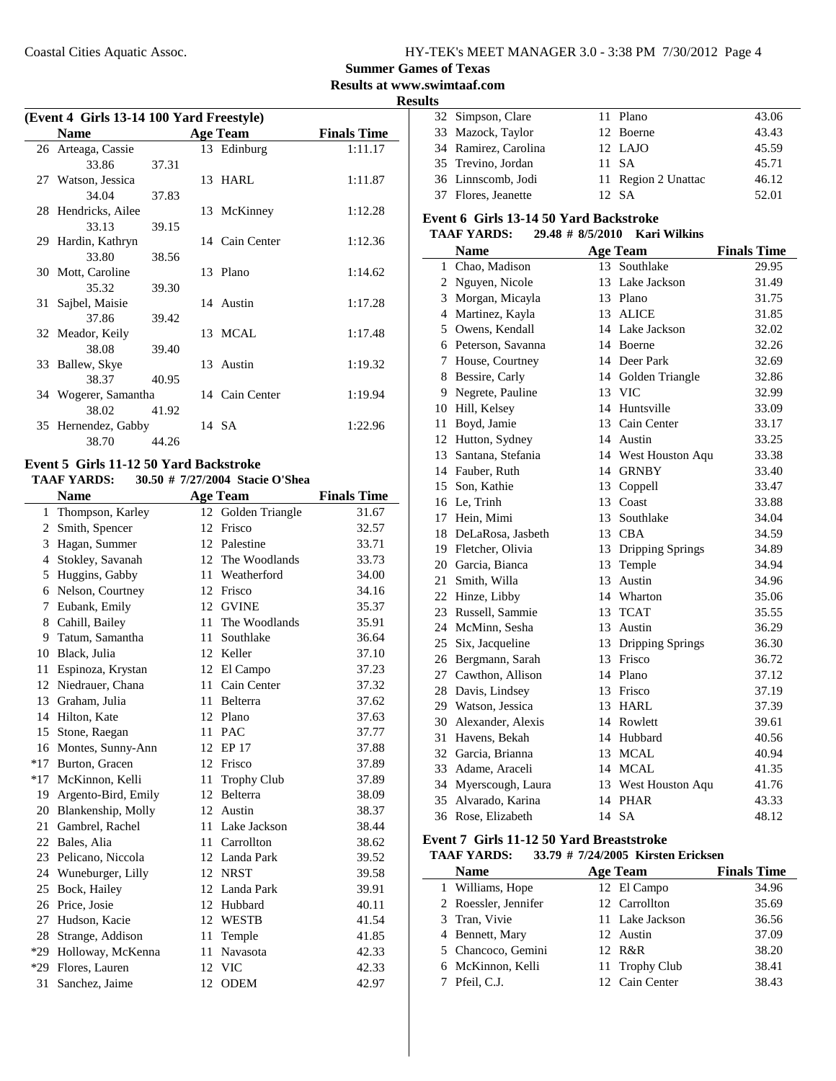### **Summer Games of Texas**

**Results at www.swimtaaf.com**

#### **Results**

| (Event 4 Girls 13-14 100 Yard Freestyle) |                      |       |  |                 |                    |  |  |
|------------------------------------------|----------------------|-------|--|-----------------|--------------------|--|--|
|                                          | <b>Name</b>          |       |  | <b>Age Team</b> | <b>Finals Time</b> |  |  |
|                                          | 26 Arteaga, Cassie   |       |  | 13 Edinburg     | 1:11.17            |  |  |
|                                          | 33.86                | 37.31 |  |                 |                    |  |  |
|                                          | 27 Watson, Jessica   |       |  | 13 HARL         | 1:11.87            |  |  |
|                                          | 34.04                | 37.83 |  |                 |                    |  |  |
|                                          | 28 Hendricks, Ailee  |       |  | 13 McKinney     | 1:12.28            |  |  |
|                                          | 33.13                | 39.15 |  |                 |                    |  |  |
|                                          | 29 Hardin, Kathryn   |       |  | 14 Cain Center  | 1:12.36            |  |  |
|                                          | 33.80                | 38.56 |  |                 |                    |  |  |
|                                          | 30 Mott, Caroline    |       |  | 13 Plano        | 1:14.62            |  |  |
|                                          | 35.32                | 39.30 |  |                 |                    |  |  |
| 31                                       | Sajbel, Maisie       |       |  | 14 Austin       | 1:17.28            |  |  |
|                                          | 37.86                | 39.42 |  |                 |                    |  |  |
|                                          | 32 Meador, Keily     |       |  | 13 MCAL         | 1:17.48            |  |  |
|                                          | 38.08                | 39.40 |  |                 |                    |  |  |
|                                          | 33 Ballew, Skye      |       |  | 13 Austin       | 1:19.32            |  |  |
|                                          | 38.37                | 40.95 |  |                 |                    |  |  |
|                                          | 34 Wogerer, Samantha |       |  | 14 Cain Center  | 1:19.94            |  |  |
|                                          | 38.02                | 41.92 |  |                 |                    |  |  |
|                                          | 35 Hernendez, Gabby  |       |  | 14 SA           | 1:22.96            |  |  |
|                                          | 38.70                | 44.26 |  |                 |                    |  |  |

#### **Event 5 Girls 11-12 50 Yard Backstroke**

#### **TAAF YARDS:** 30.50 # 7/27/2004 Stacie O'Shea

|              | <b>Name</b>         |    | <b>Age Team</b>    | <b>Finals Time</b> |
|--------------|---------------------|----|--------------------|--------------------|
| $\mathbf{1}$ | Thompson, Karley    | 12 | Golden Triangle    | 31.67              |
| $\mathbf{2}$ | Smith, Spencer      | 12 | Frisco             | 32.57              |
| 3            | Hagan, Summer       | 12 | Palestine          | 33.71              |
| 4            | Stokley, Savanah    | 12 | The Woodlands      | 33.73              |
| 5            | Huggins, Gabby      | 11 | Weatherford        | 34.00              |
| 6            | Nelson, Courtney    | 12 | Frisco             | 34.16              |
| 7            | Eubank, Emily       | 12 | <b>GVINE</b>       | 35.37              |
| 8            | Cahill, Bailey      | 11 | The Woodlands      | 35.91              |
| 9.           | Tatum, Samantha     | 11 | Southlake          | 36.64              |
| 10           | Black, Julia        | 12 | Keller             | 37.10              |
| 11           | Espinoza, Krystan   | 12 | El Campo           | 37.23              |
| 12           | Niedrauer, Chana    | 11 | Cain Center        | 37.32              |
| 13           | Graham, Julia       | 11 | Belterra           | 37.62              |
|              | 14 Hilton, Kate     |    | 12 Plano           | 37.63              |
| 15           | Stone, Raegan       | 11 | <b>PAC</b>         | 37.77              |
| 16           | Montes, Sunny-Ann   | 12 | <b>EP 17</b>       | 37.88              |
| $*17$        | Burton, Gracen      | 12 | Frisco             | 37.89              |
| $*17$        | McKinnon, Kelli     | 11 | <b>Trophy Club</b> | 37.89              |
| 19           | Argento-Bird, Emily | 12 | <b>Belterra</b>    | 38.09              |
| 20           | Blankenship, Molly  | 12 | Austin             | 38.37              |
| 21           | Gambrel, Rachel     | 11 | Lake Jackson       | 38.44              |
| 22           | Bales, Alia         | 11 | Carrollton         | 38.62              |
| 23           | Pelicano, Niccola   |    | 12 Landa Park      | 39.52              |
| 24           | Wuneburger, Lilly   |    | 12 NRST            | 39.58              |
| 25           | Bock, Hailey        | 12 | Landa Park         | 39.91              |
| 26           | Price, Josie        | 12 | Hubbard            | 40.11              |
| 27           | Hudson, Kacie       | 12 | WESTB              | 41.54              |
| 28           | Strange, Addison    | 11 | Temple             | 41.85              |
| $*29$        | Holloway, McKenna   | 11 | Navasota           | 42.33              |
| $*29$        | Flores, Lauren      | 12 | <b>VIC</b>         | 42.33              |
| 31           | Sanchez, Jaime      | 12 | <b>ODEM</b>        | 42.97              |
|              |                     |    |                    |                    |

|  | 32 Simpson, Clare    | 11 Plano            | 43.06 |
|--|----------------------|---------------------|-------|
|  | 33 Mazock, Taylor    | 12 Boerne           | 43.43 |
|  | 34 Ramirez, Carolina | 12 LAJO             | 45.59 |
|  | 35 Trevino, Jordan   | 11 SA               | 45.71 |
|  | 36 Linnscomb, Jodi   | 11 Region 2 Unattac | 46.12 |
|  | 37 Flores, Jeanette  | 12. SA              | 52.01 |

#### **Event 6 Girls 13-14 50 Yard Backstroke**

#### **TAAF YARDS:** 29.48 # 8/5/2010 Kari Wilkins

|   | <b>Name</b>          |                 | <b>Age Team</b>     | <b>Finals Time</b> |
|---|----------------------|-----------------|---------------------|--------------------|
| 1 | Chao, Madison        | 13 <sup>7</sup> | Southlake           | 29.95              |
|   | 2 Nguyen, Nicole     |                 | 13 Lake Jackson     | 31.49              |
|   | 3 Morgan, Micayla    |                 | 13 Plano            | 31.75              |
|   | 4 Martinez, Kayla    |                 | 13 ALICE            | 31.85              |
| 5 | Owens, Kendall       |                 | 14 Lake Jackson     | 32.02              |
|   | 6 Peterson, Savanna  |                 | 14 Boerne           | 32.26              |
| 7 | House, Courtney      |                 | 14 Deer Park        | 32.69              |
|   | 8 Bessire, Carly     |                 | 14 Golden Triangle  | 32.86              |
|   | 9 Negrete, Pauline   |                 | 13 VIC              | 32.99              |
|   | 10 Hill, Kelsey      |                 | 14 Huntsville       | 33.09              |
|   | 11 Boyd, Jamie       |                 | 13 Cain Center      | 33.17              |
|   | 12 Hutton, Sydney    |                 | 14 Austin           | 33.25              |
|   | 13 Santana, Stefania |                 | 14 West Houston Aqu | 33.38              |
|   | 14 Fauber, Ruth      |                 | 14 GRNBY            | 33.40              |
|   | 15 Son, Kathie       |                 | 13 Coppell          | 33.47              |
|   | 16 Le, Trinh         |                 | 13 Coast            | 33.88              |
|   | 17 Hein, Mimi        |                 | 13 Southlake        | 34.04              |
|   | 18 DeLaRosa, Jasbeth |                 | 13 CBA              | 34.59              |
|   | 19 Fletcher, Olivia  |                 | 13 Dripping Springs | 34.89              |
|   | 20 Garcia, Bianca    |                 | 13 Temple           | 34.94              |
|   | 21 Smith, Willa      |                 | 13 Austin           | 34.96              |
|   | 22 Hinze, Libby      |                 | 14 Wharton          | 35.06              |
|   | 23 Russell, Sammie   |                 | 13 TCAT             | 35.55              |
|   | 24 McMinn, Sesha     |                 | 13 Austin           | 36.29              |
|   | 25 Six, Jacqueline   |                 | 13 Dripping Springs | 36.30              |
|   | 26 Bergmann, Sarah   |                 | 13 Frisco           | 36.72              |
|   | 27 Cawthon, Allison  |                 | 14 Plano            | 37.12              |
|   | 28 Davis, Lindsey    |                 | 13 Frisco           | 37.19              |
|   | 29 Watson, Jessica   |                 | 13 HARL             | 37.39              |
|   | 30 Alexander, Alexis |                 | 14 Rowlett          | 39.61              |
|   | 31 Havens, Bekah     |                 | 14 Hubbard          | 40.56              |
|   | 32 Garcia, Brianna   |                 | 13 MCAL             | 40.94              |
|   | 33 Adame, Araceli    |                 | 14 MCAL             | 41.35              |
|   | 34 Myerscough, Laura |                 | 13 West Houston Aqu | 41.76              |
|   | 35 Alvarado, Karina  |                 | 14 PHAR             | 43.33              |
|   | 36 Rose, Elizabeth   |                 | 14 SA               | 48.12              |

#### **Event 7 Girls 11-12 50 Yard Breaststroke**

**TAAF YARDS:** 33.79 # 7/24/2005 Kirsten Ericksen

| <b>Name</b>          | <b>Age Team</b> | <b>Finals Time</b> |
|----------------------|-----------------|--------------------|
| 1 Williams, Hope     | 12 El Campo     | 34.96              |
| 2 Roessler, Jennifer | 12 Carrollton   | 35.69              |
| 3 Tran, Vivie        | 11 Lake Jackson | 36.56              |
| 4 Bennett, Mary      | 12 Austin       | 37.09              |
| 5 Chancoco, Gemini   | 12 R&R          | 38.20              |
| 6 McKinnon, Kelli    | 11 Trophy Club  | 38.41              |
| 7 Pfeil, C.J.        | 12 Cain Center  | 38.43              |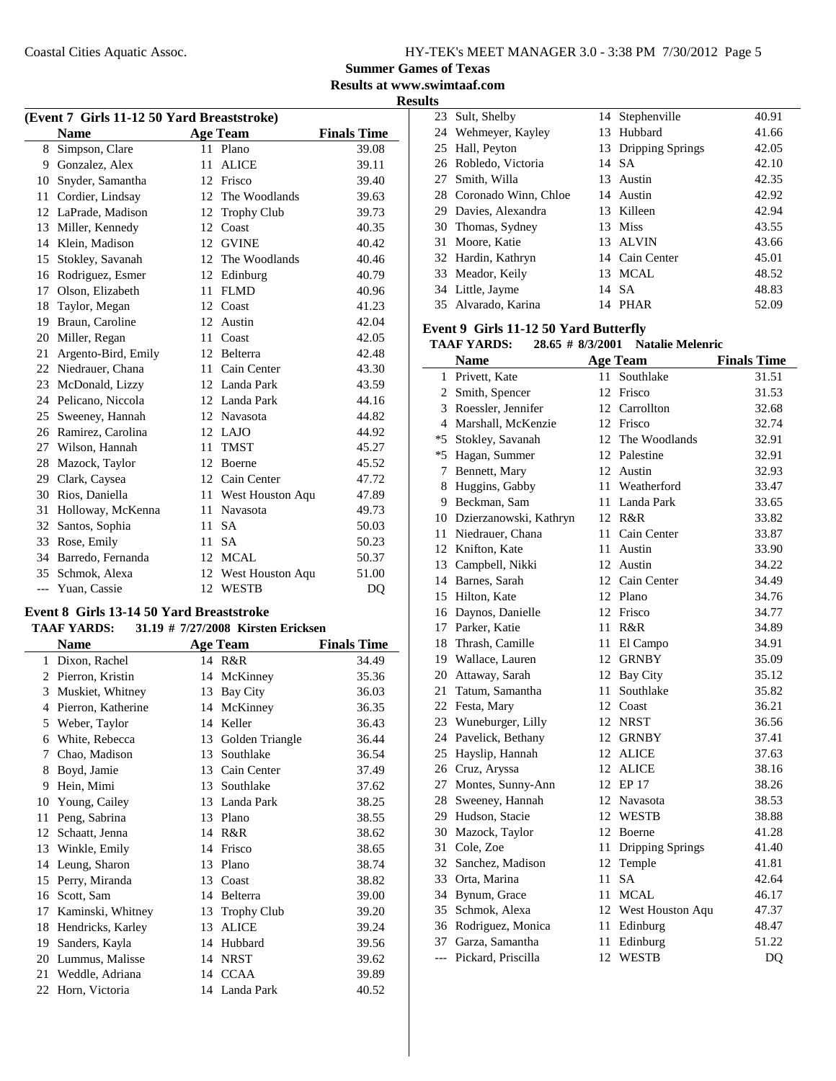**Results at www.swimtaaf.com**

**Results**

| (Event 7 Girls 11-12 50 Yard Breaststroke) |                     |    |                    |                    |  |  |
|--------------------------------------------|---------------------|----|--------------------|--------------------|--|--|
|                                            | <b>Name</b>         |    | <b>Age Team</b>    | <b>Finals Time</b> |  |  |
| 8                                          | Simpson, Clare      |    | 11 Plano           | 39.08              |  |  |
| 9                                          | Gonzalez, Alex      | 11 | <b>ALICE</b>       | 39.11              |  |  |
| 10                                         | Snyder, Samantha    | 12 | Frisco             | 39.40              |  |  |
| 11                                         | Cordier, Lindsay    | 12 | The Woodlands      | 39.63              |  |  |
| 12                                         | LaPrade, Madison    | 12 | <b>Trophy Club</b> | 39.73              |  |  |
| 13                                         | Miller, Kennedy     | 12 | Coast              | 40.35              |  |  |
| 14                                         | Klein, Madison      | 12 | <b>GVINE</b>       | 40.42              |  |  |
| 15                                         | Stokley, Savanah    |    | 12 The Woodlands   | 40.46              |  |  |
| 16                                         | Rodriguez, Esmer    | 12 | Edinburg           | 40.79              |  |  |
| 17                                         | Olson, Elizabeth    | 11 | <b>FLMD</b>        | 40.96              |  |  |
| 18                                         | Taylor, Megan       | 12 | Coast              | 41.23              |  |  |
| 19                                         | Braun, Caroline     | 12 | Austin             | 42.04              |  |  |
| 20                                         | Miller, Regan       | 11 | Coast              | 42.05              |  |  |
| 21                                         | Argento-Bird, Emily | 12 | Belterra           | 42.48              |  |  |
| 22                                         | Niedrauer, Chana    | 11 | Cain Center        | 43.30              |  |  |
| 23                                         | McDonald, Lizzy     | 12 | Landa Park         | 43.59              |  |  |
| 24                                         | Pelicano, Niccola   |    | 12 Landa Park      | 44.16              |  |  |
| 25                                         | Sweeney, Hannah     | 12 | Navasota           | 44.82              |  |  |
| 26                                         | Ramirez, Carolina   |    | 12 LAJO            | 44.92              |  |  |
| 27                                         | Wilson, Hannah      | 11 | <b>TMST</b>        | 45.27              |  |  |
| 28                                         | Mazock, Taylor      | 12 | Boerne             | 45.52              |  |  |
| 29                                         | Clark, Caysea       |    | 12 Cain Center     | 47.72              |  |  |
| 30                                         | Rios, Daniella      | 11 | West Houston Aqu   | 47.89              |  |  |
| 31                                         | Holloway, McKenna   | 11 | Navasota           | 49.73              |  |  |
| 32                                         | Santos, Sophia      | 11 | <b>SA</b>          | 50.03              |  |  |
| 33                                         | Rose, Emily         | 11 | <b>SA</b>          | 50.23              |  |  |
| 34                                         | Barredo, Fernanda   |    | 12 MCAL            | 50.37              |  |  |
| 35                                         | Schmok, Alexa       | 12 | West Houston Aqu   | 51.00              |  |  |
| $---$                                      | Yuan, Cassie        | 12 | <b>WESTB</b>       | D <sub>O</sub>     |  |  |

#### **Event 8 Girls 13-14 50 Yard Breaststroke TAAF YARDS:** 31.19 # 7/27/2008 Kirsten Ericksen

| іллі ілішэ.<br>$31.17 \pi$ //2//2000 Kitsich Eticksch |                    |    |                    |                    |  |  |
|-------------------------------------------------------|--------------------|----|--------------------|--------------------|--|--|
|                                                       | Name               |    | <b>Age Team</b>    | <b>Finals Time</b> |  |  |
| 1                                                     | Dixon, Rachel      |    | 14 R&R             | 34.49              |  |  |
| 2                                                     | Pierron, Kristin   | 14 | McKinney           | 35.36              |  |  |
| 3                                                     | Muskiet, Whitney   | 13 | Bay City           | 36.03              |  |  |
| 4                                                     | Pierron, Katherine | 14 | McKinney           | 36.35              |  |  |
| 5                                                     | Weber, Taylor      | 14 | Keller             | 36.43              |  |  |
| 6                                                     | White, Rebecca     | 13 | Golden Triangle    | 36.44              |  |  |
| 7                                                     | Chao, Madison      | 13 | Southlake          | 36.54              |  |  |
| 8                                                     | Boyd, Jamie        | 13 | Cain Center        | 37.49              |  |  |
| 9                                                     | Hein, Mimi         | 13 | Southlake          | 37.62              |  |  |
| 10                                                    | Young, Cailey      | 13 | Landa Park         | 38.25              |  |  |
| 11                                                    | Peng, Sabrina      | 13 | Plano              | 38.55              |  |  |
| 12                                                    | Schaatt, Jenna     | 14 | R&R                | 38.62              |  |  |
| 13                                                    | Winkle, Emily      | 14 | Frisco             | 38.65              |  |  |
| 14                                                    | Leung, Sharon      | 13 | Plano              | 38.74              |  |  |
| 15                                                    | Perry, Miranda     | 13 | Coast              | 38.82              |  |  |
| 16                                                    | Scott, Sam         | 14 | Belterra           | 39.00              |  |  |
| 17                                                    | Kaminski, Whitney  | 13 | <b>Trophy Club</b> | 39.20              |  |  |
| 18                                                    | Hendricks, Karley  | 13 | <b>ALICE</b>       | 39.24              |  |  |
| 19                                                    | Sanders, Kayla     | 14 | Hubbard            | 39.56              |  |  |
| 20                                                    | Lummus, Malisse    | 14 | <b>NRST</b>        | 39.62              |  |  |
| 21                                                    | Weddle, Adriana    |    | 14 CCAA            | 39.89              |  |  |
| 22                                                    | Horn, Victoria     |    | 14 Landa Park      | 40.52              |  |  |
|                                                       |                    |    |                    |                    |  |  |

| 23 Sult, Shelby         | 14 Stephenville     | 40.91 |
|-------------------------|---------------------|-------|
| 24 Wehmeyer, Kayley     | 13 Hubbard          | 41.66 |
| 25 Hall, Peyton         | 13 Dripping Springs | 42.05 |
| 26 Robledo, Victoria    | 14 SA               | 42.10 |
| 27 Smith, Willa         | 13 Austin           | 42.35 |
| 28 Coronado Winn, Chloe | 14 Austin           | 42.92 |
| 29 Davies, Alexandra    | 13 Killeen          | 42.94 |
| 30 Thomas, Sydney       | 13 Miss             | 43.55 |
| 31 Moore, Katie         | 13 ALVIN            | 43.66 |
| 32 Hardin, Kathryn      | 14 Cain Center      | 45.01 |
| 33 Meador, Keily        | 13 MCAL             | 48.52 |
| 34 Little, Jayme        | 14 SA               | 48.83 |
| 35 Alvarado, Karina     | PHAR<br>14          | 52.09 |

#### **Event 9 Girls 11-12 50 Yard Butterfly**

**TAAF YARDS:** 28.65 # 8/3/2001 Natalie Melenric

|                | <b>Name</b>               |    | <b>Age Team</b>         | <b>Finals Time</b> |
|----------------|---------------------------|----|-------------------------|--------------------|
| $\mathbf{1}$   | Privett, Kate             | 11 | Southlake               | 31.51              |
| $\overline{2}$ | Smith, Spencer            |    | 12 Frisco               | 31.53              |
| 3              | Roessler, Jennifer        |    | 12 Carrollton           | 32.68              |
| 4              | Marshall, McKenzie        |    | 12 Frisco               | 32.74              |
|                | *5 Stokley, Savanah       | 12 | The Woodlands           | 32.91              |
| $*5$           | Hagan, Summer             |    | 12 Palestine            | 32.91              |
| 7              | Bennett, Mary             |    | 12 Austin               | 32.93              |
| 8              | Huggins, Gabby            |    | 11 Weatherford          | 33.47              |
|                | 9 Beckman, Sam            |    | 11 Landa Park           | 33.65              |
|                | 10 Dzierzanowski, Kathryn |    | 12 R&R                  | 33.82              |
| 11             | Niedrauer, Chana          |    | 11 Cain Center          | 33.87              |
|                | 12 Knifton, Kate          | 11 | Austin                  | 33.90              |
|                | 13 Campbell, Nikki        |    | 12 Austin               | 34.22              |
|                | 14 Barnes, Sarah          |    | 12 Cain Center          | 34.49              |
|                | 15 Hilton, Kate           |    | 12 Plano                | 34.76              |
|                | 16 Daynos, Danielle       |    | 12 Frisco               | 34.77              |
|                | 17 Parker, Katie          | 11 | R&R                     | 34.89              |
|                | 18 Thrash, Camille        | 11 | El Campo                | 34.91              |
|                | 19 Wallace, Lauren        | 12 | <b>GRNBY</b>            | 35.09              |
|                | 20 Attaway, Sarah         | 12 | Bay City                | 35.12              |
|                | 21 Tatum, Samantha        | 11 | Southlake               | 35.82              |
|                | 22 Festa, Mary            | 12 | Coast                   | 36.21              |
|                | 23 Wuneburger, Lilly      |    | 12 NRST                 | 36.56              |
|                | 24 Pavelick, Bethany      |    | 12 GRNBY                | 37.41              |
|                | 25 Hayslip, Hannah        |    | 12 ALICE                | 37.63              |
|                | 26 Cruz, Aryssa           |    | 12 ALICE                | 38.16              |
|                | 27 Montes, Sunny-Ann      |    | 12 EP 17                | 38.26              |
|                | 28 Sweeney, Hannah        |    | 12 Navasota             | 38.53              |
|                | 29 Hudson, Stacie         |    | 12 WESTB                | 38.88              |
| 30             | Mazock, Taylor            |    | 12 Boerne               | 41.28              |
| 31             | Cole, Zoe                 | 11 | <b>Dripping Springs</b> | 41.40              |
|                | 32 Sanchez, Madison       | 12 | Temple                  | 41.81              |
|                | 33 Orta, Marina           | 11 | <b>SA</b>               | 42.64              |
|                | 34 Bynum, Grace           | 11 | MCAL                    | 46.17              |
|                | 35 Schmok, Alexa          |    | 12 West Houston Aqu     | 47.37              |
|                | 36 Rodriguez, Monica      |    | 11 Edinburg             | 48.47              |
|                | 37 Garza, Samantha        | 11 | Edinburg                | 51.22              |
| $---$          | Pickard, Priscilla        | 12 | <b>WESTB</b>            | D <sub>O</sub>     |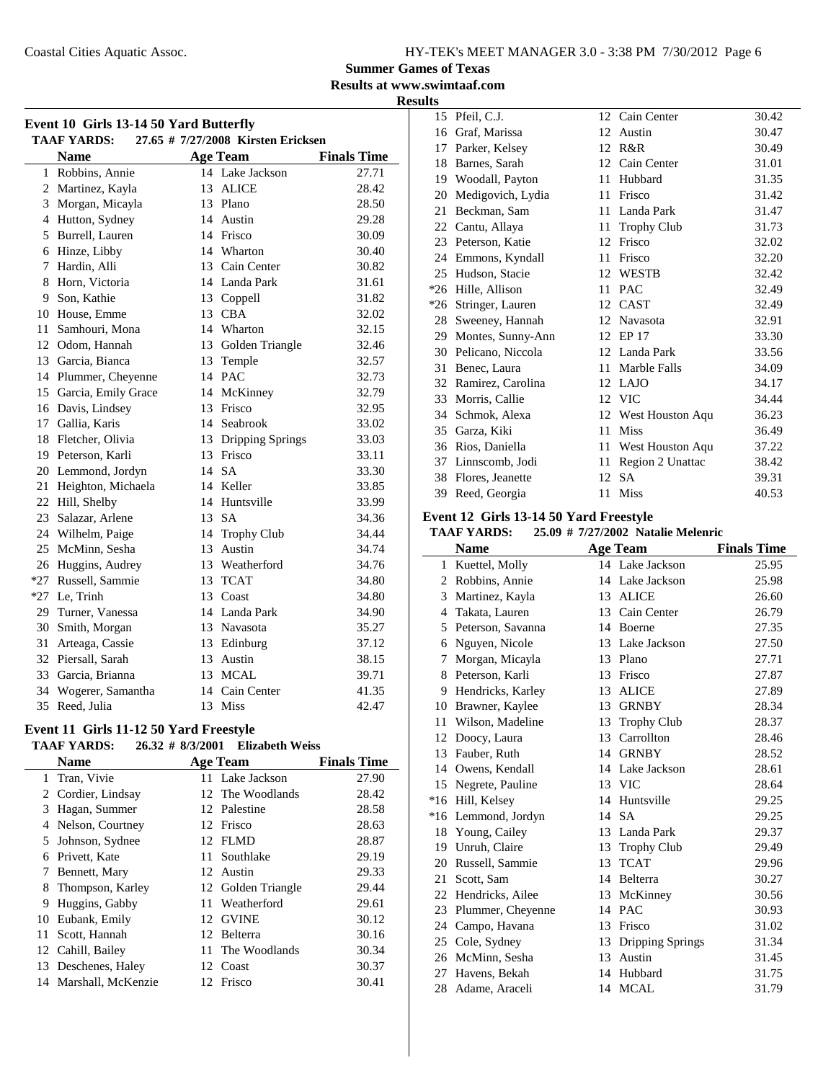**Summer Games of Texas**

**Results at www.swimtaaf.com**

#### **Results**

| Event 10 Girls 13-14 50 Yard Butterfly |                                                                                            |    |                     |                             |  |  |  |
|----------------------------------------|--------------------------------------------------------------------------------------------|----|---------------------|-----------------------------|--|--|--|
|                                        | 27.65 # 7/27/2008 Kirsten Ericksen<br><b>TAAF YARDS:</b><br><b>Name</b><br><b>Age Team</b> |    |                     |                             |  |  |  |
|                                        | 1 Robbins, Annie                                                                           |    | 14 Lake Jackson     | <b>Finals Time</b><br>27.71 |  |  |  |
|                                        | 2 Martinez, Kayla                                                                          |    | 13 ALICE            | 28.42                       |  |  |  |
| 3                                      | Morgan, Micayla                                                                            |    | 13 Plano            | 28.50                       |  |  |  |
|                                        | 4 Hutton, Sydney                                                                           |    | 14 Austin           | 29.28                       |  |  |  |
|                                        | 5 Burrell, Lauren                                                                          |    | 14 Frisco           | 30.09                       |  |  |  |
|                                        | 6 Hinze, Libby                                                                             |    | 14 Wharton          | 30.40                       |  |  |  |
|                                        | 7 Hardin, Alli                                                                             |    | 13 Cain Center      | 30.82                       |  |  |  |
|                                        | 8 Horn, Victoria                                                                           |    | 14 Landa Park       | 31.61                       |  |  |  |
| 9                                      | Son, Kathie                                                                                |    | 13 Coppell          | 31.82                       |  |  |  |
|                                        | 10 House, Emme                                                                             |    | 13 CBA              | 32.02                       |  |  |  |
| 11 <sup>1</sup>                        | Samhouri, Mona                                                                             |    | 14 Wharton          | 32.15                       |  |  |  |
|                                        | 12 Odom, Hannah                                                                            |    | 13 Golden Triangle  | 32.46                       |  |  |  |
|                                        | 13 Garcia, Bianca                                                                          |    | 13 Temple           | 32.57                       |  |  |  |
|                                        | 14 Plummer, Cheyenne                                                                       |    | 14 PAC              | 32.73                       |  |  |  |
|                                        | 15 Garcia, Emily Grace                                                                     |    | 14 McKinney         | 32.79                       |  |  |  |
|                                        | 16 Davis, Lindsey                                                                          |    | 13 Frisco           | 32.95                       |  |  |  |
|                                        | 17 Gallia, Karis                                                                           |    | 14 Seabrook         | 33.02                       |  |  |  |
|                                        | 18 Fletcher, Olivia                                                                        |    | 13 Dripping Springs | 33.03                       |  |  |  |
|                                        | 19 Peterson, Karli                                                                         |    | 13 Frisco           | 33.11                       |  |  |  |
|                                        | 20 Lemmond, Jordyn                                                                         |    | 14 SA               | 33.30                       |  |  |  |
| 21                                     | Heighton, Michaela                                                                         |    | 14 Keller           | 33.85                       |  |  |  |
| 22                                     | Hill, Shelby                                                                               |    | 14 Huntsville       | 33.99                       |  |  |  |
| 23                                     | Salazar, Arlene                                                                            |    | 13 SA               | 34.36                       |  |  |  |
| 24                                     | Wilhelm, Paige                                                                             |    | 14 Trophy Club      | 34.44                       |  |  |  |
| 25                                     | McMinn, Sesha                                                                              |    | 13 Austin           | 34.74                       |  |  |  |
| 26                                     | Huggins, Audrey                                                                            |    | 13 Weatherford      | 34.76                       |  |  |  |
| $*27$                                  | Russell, Sammie                                                                            |    | 13 TCAT             | 34.80                       |  |  |  |
|                                        | *27 Le, Trinh                                                                              |    | 13 Coast            | 34.80                       |  |  |  |
| 29                                     | Turner, Vanessa                                                                            |    | 14 Landa Park       | 34.90                       |  |  |  |
| 30                                     | Smith, Morgan                                                                              |    | 13 Navasota         | 35.27                       |  |  |  |
| 31                                     | Arteaga, Cassie                                                                            |    | 13 Edinburg         | 37.12                       |  |  |  |
|                                        | 32 Piersall, Sarah                                                                         |    | 13 Austin           | 38.15                       |  |  |  |
|                                        | 33 Garcia, Brianna                                                                         |    | 13 MCAL             | 39.71                       |  |  |  |
| 34                                     | Wogerer, Samantha                                                                          |    | 14 Cain Center      | 41.35                       |  |  |  |
| 35                                     | Reed, Julia                                                                                | 13 | Miss                | 42.47                       |  |  |  |

### **Event 11 Girls 11-12 50 Yard Freestyle**

|     | TAAF YARDS:           |     | 26.32 # 8/3/2001 Elizabeth Weiss |                    |
|-----|-----------------------|-----|----------------------------------|--------------------|
|     | <b>Name</b>           |     | <b>Age Team</b>                  | <b>Finals Time</b> |
| 1   | Tran, Vivie           |     | 11 Lake Jackson                  | 27.90              |
|     | 2 Cordier, Lindsay    |     | 12 The Woodlands                 | 28.42              |
| 3   | Hagan, Summer         |     | 12 Palestine                     | 28.58              |
| 4   | Nelson, Courtney      |     | 12 Frisco                        | 28.63              |
| 5   | Johnson, Sydnee       |     | 12 FLMD                          | 28.87              |
| 6   | Privett, Kate         |     | 11 Southlake                     | 29.19              |
| 7   | Bennett, Mary         |     | 12 Austin                        | 29.33              |
| 8   | Thompson, Karley      |     | 12 Golden Triangle               | 29.44              |
| 9   | Huggins, Gabby        | 11. | Weatherford                      | 29.61              |
| 10  | Eubank, Emily         |     | 12 GVINE                         | 30.12              |
| 11- | Scott, Hannah         |     | 12 Belterra                      | 30.16              |
|     | 12 Cahill, Bailey     |     | 11 The Woodlands                 | 30.34              |
|     | 13 Deschenes, Haley   |     | 12 Coast                         | 30.37              |
|     | 14 Marshall, McKenzie |     | 12 Frisco                        | 30.41              |

| 15    | Pfeil, C.J.          |    | 12 Cain Center      | 30.42 |
|-------|----------------------|----|---------------------|-------|
| 16    | Graf, Marissa        | 12 | Austin              | 30.47 |
| 17    | Parker, Kelsey       | 12 | R&R                 | 30.49 |
| 18    | Barnes, Sarah        | 12 | Cain Center         | 31.01 |
| 19    | Woodall, Payton      | 11 | Hubbard             | 31.35 |
| 20    | Medigovich, Lydia    | 11 | Frisco              | 31.42 |
| 21    | Beckman, Sam         | 11 | Landa Park          | 31.47 |
| 22    | Cantu, Allaya        | 11 | <b>Trophy Club</b>  | 31.73 |
|       | 23 Peterson, Katie   | 12 | Frisco              | 32.02 |
| 24    | Emmons, Kyndall      | 11 | Frisco              | 32.20 |
| 25    | Hudson, Stacie       | 12 | WESTB               | 32.42 |
| $*26$ | Hille, Allison       | 11 | <b>PAC</b>          | 32.49 |
|       | *26 Stringer, Lauren |    | 12 CAST             | 32.49 |
| 28    | Sweeney, Hannah      | 12 | Navasota            | 32.91 |
| 29    | Montes, Sunny-Ann    | 12 | EP 17               | 33.30 |
| 30    | Pelicano, Niccola    | 12 | Landa Park          | 33.56 |
| 31    | Benec, Laura         | 11 | Marble Falls        | 34.09 |
| 32    | Ramirez, Carolina    | 12 | <b>LAJO</b>         | 34.17 |
| 33    | Morris, Callie       |    | 12 VIC              | 34.44 |
| 34    | Schmok, Alexa        |    | 12 West Houston Aqu | 36.23 |
| 35    | Garza, Kiki          | 11 | <b>Miss</b>         | 36.49 |
| 36    | Rios, Daniella       | 11 | West Houston Aqu    | 37.22 |
| 37    | Linnscomb, Jodi      | 11 | Region 2 Unattac    | 38.42 |
| 38    | Flores, Jeanette     | 12 | <b>SA</b>           | 39.31 |
| 39    | Reed, Georgia        | 11 | <b>Miss</b>         | 40.53 |

#### **Event 12 Girls 13-14 50 Yard Freestyle**

#### **TAAF YARDS:** 25.09 # 7/27/2002 Natalie Melenric

|       | <b>Name</b>         |    | <b>Age Team</b>     | <b>Finals Time</b> |
|-------|---------------------|----|---------------------|--------------------|
| 1     | Kuettel, Molly      |    | 14 Lake Jackson     | 25.95              |
| 2     | Robbins, Annie      |    | 14 Lake Jackson     | 25.98              |
| 3     | Martinez, Kayla     |    | 13 ALICE            | 26.60              |
| 4     | Takata, Lauren      | 13 | Cain Center         | 26.79              |
| 5     | Peterson, Savanna   |    | 14 Boerne           | 27.35              |
| 6     | Nguyen, Nicole      |    | 13 Lake Jackson     | 27.50              |
| 7     | Morgan, Micayla     |    | 13 Plano            | 27.71              |
| 8     | Peterson, Karli     | 13 | Frisco              | 27.87              |
|       | 9 Hendricks, Karley |    | 13 ALICE            | 27.89              |
|       | 10 Brawner, Kaylee  | 13 | <b>GRNBY</b>        | 28.34              |
|       | 11 Wilson, Madeline | 13 | <b>Trophy Club</b>  | 28.37              |
| 12    | Doocy, Laura        |    | 13 Carrollton       | 28.46              |
|       | 13 Fauber, Ruth     | 14 | <b>GRNBY</b>        | 28.52              |
|       | 14 Owens, Kendall   |    | 14 Lake Jackson     | 28.61              |
| 15    | Negrete, Pauline    |    | 13 VIC              | 28.64              |
| $*16$ | Hill, Kelsey        |    | 14 Huntsville       | 29.25              |
|       | *16 Lemmond, Jordyn |    | 14 SA               | 29.25              |
|       | 18 Young, Cailey    |    | 13 Landa Park       | 29.37              |
|       | 19 Unruh, Claire    | 13 | <b>Trophy Club</b>  | 29.49              |
|       | 20 Russell, Sammie  | 13 | <b>TCAT</b>         | 29.96              |
| 21    | Scott, Sam          |    | 14 Belterra         | 30.27              |
| 22    | Hendricks, Ailee    | 13 | McKinney            | 30.56              |
| 23    | Plummer, Cheyenne   |    | 14 PAC              | 30.93              |
| 24    | Campo, Havana       | 13 | Frisco              | 31.02              |
|       | 25 Cole, Sydney     |    | 13 Dripping Springs | 31.34              |
|       | 26 McMinn, Sesha    | 13 | Austin              | 31.45              |
|       | 27 Havens, Bekah    |    | 14 Hubbard          | 31.75              |
|       | 28 Adame, Araceli   |    | 14 MCAL             | 31.79              |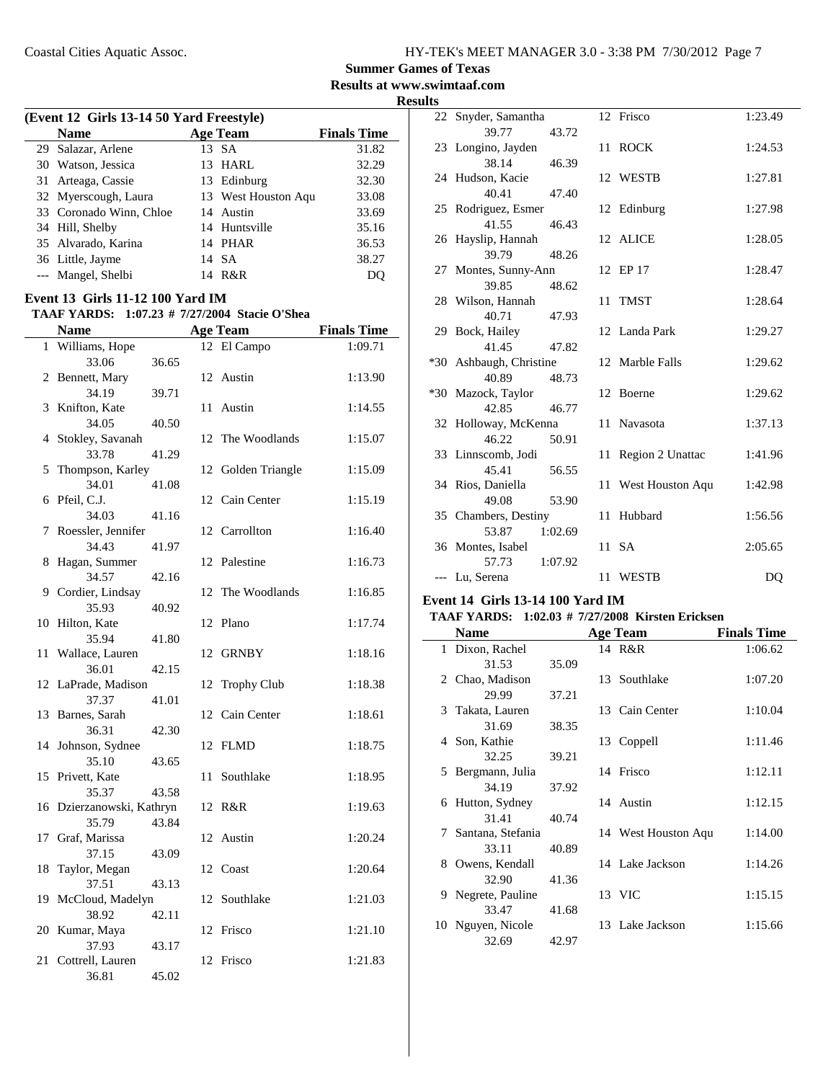**Summer Games of Texas**

**Results at www.swimtaaf.com**

**Results**

|    |                                                         |       |    |                     | F                  |
|----|---------------------------------------------------------|-------|----|---------------------|--------------------|
|    | (Event 12 Girls 13-14 50 Yard Freestyle)<br><b>Name</b> |       |    | <b>Age Team</b>     | <b>Finals Time</b> |
|    | 29 Salazar, Arlene                                      |       |    | 13 SA               | 31.82              |
|    | 30 Watson, Jessica                                      |       |    | 13 HARL             | 32.29              |
|    | 31 Arteaga, Cassie                                      |       |    | 13 Edinburg         | 32.30              |
|    | 32 Myerscough, Laura                                    |       |    | 13 West Houston Aqu | 33.08              |
|    | 33 Coronado Winn, Chloe                                 |       |    | 14 Austin           | 33.69              |
|    | 34 Hill, Shelby                                         |       |    | 14 Huntsville       | 35.16              |
|    | 35 Alvarado, Karina                                     |       |    | 14 PHAR             | 36.53              |
|    | 36 Little, Jayme                                        |       |    | 14 SA               | 38.27              |
|    | --- Mangel, Shelbi                                      |       |    | 14 R&R              | DQ                 |
|    | Event 13 Girls 11-12 100 Yard IM                        |       |    |                     |                    |
|    | TAAF YARDS: 1:07.23 # 7/27/2004 Stacie O'Shea           |       |    |                     |                    |
|    | <b>Name</b>                                             |       |    | <b>Age Team</b>     | <b>Finals Time</b> |
|    | 1 Williams, Hope                                        |       |    | 12 El Campo         | 1:09.71            |
|    | 33.06                                                   | 36.65 |    |                     |                    |
|    | 2 Bennett, Mary                                         |       |    | 12 Austin           | 1:13.90            |
|    | 34.19                                                   | 39.71 |    |                     |                    |
| 3  | Knifton, Kate                                           |       | 11 | Austin              | 1:14.55            |
|    | 34.05                                                   | 40.50 |    |                     |                    |
| 4  | Stokley, Savanah                                        |       | 12 | The Woodlands       | 1:15.07            |
|    | 33.78                                                   | 41.29 |    |                     |                    |
| 5  | Thompson, Karley                                        |       | 12 | Golden Triangle     | 1:15.09            |
|    | 34.01                                                   | 41.08 |    |                     |                    |
|    | 6 Pfeil, C.J.                                           |       |    | 12 Cain Center      | 1:15.19            |
|    | 34.03                                                   | 41.16 |    |                     |                    |
| 7  | Roessler, Jennifer                                      |       | 12 | Carrollton          | 1:16.40            |
|    | 34.43                                                   | 41.97 |    |                     |                    |
| 8  | Hagan, Summer                                           |       |    | 12 Palestine        | 1:16.73            |
|    | 34.57                                                   | 42.16 |    |                     |                    |
|    | 9 Cordier, Lindsay                                      |       | 12 | The Woodlands       | 1:16.85            |
|    | 35.93                                                   | 40.92 |    |                     |                    |
|    | 10 Hilton, Kate                                         |       |    | 12 Plano            | 1:17.74            |
|    | 35.94                                                   | 41.80 |    |                     |                    |
| 11 | Wallace, Lauren                                         |       | 12 | <b>GRNBY</b>        | 1:18.16            |
|    | 36.01                                                   | 42.15 |    |                     |                    |
|    | 12 LaPrade, Madison                                     |       | 12 | <b>Trophy Club</b>  | 1:18.38            |
|    | 37.37                                                   | 41.01 |    |                     |                    |
|    | 13 Barnes, Sarah                                        |       |    | 12 Cain Center      | 1:18.61            |
|    | 36.31                                                   | 42.30 |    |                     |                    |
| 14 | Johnson, Sydnee                                         |       |    | 12 FLMD             | 1:18.75            |
|    | 35.10                                                   | 43.65 |    |                     |                    |
|    | 15 Privett, Kate                                        |       | 11 | Southlake           | 1:18.95            |
|    | 35.37                                                   | 43.58 |    |                     |                    |
|    | 16 Dzierzanowski, Kathryn                               |       |    | 12 R&R              | 1:19.63            |
|    | 35.79                                                   | 43.84 |    |                     |                    |
| 17 | Graf, Marissa                                           |       |    | 12 Austin           | 1:20.24            |
|    | 37.15                                                   | 43.09 |    |                     |                    |
| 18 | Taylor, Megan                                           |       |    | 12 Coast            | 1:20.64            |
|    | 37.51                                                   | 43.13 |    |                     |                    |
| 19 | McCloud, Madelyn                                        |       | 12 | Southlake           | 1:21.03            |
|    | 38.92                                                   | 42.11 |    |                     |                    |
| 20 | Kumar, Maya                                             |       |    | 12 Frisco           | 1:21.10            |
|    | 37.93                                                   | 43.17 |    |                     |                    |
| 21 | Cottrell, Lauren                                        |       |    | 12 Frisco           | 1:21.83            |
|    | 36.81                                                   | 45.02 |    |                     |                    |

| 22 Snyder, Samantha                                           |         | 12 Frisco           | 1:23.49 |
|---------------------------------------------------------------|---------|---------------------|---------|
| 39.77                                                         | 43.72   |                     |         |
| 23 Longino, Jayden                                            |         | 11 ROCK             | 1:24.53 |
| 38.14                                                         | 46.39   |                     |         |
| 24 Hudson, Kacie                                              |         | 12 WESTB            | 1:27.81 |
| 40.41                                                         | 47.40   |                     |         |
| 25 Rodriguez, Esmer                                           |         | 12 Edinburg         | 1:27.98 |
| 41.55                                                         | 46.43   |                     |         |
| 26 Hayslip, Hannah                                            |         | 12 ALICE            | 1:28.05 |
| 39.79                                                         | 48.26   |                     |         |
| 27 Montes, Sunny-Ann                                          |         | 12 EP 17            | 1:28.47 |
| 39.85                                                         | 48.62   |                     |         |
| 28 Wilson, Hannah                                             |         | 11 TMST             | 1:28.64 |
| 40.71                                                         | 47.93   |                     |         |
| 29 Bock, Hailey                                               |         | 12 Landa Park       | 1:29.27 |
| 41.45                                                         | 47.82   |                     |         |
| *30 Ashbaugh, Christine                                       |         | 12 Marble Falls     | 1:29.62 |
| 40.89                                                         | 48.73   |                     |         |
| *30 Mazock, Taylor                                            |         | 12 Boerne           | 1:29.62 |
| 42.85                                                         | 46.77   | 11 Navasota         |         |
| 32 Holloway, McKenna<br>46.22                                 |         |                     | 1:37.13 |
| 33 Linnscomb, Jodi                                            | 50.91   | 11 Region 2 Unattac | 1:41.96 |
| 45.41                                                         | 56.55   |                     |         |
| 34 Rios, Daniella                                             |         | 11 West Houston Aqu | 1:42.98 |
| 49.08                                                         | 53.90   |                     |         |
| 35 Chambers, Destiny                                          |         | 11 Hubbard          | 1:56.56 |
| 53.87                                                         | 1:02.69 |                     |         |
| 36 Montes, Isabel                                             |         | 11 SA               | 2:05.65 |
| 57.73                                                         | 1:07.92 |                     |         |
| --- Lu, Serena                                                |         | 11 WESTB            | DQ      |
| $T_{\rm cont}$ 14 $T_{\rm bulge}$ 12 14 100 $V_{\rm cond}$ IM |         |                     |         |
|                                                               |         |                     |         |

#### **Event 14 Girls 13-14 100 Yard IM**

#### TAAF YARDS: 1:02.03 # 7/27/2008 Kirsten Ericksen

|   | Name                |       | <b>Age Team</b>     | <b>Finals Time</b> |
|---|---------------------|-------|---------------------|--------------------|
|   | 1 Dixon, Rachel     |       | 14 R&R              | 1:06.62            |
|   | 31.53               | 35.09 |                     |                    |
|   | 2 Chao, Madison     |       | 13 Southlake        | 1:07.20            |
|   | 29.99               | 37.21 |                     |                    |
|   | 3 Takata, Lauren    |       | 13 Cain Center      | 1:10.04            |
|   | 31.69               | 38.35 |                     |                    |
|   | 4 Son, Kathie       |       | 13 Coppell          | 1:11.46            |
|   | 32.25               | 39.21 |                     |                    |
|   | 5 Bergmann, Julia   |       | 14 Frisco           | 1:12.11            |
|   | 34.19               | 37.92 |                     |                    |
|   | 6 Hutton, Sydney    |       | 14 Austin           | 1:12.15            |
|   | 31.41               | 40.74 |                     |                    |
|   | 7 Santana, Stefania |       | 14 West Houston Aqu | 1:14.00            |
|   | 33.11               | 40.89 |                     |                    |
|   | 8 Owens, Kendall    |       | 14 Lake Jackson     | 1:14.26            |
|   | 32.90               | 41.36 |                     |                    |
| 9 | Negrete, Pauline    |       | 13 VIC              | 1:15.15            |
|   | 33.47               | 41.68 |                     |                    |
|   | 10 Nguyen, Nicole   |       | 13 Lake Jackson     | 1:15.66            |
|   | 32.69               | 42.97 |                     |                    |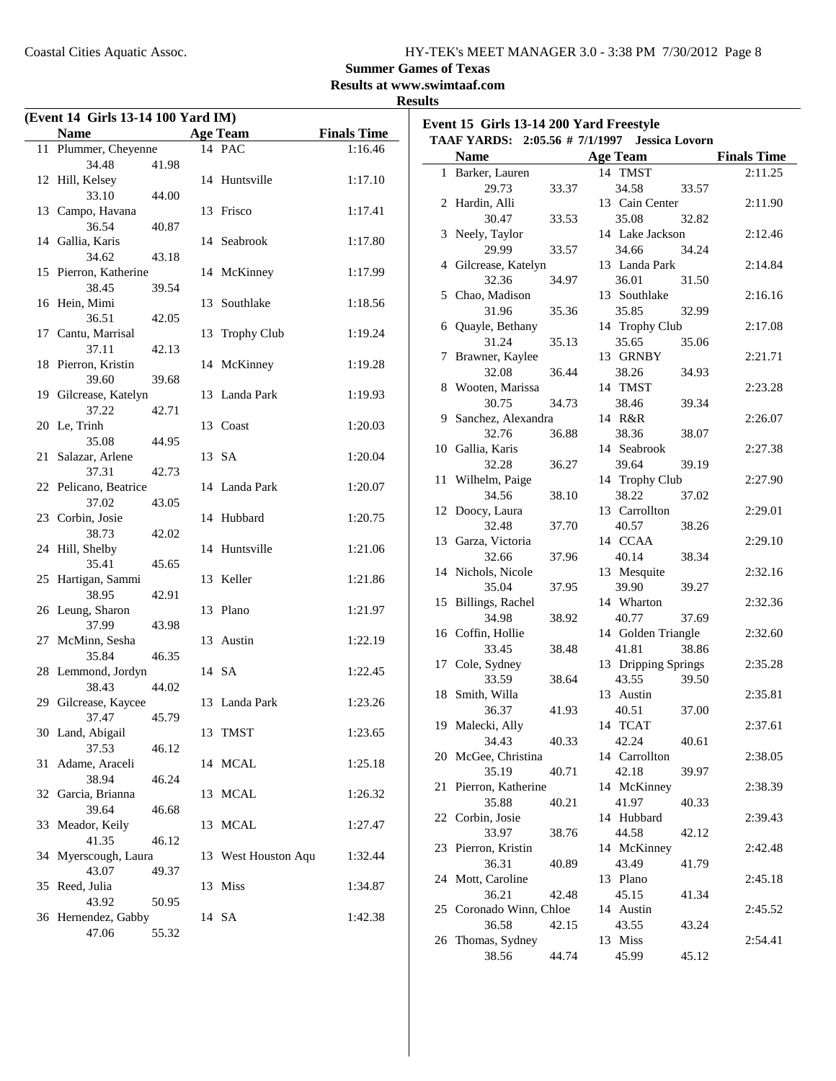**Event 15 Girls 13-14 200 Yard Freestyle**

### **Summer Games of Texas**

**Results at www.swimtaaf.com**

### **Results**

| (Event 14 Girls 13-14 100 Yard IM) |                                |       |    |                     |                    |  |
|------------------------------------|--------------------------------|-------|----|---------------------|--------------------|--|
|                                    | <b>Name</b>                    |       |    | <b>Age Team</b>     | <b>Finals Time</b> |  |
| 11                                 | Plummer, Cheyenne              |       |    | 14 PAC              | 1:16.46            |  |
|                                    | 34.48                          | 41.98 |    |                     |                    |  |
|                                    | 12 Hill, Kelsey                |       |    | 14 Huntsville       | 1:17.10            |  |
|                                    | 33.10                          | 44.00 |    |                     |                    |  |
|                                    | 13 Campo, Havana               |       |    | 13 Frisco           | 1:17.41            |  |
|                                    | 36.54<br>14 Gallia, Karis      | 40.87 |    | 14 Seabrook         | 1:17.80            |  |
|                                    | 34.62                          | 43.18 |    |                     |                    |  |
|                                    | 15 Pierron, Katherine          |       |    | 14 McKinney         | 1:17.99            |  |
|                                    | 38.45                          | 39.54 |    |                     |                    |  |
|                                    | 16 Hein, Mimi                  |       | 13 | Southlake           | 1:18.56            |  |
|                                    | 36.51                          | 42.05 |    |                     |                    |  |
| 17                                 | Cantu, Marrisal                |       | 13 | Trophy Club         | 1:19.24            |  |
|                                    | 37.11                          | 42.13 |    |                     |                    |  |
| 18                                 | Pierron, Kristin               |       |    | 14 McKinney         | 1:19.28            |  |
|                                    | 39.60                          | 39.68 |    |                     |                    |  |
|                                    | 19 Gilcrease, Katelyn          |       |    | 13 Landa Park       | 1:19.93            |  |
|                                    | 37.22                          | 42.71 |    |                     |                    |  |
|                                    | 20 Le, Trinh                   |       |    | 13 Coast            | 1:20.03            |  |
|                                    | 35.08                          | 44.95 |    |                     |                    |  |
| 21                                 | Salazar, Arlene                |       |    | 13 SA               | 1:20.04            |  |
|                                    | 37.31<br>22 Pelicano, Beatrice | 42.73 |    | 14 Landa Park       | 1:20.07            |  |
|                                    | 37.02                          | 43.05 |    |                     |                    |  |
|                                    | 23 Corbin, Josie               |       |    | 14 Hubbard          | 1:20.75            |  |
|                                    | 38.73                          | 42.02 |    |                     |                    |  |
|                                    | 24 Hill, Shelby                |       | 14 | Huntsville          | 1:21.06            |  |
|                                    | 35.41                          | 45.65 |    |                     |                    |  |
| 25                                 | Hartigan, Sammi                |       |    | 13 Keller           | 1:21.86            |  |
|                                    | 38.95                          | 42.91 |    |                     |                    |  |
|                                    | 26 Leung, Sharon               |       | 13 | Plano               | 1:21.97            |  |
|                                    | 37.99                          | 43.98 |    |                     |                    |  |
| 27                                 | McMinn, Sesha                  |       |    | 13 Austin           | 1:22.19            |  |
|                                    | 35.84                          | 46.35 |    |                     |                    |  |
|                                    | 28 Lemmond, Jordyn             |       |    | 14 SA               | 1:22.45            |  |
|                                    | 38.43                          | 44.02 |    |                     |                    |  |
| 29                                 | Gilcrease, Kaycee              |       |    | 13 Landa Park       | 1:23.26            |  |
|                                    | 37.47<br>30 Land, Abigail      | 45.79 |    |                     |                    |  |
|                                    | 37.53                          | 46.12 |    | 13 TMST             | 1:23.65            |  |
| 31                                 | Adame, Araceli                 |       |    | 14 MCAL             | 1:25.18            |  |
|                                    | 38.94                          | 46.24 |    |                     |                    |  |
| 32                                 | Garcia, Brianna                |       | 13 | <b>MCAL</b>         | 1:26.32            |  |
|                                    | 39.64                          | 46.68 |    |                     |                    |  |
| 33                                 | Meador, Keily                  |       | 13 | <b>MCAL</b>         | 1:27.47            |  |
|                                    | 41.35                          | 46.12 |    |                     |                    |  |
| 34                                 | Myerscough, Laura              |       |    | 13 West Houston Aqu | 1:32.44            |  |
|                                    | 43.07                          | 49.37 |    |                     |                    |  |
| 35                                 | Reed, Julia                    |       |    | 13 Miss             | 1:34.87            |  |
|                                    | 43.92                          | 50.95 |    |                     |                    |  |
|                                    | 36 Hernendez, Gabby            |       |    | 14 SA               | 1:42.38            |  |
|                                    | 47.06                          | 55.32 |    |                     |                    |  |

| TAAF YARDS: 2:05.56 # 7/1/1997 Jessica Lovorn |                         |       |  |                     |       |                    |
|-----------------------------------------------|-------------------------|-------|--|---------------------|-------|--------------------|
|                                               | <b>Name</b>             |       |  | <b>Age Team</b>     |       | <b>Finals Time</b> |
|                                               | 1 Barker, Lauren        |       |  | 14 TMST             |       | 2:11.25            |
|                                               | 29.73                   | 33.37 |  | 34.58               | 33.57 |                    |
| 2                                             | Hardin, Alli            |       |  | 13 Cain Center      |       | 2:11.90            |
|                                               | 30.47                   | 33.53 |  | 35.08               | 32.82 |                    |
| 3                                             | Neely, Taylor           |       |  | 14 Lake Jackson     |       | 2:12.46            |
|                                               | 29.99                   | 33.57 |  | 34.66               | 34.24 |                    |
|                                               | 4 Gilcrease, Katelyn    |       |  | 13 Landa Park       |       | 2:14.84            |
|                                               | 32.36                   | 34.97 |  | 36.01               | 31.50 |                    |
|                                               | 5 Chao, Madison         |       |  | 13 Southlake        |       | 2:16.16            |
|                                               | 31.96                   | 35.36 |  | 35.85               | 32.99 |                    |
|                                               | 6 Quayle, Bethany       |       |  | 14 Trophy Club      |       | 2:17.08            |
|                                               | 31.24                   | 35.13 |  | 35.65               | 35.06 |                    |
| 7                                             | Brawner, Kaylee         |       |  | 13 GRNBY            |       | 2:21.71            |
|                                               | 32.08                   | 36.44 |  | 38.26               | 34.93 |                    |
| 8                                             | Wooten, Marissa         |       |  | 14 TMST             |       | 2:23.28            |
|                                               | 30.75                   | 34.73 |  | 38.46               | 39.34 |                    |
|                                               | 9 Sanchez, Alexandra    |       |  | 14 R&R              |       | 2:26.07            |
|                                               | 32.76                   | 36.88 |  | 38.36               | 38.07 |                    |
|                                               | 10 Gallia, Karis        |       |  | 14 Seabrook         |       | 2:27.38            |
|                                               | 32.28                   | 36.27 |  | 39.64               | 39.19 |                    |
|                                               | 11 Wilhelm, Paige       |       |  | 14 Trophy Club      |       | 2:27.90            |
|                                               | 34.56                   | 38.10 |  | 38.22               | 37.02 |                    |
| 12                                            | Doocy, Laura            |       |  | 13 Carrollton       |       | 2:29.01            |
|                                               | 32.48                   | 37.70 |  | 40.57               | 38.26 |                    |
|                                               | 13 Garza, Victoria      |       |  | 14 CCAA             |       | 2:29.10            |
|                                               | 32.66                   | 37.96 |  | 40.14               | 38.34 |                    |
|                                               | 14 Nichols, Nicole      |       |  | 13 Mesquite         |       | 2:32.16            |
|                                               | 35.04                   | 37.95 |  | 39.90               | 39.27 |                    |
|                                               | 15 Billings, Rachel     |       |  | 14 Wharton          |       | 2:32.36            |
|                                               | 34.98                   | 38.92 |  | 40.77               | 37.69 |                    |
|                                               | 16 Coffin, Hollie       |       |  | 14 Golden Triangle  |       | 2:32.60            |
|                                               | 33.45                   | 38.48 |  | 41.81               | 38.86 |                    |
|                                               | 17 Cole, Sydney         |       |  | 13 Dripping Springs |       | 2:35.28            |
|                                               | 33.59                   | 38.64 |  | 43.55               | 39.50 |                    |
|                                               | 18 Smith, Willa         |       |  | 13 Austin           |       | 2:35.81            |
|                                               | 36.37                   | 41.93 |  | 40.51               | 37.00 |                    |
| 19                                            | Malecki, Ally           |       |  | 14 TCAT             |       | 2:37.61            |
|                                               | 34.43                   | 40.33 |  | 42.24               | 40.61 |                    |
|                                               | 20 McGee, Christina     |       |  | 14 Carrollton       |       | 2:38.05            |
|                                               | 35.19                   | 40.71 |  | 42.18               | 39.97 |                    |
| 21                                            | Pierron, Katherine      |       |  | 14 McKinney         |       | 2:38.39            |
|                                               | 35.88                   | 40.21 |  | 41.97               | 40.33 |                    |
|                                               | 22 Corbin, Josie        |       |  | 14 Hubbard          |       | 2:39.43            |
|                                               | 33.97                   | 38.76 |  | 44.58               | 42.12 |                    |
|                                               | 23 Pierron, Kristin     |       |  | 14 McKinney         |       | 2:42.48            |
|                                               | 36.31                   | 40.89 |  | 43.49               | 41.79 |                    |
| 24                                            | Mott, Caroline          |       |  | 13 Plano            |       | 2:45.18            |
|                                               | 36.21                   | 42.48 |  | 45.15               | 41.34 |                    |
|                                               | 25 Coronado Winn, Chloe |       |  | 14 Austin           |       | 2:45.52            |
|                                               | 36.58                   | 42.15 |  | 43.55               | 43.24 |                    |
| 26                                            | Thomas, Sydney          |       |  | 13 Miss             |       | 2:54.41            |
|                                               | 38.56                   | 44.74 |  | 45.99               | 45.12 |                    |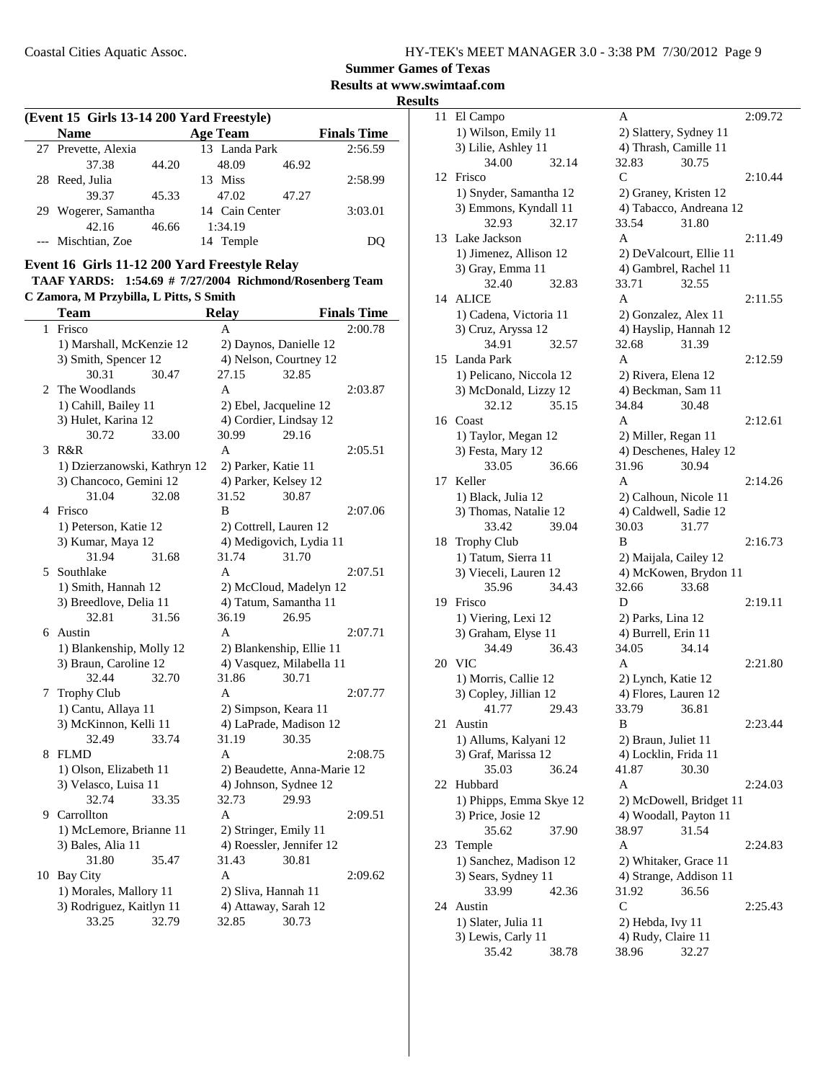**Summer Games of Texas**

**Results at www.swimtaaf.com**

**Results**

| (Event 15 Girls 13-14 200 Yard Freestyle) |  |
|-------------------------------------------|--|
|-------------------------------------------|--|

| <b>Name</b>          |       | <b>Age Team</b> |       | <b>Finals Time</b> |
|----------------------|-------|-----------------|-------|--------------------|
| 27 Prevette, Alexia  |       | 13 Landa Park   |       | 2:56.59            |
| 37.38                | 44.20 | 48.09           | 46.92 |                    |
| 28 Reed, Julia       |       | 13 Miss         |       | 2:58.99            |
| 39.37                | 45.33 | 47.02           | 47.27 |                    |
| 29 Wogerer, Samantha |       | 14 Cain Center  |       | 3:03.01            |
| 42.16                | 46.66 | 1:34.19         |       |                    |
| --- Mischtian, Zoe   |       | 14 Temple       |       |                    |

#### **Event 16 Girls 11-12 200 Yard Freestyle Relay**

**TAAF YARDS: 1:54.69 # Richmond/Rosenberg Team 7/27/2004 C Zamora, M Przybilla, L Pitts, S Smith**

|    | <b>Team</b>                  |       | <b>Relay</b>             |                             | <b>Finals Time</b> |
|----|------------------------------|-------|--------------------------|-----------------------------|--------------------|
| 1  | Frisco                       |       | A                        |                             | 2:00.78            |
|    | 1) Marshall, McKenzie 12     |       | 2) Daynos, Danielle 12   |                             |                    |
|    | 3) Smith, Spencer 12         |       | 4) Nelson, Courtney 12   |                             |                    |
|    | 30.31                        | 30.47 | 27.15                    | 32.85                       |                    |
| 2  | The Woodlands                |       | A                        |                             | 2:03.87            |
|    | 1) Cahill, Bailey 11         |       | 2) Ebel, Jacqueline 12   |                             |                    |
|    | 3) Hulet, Karina 12          |       | 4) Cordier, Lindsay 12   |                             |                    |
|    | 30.72                        | 33.00 | 30.99                    | 29.16                       |                    |
| 3  | R&R                          |       | A                        |                             | 2:05.51            |
|    | 1) Dzierzanowski, Kathryn 12 |       | 2) Parker, Katie 11      |                             |                    |
|    | 3) Chancoco, Gemini 12       |       | 4) Parker, Kelsey 12     |                             |                    |
|    | 31.04                        | 32.08 | 31.52                    | 30.87                       |                    |
| 4  | Frisco                       |       | B                        |                             | 2:07.06            |
|    | 1) Peterson, Katie 12        |       | 2) Cottrell, Lauren 12   |                             |                    |
|    | 3) Kumar, Maya 12            |       |                          | 4) Medigovich, Lydia 11     |                    |
|    | 31.94                        | 31.68 | 31.74                    | 31.70                       |                    |
| 5  | Southlake                    |       | A                        |                             | 2:07.51            |
|    | 1) Smith, Hannah 12          |       |                          | 2) McCloud, Madelyn 12      |                    |
|    | 3) Breedlove, Delia 11       |       | 4) Tatum, Samantha 11    |                             |                    |
|    | 32.81                        | 31.56 | 36.19                    | 26.95                       |                    |
| 6  | Austin                       |       | A                        |                             | 2:07.71            |
|    | 1) Blankenship, Molly 12     |       |                          | 2) Blankenship, Ellie 11    |                    |
|    | 3) Braun, Caroline 12        |       |                          | 4) Vasquez, Milabella 11    |                    |
|    | 32.44                        | 32.70 | 31.86                    | 30.71                       |                    |
| 7  | <b>Trophy Club</b>           |       | A                        |                             | 2:07.77            |
|    | 1) Cantu, Allaya 11          |       | 2) Simpson, Keara 11     |                             |                    |
|    | 3) McKinnon, Kelli 11        |       |                          | 4) LaPrade, Madison 12      |                    |
|    | 32.49                        | 33.74 | 31.19                    | 30.35                       |                    |
| 8  | <b>FLMD</b>                  |       | A                        |                             | 2:08.75            |
|    | 1) Olson, Elizabeth 11       |       |                          | 2) Beaudette, Anna-Marie 12 |                    |
|    | 3) Velasco, Luisa 11         |       | 4) Johnson, Sydnee 12    |                             |                    |
|    | 32.74                        | 33.35 | 32.73                    | 29.93                       |                    |
| 9. | Carrollton                   |       | A                        |                             | 2:09.51            |
|    | 1) McLemore, Brianne 11      |       | 2) Stringer, Emily 11    |                             |                    |
|    | 3) Bales, Alia 11            |       | 4) Roessler, Jennifer 12 |                             |                    |
|    | 31.80                        | 35.47 | 31.43                    | 30.81                       |                    |
| 10 | <b>Bay City</b>              |       | A                        |                             | 2:09.62            |
|    | 1) Morales, Mallory 11       |       | 2) Sliva, Hannah 11      |                             |                    |
|    | 3) Rodriguez, Kaitlyn 11     |       | 4) Attaway, Sarah 12     |                             |                    |
|    | 33.25                        | 32.79 | 32.85                    | 30.73                       |                    |

| 11 | El Campo                |       | Α                       |                         | 2:09.72 |
|----|-------------------------|-------|-------------------------|-------------------------|---------|
|    | 1) Wilson, Emily 11     |       | 2) Slattery, Sydney 11  |                         |         |
|    | 3) Lilie, Ashley 11     |       | 4) Thrash, Camille 11   |                         |         |
|    | 34.00                   | 32.14 | 32.83                   | 30.75                   |         |
| 12 | Frisco                  |       | C                       |                         | 2:10.44 |
|    |                         |       |                         |                         |         |
|    | 1) Snyder, Samantha 12  |       | 2) Graney, Kristen 12   |                         |         |
|    | 3) Emmons, Kyndall 11   |       |                         | 4) Tabacco, Andreana 12 |         |
|    | 32.93                   | 32.17 | 33.54                   | 31.80                   |         |
| 13 | Lake Jackson            |       | A                       |                         | 2:11.49 |
|    | 1) Jimenez, Allison 12  |       | 2) DeValcourt, Ellie 11 |                         |         |
|    | 3) Gray, Emma 11        |       | 4) Gambrel, Rachel 11   |                         |         |
|    | 32.40                   | 32.83 | 33.71                   | 32.55                   |         |
| 14 | <b>ALICE</b>            |       | A                       |                         | 2:11.55 |
|    | 1) Cadena, Victoria 11  |       | 2) Gonzalez, Alex 11    |                         |         |
|    | 3) Cruz, Aryssa 12      |       | 4) Hayslip, Hannah 12   |                         |         |
|    | 34.91                   | 32.57 | 32.68                   | 31.39                   |         |
| 15 | Landa Park              |       | A                       |                         | 2:12.59 |
|    | 1) Pelicano, Niccola 12 |       | 2) Rivera, Elena 12     |                         |         |
|    | 3) McDonald, Lizzy 12   |       | 4) Beckman, Sam 11      |                         |         |
|    | 32.12                   | 35.15 | 34.84                   | 30.48                   |         |
|    | 16 Coast                |       | A                       |                         | 2:12.61 |
|    | 1) Taylor, Megan 12     |       | 2) Miller, Regan 11     |                         |         |
|    | 3) Festa, Mary 12       |       |                         | 4) Deschenes, Haley 12  |         |
|    | 33.05                   | 36.66 | 31.96                   | 30.94                   |         |
| 17 | Keller                  |       | А                       |                         | 2:14.26 |
|    | 1) Black, Julia 12      |       | 2) Calhoun, Nicole 11   |                         |         |
|    | 3) Thomas, Natalie 12   |       | 4) Caldwell, Sadie 12   |                         |         |
|    | 33.42                   | 39.04 | 30.03                   | 31.77                   |         |
|    |                         |       |                         |                         |         |
| 18 | <b>Trophy Club</b>      |       | B                       |                         | 2:16.73 |
|    | 1) Tatum, Sierra 11     |       | 2) Maijala, Cailey 12   |                         |         |
|    | 3) Vieceli, Lauren 12   |       |                         | 4) McKowen, Brydon 11   |         |
|    | 35.96                   | 34.43 | 32.66                   | 33.68                   |         |
| 19 | Frisco                  |       | D                       |                         | 2:19.11 |
|    | 1) Viering, Lexi 12     |       | 2) Parks, Lina 12       |                         |         |
|    | 3) Graham, Elyse 11     |       | 4) Burrell, Erin 11     |                         |         |
|    | 34.49                   | 36.43 | 34.05                   | 34.14                   |         |
| 20 | VIC                     |       | A                       |                         | 2:21.80 |
|    | 1) Morris, Callie 12    |       | 2) Lynch, Katie 12      |                         |         |
|    | 3) Copley, Jillian 12   |       | 4) Flores, Lauren 12    |                         |         |
|    | 41.77                   | 29.43 | 33.79                   | 36.81                   |         |
| 21 | Austin                  |       | B                       |                         | 2:23.44 |
|    | 1) Allums, Kalyani 12   |       | 2) Braun, Juliet 11     |                         |         |
|    | 3) Graf, Marissa 12     |       | 4) Locklin, Frida 11    |                         |         |
|    | 35.03                   | 36.24 | 41.87                   | 30.30                   |         |
| 22 | Hubbard                 |       | Α                       |                         | 2:24.03 |
|    | 1) Phipps, Emma Skye 12 |       |                         | 2) McDowell, Bridget 11 |         |
|    | 3) Price, Josie 12      |       | 4) Woodall, Payton 11   |                         |         |
|    | 35.62                   | 37.90 | 38.97                   | 31.54                   |         |
| 23 | Temple                  |       | Α                       |                         | 2:24.83 |
|    | 1) Sanchez, Madison 12  |       | 2) Whitaker, Grace 11   |                         |         |
|    | 3) Sears, Sydney 11     |       | 4) Strange, Addison 11  |                         |         |
|    | 33.99                   | 42.36 | 31.92                   | 36.56                   |         |
| 24 | Austin                  |       | $\mathsf{C}$            |                         | 2:25.43 |
|    | 1) Slater, Julia 11     |       | 2) Hebda, Ivy 11        |                         |         |
|    | 3) Lewis, Carly 11      |       | 4) Rudy, Claire 11      |                         |         |
|    | 35.42                   | 38.78 | 38.96                   | 32.27                   |         |
|    |                         |       |                         |                         |         |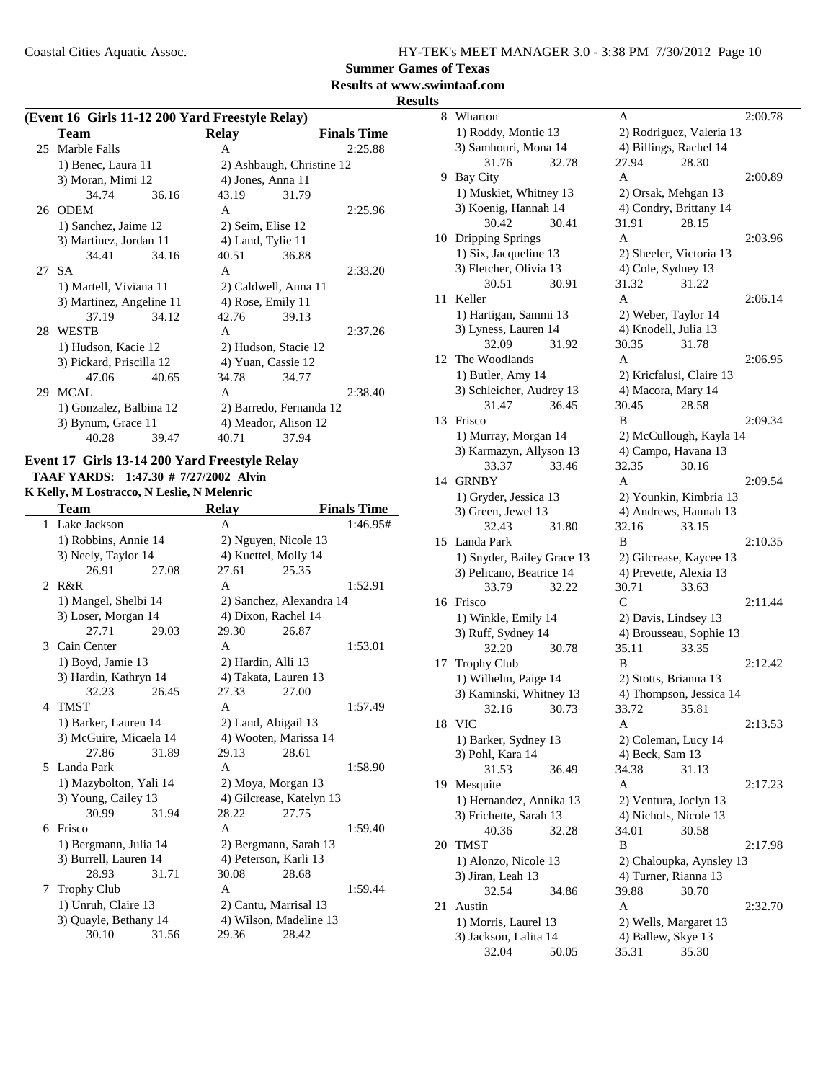**Summer Games of Texas**

### **Results at www.swimtaaf.com**

**Results**

| (Event 16 Girls 11-12 200 Yard Freestyle Relay) |                          |       |                   |                           |                    |
|-------------------------------------------------|--------------------------|-------|-------------------|---------------------------|--------------------|
|                                                 | Team                     |       | Relay             |                           | <b>Finals Time</b> |
|                                                 | 25 Marble Falls          |       | A                 |                           | 2:25.88            |
|                                                 | 1) Benec, Laura 11       |       |                   | 2) Ashbaugh, Christine 12 |                    |
|                                                 | 3) Moran, Mimi 12        |       | 4) Jones, Anna 11 |                           |                    |
|                                                 | 34.74                    | 36.16 | 43.19             | 31.79                     |                    |
|                                                 | 26 ODEM                  |       | A                 |                           | 2:25.96            |
|                                                 | 1) Sanchez, Jaime 12     |       | 2) Seim, Elise 12 |                           |                    |
|                                                 | 3) Martinez, Jordan 11   |       | 4) Land, Tylie 11 |                           |                    |
|                                                 | 34.41                    | 34.16 | 40.51             | 36.88                     |                    |
|                                                 | 27 SA                    |       | A                 |                           | 2:33.20            |
|                                                 | 1) Martell, Viviana 11   |       |                   | 2) Caldwell, Anna 11      |                    |
|                                                 | 3) Martinez, Angeline 11 |       | 4) Rose, Emily 11 |                           |                    |
|                                                 | 37.19                    | 34.12 | 42.76             | 39.13                     |                    |
|                                                 | 28 WESTB                 |       | $\mathsf{A}$      |                           | 2:37.26            |
|                                                 | 1) Hudson, Kacie 12      |       |                   | 2) Hudson, Stacie 12      |                    |
|                                                 | 3) Pickard, Priscilla 12 |       |                   | 4) Yuan, Cassie 12        |                    |
|                                                 | 47.06                    | 40.65 | 34.78             | 34.77                     |                    |
| 29                                              | MCAL                     |       | A                 |                           | 2:38.40            |
|                                                 | 1) Gonzalez, Balbina 12  |       |                   | 2) Barredo, Fernanda 12   |                    |
|                                                 | 3) Bynum, Grace 11       |       |                   | 4) Meador, Alison 12      |                    |
|                                                 | 40.28                    | 39.47 | 40.71             | 37.94                     |                    |

### **Event 17 Girls 13-14 200 Yard Freestyle Relay**

**TAAF YARDS:** 1:47.30 # 7/27/2002 Alvin **K Kelly, M Lostracco, N Leslie, N Melenric**

|                | <b>Team</b>            |       | <b>Relay</b>       |                          | <b>Finals Time</b> |
|----------------|------------------------|-------|--------------------|--------------------------|--------------------|
|                | 1 Lake Jackson         |       | A                  |                          | 1:46.95#           |
|                | 1) Robbins, Annie 14   |       |                    | 2) Nguyen, Nicole 13     |                    |
|                | 3) Neely, Taylor 14    |       |                    | 4) Kuettel, Molly 14     |                    |
|                | 26.91                  | 27.08 | 27.61              | 25.35                    |                    |
| $\mathfrak{D}$ | R&R                    |       | A                  |                          | 1:52.91            |
|                | 1) Mangel, Shelbi 14   |       |                    | 2) Sanchez, Alexandra 14 |                    |
|                | 3) Loser, Morgan 14    |       |                    | 4) Dixon, Rachel 14      |                    |
|                | 27.71                  | 29.03 | 29.30              | 26.87                    |                    |
| 3              | Cain Center            |       | A                  |                          | 1:53.01            |
|                | 1) Boyd, Jamie 13      |       | 2) Hardin, Alli 13 |                          |                    |
|                | 3) Hardin, Kathryn 14  |       |                    | 4) Takata, Lauren 13     |                    |
|                | 32.23                  | 26.45 | 27.33              | 27.00                    |                    |
| 4              | <b>TMST</b>            |       | A                  |                          | 1:57.49            |
|                | 1) Barker, Lauren 14   |       |                    | 2) Land, Abigail 13      |                    |
|                | 3) McGuire, Micaela 14 |       |                    | 4) Wooten, Marissa 14    |                    |
|                | 27.86                  | 31.89 | 29.13              | 28.61                    |                    |
| 5.             | Landa Park             |       | $\mathsf{A}$       |                          | 1:58.90            |
|                | 1) Mazybolton, Yali 14 |       |                    | 2) Moya, Morgan 13       |                    |
|                | 3) Young, Cailey 13    |       |                    | 4) Gilcrease, Katelyn 13 |                    |
|                | 30.99                  | 31.94 | 28.22              | 27.75                    |                    |
| 6              | Frisco                 |       | A                  |                          | 1:59.40            |
|                | 1) Bergmann, Julia 14  |       |                    | 2) Bergmann, Sarah 13    |                    |
|                | 3) Burrell, Lauren 14  |       |                    | 4) Peterson, Karli 13    |                    |
|                | 28.93                  | 31.71 | 30.08              | 28.68                    |                    |
| 7              | <b>Trophy Club</b>     |       | A                  |                          | 1:59.44            |
|                | 1) Unruh, Claire 13    |       |                    | 2) Cantu, Marrisal 13    |                    |
|                | 3) Quayle, Bethany 14  |       |                    | 4) Wilson, Madeline 13   |                    |
|                | 30.10                  | 31.56 | 29.36              | 28.42                    |                    |

| S  |                                               |       |                                             |                          |         |
|----|-----------------------------------------------|-------|---------------------------------------------|--------------------------|---------|
| 8  | Wharton                                       |       | Α                                           |                          | 2:00.78 |
|    | 1) Roddy, Montie 13                           |       |                                             | 2) Rodriguez, Valeria 13 |         |
|    | 3) Samhouri, Mona 14                          |       | 4) Billings, Rachel 14                      |                          |         |
|    | 31.76                                         | 32.78 | 27.94                                       | 28.30                    |         |
| 9  | Bay City                                      |       | A                                           |                          | 2:00.89 |
|    | 1) Muskiet, Whitney 13                        |       | 2) Orsak, Mehgan 13                         |                          |         |
|    | 3) Koenig, Hannah 14                          |       | 4) Condry, Brittany 14                      |                          |         |
|    | 30.42                                         | 30.41 | 31.91                                       | 28.15                    |         |
| 10 |                                               |       | A                                           |                          | 2:03.96 |
|    | Dripping Springs                              |       |                                             |                          |         |
|    | 1) Six, Jacqueline 13                         |       | 2) Sheeler, Victoria 13                     |                          |         |
|    | 3) Fletcher, Olivia 13                        |       | 4) Cole, Sydney 13                          |                          |         |
|    | 30.51                                         | 30.91 | 31.32                                       | 31.22                    |         |
| 11 | Keller                                        |       | A                                           |                          | 2:06.14 |
|    | 1) Hartigan, Sammi 13                         |       | 2) Weber, Taylor 14                         |                          |         |
|    | 3) Lyness, Lauren 14                          |       | 4) Knodell, Julia 13                        |                          |         |
|    | 32.09                                         | 31.92 | 30.35                                       | 31.78                    |         |
| 12 | The Woodlands                                 |       | A                                           |                          | 2:06.95 |
|    | 1) Butler, Amy 14                             |       | 2) Kricfalusi, Claire 13                    |                          |         |
|    | 3) Schleicher, Audrey 13                      |       | 4) Macora, Mary 14                          |                          |         |
|    | 31.47                                         | 36.45 | 30.45                                       | 28.58                    |         |
| 13 | Frisco                                        |       | В                                           |                          | 2:09.34 |
|    | 1) Murray, Morgan 14                          |       |                                             | 2) McCullough, Kayla 14  |         |
|    | 3) Karmazyn, Allyson 13                       |       | 4) Campo, Havana 13                         |                          |         |
|    | 33.37                                         | 33.46 | 32.35                                       | 30.16                    |         |
| 14 | <b>GRNBY</b>                                  |       | A                                           |                          | 2:09.54 |
|    | 1) Gryder, Jessica 13                         |       |                                             | 2) Younkin, Kimbria 13   |         |
|    | 3) Green, Jewel 13                            |       |                                             | 4) Andrews, Hannah 13    |         |
|    | 32.43                                         | 31.80 | 32.16                                       | 33.15                    |         |
| 15 | Landa Park                                    |       | B                                           |                          | 2:10.35 |
|    | 1) Snyder, Bailey Grace 13                    |       |                                             | 2) Gilcrease, Kaycee 13  |         |
|    | 3) Pelicano, Beatrice 14                      |       | 4) Prevette, Alexia 13                      |                          |         |
|    | 33.79                                         | 32.22 | 30.71                                       | 33.63                    |         |
| 16 | Frisco                                        |       | C                                           |                          | 2:11.44 |
|    | 1) Winkle, Emily 14                           |       | 2) Davis, Lindsey 13                        |                          |         |
|    | 3) Ruff, Sydney 14                            |       |                                             |                          |         |
|    |                                               |       |                                             |                          |         |
|    |                                               |       |                                             | 4) Brousseau, Sophie 13  |         |
|    | 32.20                                         | 30.78 | 35.11                                       | 33.35                    |         |
| 17 | Trophy Club                                   |       | B                                           |                          | 2:12.42 |
|    | 1) Wilhelm, Paige 14                          |       | 2) Stotts, Brianna 13                       |                          |         |
|    | 3) Kaminski, Whitney 13                       |       |                                             | 4) Thompson, Jessica 14  |         |
|    | 32.16 30.73                                   |       | 33.72                                       | 35.81                    |         |
| 18 | <b>VIC</b>                                    |       | Α                                           |                          | 2:13.53 |
|    | 1) Barker, Sydney 13                          |       | 2) Coleman, Lucy 14                         |                          |         |
|    | 3) Pohl, Kara 14                              |       | 4) Beck, Sam 13                             |                          |         |
|    | 31.53                                         | 36.49 | 34.38                                       | 31.13                    |         |
| 19 | Mesquite                                      |       | Α                                           |                          | 2:17.23 |
|    | 1) Hernandez, Annika 13                       |       | 2) Ventura, Joclyn 13                       |                          |         |
|    | 3) Frichette, Sarah 13                        |       | 4) Nichols, Nicole 13                       |                          |         |
|    | 40.36                                         | 32.28 | 34.01                                       | 30.58                    |         |
| 20 | TMST                                          |       | B                                           |                          | 2:17.98 |
|    | 1) Alonzo, Nicole 13                          |       |                                             | 2) Chaloupka, Aynsley 13 |         |
|    | 3) Jiran, Leah 13                             |       | 4) Turner, Rianna 13                        |                          |         |
|    | 32.54                                         | 34.86 | 39.88                                       | 30.70                    |         |
|    | Austin                                        |       | A                                           |                          | 2:32.70 |
| 21 |                                               |       |                                             |                          |         |
|    | 1) Morris, Laurel 13<br>3) Jackson, Lalita 14 |       | 2) Wells, Margaret 13<br>4) Ballew, Skye 13 |                          |         |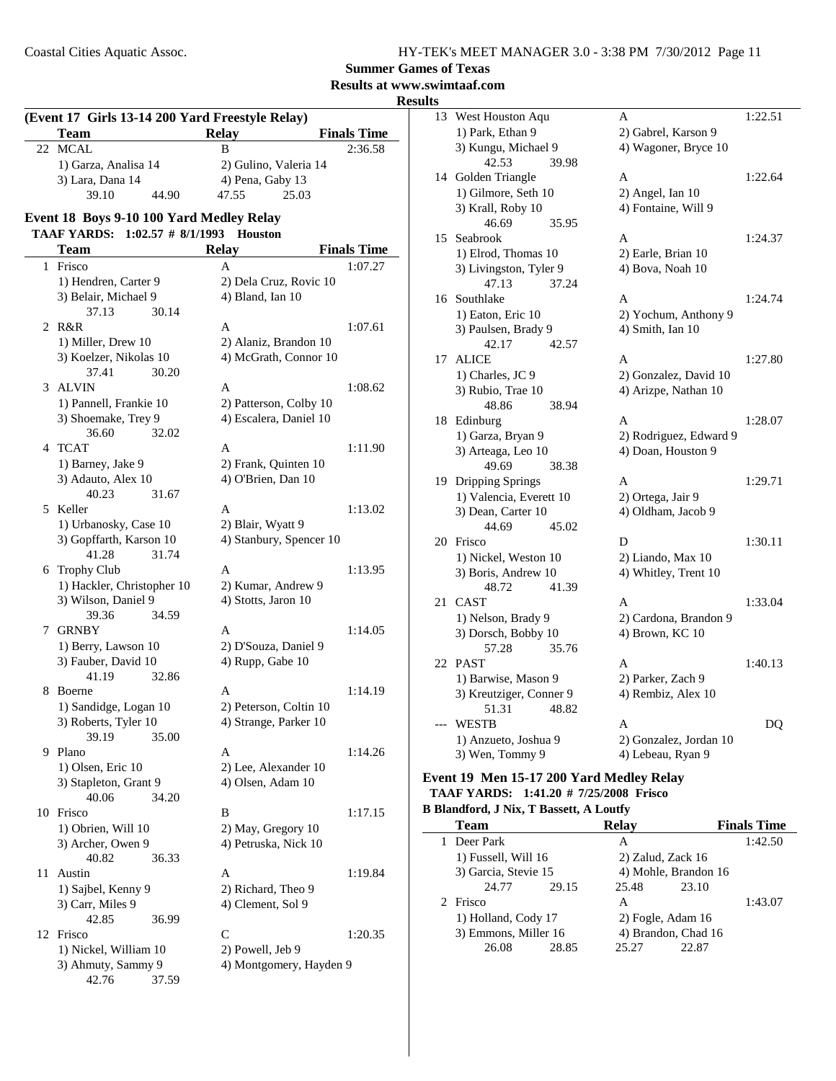### **Results at www.swimtaaf.com**

**Results**

|              | w<br>(Event 17 Girls 13-14 200 Yard Freestyle Relay) |                                            |                    |  |  |  |  |
|--------------|------------------------------------------------------|--------------------------------------------|--------------------|--|--|--|--|
|              | <b>Team</b>                                          | <b>Relay</b>                               | <b>Finals Time</b> |  |  |  |  |
| 22           | <b>MCAL</b>                                          | B                                          | 2:36.58            |  |  |  |  |
|              | 1) Garza, Analisa 14                                 | 2) Gulino, Valeria 14                      |                    |  |  |  |  |
|              | 3) Lara, Dana 14                                     | 4) Pena, Gaby 13                           |                    |  |  |  |  |
|              | 39.10<br>44.90                                       | 47.55<br>25.03                             |                    |  |  |  |  |
|              | Event 18 Boys 9-10 100 Yard Medley Relay             |                                            |                    |  |  |  |  |
|              | TAAF YARDS: 1:02.57 # 8/1/1993                       | <b>Houston</b>                             |                    |  |  |  |  |
|              | <b>Team</b>                                          | <b>Relay</b>                               | <b>Finals Time</b> |  |  |  |  |
| $\mathbf{1}$ | Frisco                                               | A                                          | 1:07.27            |  |  |  |  |
|              | 1) Hendren, Carter 9                                 | 2) Dela Cruz, Rovic 10                     |                    |  |  |  |  |
|              | 3) Belair, Michael 9                                 | 4) Bland, Ian 10                           |                    |  |  |  |  |
|              | 37.13<br>30.14                                       |                                            |                    |  |  |  |  |
| 2            | R&R                                                  | A                                          | 1:07.61            |  |  |  |  |
|              | 1) Miller, Drew 10                                   | 2) Alaniz, Brandon 10                      |                    |  |  |  |  |
|              | 3) Koelzer, Nikolas 10                               | 4) McGrath, Connor 10                      |                    |  |  |  |  |
|              | 37.41<br>30.20                                       |                                            |                    |  |  |  |  |
| 3            | <b>ALVIN</b>                                         | A                                          | 1:08.62            |  |  |  |  |
|              | 1) Pannell, Frankie 10                               | 2) Patterson, Colby 10                     |                    |  |  |  |  |
|              | 3) Shoemake, Trey 9                                  | 4) Escalera, Daniel 10                     |                    |  |  |  |  |
|              | 32.02<br>36.60<br>4 TCAT                             | A                                          | 1:11.90            |  |  |  |  |
|              | 1) Barney, Jake 9                                    | 2) Frank, Quinten 10                       |                    |  |  |  |  |
|              | 3) Adauto, Alex 10                                   | 4) O'Brien, Dan 10                         |                    |  |  |  |  |
|              | 40.23<br>31.67                                       |                                            |                    |  |  |  |  |
| 5.           | Keller                                               | A                                          | 1:13.02            |  |  |  |  |
|              | 1) Urbanosky, Case 10                                | 2) Blair, Wyatt 9                          |                    |  |  |  |  |
|              | 3) Gopffarth, Karson 10                              | 4) Stanbury, Spencer 10                    |                    |  |  |  |  |
|              | 41.28<br>31.74                                       |                                            |                    |  |  |  |  |
|              | 6 Trophy Club                                        | A                                          | 1:13.95            |  |  |  |  |
|              | 1) Hackler, Christopher 10                           | 2) Kumar, Andrew 9                         |                    |  |  |  |  |
|              | 3) Wilson, Daniel 9                                  | 4) Stotts, Jaron 10                        |                    |  |  |  |  |
|              | 34.59<br>39.36                                       |                                            |                    |  |  |  |  |
| 7            | <b>GRNBY</b><br>1) Berry, Lawson 10                  | A<br>2) D'Souza, Daniel 9                  | 1:14.05            |  |  |  |  |
|              | 3) Fauber, David 10                                  | 4) Rupp, Gabe 10                           |                    |  |  |  |  |
|              | 41.19<br>32.86                                       |                                            |                    |  |  |  |  |
| 8            | Boerne                                               | A                                          | 1:14.19            |  |  |  |  |
|              | 1) Sandidge, Logan 10                                | 2) Peterson, Coltin 10                     |                    |  |  |  |  |
|              | 3) Roberts, Tyler 10                                 | 4) Strange, Parker 10                      |                    |  |  |  |  |
|              | 39.19<br>35.00                                       |                                            |                    |  |  |  |  |
| 9.           | Plano                                                | Α                                          | 1:14.26            |  |  |  |  |
|              | 1) Olsen, Eric 10                                    | 2) Lee, Alexander 10                       |                    |  |  |  |  |
|              | 3) Stapleton, Grant 9                                | 4) Olsen, Adam 10                          |                    |  |  |  |  |
|              | 40.06<br>34.20                                       |                                            |                    |  |  |  |  |
|              | 10 Frisco                                            | B                                          | 1:17.15            |  |  |  |  |
|              | 1) Obrien, Will 10<br>3) Archer, Owen 9              | 2) May, Gregory 10<br>4) Petruska, Nick 10 |                    |  |  |  |  |
|              | 40.82<br>36.33                                       |                                            |                    |  |  |  |  |
| 11           | Austin                                               | A                                          | 1:19.84            |  |  |  |  |
|              | 1) Sajbel, Kenny 9                                   | 2) Richard, Theo 9                         |                    |  |  |  |  |
|              | 3) Carr, Miles 9                                     | 4) Clement, Sol 9                          |                    |  |  |  |  |
|              | 42.85<br>36.99                                       |                                            |                    |  |  |  |  |
|              | 12 Frisco                                            | C                                          | 1:20.35            |  |  |  |  |
|              | 1) Nickel, William 10                                | 2) Powell, Jeb 9                           |                    |  |  |  |  |
|              | 3) Ahmuty, Sammy 9                                   | 4) Montgomery, Hayden 9                    |                    |  |  |  |  |
|              | 42.76<br>37.59                                       |                                            |                    |  |  |  |  |

| 1:22.64<br>1:24.37<br>1:24.74<br>1:27.80 |
|------------------------------------------|
|                                          |
|                                          |
|                                          |
|                                          |
|                                          |
|                                          |
|                                          |
|                                          |
|                                          |
|                                          |
|                                          |
|                                          |
|                                          |
|                                          |
|                                          |
|                                          |
|                                          |
|                                          |
|                                          |
| 1:28.07                                  |
|                                          |
|                                          |
|                                          |
| 1:29.71                                  |
|                                          |
|                                          |
|                                          |
| 1:30.11                                  |
|                                          |
|                                          |
|                                          |
| 1:33.04                                  |
|                                          |
|                                          |
|                                          |
| 1:40.13                                  |
|                                          |
|                                          |
|                                          |
| DQ                                       |
|                                          |
|                                          |
|                                          |

#### **Event 19 Men 15-17 200 Yard Medley Relay TAAF YARDS: 1:41.20 # Frisco 7/25/2008**

# **B Blandford, J Nix, T Bassett, A Loutfy**

| <b>Team</b>          |       | <b>Relay</b>      |                      | <b>Finals Time</b> |
|----------------------|-------|-------------------|----------------------|--------------------|
| 1 Deer Park          |       | А                 |                      | 1:42.50            |
| 1) Fussell, Will 16  |       | 2) Zalud, Zack 16 |                      |                    |
| 3) Garcia, Stevie 15 |       |                   | 4) Mohle, Brandon 16 |                    |
| 24.77                | 29.15 | 25.48             | 23.10                |                    |
| 2 Frisco             |       | А                 |                      | 1:43.07            |
| 1) Holland, Cody 17  |       | 2) Fogle, Adam 16 |                      |                    |
| 3) Emmons, Miller 16 |       |                   | 4) Brandon, Chad 16  |                    |
| 26.08                | 28.85 | 25.27             | 22.87                |                    |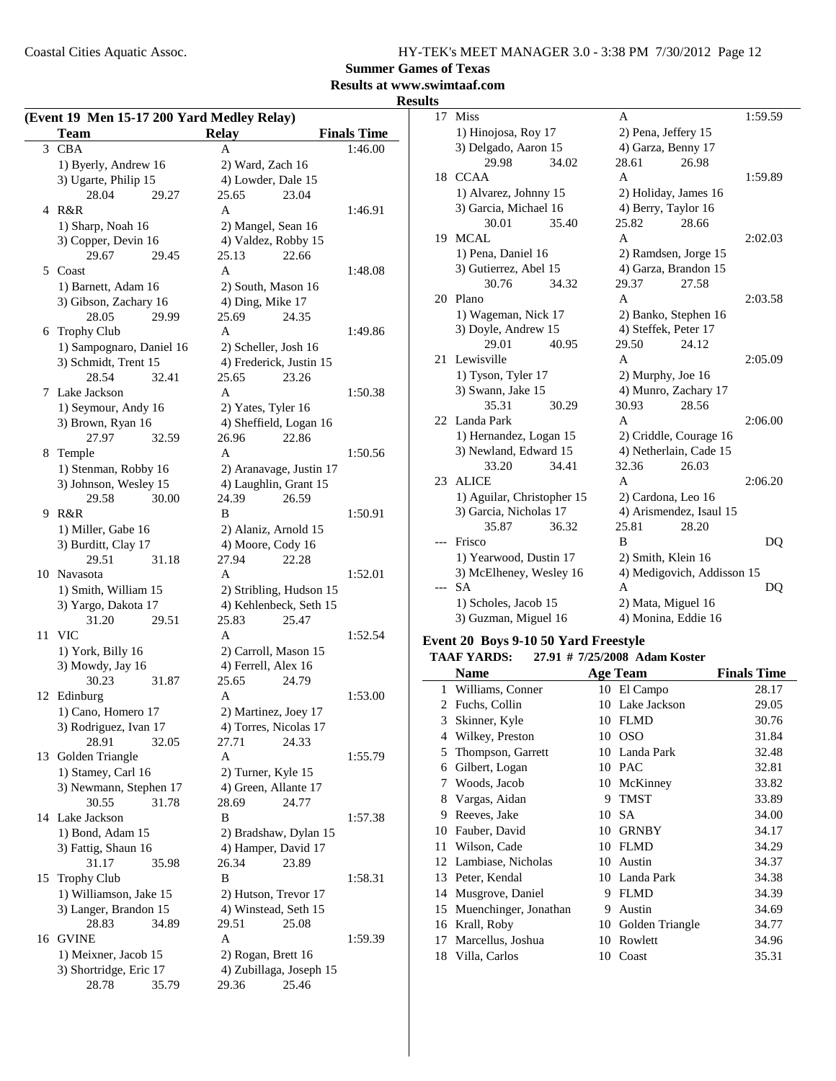**Summer Games of Texas**

### **Results at www.swimtaaf.com**

**Results**

| (Event 19 Men 15-17 200 Yard Medley Relay) |                          |                         |                    |  |
|--------------------------------------------|--------------------------|-------------------------|--------------------|--|
|                                            | <b>Team</b>              | <b>Relay</b>            | <b>Finals Time</b> |  |
| 3                                          | <b>CBA</b>               | A                       | 1:46.00            |  |
|                                            | 1) Byerly, Andrew 16     | 2) Ward, Zach 16        |                    |  |
|                                            | 3) Ugarte, Philip 15     | 4) Lowder, Dale 15      |                    |  |
|                                            | 28.04<br>29.27           | 25.65<br>23.04          |                    |  |
| 4                                          | R&R                      | A                       | 1:46.91            |  |
|                                            | 1) Sharp, Noah 16        | 2) Mangel, Sean 16      |                    |  |
|                                            | 3) Copper, Devin 16      | 4) Valdez, Robby 15     |                    |  |
|                                            | 29.67<br>29.45           | 25.13<br>22.66          |                    |  |
| 5                                          | Coast                    | A                       | 1:48.08            |  |
|                                            | 1) Barnett, Adam 16      | 2) South, Mason 16      |                    |  |
|                                            | 3) Gibson, Zachary 16    | 4) Ding, Mike 17        |                    |  |
|                                            | 28.05<br>29.99           | 25.69<br>24.35          |                    |  |
|                                            | 6 Trophy Club            | A                       | 1:49.86            |  |
|                                            | 1) Sampognaro, Daniel 16 | 2) Scheller, Josh 16    |                    |  |
|                                            | 3) Schmidt, Trent 15     | 4) Frederick, Justin 15 |                    |  |
|                                            | 28.54<br>32.41           | 25.65<br>23.26          |                    |  |
| 7                                          | Lake Jackson             | A                       | 1:50.38            |  |
|                                            | 1) Seymour, Andy 16      | 2) Yates, Tyler 16      |                    |  |
|                                            | 3) Brown, Ryan 16        | 4) Sheffield, Logan 16  |                    |  |
|                                            | 27.97<br>32.59           | 26.96<br>22.86          |                    |  |
|                                            | 8 Temple                 | A                       | 1:50.56            |  |
|                                            | 1) Stenman, Robby 16     | 2) Aranavage, Justin 17 |                    |  |
|                                            | 3) Johnson, Wesley 15    | 4) Laughlin, Grant 15   |                    |  |
|                                            | 29.58<br>30.00           | 24.39<br>26.59          |                    |  |
| 9                                          | R&R                      | B                       | 1:50.91            |  |
|                                            | 1) Miller, Gabe 16       | 2) Alaniz, Arnold 15    |                    |  |
|                                            | 3) Burditt, Clay 17      | 4) Moore, Cody 16       |                    |  |
|                                            | 29.51<br>31.18           | 22.28<br>27.94          |                    |  |
|                                            | 10 Navasota              | A                       | 1:52.01            |  |
|                                            | 1) Smith, William 15     | 2) Stribling, Hudson 15 |                    |  |
|                                            | 3) Yargo, Dakota 17      | 4) Kehlenbeck, Seth 15  |                    |  |
|                                            | 31.20<br>29.51           | 25.83<br>25.47          |                    |  |
| 11                                         | <b>VIC</b>               | A                       | 1:52.54            |  |
|                                            | 1) York, Billy 16        | 2) Carroll, Mason 15    |                    |  |
|                                            | 3) Mowdy, Jay 16         | 4) Ferrell, Alex 16     |                    |  |
|                                            | 30.23<br>31.87           | 25.65<br>24.79          |                    |  |
| 12                                         | Edinburg                 | A                       | 1:53.00            |  |
|                                            | 1) Cano, Homero 17       | 2) Martinez, Joey 17    |                    |  |
|                                            | 3) Rodriguez, Ivan 17    | 4) Torres, Nicolas 17   |                    |  |
|                                            | 28.91<br>32.05           | 27.71<br>24.33          |                    |  |
|                                            | 13 Golden Triangle       | A                       | 1:55.79            |  |
|                                            | 1) Stamey, Carl 16       | 2) Turner, Kyle 15      |                    |  |
|                                            | 3) Newmann, Stephen 17   | 4) Green, Allante 17    |                    |  |
|                                            | 30.55<br>31.78           | 28.69<br>24.77          |                    |  |
|                                            | 14 Lake Jackson          | B                       | 1:57.38            |  |
|                                            | 1) Bond, Adam 15         | 2) Bradshaw, Dylan 15   |                    |  |
|                                            | 3) Fattig, Shaun 16      | 4) Hamper, David 17     |                    |  |
|                                            | 31.17<br>35.98           | 26.34<br>23.89          |                    |  |
| 15                                         | <b>Trophy Club</b>       | B                       | 1:58.31            |  |
|                                            | 1) Williamson, Jake 15   | 2) Hutson, Trevor 17    |                    |  |
|                                            | 3) Langer, Brandon 15    | 4) Winstead, Seth 15    |                    |  |
|                                            | 28.83<br>34.89           | 29.51<br>25.08          |                    |  |
| 16                                         | <b>GVINE</b>             | A                       | 1:59.39            |  |
|                                            | 1) Meixner, Jacob 15     | 2) Rogan, Brett 16      |                    |  |
|                                            | 3) Shortridge, Eric 17   | 4) Zubillaga, Joseph 15 |                    |  |
|                                            | 28.78<br>35.79           | 25.46<br>29.36          |                    |  |

| 17  | Miss                       |       | A                    |                            | 1:59.59 |
|-----|----------------------------|-------|----------------------|----------------------------|---------|
|     | 1) Hinojosa, Roy 17        |       | 2) Pena, Jeffery 15  |                            |         |
|     | 3) Delgado, Aaron 15       |       | 4) Garza, Benny 17   |                            |         |
|     | 29.98                      | 34.02 | 28.61                | 26.98                      |         |
| 18  | <b>CCAA</b>                |       | A                    |                            | 1:59.89 |
|     | 1) Alvarez, Johnny 15      |       | 2) Holiday, James 16 |                            |         |
|     | 3) Garcia, Michael 16      |       | 4) Berry, Taylor 16  |                            |         |
|     | 30.01                      | 35.40 | 25.82                | 28.66                      |         |
| 19  | MCAL                       |       | A                    |                            | 2:02.03 |
|     | 1) Pena, Daniel 16         |       | 2) Ramdsen, Jorge 15 |                            |         |
|     | 3) Gutierrez, Abel 15      |       | 4) Garza, Brandon 15 |                            |         |
|     | 30.76                      | 34.32 | 29.37                | 27.58                      |         |
| 20  | Plano                      |       | A                    |                            | 2:03.58 |
|     | 1) Wageman, Nick 17        |       | 2) Banko, Stephen 16 |                            |         |
|     | 3) Doyle, Andrew 15        |       | 4) Steffek, Peter 17 |                            |         |
|     | 29.01                      | 40.95 | 29.50                | 24.12                      |         |
| 21  | Lewisville                 |       | A                    |                            | 2:05.09 |
|     | 1) Tyson, Tyler 17         |       | 2) Murphy, Joe 16    |                            |         |
|     | 3) Swann, Jake 15          |       |                      | 4) Munro, Zachary 17       |         |
|     | 35.31                      | 30.29 | 30.93                | 28.56                      |         |
| 22  | Landa Park                 |       | A                    |                            | 2:06.00 |
|     | 1) Hernandez, Logan 15     |       |                      | 2) Criddle, Courage 16     |         |
|     | 3) Newland, Edward 15      |       |                      | 4) Netherlain, Cade 15     |         |
|     | 33.20                      | 34.41 | 32.36                | 26.03                      |         |
| 23  | <b>ALICE</b>               |       | A                    |                            | 2:06.20 |
|     | 1) Aguilar, Christopher 15 |       | 2) Cardona, Leo 16   |                            |         |
|     | 3) Garcia, Nicholas 17     |       |                      | 4) Arismendez, Isaul 15    |         |
|     | 35.87                      | 36.32 | 25.81                | 28.20                      |         |
| --- | Frisco                     |       | B                    |                            | DQ      |
|     | 1) Yearwood, Dustin 17     |       | 2) Smith, Klein 16   |                            |         |
|     | 3) McElheney, Wesley 16    |       |                      | 4) Medigovich, Addisson 15 |         |
| --- | <b>SA</b>                  |       | A                    |                            | DQ      |
|     | 1) Scholes, Jacob 15       |       | 2) Mata, Miguel 16   |                            |         |
|     | 3) Guzman, Miguel 16       |       | 4) Monina, Eddie 16  |                            |         |

#### **Event 20 Boys 9-10 50 Yard Freestyle**

|    | <b>TAAF YARDS:</b>    |    | 27.91 # 7/25/2008 Adam Koster |                    |
|----|-----------------------|----|-------------------------------|--------------------|
|    | Name                  |    | Age Team                      | <b>Finals Time</b> |
| 1  | Williams, Conner      |    | 10 El Campo                   | 28.17              |
| 2  | Fuchs, Collin         | 10 | Lake Jackson                  | 29.05              |
| 3  | Skinner, Kyle         | 10 | <b>FLMD</b>                   | 30.76              |
| 4  | Wilkey, Preston       | 10 | <b>OSO</b>                    | 31.84              |
| 5  | Thompson, Garrett     |    | 10 Landa Park                 | 32.48              |
| 6  | Gilbert, Logan        | 10 | PAC                           | 32.81              |
| 7  | Woods, Jacob          | 10 | McKinney                      | 33.82              |
| 8  | Vargas, Aidan         | 9  | <b>TMST</b>                   | 33.89              |
| 9  | Reeves, Jake          | 10 | <b>SA</b>                     | 34.00              |
| 10 | Fauber, David         | 10 | <b>GRNBY</b>                  | 34.17              |
| 11 | Wilson, Cade          | 10 | <b>FLMD</b>                   | 34.29              |
| 12 | Lambiase, Nicholas    | 10 | Austin                        | 34.37              |
| 13 | Peter, Kendal         | 10 | Landa Park                    | 34.38              |
| 14 | Musgrove, Daniel      | 9  | <b>FLMD</b>                   | 34.39              |
| 15 | Muenchinger, Jonathan | 9  | Austin                        | 34.69              |
| 16 | Krall, Roby           | 10 | Golden Triangle               | 34.77              |
| 17 | Marcellus, Joshua     | 10 | Rowlett                       | 34.96              |
|    | 18 Villa, Carlos      | 10 | Coast                         | 35.31              |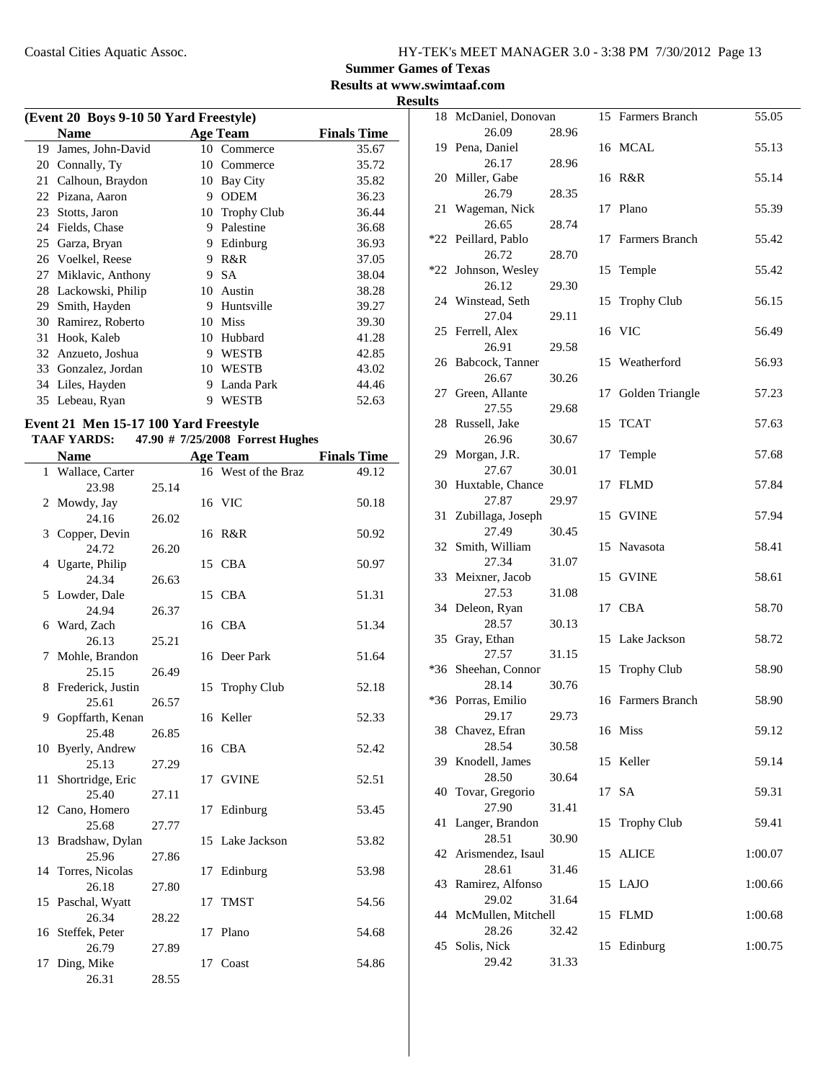### **Summer Games of Texas**

**Results at www.swimtaaf.com**

**Results**

| (Event 20 Boys 9-10 50 Yard Freestyle) |                   |    |                    |                    |  |
|----------------------------------------|-------------------|----|--------------------|--------------------|--|
|                                        | <b>Name</b>       |    | Age Team           | <b>Finals Time</b> |  |
| 19                                     | James, John-David | 10 | Commerce           | 35.67              |  |
| 20                                     | Connally, Ty      | 10 | Commerce           | 35.72              |  |
| 21                                     | Calhoun, Braydon  | 10 | Bay City           | 35.82              |  |
| 22                                     | Pizana, Aaron     | 9  | <b>ODEM</b>        | 36.23              |  |
| 23                                     | Stotts, Jaron     | 10 | <b>Trophy Club</b> | 36.44              |  |
| 24                                     | Fields, Chase     | 9  | Palestine          | 36.68              |  |
| 25                                     | Garza, Bryan      | 9  | Edinburg           | 36.93              |  |
| 26                                     | Voelkel, Reese    | 9  | R&R                | 37.05              |  |
| 27                                     | Miklavic, Anthony | 9  | <b>SA</b>          | 38.04              |  |
| 28                                     | Lackowski, Philip | 10 | Austin             | 38.28              |  |
| 29                                     | Smith, Hayden     | 9  | Huntsville         | 39.27              |  |
| 30                                     | Ramirez, Roberto  | 10 | <b>Miss</b>        | 39.30              |  |
| 31                                     | Hook, Kaleb       | 10 | Hubbard            | 41.28              |  |
| 32                                     | Anzueto, Joshua   | 9  | <b>WESTB</b>       | 42.85              |  |
| 33                                     | Gonzalez, Jordan  | 10 | <b>WESTB</b>       | 43.02              |  |
| 34                                     | Liles, Hayden     | 9  | Landa Park         | 44.46              |  |
| 35                                     | Lebeau, Ryan      | 9  | WESTB              | 52.63              |  |
|                                        |                   |    |                    |                    |  |

### **Event 21 Men 15-17 100 Yard Freestyle**

# **TAAF YARDS:** 47.90 # 7/25/2008 Forrest Hughes<br> **Name** *A g***<sub>0</sub> T<sub>0</sub> m**

|    | <b>Name</b>       |       |    | <b>Age Team</b>     | <b>Finals Time</b> |
|----|-------------------|-------|----|---------------------|--------------------|
|    | 1 Wallace, Carter |       |    | 16 West of the Braz | 49.12              |
|    | 23.98             | 25.14 |    |                     |                    |
| 2  | Mowdy, Jay        |       |    | 16 VIC              | 50.18              |
|    | 24.16             | 26.02 |    |                     |                    |
| 3  | Copper, Devin     |       |    | 16 R&R              | 50.92              |
|    | 24.72             | 26.20 |    |                     |                    |
| 4  | Ugarte, Philip    |       |    | 15 CBA              | 50.97              |
|    | 24.34             | 26.63 |    |                     |                    |
| 5  | Lowder, Dale      |       |    | 15 CBA              | 51.31              |
|    | 24.94             | 26.37 |    |                     |                    |
| 6  | Ward, Zach        |       |    | 16 CBA              | 51.34              |
|    | 26.13             | 25.21 |    |                     |                    |
| 7  | Mohle, Brandon    |       |    | 16 Deer Park        | 51.64              |
|    | 25.15             | 26.49 |    |                     |                    |
| 8  | Frederick, Justin |       |    | 15 Trophy Club      | 52.18              |
|    | 25.61             | 26.57 |    |                     |                    |
| 9  | Gopffarth, Kenan  |       |    | 16 Keller           | 52.33              |
|    | 25.48             | 26.85 |    |                     |                    |
| 10 | Byerly, Andrew    |       |    | 16 CBA              | 52.42              |
|    | 25.13             | 27.29 |    |                     |                    |
| 11 | Shortridge, Eric  |       |    | 17 GVINE            | 52.51              |
|    | 25.40             | 27.11 |    |                     |                    |
|    | 12 Cano, Homero   |       |    | 17 Edinburg         | 53.45              |
|    | 25.68             | 27.77 |    |                     |                    |
| 13 | Bradshaw, Dylan   |       |    | 15 Lake Jackson     | 53.82              |
|    | 25.96             | 27.86 |    |                     |                    |
| 14 | Torres, Nicolas   |       |    | 17 Edinburg         | 53.98              |
|    | 26.18             | 27.80 |    |                     |                    |
|    | 15 Paschal, Wyatt |       | 17 | <b>TMST</b>         | 54.56              |
|    | 26.34             | 28.22 |    |                     |                    |
| 16 | Steffek, Peter    |       |    | 17 Plano            | 54.68              |
|    | 26.79             | 27.89 |    |                     |                    |
| 17 | Ding, Mike        |       |    | 17 Coast            | 54.86              |
|    | 26.31             | 28.55 |    |                     |                    |

|     | 18 McDaniel, Donovan           |       |    | 15 Farmers Branch  | 55.05   |
|-----|--------------------------------|-------|----|--------------------|---------|
|     | 26.09                          | 28.96 |    |                    |         |
|     | 19 Pena, Daniel                |       |    | 16 MCAL            | 55.13   |
|     | 26.17                          | 28.96 |    |                    |         |
|     | 20 Miller, Gabe                |       |    | 16 R&R             | 55.14   |
|     | 26.79                          | 28.35 |    |                    |         |
| 21  | Wageman, Nick                  |       | 17 | Plano              | 55.39   |
|     | 26.65                          | 28.74 |    |                    |         |
|     | *22 Peillard, Pablo            |       | 17 | Farmers Branch     | 55.42   |
|     | 26.72                          | 28.70 |    |                    |         |
| *22 | Johnson, Wesley                |       | 15 | Temple             | 55.42   |
|     | 26.12                          | 29.30 |    |                    |         |
|     | 24 Winstead, Seth              |       | 15 | <b>Trophy Club</b> | 56.15   |
|     | 27.04                          | 29.11 |    |                    |         |
|     | 25 Ferrell, Alex               |       |    | 16 VIC             | 56.49   |
|     | 26.91                          | 29.58 |    |                    |         |
|     | 26 Babcock, Tanner             |       | 15 | Weatherford        | 56.93   |
|     | 26.67                          | 30.26 |    |                    |         |
|     | 27 Green, Allante              |       | 17 | Golden Triangle    | 57.23   |
|     | 27.55                          | 29.68 |    |                    |         |
|     | 28 Russell, Jake               |       | 15 | <b>TCAT</b>        | 57.63   |
|     | 26.96                          | 30.67 |    |                    |         |
|     | 29 Morgan, J.R.                |       | 17 | Temple             | 57.68   |
|     | 27.67                          | 30.01 |    |                    |         |
|     | 30 Huxtable, Chance            |       | 17 | <b>FLMD</b>        | 57.84   |
|     | 27.87                          | 29.97 |    |                    |         |
| 31  | Zubillaga, Joseph              |       |    | 15 GVINE           | 57.94   |
|     | 27.49                          | 30.45 |    |                    |         |
|     | 32 Smith, William              |       | 15 | Navasota           | 58.41   |
|     | 27.34                          | 31.07 |    |                    |         |
|     | 33 Meixner, Jacob              |       |    | 15 GVINE           | 58.61   |
|     | 27.53                          | 31.08 |    |                    |         |
|     | 34 Deleon, Ryan                |       |    | 17 CBA             | 58.70   |
|     | 28.57                          | 30.13 |    |                    |         |
|     | 35 Gray, Ethan                 |       | 15 | Lake Jackson       | 58.72   |
|     | 27.57                          | 31.15 |    |                    |         |
|     | *36 Sheehan, Connor            |       | 15 | <b>Trophy Club</b> | 58.90   |
|     | 28.14                          | 30.76 |    |                    |         |
|     | *36 Porras, Emilio             |       |    | 16 Farmers Branch  | 58.90   |
|     | 29.17                          | 29.73 |    |                    |         |
|     | 38 Chavez, Efran               |       |    | 16 Miss            | 59.12   |
|     | 28.54                          | 30.58 |    |                    |         |
|     | 39 Knodell, James              |       |    | 15 Keller          | 59.14   |
|     | 28.50                          | 30.64 |    |                    |         |
|     | 40 Tovar, Gregorio             |       |    | 17 SA              | 59.31   |
|     | 27.90                          | 31.41 |    |                    |         |
| 41  | Langer, Brandon                |       | 15 | <b>Trophy Club</b> | 59.41   |
|     | 28.51                          | 30.90 |    |                    |         |
|     | 42 Arismendez, Isaul           |       | 15 | <b>ALICE</b>       | 1:00.07 |
|     | 28.61                          | 31.46 |    |                    |         |
| 43  | Ramirez, Alfonso               |       |    | 15 LAJO            | 1:00.66 |
|     | 29.02<br>44 McMullen, Mitchell | 31.64 |    | <b>FLMD</b>        |         |
|     | 28.26                          | 32.42 | 15 |                    | 1:00.68 |
| 45  | Solis, Nick                    |       |    | 15 Edinburg        | 1:00.75 |
|     | 29.42                          | 31.33 |    |                    |         |
|     |                                |       |    |                    |         |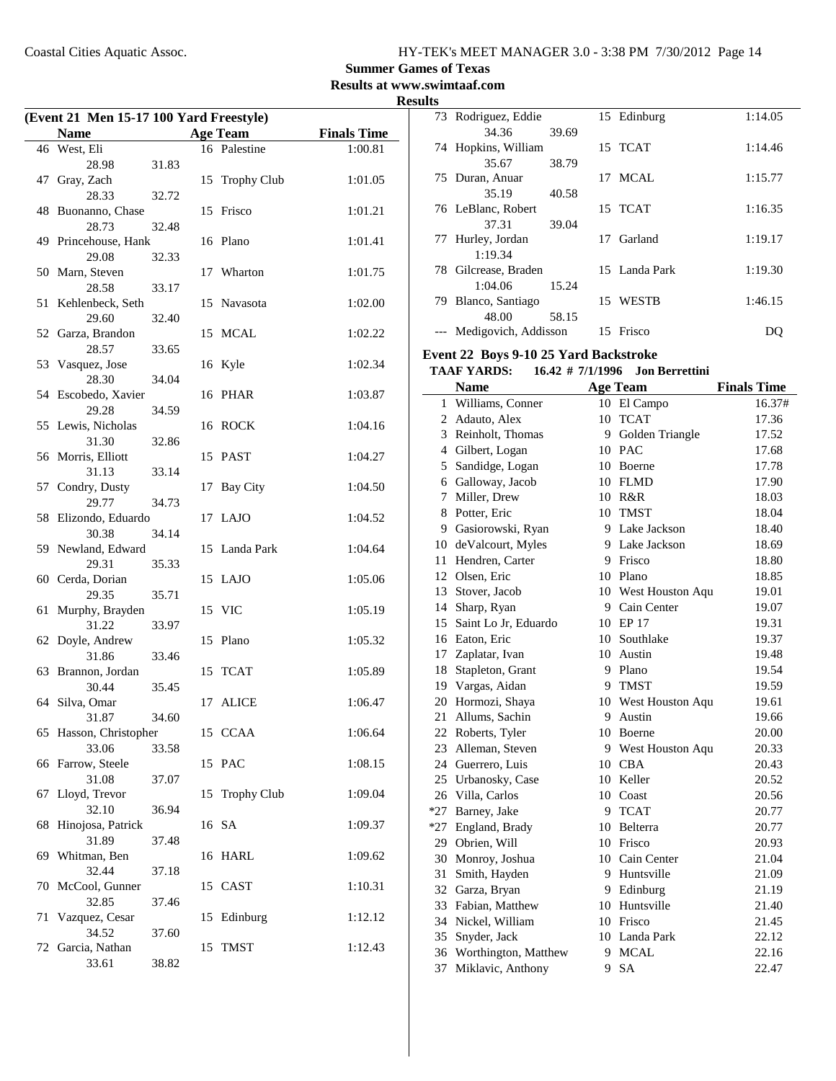**Summer Games of Texas**

**Results at www.swimtaaf.com**

| (Event 21 Men 15-17 100 Yard Freestyle) |                             |       |    |                    |                    |
|-----------------------------------------|-----------------------------|-------|----|--------------------|--------------------|
|                                         | Name                        |       |    | <b>Age Team</b>    | <b>Finals Time</b> |
|                                         | 46 West, Eli                |       |    | 16 Palestine       | 1:00.81            |
|                                         | 28.98                       | 31.83 |    |                    |                    |
| 47                                      | Gray, Zach                  |       | 15 | Trophy Club        | 1:01.05            |
|                                         | 28.33                       | 32.72 |    |                    |                    |
| 48                                      | Buonanno, Chase             |       |    | 15 Frisco          | 1:01.21            |
|                                         | 28.73                       | 32.48 |    |                    |                    |
|                                         | 49 Princehouse, Hank        |       |    | 16 Plano           | 1:01.41            |
|                                         | 29.08                       | 32.33 |    |                    |                    |
|                                         | 50 Marn, Steven             |       | 17 | Wharton            | 1:01.75            |
| 51                                      | 28.58                       | 33.17 |    |                    |                    |
|                                         | Kehlenbeck, Seth<br>29.60   | 32.40 | 15 | Navasota           | 1:02.00            |
|                                         | 52 Garza, Brandon           |       |    | 15 MCAL            | 1:02.22            |
|                                         | 28.57                       | 33.65 |    |                    |                    |
| 53                                      | Vasquez, Jose               |       |    | 16 Kyle            | 1:02.34            |
|                                         | 28.30                       | 34.04 |    |                    |                    |
|                                         | 54 Escobedo, Xavier         |       |    | 16 PHAR            | 1:03.87            |
|                                         | 29.28                       | 34.59 |    |                    |                    |
| 55                                      | Lewis, Nicholas             |       |    | 16 ROCK            | 1:04.16            |
|                                         | 31.30                       | 32.86 |    |                    |                    |
|                                         | 56 Morris, Elliott          |       |    | 15 PAST            | 1:04.27            |
|                                         | 31.13                       | 33.14 |    |                    |                    |
| 57                                      | Condry, Dusty<br>29.77      | 34.73 | 17 | <b>Bay City</b>    | 1:04.50            |
| 58                                      | Elizondo, Eduardo           |       |    | 17 LAJO            | 1:04.52            |
|                                         | 30.38                       | 34.14 |    |                    |                    |
|                                         | 59 Newland, Edward          |       |    | 15 Landa Park      | 1:04.64            |
|                                         | 29.31                       | 35.33 |    |                    |                    |
|                                         | 60 Cerda, Dorian            |       |    | 15 LAJO            | 1:05.06            |
|                                         | 29.35                       | 35.71 |    |                    |                    |
| 61                                      | Murphy, Brayden             |       |    | 15 VIC             | 1:05.19            |
|                                         | 31.22                       | 33.97 |    |                    |                    |
|                                         | 62 Doyle, Andrew            |       |    | 15 Plano           | 1:05.32            |
|                                         | 31.86                       | 33.46 |    |                    |                    |
|                                         | 63 Brannon, Jordan<br>30.44 | 35.45 | 15 | <b>TCAT</b>        | 1:05.89            |
|                                         | 64 Silva, Omar              |       |    | 17 ALICE           | 1:06.47            |
|                                         | 31.87                       | 34.60 |    |                    |                    |
|                                         | 65 Hasson, Christopher      |       |    | 15 CCAA            | 1:06.64            |
|                                         | 33.06                       | 33.58 |    |                    |                    |
|                                         | 66 Farrow, Steele           |       |    | 15 PAC             | 1:08.15            |
|                                         | 31.08                       | 37.07 |    |                    |                    |
| 67                                      | Lloyd, Trevor               |       | 15 | <b>Trophy Club</b> | 1:09.04            |
|                                         | 32.10                       | 36.94 |    |                    |                    |
| 68                                      | Hinojosa, Patrick           |       |    | 16 SA              | 1:09.37            |
|                                         | 31.89                       | 37.48 |    |                    |                    |
| 69                                      | Whitman, Ben<br>32.44       | 37.18 |    | 16 HARL            | 1:09.62            |
| 70                                      | McCool, Gunner              |       |    | 15 CAST            | 1:10.31            |
|                                         | 32.85                       | 37.46 |    |                    |                    |
| 71                                      | Vazquez, Cesar              |       | 15 | Edinburg           | 1:12.12            |
|                                         | 34.52                       | 37.60 |    |                    |                    |
|                                         | 72 Garcia, Nathan           |       |    | 15 TMST            | 1:12.43            |
|                                         | 33.61                       | 38.82 |    |                    |                    |

|     | 73 Rodriguez, Eddie  |       |    | 15 Edinburg   | 1:14.05 |
|-----|----------------------|-------|----|---------------|---------|
|     | 34.36                | 39.69 |    |               |         |
|     | 74 Hopkins, William  |       |    | 15 TCAT       | 1:14.46 |
|     | 35.67                | 38.79 |    |               |         |
|     | 75 Duran, Anuar      |       |    | 17 MCAL       | 1:15.77 |
|     | 35.19                | 40.58 |    |               |         |
|     | 76 LeBlanc, Robert   |       |    | 15 TCAT       | 1:16.35 |
|     | 37.31                | 39.04 |    |               |         |
| 77  | Hurley, Jordan       |       |    | 17 Garland    | 1:19.17 |
|     | 1:19.34              |       |    |               |         |
|     | 78 Gilcrease, Braden |       |    | 15 Landa Park | 1:19.30 |
|     | 1:04.06              | 15.24 |    |               |         |
| 79. | Blanco, Santiago     |       |    | 15 WESTB      | 1:46.15 |
|     | 48.00                | 58.15 |    |               |         |
|     | Medigovich, Addisson |       | 15 | Frisco        |         |
|     |                      |       |    |               |         |

#### **Event 22 Boys 9-10 25 Yard Backstroke**

#### **TAAF YARDS:** 16.42 # 7/1/1996 Jon Berrettini

|    | <b>Name</b>             |    | <b>Age Team</b>     | <b>Finals Time</b> |
|----|-------------------------|----|---------------------|--------------------|
| 1  | Williams, Conner        |    | 10 El Campo         | 16.37#             |
| 2  | Adauto, Alex            |    | 10 TCAT             | 17.36              |
| 3  | Reinholt, Thomas        | 9  | Golden Triangle     | 17.52              |
|    | 4 Gilbert, Logan        |    | 10 PAC              | 17.68              |
| 5  | Sandidge, Logan         |    | 10 Boerne           | 17.78              |
|    | 6 Galloway, Jacob       |    | 10 FLMD             | 17.90              |
| 7  | Miller, Drew            |    | 10 R&R              | 18.03              |
| 8  | Potter, Eric            |    | 10 TMST             | 18.04              |
|    | 9 Gasiorowski, Ryan     |    | 9 Lake Jackson      | 18.40              |
|    | 10 deValcourt, Myles    |    | 9 Lake Jackson      | 18.69              |
|    | 11 Hendren, Carter      |    | 9 Frisco            | 18.80              |
|    | 12 Olsen, Eric          |    | 10 Plano            | 18.85              |
|    | 13 Stover, Jacob        |    | 10 West Houston Aqu | 19.01              |
|    | 14 Sharp, Ryan          |    | 9 Cain Center       | 19.07              |
|    | 15 Saint Lo Jr, Eduardo |    | 10 EP 17            | 19.31              |
|    | 16 Eaton, Eric          |    | 10 Southlake        | 19.37              |
|    | 17 Zaplatar, Ivan       |    | 10 Austin           | 19.48              |
|    | 18 Stapleton, Grant     |    | 9 Plano             | 19.54              |
|    | 19 Vargas, Aidan        | 9  | <b>TMST</b>         | 19.59              |
|    | 20 Hormozi, Shaya       |    | 10 West Houston Aqu | 19.61              |
|    | 21 Allums, Sachin       | 9  | Austin              | 19.66              |
|    | 22 Roberts, Tyler       |    | 10 Boerne           | 20.00              |
|    | 23 Alleman, Steven      |    | 9 West Houston Aqu  | 20.33              |
|    | 24 Guerrero, Luis       |    | 10 CBA              | 20.43              |
|    | 25 Urbanosky, Case      | 10 | Keller              | 20.52              |
|    | 26 Villa, Carlos        | 10 | Coast               | 20.56              |
|    | *27 Barney, Jake        | 9  | <b>TCAT</b>         | 20.77              |
|    | *27 England, Brady      |    | 10 Belterra         | 20.77              |
|    | 29 Obrien, Will         |    | 10 Frisco           | 20.93              |
|    | 30 Monroy, Joshua       |    | 10 Cain Center      | 21.04              |
| 31 | Smith, Hayden           | 9  | Huntsville          | 21.09              |
|    | 32 Garza, Bryan         |    | 9 Edinburg          | 21.19              |
|    | 33 Fabian, Matthew      |    | 10 Huntsville       | 21.40              |
|    | 34 Nickel, William      |    | 10 Frisco           | 21.45              |
|    | 35 Snyder, Jack         |    | 10 Landa Park       | 22.12              |
|    | 36 Worthington, Matthew | 9  | <b>MCAL</b>         | 22.16              |
| 37 | Miklavic, Anthony       | 9  | <b>SA</b>           | 22.47              |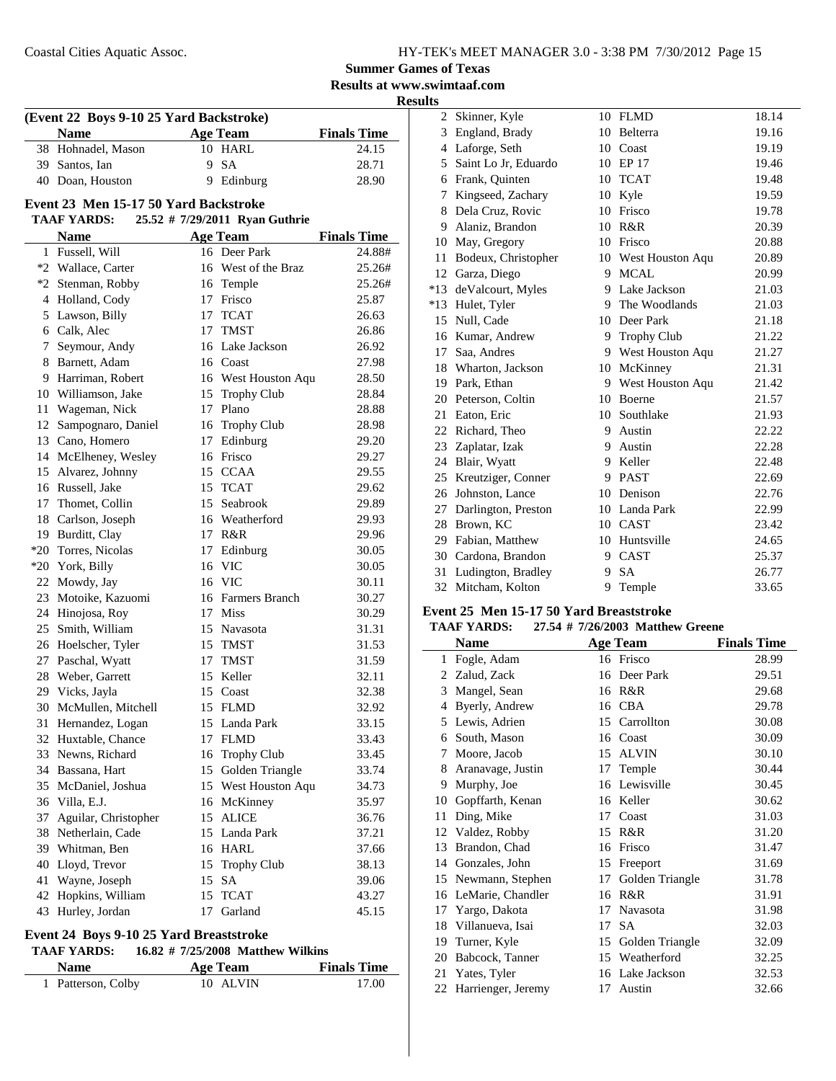### **Summer Games of Texas**

**Results at www.swimtaaf.com**

#### **Results**

|    | (Event 22 Boys 9-10 25 Yard Backstroke)<br><b>Name</b> |    | <b>Age Team</b>                | <b>Finals Time</b> |
|----|--------------------------------------------------------|----|--------------------------------|--------------------|
|    |                                                        |    | 10 HARL                        | 24.15              |
|    | 38 Hohnadel, Mason                                     |    |                                |                    |
|    | 39 Santos, Ian                                         | 9  | <b>SA</b>                      | 28.71              |
|    | 40 Doan, Houston                                       | 9  | Edinburg                       | 28.90              |
|    | Event 23 Men 15-17 50 Yard Backstroke                  |    |                                |                    |
|    | <b>TAAF YARDS:</b>                                     |    | 25.52 # 7/29/2011 Ryan Guthrie |                    |
|    | <b>Name</b>                                            |    | <b>Age Team</b>                | <b>Finals Time</b> |
|    | 1 Fussell, Will                                        |    | 16 Deer Park                   | 24.88#             |
|    | *2 Wallace, Carter                                     |    | 16 West of the Braz            | 25.26#             |
|    | *2 Stenman, Robby                                      |    | 16 Temple                      | 25.26#             |
|    | 4 Holland, Cody                                        |    | 17 Frisco                      | 25.87              |
|    | 5 Lawson, Billy                                        |    | 17 TCAT                        | 26.63              |
|    | 6 Calk, Alec                                           |    | 17 TMST                        | 26.86              |
|    | 7 Seymour, Andy                                        |    | 16 Lake Jackson                | 26.92              |
|    | 8 Barnett, Adam                                        |    | 16 Coast                       | 27.98              |
|    | 9 Harriman, Robert                                     |    | 16 West Houston Aqu            | 28.50              |
|    | 10 Williamson, Jake                                    | 15 | Trophy Club                    | 28.84              |
|    | 11 Wageman, Nick                                       |    | 17 Plano                       | 28.88              |
| 12 | Sampognaro, Daniel                                     |    | 16 Trophy Club                 | 28.98              |
|    | 13 Cano, Homero                                        | 17 | Edinburg                       | 29.20              |
|    | 14 McElheney, Wesley                                   |    | 16 Frisco                      | 29.27              |
|    | 15 Alvarez, Johnny                                     |    | 15 CCAA                        | 29.55              |
|    | 16 Russell, Jake                                       |    | 15 TCAT                        | 29.62              |
|    | 17 Thomet, Collin                                      |    | 15 Seabrook                    | 29.89              |
|    | 18 Carlson, Joseph                                     |    | 16 Weatherford                 | 29.93              |
|    | 19 Burditt, Clay                                       |    | 17 R&R                         | 29.96              |
|    | *20 Torres, Nicolas                                    | 17 | Edinburg                       | 30.05              |
|    | *20 York, Billy                                        |    | 16 VIC                         | 30.05              |
|    | 22 Mowdy, Jay                                          |    | 16 VIC                         | 30.11              |
|    | 23 Motoike, Kazuomi                                    |    | 16 Farmers Branch              | 30.27              |
|    | 24 Hinojosa, Roy                                       |    | 17 Miss                        | 30.29              |
| 25 | Smith, William                                         |    | 15 Navasota                    | 31.31              |
|    | 26 Hoelscher, Tyler                                    |    | 15 TMST                        | 31.53              |
|    | 27 Paschal, Wyatt                                      |    | 17 TMST                        | 31.59              |
| 28 | Weber, Garrett                                         | 15 | Keller                         | 32.11              |
|    | 29 Vicks, Jayla                                        |    | 15 Coast                       | 32.38              |
| 30 | McMullen, Mitchell                                     |    | 15 FLMD                        | 32.92              |
|    | 31 Hernandez, Logan                                    |    | 15 Landa Park                  | 33.15              |
|    | 32 Huxtable, Chance                                    |    | 17 FLMD                        | 33.43              |
|    | 33 Newns, Richard                                      |    | 16 Trophy Club                 | 33.45              |
|    | 34 Bassana, Hart                                       | 15 | Golden Triangle                | 33.74              |
|    | 35 McDaniel, Joshua                                    |    | 15 West Houston Aqu            | 34.73              |
|    | 36 Villa, E.J.                                         |    | 16 McKinney                    | 35.97              |
| 37 | Aguilar, Christopher                                   | 15 | <b>ALICE</b>                   | 36.76              |
| 38 | Netherlain, Cade                                       | 15 | Landa Park                     | 37.21              |
|    | 39 Whitman, Ben                                        | 16 | <b>HARL</b>                    | 37.66              |
| 40 | Lloyd, Trevor                                          | 15 | <b>Trophy Club</b>             | 38.13              |
| 41 | Wayne, Joseph                                          | 15 | SA                             | 39.06              |
| 42 | Hopkins, William                                       |    | 15 TCAT                        | 43.27              |
| 43 | Hurley, Jordan                                         | 17 | Garland                        | 45.15              |
|    |                                                        |    |                                |                    |

### **Event 24 Boys 9-10 25 Yard Breaststroke**

#### **TAAF YARDS:** 16.82 # 7/25/2008 Matthew Wilkins

| <b>Name</b>        | Age Team | <b>Finals Time</b> |
|--------------------|----------|--------------------|
| 1 Patterson, Colby | 10 ALVIN | 17.00              |

| 2              | Skinner, Kyle        | 10 | <b>FLMD</b>        | 18.14 |
|----------------|----------------------|----|--------------------|-------|
| 3              | England, Brady       | 10 | Belterra           | 19.16 |
| $\overline{4}$ | Laforge, Seth        | 10 | Coast              | 19.19 |
| 5              | Saint Lo Jr, Eduardo | 10 | EP 17              | 19.46 |
| 6              | Frank, Quinten       | 10 | <b>TCAT</b>        | 19.48 |
| 7              | Kingseed, Zachary    | 10 | Kyle               | 19.59 |
| 8              | Dela Cruz, Rovic     | 10 | Frisco             | 19.78 |
| 9              | Alaniz, Brandon      | 10 | R&R                | 20.39 |
| 10             | May, Gregory         | 10 | Frisco             | 20.88 |
| 11             | Bodeux, Christopher  | 10 | West Houston Aqu   | 20.89 |
| 12             | Garza, Diego         | 9  | <b>MCAL</b>        | 20.99 |
| *13            | deValcourt, Myles    |    | 9 Lake Jackson     | 21.03 |
| *13            | Hulet, Tyler         | 9  | The Woodlands      | 21.03 |
| 15             | Null, Cade           | 10 | Deer Park          | 21.18 |
| 16             | Kumar, Andrew        | 9  | <b>Trophy Club</b> | 21.22 |
| 17             | Saa, Andres          |    | 9 West Houston Aqu | 21.27 |
|                | 18 Wharton, Jackson  | 10 | McKinney           | 21.31 |
| 19             | Park, Ethan          | 9  | West Houston Aqu   | 21.42 |
| 20             | Peterson, Coltin     | 10 | Boerne             | 21.57 |
| 21             | Eaton, Eric          | 10 | Southlake          | 21.93 |
| 22             | Richard, Theo        | 9  | Austin             | 22.22 |
| 23             | Zaplatar, Izak       | 9  | Austin             | 22.28 |
| 24             | Blair, Wyatt         | 9  | Keller             | 22.48 |
| 25             | Kreutziger, Conner   | 9  | <b>PAST</b>        | 22.69 |
| 26             | Johnston, Lance      | 10 | Denison            | 22.76 |
| 27             | Darlington, Preston  | 10 | Landa Park         | 22.99 |
| 28             | Brown, KC            | 10 | <b>CAST</b>        | 23.42 |
| 29             | Fabian, Matthew      | 10 | Huntsville         | 24.65 |
| 30             | Cardona, Brandon     | 9  | <b>CAST</b>        | 25.37 |
| 31             | Ludington, Bradley   | 9  | <b>SA</b>          | 26.77 |
|                | 32 Mitcham, Kolton   | 9  | Temple             | 33.65 |
|                |                      |    |                    |       |

#### **Event 25 Men 15-17 50 Yard Breaststroke**

|    | <b>Name</b>          |    | <b>Age Team</b> | <b>Finals Time</b> |
|----|----------------------|----|-----------------|--------------------|
| 1  | Fogle, Adam          |    | 16 Frisco       | 28.99              |
|    | 2 Zalud, Zack        |    | 16 Deer Park    | 29.51              |
| 3  | Mangel, Sean         |    | 16 R&R          | 29.68              |
| 4  | Byerly, Andrew       |    | 16 CBA          | 29.78              |
| 5  | Lewis, Adrien        |    | 15 Carrollton   | 30.08              |
|    | 6 South, Mason       |    | 16 Coast        | 30.09              |
| 7  | Moore, Jacob         |    | 15 ALVIN        | 30.10              |
| 8  | Aranavage, Justin    | 17 | Temple          | 30.44              |
| 9  | Murphy, Joe          |    | 16 Lewisville   | 30.45              |
| 10 | Gopffarth, Kenan     |    | 16 Keller       | 30.62              |
| 11 | Ding, Mike           | 17 | Coast           | 31.03              |
|    | 12 Valdez, Robby     |    | 15 R&R          | 31.20              |
| 13 | Brandon, Chad        |    | 16 Frisco       | 31.47              |
|    | 14 Gonzales, John    | 15 | Freeport        | 31.69              |
| 15 | Newmann, Stephen     | 17 | Golden Triangle | 31.78              |
|    | 16 LeMarie, Chandler |    | 16 R&R          | 31.91              |
| 17 | Yargo, Dakota        |    | 17 Navasota     | 31.98              |
| 18 | Villanueva, Isai     |    | 17 SA           | 32.03              |
| 19 | Turner, Kyle         | 15 | Golden Triangle | 32.09              |
|    | 20 Babcock, Tanner   |    | 15 Weatherford  | 32.25              |
| 21 | Yates, Tyler         |    | 16 Lake Jackson | 32.53              |
| 22 | Harrienger, Jeremy   |    | 17 Austin       | 32.66              |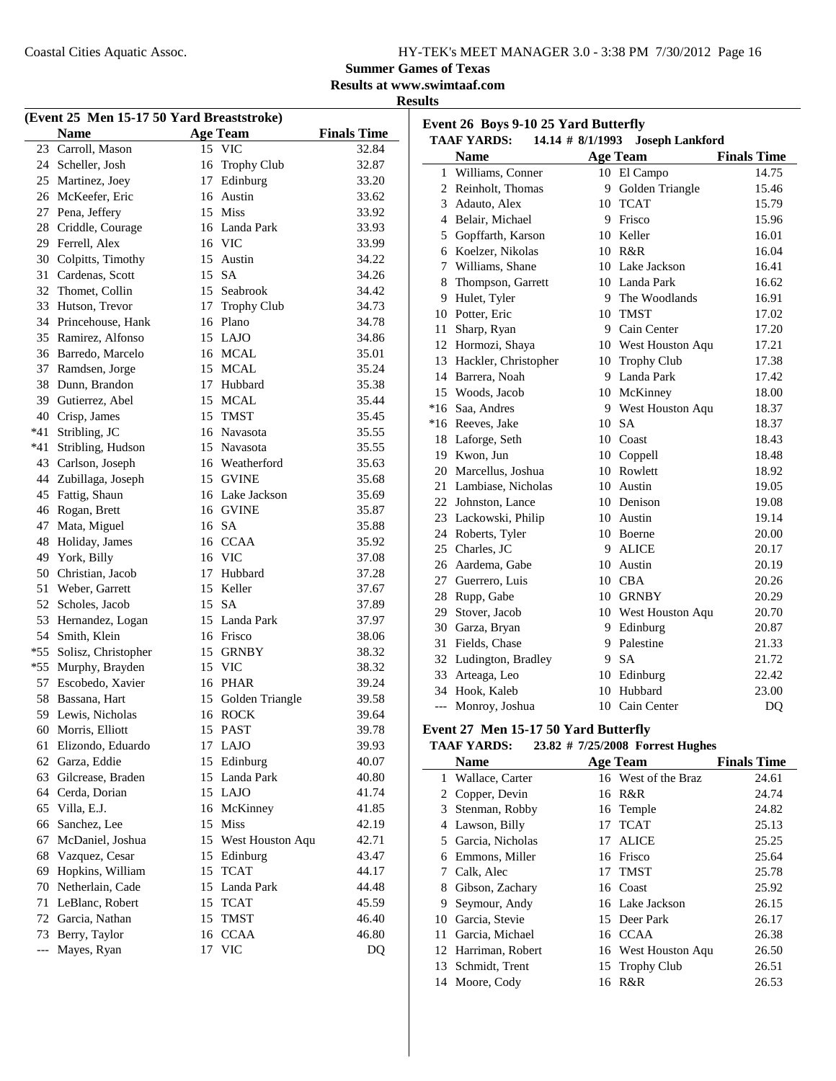14 Moore, Cody 16 R&R 26.53

### **Summer Games of Texas**

**Results at www.swimtaaf.com**

| sesults<br>к |
|--------------|
|--------------|

|       | (Event 25 Men 15-17 50 Yard Breaststroke) |    |                     |                    |        | Event 26 Boys 9-10 25 Yard Butterfly |    |                                  |                    |
|-------|-------------------------------------------|----|---------------------|--------------------|--------|--------------------------------------|----|----------------------------------|--------------------|
|       | <b>Name</b>                               |    | <b>Age Team</b>     | <b>Finals Time</b> |        | <b>TAAF YARDS:</b>                   |    | 14.14 # 8/1/1993 Joseph Lankford |                    |
|       | 23 Carroll, Mason                         |    | 15 VIC              | 32.84              |        | <b>Name</b>                          |    | <b>Age Team</b>                  | <b>Finals Time</b> |
| 24    | Scheller, Josh                            |    | 16 Trophy Club      | 32.87              |        | 1 Williams, Conner                   |    | 10 El Campo                      | 14.75              |
| 25    | Martinez, Joey                            | 17 | Edinburg            | 33.20              |        | 2 Reinholt, Thomas                   |    | 9 Golden Triangle                | 15.46              |
| 26    | McKeefer, Eric                            | 16 | Austin              | 33.62              | 3      | Adauto, Alex                         |    | 10 TCAT                          | 15.79              |
| 27    | Pena, Jeffery                             |    | 15 Miss             | 33.92              | 4      | Belair, Michael                      |    | 9 Frisco                         | 15.96              |
| 28    | Criddle, Courage                          |    | 16 Landa Park       | 33.93              | 5      |                                      |    | 10 Keller                        | 16.01              |
| 29    | Ferrell, Alex                             | 16 | <b>VIC</b>          | 33.99              |        | Gopffarth, Karson                    |    | 10 R&R                           | 16.04              |
| 30    | Colpitts, Timothy                         | 15 | Austin              | 34.22              | 6<br>7 | Koelzer, Nikolas                     |    | 10 Lake Jackson                  | 16.41              |
| 31    | Cardenas, Scott                           | 15 | <b>SA</b>           | 34.26              |        | Williams, Shane<br>Thompson, Garrett |    | 10 Landa Park                    | 16.62              |
| 32    | Thomet, Collin                            |    | 15 Seabrook         | 34.42              | 8      |                                      | 9  | The Woodlands                    | 16.91              |
| 33    | Hutson, Trevor                            | 17 | <b>Trophy Club</b>  | 34.73              | 9      | Hulet, Tyler<br>Potter, Eric         |    | 10 TMST                          | 17.02              |
| 34    | Princehouse, Hank                         |    | 16 Plano            | 34.78              | 10     |                                      |    | 9 Cain Center                    | 17.20              |
| 35    | Ramirez, Alfonso                          |    | 15 LAJO             | 34.86              | 11     | Sharp, Ryan                          |    |                                  |                    |
| 36    | Barredo, Marcelo                          |    | 16 MCAL             | 35.01              | 12     | Hormozi, Shaya                       |    | 10 West Houston Aqu              | 17.21              |
| 37    | Ramdsen, Jorge                            |    | 15 MCAL             | 35.24              | 13     | Hackler, Christopher                 |    | 10 Trophy Club                   | 17.38              |
| 38    | Dunn, Brandon                             |    | 17 Hubbard          | 35.38              | 14     | Barrera, Noah                        |    | 9 Landa Park                     | 17.42              |
| 39    | Gutierrez, Abel                           |    | 15 MCAL             | 35.44              | 15     | Woods, Jacob                         |    | 10 McKinney                      | 18.00              |
| 40    | Crisp, James                              | 15 | <b>TMST</b>         | 35.45              | $*16$  | Saa, Andres                          | 9. | West Houston Aqu                 | 18.37              |
| *41   | Stribling, JC                             |    | 16 Navasota         | 35.55              |        | *16 Reeves, Jake                     | 10 | <b>SA</b>                        | 18.37              |
| *41   | Stribling, Hudson                         | 15 | Navasota            | 35.55              | 18     | Laforge, Seth                        | 10 | Coast                            | 18.43              |
| 43    | Carlson, Joseph                           |    | 16 Weatherford      | 35.63              | 19     | Kwon, Jun                            |    | 10 Coppell                       | 18.48              |
| 44    | Zubillaga, Joseph                         |    | 15 GVINE            | 35.68              | 20     | Marcellus, Joshua                    |    | 10 Rowlett                       | 18.92              |
|       | 45 Fattig, Shaun                          |    | 16 Lake Jackson     | 35.69              | 21     | Lambiase, Nicholas                   |    | 10 Austin                        | 19.05              |
|       | 46 Rogan, Brett                           |    | 16 GVINE            | 35.87              | 22     | Johnston, Lance                      |    | 10 Denison                       | 19.08              |
| 47    | Mata, Miguel                              |    | 16 SA               | 35.88              |        | 23 Lackowski, Philip                 |    | 10 Austin                        | 19.14              |
| 48    | Holiday, James                            |    | 16 CCAA             | 35.92              | 24     | Roberts, Tyler                       |    | 10 Boerne                        | 20.00              |
| 49    | York, Billy                               |    | 16 VIC              | 37.08              | 25     | Charles, JC                          |    | 9 ALICE                          | 20.17              |
| 50    | Christian, Jacob                          | 17 | Hubbard             | 37.28              | 26     | Aardema, Gabe                        |    | 10 Austin                        | 20.19              |
| 51    | Weber, Garrett                            |    | 15 Keller           | 37.67              | 27     | Guerrero, Luis                       |    | 10 CBA                           | 20.26              |
| 52    | Scholes, Jacob                            | 15 | <b>SA</b>           | 37.89              | 28     | Rupp, Gabe                           |    | 10 GRNBY                         | 20.29              |
| 53    | Hernandez, Logan                          |    | 15 Landa Park       | 37.97              | 29     | Stover, Jacob                        |    | 10 West Houston Aqu              | 20.70              |
| 54    | Smith, Klein                              |    | 16 Frisco           | 38.06              | 30     | Garza, Bryan                         |    | 9 Edinburg                       | 20.87              |
| $*55$ | Solisz, Christopher                       |    | 15 GRNBY            | 38.32              | 31     | Fields, Chase                        | 9  | Palestine                        | 21.33              |
| $*55$ | Murphy, Brayden                           |    | 15 VIC              | 38.32              |        | 32 Ludington, Bradley                | 9  | <b>SA</b>                        | 21.72              |
| 57    | Escobedo, Xavier                          |    | 16 PHAR             | 39.24              | 33     | Arteaga, Leo                         |    | 10 Edinburg                      | 22.42              |
|       | 58 Bassana, Hart                          |    | 15 Golden Triangle  | 39.58              |        | 34 Hook, Kaleb                       |    | 10 Hubbard                       | 23.00              |
|       | 59 Lewis, Nicholas                        |    | 16 ROCK             | 39.64              |        | --- Monroy, Joshua                   |    | 10 Cain Center                   | DQ                 |
|       | 60 Morris, Elliott                        |    | 15 PAST             | 39.78              |        | Event 27 Men 15-17 50 Yard Butterfly |    |                                  |                    |
| 61    | Elizondo, Eduardo                         |    | 17 LAJO             | 39.93              |        | <b>TAAF YARDS:</b>                   |    | 23.82 # 7/25/2008 Forrest Hughes |                    |
| 62    | Garza, Eddie                              |    | 15 Edinburg         | 40.07              |        | <b>Name</b>                          |    | <b>Age Team</b>                  | <b>Finals Time</b> |
| 63    | Gilcrease, Braden                         |    | 15 Landa Park       | 40.80              |        | 1 Wallace, Carter                    |    | 16 West of the Braz              | 24.61              |
| 64    | Cerda, Dorian                             |    | 15 LAJO             | 41.74              |        | 2 Copper, Devin                      |    | 16 R&R                           | 24.74              |
| 65    | Villa, E.J.                               |    | 16 McKinney         | 41.85              | 3      | Stenman, Robby                       |    | 16 Temple                        | 24.82              |
| 66    | Sanchez, Lee                              | 15 | Miss                | 42.19              |        | 4 Lawson, Billy                      |    | 17 TCAT                          | 25.13              |
| 67    | McDaniel, Joshua                          |    | 15 West Houston Aqu | 42.71              | 5      | Garcia, Nicholas                     | 17 | <b>ALICE</b>                     | 25.25              |
| 68    | Vazquez, Cesar                            |    | 15 Edinburg         | 43.47              | 6      | Emmons, Miller                       |    | 16 Frisco                        | 25.64              |
| 69    | Hopkins, William                          |    | 15 TCAT             | 44.17              |        | 7 Calk, Alec                         |    | 17 TMST                          | 25.78              |
| 70    | Netherlain, Cade                          |    | 15 Landa Park       | 44.48              |        | Gibson, Zachary                      |    | 16 Coast                         | 25.92              |
| 71    | LeBlanc, Robert                           |    | 15 TCAT             | 45.59              | 8      | Seymour, Andy                        |    | 16 Lake Jackson                  |                    |
| 72    | Garcia, Nathan                            |    | 15 TMST             | 46.40              | 9      | 10 Garcia, Stevie                    |    | 15 Deer Park                     | 26.15              |
| 73    | Berry, Taylor                             |    | 16 CCAA             | 46.80              |        |                                      |    |                                  | 26.17              |
|       |                                           |    | 17 VIC              |                    | 11     | Garcia, Michael                      |    | 16 CCAA                          | 26.38              |
| $---$ | Mayes, Ryan                               |    |                     | DQ                 | 12     | Harriman, Robert                     |    | 16 West Houston Aqu              | 26.50              |
|       |                                           |    |                     |                    |        | 13 Schmidt, Trent                    |    | 15 Trophy Club                   | 26.51              |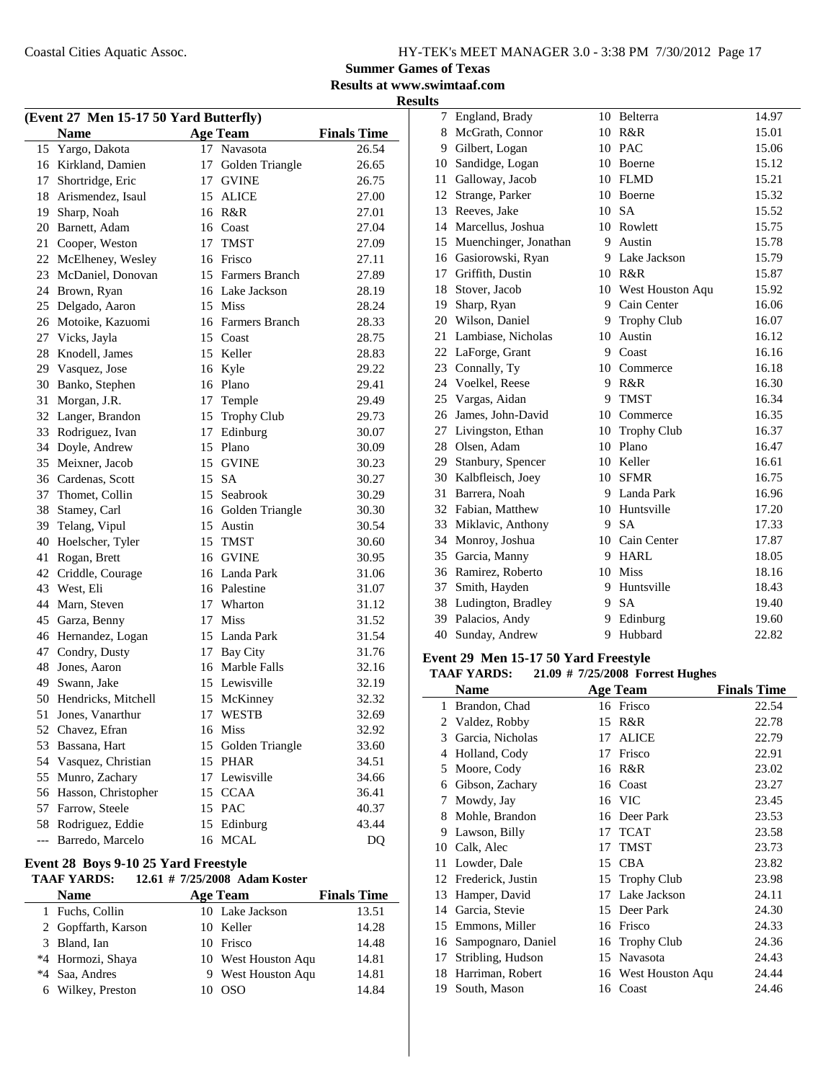#### **Summer Games of Texas Results at www.swimtaaf.com**

**Results**

|       | (Event 27 Men 15-17 50 Yard Butterfly) |                 |                    |                    |    | 7 England, Brady                     | 10 | Belterra                         | 14.97              |
|-------|----------------------------------------|-----------------|--------------------|--------------------|----|--------------------------------------|----|----------------------------------|--------------------|
|       | <b>Name</b>                            | <b>Age Team</b> |                    | <b>Finals Time</b> | 8  | McGrath, Connor                      |    | 10 R&R                           | 15.01              |
|       | 15 Yargo, Dakota                       | 17 Navasota     |                    | 26.54              | 9  | Gilbert, Logan                       |    | 10 PAC                           | 15.06              |
|       | 16 Kirkland, Damien                    |                 | 17 Golden Triangle | 26.65              | 10 | Sandidge, Logan                      | 10 | Boerne                           | 15.12              |
|       | 17 Shortridge, Eric                    | 17 GVINE        |                    | 26.75              | 11 | Galloway, Jacob                      |    | 10 FLMD                          | 15.21              |
|       | 18 Arismendez, Isaul                   | 15 ALICE        |                    | 27.00              | 12 | Strange, Parker                      | 10 | Boerne                           | 15.32              |
| 19    | Sharp, Noah                            | 16 R&R          |                    | 27.01              | 13 | Reeves, Jake                         | 10 | <b>SA</b>                        | 15.52              |
| 20    | Barnett, Adam                          | 16 Coast        |                    | 27.04              | 14 | Marcellus, Joshua                    |    | 10 Rowlett                       | 15.75              |
| 21    | Cooper, Weston                         | 17              | <b>TMST</b>        | 27.09              | 15 | Muenchinger, Jonathan                | 9  | Austin                           | 15.78              |
|       | 22 McElheney, Wesley                   | 16 Frisco       |                    | 27.11              | 16 | Gasiorowski, Ryan                    | 9. | Lake Jackson                     | 15.79              |
| 23    | McDaniel, Donovan                      |                 | 15 Farmers Branch  | 27.89              | 17 | Griffith, Dustin                     |    | 10 R&R                           | 15.87              |
| 24    | Brown, Ryan                            |                 | 16 Lake Jackson    | 28.19              | 18 | Stover, Jacob                        | 10 | West Houston Aqu                 | 15.92              |
| 25    | Delgado, Aaron                         | 15 Miss         |                    | 28.24              | 19 | Sharp, Ryan                          | 9  | Cain Center                      | 16.06              |
|       | 26 Motoike, Kazuomi                    |                 | 16 Farmers Branch  | 28.33              | 20 | Wilson, Daniel                       | 9  | <b>Trophy Club</b>               | 16.07              |
|       | 27 Vicks, Jayla                        | 15 Coast        |                    | 28.75              | 21 | Lambiase, Nicholas                   |    | 10 Austin                        | 16.12              |
| 28    | Knodell, James                         | 15 Keller       |                    | 28.83              | 22 | LaForge, Grant                       | 9  | Coast                            | 16.16              |
| 29    | Vasquez, Jose                          | 16 Kyle         |                    | 29.22              | 23 | Connally, Ty                         |    | 10 Commerce                      | 16.18              |
| 30    | Banko, Stephen                         | 16 Plano        |                    | 29.41              | 24 | Voelkel, Reese                       |    | 9 R&R                            | 16.30              |
| 31    | Morgan, J.R.                           | 17 Temple       |                    | 29.49              | 25 | Vargas, Aidan                        | 9  | <b>TMST</b>                      | 16.34              |
| 32    | Langer, Brandon                        |                 | 15 Trophy Club     | 29.73              | 26 | James, John-David                    | 10 | Commerce                         | 16.35              |
| 33    | Rodriguez, Ivan                        | 17 Edinburg     |                    | 30.07              | 27 | Livingston, Ethan                    | 10 | <b>Trophy Club</b>               | 16.37              |
| 34    | Doyle, Andrew                          | 15 Plano        |                    | 30.09              | 28 | Olsen, Adam                          | 10 | Plano                            | 16.47              |
| 35    | Meixner, Jacob                         | 15 GVINE        |                    | 30.23              | 29 | Stanbury, Spencer                    | 10 | Keller                           | 16.61              |
| 36    | Cardenas, Scott                        | 15 SA           |                    | 30.27              | 30 | Kalbfleisch, Joey                    | 10 | <b>SFMR</b>                      | 16.75              |
| 37    | Thomet, Collin                         | 15 Seabrook     |                    | 30.29              | 31 | Barrera, Noah                        | 9. | Landa Park                       | 16.96              |
| 38    | Stamey, Carl                           |                 | 16 Golden Triangle | 30.30              | 32 | Fabian, Matthew                      | 10 | Huntsville                       | 17.20              |
| 39    | Telang, Vipul                          | 15 Austin       |                    | 30.54              | 33 | Miklavic, Anthony                    | 9  | <b>SA</b>                        | 17.33              |
| 40    | Hoelscher, Tyler                       | 15 TMST         |                    | 30.60              | 34 | Monroy, Joshua                       |    | 10 Cain Center                   | 17.87              |
| 41    | Rogan, Brett                           | 16 GVINE        |                    | 30.95              | 35 | Garcia, Manny                        |    | 9 HARL                           | 18.05              |
| 42    | Criddle, Courage                       |                 | 16 Landa Park      | 31.06              | 36 | Ramirez, Roberto                     | 10 | Miss                             | 18.16              |
| 43    | West, Eli                              | 16 Palestine    |                    | 31.07              | 37 | Smith, Hayden                        | 9  | Huntsville                       | 18.43              |
| 44    | Marn, Steven                           | 17              | Wharton            | 31.12              | 38 | Ludington, Bradley                   | 9  | <b>SA</b>                        | 19.40              |
| 45    | Garza, Benny                           | 17 Miss         |                    | 31.52              | 39 | Palacios, Andy                       | 9. | Edinburg                         | 19.60              |
| 46    | Hernandez, Logan                       |                 | 15 Landa Park      | 31.54              | 40 | Sunday, Andrew                       |    | 9 Hubbard                        | 22.82              |
| 47    | Condry, Dusty                          | 17 Bay City     |                    | 31.76              |    |                                      |    |                                  |                    |
| 48    | Jones, Aaron                           |                 | 16 Marble Falls    | 32.16              |    | Event 29 Men 15-17 50 Yard Freestyle |    |                                  |                    |
|       | Swann, Jake                            |                 | 15 Lewisville      | 32.19              |    | <b>TAAF YARDS:</b>                   |    | 21.09 # 7/25/2008 Forrest Hughes |                    |
| 49    |                                        |                 |                    |                    |    | <b>Name</b>                          |    | <b>Age Team</b>                  | <b>Finals Time</b> |
| 50    | Hendricks, Mitchell                    |                 | 15 McKinney        | 32.32              |    | 1 Brandon, Chad                      |    | 16 Frisco                        | 22.54              |
|       | 51 Jones, Vanarthur                    | 17 WESTB        |                    | 32.69              |    | 2 Valdez, Robby                      |    | 15 R&R                           | 22.78              |
|       | 52 Chavez, Efran                       | 16 Miss         |                    | 32.92              |    | 3 Garcia, Nicholas                   |    | 17 ALICE                         | 22.79              |
|       | 53 Bassana, Hart                       |                 | 15 Golden Triangle | 33.60              |    | 4 Holland, Cody                      |    | 17 Frisco                        | 22.91              |
|       | 54 Vasquez, Christian                  | 15 PHAR         |                    | 34.51              |    | 5 Moore, Cody                        |    | 16 R&R                           | 23.02              |
|       | 55 Munro, Zachary                      |                 | 17 Lewisville      | 34.66              |    | 6 Gibson, Zachary                    |    | 16 Coast                         | 23.27              |
|       | 56 Hasson, Christopher                 | 15 CCAA         |                    | 36.41              |    | 7 Mowdy, Jay                         |    | 16 VIC                           | 23.45              |
|       | 57 Farrow, Steele                      | 15 PAC          |                    | 40.37              |    | 8 Mohle, Brandon                     |    | 16 Deer Park                     | 23.53              |
| 58    | Rodriguez, Eddie                       | 15 Edinburg     |                    | 43.44              |    | 9 Lawson, Billy                      |    | 17 TCAT                          | 23.58              |
| $---$ | Barredo, Marcelo                       | 16 MCAL         |                    | DQ                 |    | 10 Calk, Alec                        |    | 17 TMST                          | 23.73              |
|       |                                        |                 |                    |                    |    |                                      |    |                                  |                    |

#### **Event 28 Boys 9-10 25 Yard Freestyle**

|    | <b>TAAF YARDS:</b>  |    | 12.61 # 7/25/2008 Adam Koster |                    |
|----|---------------------|----|-------------------------------|--------------------|
|    | <b>Name</b>         |    | <b>Age Team</b>               | <b>Finals Time</b> |
|    | 1 Fuchs, Collin     |    | 10 Lake Jackson               | 13.51              |
|    | 2 Gopffarth, Karson |    | 10 Keller                     | 14.28              |
|    | 3 Bland, Ian        |    | 10 Frisco                     | 14.48              |
|    | *4 Hormozi, Shaya   |    | 10 West Houston Aqu           | 14.81              |
| *4 | Saa, Andres         |    | 9 West Houston Aqu            | 14.81              |
|    | 6 Wilkey, Preston   | 10 | OSO                           | 14.84              |

|    | 27 Livingston, Ethan                 | 10 | <b>Trophy Club</b>               | 16.37              |
|----|--------------------------------------|----|----------------------------------|--------------------|
| 28 | Olsen, Adam                          | 10 | Plano                            | 16.47              |
| 29 | Stanbury, Spencer                    | 10 | Keller                           | 16.61              |
| 30 | Kalbfleisch, Joey                    | 10 | <b>SFMR</b>                      | 16.75              |
| 31 | Barrera, Noah                        | 9  | Landa Park                       | 16.96              |
| 32 | Fabian, Matthew                      | 10 | Huntsville                       | 17.20              |
| 33 | Miklavic, Anthony                    | 9  | <b>SA</b>                        | 17.33              |
| 34 | Monroy, Joshua                       | 10 | Cain Center                      | 17.87              |
| 35 | Garcia, Manny                        | 9  | <b>HARL</b>                      | 18.05              |
| 36 | Ramirez, Roberto                     | 10 | <b>Miss</b>                      | 18.16              |
| 37 | Smith, Hayden                        | 9  | Huntsville                       | 18.43              |
| 38 | Ludington, Bradley                   | 9  | <b>SA</b>                        | 19.40              |
| 39 | Palacios, Andy                       | 9  | Edinburg                         | 19.60              |
| 40 | Sunday, Andrew                       | 9  | Hubbard                          | 22.82              |
|    | Event 29 Men 15-17 50 Yard Freestyle |    |                                  |                    |
|    | <b>TAAF YARDS:</b>                   |    | 21.09 # 7/25/2008 Forrest Hughes |                    |
|    | <b>Name</b>                          |    | <b>Age Team</b>                  | <b>Finals Time</b> |
| 1  | Brandon, Chad                        |    | 16 Frisco                        | 22.54              |
| 2  | Valdez, Robby                        | 15 | R&R                              | 22.78              |
| 3  | Garcia, Nicholas                     | 17 | <b>ALICE</b>                     | 22.79              |
| 4  | Holland, Cody                        | 17 | Frisco                           | 22.91              |
|    |                                      |    |                                  |                    |

| 3  | Garcia, Nicholas     |    | I7 ALICE            | 22.79 |
|----|----------------------|----|---------------------|-------|
| 4  | Holland, Cody        | 17 | Frisco              | 22.91 |
| 5  | Moore, Cody          |    | 16 R&R              | 23.02 |
| 6  | Gibson, Zachary      |    | 16 Coast            | 23.27 |
| 7  | Mowdy, Jay           |    | 16 VIC              | 23.45 |
| 8  | Mohle, Brandon       |    | 16 Deer Park        | 23.53 |
| 9  | Lawson, Billy        |    | 17 TCAT             | 23.58 |
|    | 10 Calk, Alec        | 17 | <b>TMST</b>         | 23.73 |
|    | 11 Lowder, Dale      |    | 15 CBA              | 23.82 |
|    | 12 Frederick, Justin |    | 15 Trophy Club      | 23.98 |
|    | 13 Hamper, David     |    | 17 Lake Jackson     | 24.11 |
| 14 | Garcia, Stevie       |    | 15 Deer Park        | 24.30 |
|    | 15 Emmons, Miller    |    | 16 Frisco           | 24.33 |
| 16 | Sampognaro, Daniel   |    | 16 Trophy Club      | 24.36 |
| 17 | Stribling, Hudson    |    | 15 Navasota         | 24.43 |
| 18 | Harriman, Robert     |    | 16 West Houston Aqu | 24.44 |
| 19 | South, Mason         |    | 16 Coast            | 24.46 |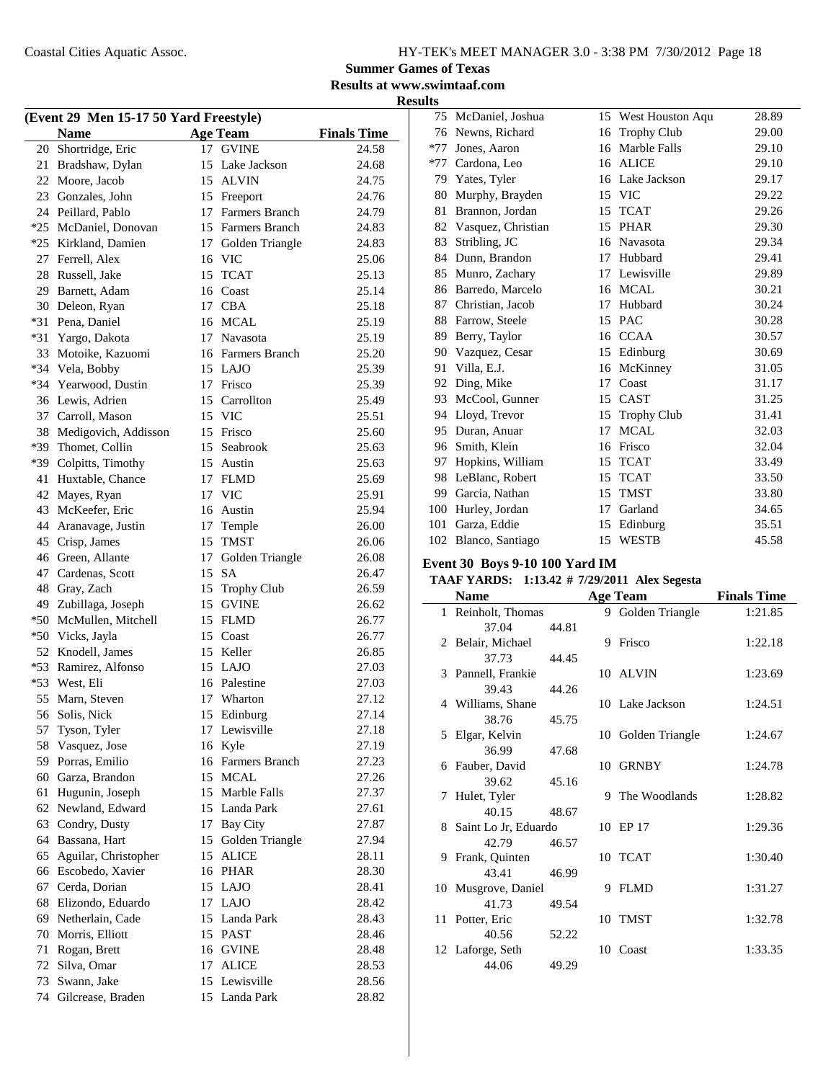### **Summer Games of Texas**

**Results at www.swimtaaf.com Results**

| (Event 29 Men 15-17 50 Yard Freestyle) |                      |    |                    |                    |  |  |  |
|----------------------------------------|----------------------|----|--------------------|--------------------|--|--|--|
|                                        | <b>Name</b>          |    | <b>Age Team</b>    | <b>Finals Time</b> |  |  |  |
| 20                                     | Shortridge, Eric     |    | 17 GVINE           | 24.58              |  |  |  |
| 21                                     | Bradshaw, Dylan      | 15 | Lake Jackson       | 24.68              |  |  |  |
| 22                                     | Moore, Jacob         |    | 15 ALVIN           | 24.75              |  |  |  |
| 23                                     | Gonzales, John       |    | 15 Freeport        | 24.76              |  |  |  |
| 24                                     | Peillard, Pablo      |    | 17 Farmers Branch  | 24.79              |  |  |  |
| $*25$                                  | McDaniel, Donovan    |    | 15 Farmers Branch  | 24.83              |  |  |  |
| $*25$                                  | Kirkland, Damien     | 17 | Golden Triangle    | 24.83              |  |  |  |
| 27                                     | Ferrell, Alex        |    | 16 VIC             | 25.06              |  |  |  |
| 28                                     | Russell, Jake        | 15 | <b>TCAT</b>        | 25.13              |  |  |  |
| 29                                     | Barnett, Adam        |    | 16 Coast           | 25.14              |  |  |  |
| 30                                     | Deleon, Ryan         |    | 17 CBA             | 25.18              |  |  |  |
| $*31$                                  | Pena, Daniel         |    | 16 MCAL            | 25.19              |  |  |  |
| $*31$                                  | Yargo, Dakota        |    | 17 Navasota        | 25.19              |  |  |  |
| 33                                     | Motoike, Kazuomi     |    | 16 Farmers Branch  | 25.20              |  |  |  |
| $*34$                                  | Vela, Bobby          |    | 15 LAJO            | 25.39              |  |  |  |
| $*34$                                  | Yearwood, Dustin     |    | 17 Frisco          | 25.39              |  |  |  |
| 36                                     | Lewis, Adrien        |    | 15 Carrollton      | 25.49              |  |  |  |
| 37                                     | Carroll, Mason       |    | 15 VIC             | 25.51              |  |  |  |
| 38                                     | Medigovich, Addisson |    | 15 Frisco          | 25.60              |  |  |  |
| *39                                    | Thomet, Collin       | 15 | Seabrook           | 25.63              |  |  |  |
| *39                                    | Colpitts, Timothy    |    | 15 Austin          | 25.63              |  |  |  |
| 41                                     | Huxtable, Chance     |    | 17 FLMD            | 25.69              |  |  |  |
| 42                                     | Mayes, Ryan          |    | 17 VIC             | 25.91              |  |  |  |
| 43                                     | McKeefer, Eric       |    | 16 Austin          | 25.94              |  |  |  |
| 44                                     | Aranavage, Justin    |    | 17 Temple          | 26.00              |  |  |  |
| 45                                     | Crisp, James         | 15 | <b>TMST</b>        | 26.06              |  |  |  |
| 46                                     | Green, Allante       | 17 | Golden Triangle    | 26.08              |  |  |  |
| 47                                     | Cardenas, Scott      | 15 | <b>SA</b>          | 26.47              |  |  |  |
| 48                                     | Gray, Zach           | 15 | <b>Trophy Club</b> | 26.59              |  |  |  |
| 49                                     | Zubillaga, Joseph    | 15 | <b>GVINE</b>       | 26.62              |  |  |  |
| $*50$                                  | McMullen, Mitchell   | 15 | <b>FLMD</b>        | 26.77              |  |  |  |
| *50                                    | Vicks, Jayla         | 15 | Coast              | 26.77              |  |  |  |
| 52                                     | Knodell, James       |    | 15 Keller          | 26.85              |  |  |  |
| $*53$                                  | Ramirez, Alfonso     |    | 15 LAJO            | 27.03              |  |  |  |
| $*53$                                  | West, Eli            |    | 16 Palestine       | 27.03              |  |  |  |
| 55                                     | Marn, Steven         | 17 | Wharton            | 27.12              |  |  |  |
| 56                                     | Solis, Nick          | 15 | Edinburg           | 27.14              |  |  |  |
| 57                                     | Tyson, Tyler         |    | 17 Lewisville      | 27.18              |  |  |  |
| 58                                     | Vasquez, Jose        |    | 16 Kyle            | 27.19              |  |  |  |
| 59                                     | Porras, Emilio       |    | 16 Farmers Branch  | 27.23              |  |  |  |
| 60                                     | Garza, Brandon       |    | 15 MCAL            | 27.26              |  |  |  |
| 61                                     | Hugunin, Joseph      |    | 15 Marble Falls    | 27.37              |  |  |  |
| 62                                     | Newland, Edward      |    | 15 Landa Park      | 27.61              |  |  |  |
| 63                                     | Condry, Dusty        |    | 17 Bay City        | 27.87              |  |  |  |
| 64                                     | Bassana, Hart        | 15 | Golden Triangle    | 27.94              |  |  |  |
| 65                                     | Aguilar, Christopher |    | 15 ALICE           | 28.11              |  |  |  |
| 66                                     | Escobedo, Xavier     |    | 16 PHAR            | 28.30              |  |  |  |
| 67                                     | Cerda, Dorian        |    | 15 LAJO            | 28.41              |  |  |  |
| 68                                     | Elizondo, Eduardo    |    | 17 LAJO            | 28.42              |  |  |  |
| 69                                     | Netherlain, Cade     |    | 15 Landa Park      | 28.43              |  |  |  |
| 70                                     | Morris, Elliott      |    | 15 PAST            | 28.46              |  |  |  |
| 71                                     | Rogan, Brett         |    | 16 GVINE           | 28.48              |  |  |  |
| 72                                     | Silva, Omar          | 17 | <b>ALICE</b>       | 28.53              |  |  |  |
| 73                                     | Swann, Jake          |    | 15 Lewisville      | 28.56              |  |  |  |
| 74                                     | Gilcrease, Braden    |    | 15 Landa Park      | 28.82              |  |  |  |
|                                        |                      |    |                    |                    |  |  |  |

| 75    | McDaniel, Joshua   | 15 | West Houston Aqu   | 28.89 |
|-------|--------------------|----|--------------------|-------|
| 76    | Newns, Richard     | 16 | Trophy Club        | 29.00 |
| $*77$ | Jones, Aaron       | 16 | Marble Falls       | 29.10 |
| $*77$ | Cardona, Leo       | 16 | <b>ALICE</b>       | 29.10 |
| 79    | Yates, Tyler       |    | 16 Lake Jackson    | 29.17 |
| 80    | Murphy, Brayden    | 15 | <b>VIC</b>         | 29.22 |
| 81    | Brannon, Jordan    | 15 | <b>TCAT</b>        | 29.26 |
| 82    | Vasquez, Christian | 15 | <b>PHAR</b>        | 29.30 |
| 83    | Stribling, JC      | 16 | Navasota           | 29.34 |
| 84    | Dunn, Brandon      | 17 | Hubbard            | 29.41 |
| 85    | Munro, Zachary     | 17 | Lewisville         | 29.89 |
| 86    | Barredo, Marcelo   | 16 | <b>MCAL</b>        | 30.21 |
| 87    | Christian, Jacob   | 17 | Hubbard            | 30.24 |
| 88    | Farrow, Steele     | 15 | <b>PAC</b>         | 30.28 |
| 89    | Berry, Taylor      | 16 | <b>CCAA</b>        | 30.57 |
| 90    | Vazquez, Cesar     | 15 | Edinburg           | 30.69 |
| 91    | Villa, E.J.        | 16 | McKinney           | 31.05 |
| 92    | Ding, Mike         | 17 | Coast              | 31.17 |
| 93    | McCool, Gunner     | 15 | <b>CAST</b>        | 31.25 |
| 94    | Lloyd, Trevor      | 15 | <b>Trophy Club</b> | 31.41 |
| 95    | Duran, Anuar       | 17 | <b>MCAL</b>        | 32.03 |
| 96    | Smith, Klein       | 16 | Frisco             | 32.04 |
| 97    | Hopkins, William   | 15 | <b>TCAT</b>        | 33.49 |
| 98    | LeBlanc, Robert    | 15 | <b>TCAT</b>        | 33.50 |
| 99    | Garcia, Nathan     | 15 | <b>TMST</b>        | 33.80 |
| 100   | Hurley, Jordan     | 17 | Garland            | 34.65 |
| 101   | Garza, Eddie       | 15 | Edinburg           | 35.51 |
| 102   | Blanco, Santiago   | 15 | WESTB              | 45.58 |

### **Event 30 Boys 9-10 100 Yard IM**

### **TAAF YARDS:** 1:13.42 # 7/29/2011 Alex Segesta

| <b>Name</b>            |       | <b>Age Team</b>    | <b>Finals Time</b> |
|------------------------|-------|--------------------|--------------------|
| 1 Reinholt, Thomas     |       | 9 Golden Triangle  | 1:21.85            |
| 37.04                  | 44.81 |                    |                    |
| 2 Belair, Michael      |       | 9 Frisco           | 1:22.18            |
| 37.73                  | 44.45 |                    |                    |
| 3 Pannell, Frankie     |       | 10 ALVIN           | 1:23.69            |
| 39.43                  | 44.26 |                    |                    |
| 4 Williams, Shane      |       | 10 Lake Jackson    | 1:24.51            |
| 38.76                  | 45.75 |                    |                    |
| 5 Elgar, Kelvin        |       | 10 Golden Triangle | 1:24.67            |
| 36.99                  | 47.68 |                    |                    |
| 6 Fauber, David        |       | 10 GRNBY           | 1:24.78            |
| 39.62                  | 45.16 |                    |                    |
| 7 Hulet, Tyler         |       | 9 The Woodlands    | 1:28.82            |
| 40.15                  | 48.67 |                    |                    |
| 8 Saint Lo Jr, Eduardo |       | 10 EP 17           | 1:29.36            |
| 42.79                  | 46.57 |                    |                    |
| 9 Frank, Quinten       |       | 10 TCAT            | 1:30.40            |
| 43.41                  | 46.99 |                    |                    |
| 10 Musgrove, Daniel    |       | 9 FLMD             | 1:31.27            |
| 41.73                  | 49.54 |                    |                    |
| 11 Potter, Eric        |       | 10 TMST            | 1:32.78            |
| 40.56                  | 52.22 |                    |                    |
| 12 Laforge, Seth       |       | 10 Coast           | 1:33.35            |
| 44.06                  | 49.29 |                    |                    |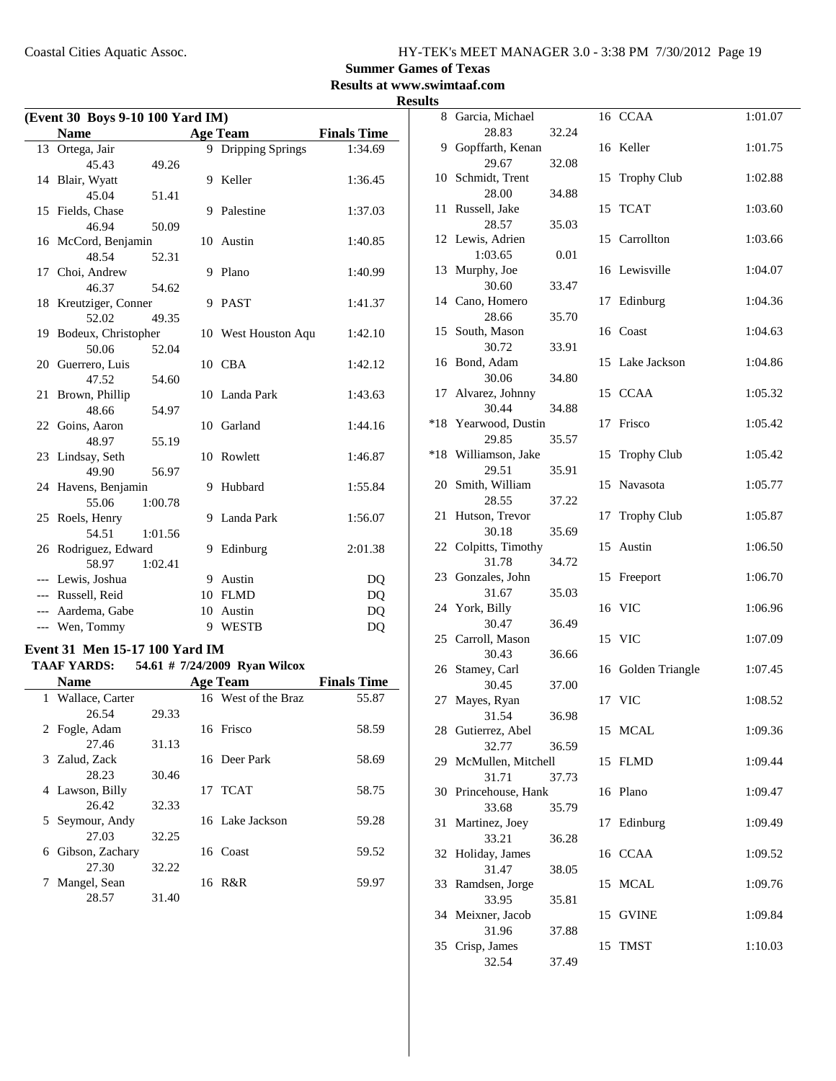$\overline{\phantom{0}}$ 

### **Summer Games of Texas**

**Results at www.swimtaaf.com**

#### **Results**

| (Event 30 Boys 9-10 100 Yard IM) |                                       |         |   |                     |                    |  |  |
|----------------------------------|---------------------------------------|---------|---|---------------------|--------------------|--|--|
|                                  | <b>Name</b>                           |         |   | <b>Age Team</b>     | <b>Finals Time</b> |  |  |
|                                  | 13 Ortega, Jair                       |         |   | 9 Dripping Springs  | 1:34.69            |  |  |
|                                  | 45.43                                 | 49.26   |   |                     |                    |  |  |
|                                  | 14 Blair, Wyatt                       |         | 9 | Keller              | 1:36.45            |  |  |
|                                  | 45.04                                 | 51.41   |   |                     |                    |  |  |
|                                  | 15 Fields, Chase                      |         | 9 | Palestine           | 1:37.03            |  |  |
|                                  | 46.94                                 | 50.09   |   |                     |                    |  |  |
|                                  | 16 McCord, Benjamin                   |         |   | 10 Austin           | 1:40.85            |  |  |
|                                  | 48.54                                 | 52.31   |   |                     |                    |  |  |
|                                  | 17 Choi, Andrew                       |         | 9 | Plano               | 1:40.99            |  |  |
|                                  | 46.37                                 | 54.62   |   |                     |                    |  |  |
|                                  | 18 Kreutziger, Conner                 |         |   | 9 PAST              | 1:41.37            |  |  |
|                                  | 52.02                                 | 49.35   |   |                     |                    |  |  |
|                                  | 19 Bodeux, Christopher                |         |   | 10 West Houston Aqu | 1:42.10            |  |  |
|                                  | 50.06                                 | 52.04   |   |                     |                    |  |  |
|                                  | 20 Guerrero, Luis                     |         |   | 10 CBA              | 1:42.12            |  |  |
|                                  | 47.52                                 | 54.60   |   |                     |                    |  |  |
| 21                               | Brown, Phillip                        |         |   | 10 Landa Park       | 1:43.63            |  |  |
|                                  | 48.66                                 | 54.97   |   |                     |                    |  |  |
|                                  | 22 Goins, Aaron                       |         |   | 10 Garland          | 1:44.16            |  |  |
|                                  | 48.97                                 | 55.19   |   |                     |                    |  |  |
|                                  | 23 Lindsay, Seth                      |         |   | 10 Rowlett          | 1:46.87            |  |  |
|                                  | 49.90                                 | 56.97   |   |                     |                    |  |  |
|                                  | 24 Havens, Benjamin                   |         | 9 | Hubbard             | 1:55.84            |  |  |
|                                  | 55.06                                 | 1:00.78 |   |                     |                    |  |  |
|                                  | 25 Roels, Henry                       |         | 9 | Landa Park          | 1:56.07            |  |  |
|                                  | 54.51                                 | 1:01.56 |   |                     |                    |  |  |
|                                  | 26 Rodriguez, Edward                  |         | 9 | Edinburg            | 2:01.38            |  |  |
|                                  | 58.97                                 | 1:02.41 |   |                     |                    |  |  |
|                                  | --- Lewis, Joshua                     |         |   | 9 Austin            | DQ                 |  |  |
|                                  | --- Russell, Reid                     |         |   | 10 FLMD             | DQ                 |  |  |
|                                  | --- Aardema, Gabe                     |         |   | 10 Austin           | DQ                 |  |  |
|                                  | --- Wen, Tommy                        |         |   | 9 WESTB             | DQ                 |  |  |
|                                  | <b>Event 31 Men 15-17 100 Yard IM</b> |         |   |                     |                    |  |  |

#### **TAAF YARDS:** 54.61 # 7/24/2009 Ryan Wilcox

| <b>Name</b>     |                   | <b>Age Team</b>     | <b>Finals Time</b> |
|-----------------|-------------------|---------------------|--------------------|
|                 | 1 Wallace, Carter | 16 West of the Braz | 55.87              |
|                 | 29.33<br>26.54    |                     |                    |
| 2 Fogle, Adam   |                   | 16 Frisco           | 58.59              |
|                 | 31.13<br>27.46    |                     |                    |
| 3 Zalud, Zack   |                   | 16 Deer Park        | 58.69              |
|                 | 28.23<br>30.46    |                     |                    |
| 4 Lawson, Billy |                   | 17 TCAT             | 58.75              |
|                 | 32.33<br>26.42    |                     |                    |
|                 | 5 Seymour, Andy   | 16 Lake Jackson     | 59.28              |
|                 | 27.03<br>32.25    |                     |                    |
| 6               | Gibson, Zachary   | 16 Coast            | 59.52              |
|                 | 32.22<br>27.30    |                     |                    |
|                 | Mangel, Sean      | 16 R&R              | 59.97              |
|                 | 28.57<br>31.40    |                     |                    |

|       | 8 Garcia, Michael          |       |    | 16 CCAA            | 1:01.07 |
|-------|----------------------------|-------|----|--------------------|---------|
|       | 28.83                      | 32.24 |    |                    |         |
|       | 9 Gopffarth, Kenan         |       |    | 16 Keller          | 1:01.75 |
|       | 29.67                      | 32.08 |    |                    |         |
|       | 10 Schmidt, Trent          |       | 15 | <b>Trophy Club</b> | 1:02.88 |
|       | 28.00                      | 34.88 |    |                    |         |
| 11    | Russell, Jake              |       | 15 | <b>TCAT</b>        | 1:03.60 |
|       | 28.57<br>12 Lewis, Adrien  | 35.03 |    | 15 Carrollton      | 1:03.66 |
|       | 1:03.65                    | 0.01  |    |                    |         |
| 13    | Murphy, Joe                |       |    | 16 Lewisville      | 1:04.07 |
|       | 30.60                      | 33.47 |    |                    |         |
|       | 14 Cano, Homero            |       | 17 | Edinburg           | 1:04.36 |
|       | 28.66                      | 35.70 |    |                    |         |
| 15    | South, Mason               |       |    | 16 Coast           | 1:04.63 |
|       | 30.72                      | 33.91 |    |                    |         |
|       | 16 Bond, Adam              |       | 15 | Lake Jackson       | 1:04.86 |
|       | 30.06                      | 34.80 |    |                    |         |
| 17    | Alvarez, Johnny            |       |    | 15 CCAA            | 1:05.32 |
|       | 30.44                      | 34.88 |    |                    |         |
| $*18$ | Yearwood, Dustin           |       | 17 | Frisco             | 1:05.42 |
| $*18$ | 29.85<br>Williamson, Jake  | 35.57 | 15 | <b>Trophy Club</b> | 1:05.42 |
|       | 29.51                      | 35.91 |    |                    |         |
|       | 20 Smith, William          |       | 15 | Navasota           | 1:05.77 |
|       | 28.55                      | 37.22 |    |                    |         |
| 21    | Hutson, Trevor             |       | 17 | <b>Trophy Club</b> | 1:05.87 |
|       | 30.18                      | 35.69 |    |                    |         |
| 22    | Colpitts, Timothy          |       | 15 | Austin             | 1:06.50 |
|       | 31.78                      | 34.72 |    |                    |         |
| 23    | Gonzales, John             |       | 15 | Freeport           | 1:06.70 |
|       | 31.67                      | 35.03 |    |                    |         |
|       | 24 York, Billy             |       |    | 16 VIC             | 1:06.96 |
|       | 30.47<br>25 Carroll, Mason | 36.49 |    | 15 VIC             | 1:07.09 |
|       | 30.43                      | 36.66 |    |                    |         |
|       | 26 Stamey, Carl            |       |    | 16 Golden Triangle | 1:07.45 |
|       | 30.45                      | 37.00 |    |                    |         |
| 27    | Mayes, Ryan                |       |    | 17 VIC             | 1:08.52 |
|       | 31.54                      | 36.98 |    |                    |         |
|       | 28 Gutierrez, Abel         |       |    | 15 MCAL            | 1:09.36 |
|       | 32.77                      | 36.59 |    |                    |         |
| 29    | McMullen, Mitchell         |       |    | 15 FLMD            | 1:09.44 |
|       | 31.71                      | 37.73 |    |                    |         |
|       | 30 Princehouse, Hank       |       |    | 16 Plano           | 1:09.47 |
| 31    | 33.68<br>Martinez, Joey    | 35.79 | 17 | Edinburg           | 1:09.49 |
|       | 33.21                      | 36.28 |    |                    |         |
|       | 32 Holiday, James          |       |    | 16 CCAA            | 1:09.52 |
|       | 31.47                      | 38.05 |    |                    |         |
| 33    | Ramdsen, Jorge             |       | 15 | MCAL               | 1:09.76 |
|       | 33.95                      | 35.81 |    |                    |         |
|       | 34 Meixner, Jacob          |       | 15 | <b>GVINE</b>       | 1:09.84 |
|       | 31.96                      | 37.88 |    |                    |         |
| 35    | Crisp, James               |       | 15 | <b>TMST</b>        | 1:10.03 |
|       | 32.54                      | 37.49 |    |                    |         |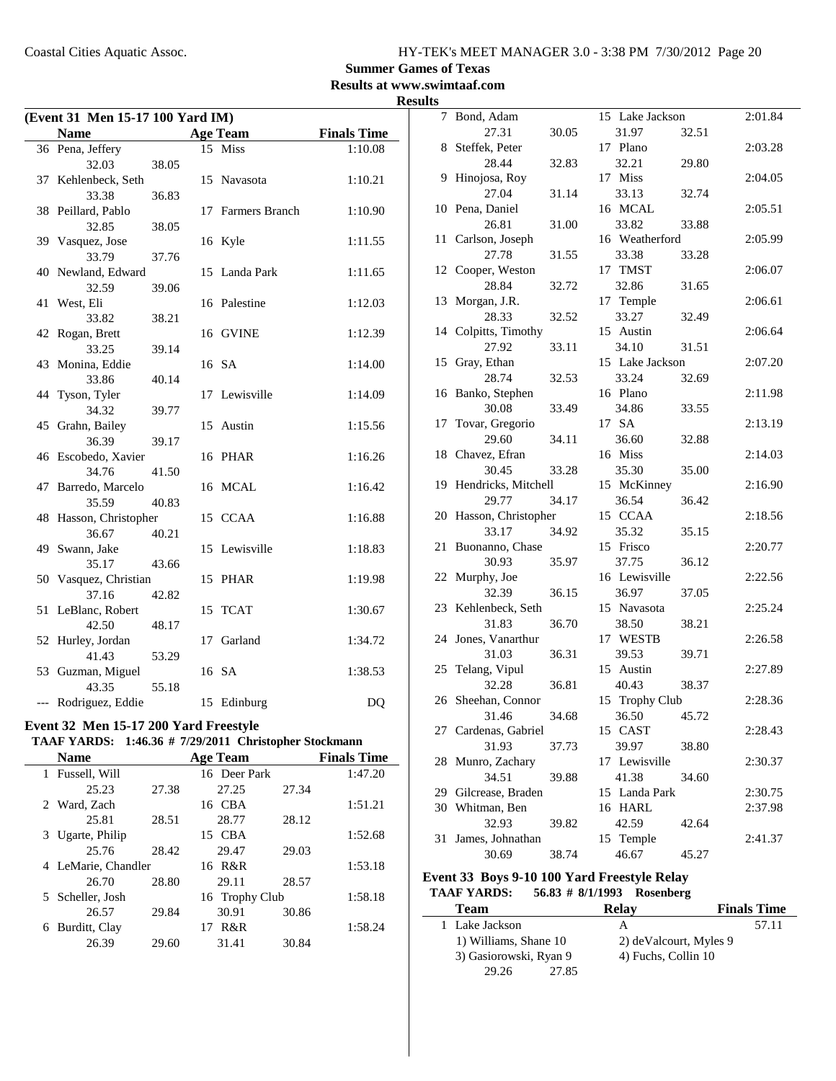### **Summer Games of Texas**

**Results at www.swimtaaf.com**

#### **Results**

|    | Event 31 Men 15-17 100 Yard IM) |       |    |                       |                    |  |
|----|---------------------------------|-------|----|-----------------------|--------------------|--|
|    | <b>Name</b>                     |       |    | <b>Age Team</b>       | <b>Finals Time</b> |  |
|    | 36 Pena, Jeffery                |       |    | 15 Miss               | 1:10.08            |  |
|    | 32.03                           | 38.05 |    |                       |                    |  |
|    | 37 Kehlenbeck, Seth             |       |    | 15 Navasota           | 1:10.21            |  |
|    | 33.38                           | 36.83 |    |                       |                    |  |
|    | 38 Peillard, Pablo              |       | 17 | <b>Farmers Branch</b> | 1:10.90            |  |
|    | 32.85                           | 38.05 |    |                       |                    |  |
|    | 39 Vasquez, Jose                |       |    | 16 Kyle               | 1:11.55            |  |
|    | 33.79                           | 37.76 |    |                       |                    |  |
|    | 40 Newland, Edward              |       | 15 | Landa Park            | 1:11.65            |  |
|    | 32.59                           | 39.06 |    |                       |                    |  |
|    | 41 West, Eli                    |       |    | 16 Palestine          | 1:12.03            |  |
|    | 33.82                           | 38.21 |    |                       |                    |  |
|    | 42 Rogan, Brett                 |       |    | 16 GVINE              | 1:12.39            |  |
|    | 33.25                           | 39.14 |    |                       |                    |  |
|    | 43 Monina, Eddie                |       |    | 16 SA                 | 1:14.00            |  |
|    | 33.86                           | 40.14 |    |                       |                    |  |
| 44 | Tyson, Tyler                    |       |    | 17 Lewisville         | 1:14.09            |  |
|    | 34.32                           | 39.77 |    |                       |                    |  |
|    | 45 Grahn, Bailey                |       | 15 | Austin                | 1:15.56            |  |
|    | 36.39                           | 39.17 |    |                       |                    |  |
|    | 46 Escobedo, Xavier             |       |    | 16 PHAR               | 1:16.26            |  |
|    | 34.76                           | 41.50 |    |                       |                    |  |
|    | 47 Barredo, Marcelo             |       |    | 16 MCAL               | 1:16.42            |  |
|    | 35.59                           | 40.83 |    |                       |                    |  |
|    | 48 Hasson, Christopher          |       |    | 15 CCAA               | 1:16.88            |  |
|    | 36.67                           | 40.21 |    |                       |                    |  |
|    | 49 Swann, Jake                  |       |    | 15 Lewisville         | 1:18.83            |  |
|    | 35.17                           | 43.66 |    |                       |                    |  |
|    | 50 Vasquez, Christian           |       |    | 15 PHAR               | 1:19.98            |  |
|    | 37.16                           | 42.82 |    |                       |                    |  |
|    | 51 LeBlanc, Robert              |       | 15 | <b>TCAT</b>           | 1:30.67            |  |
|    | 42.50                           | 48.17 |    |                       |                    |  |
|    | 52 Hurley, Jordan               |       | 17 | Garland               | 1:34.72            |  |
|    | 41.43                           | 53.29 |    |                       |                    |  |
|    | 53 Guzman, Miguel               |       |    | 16 SA                 | 1:38.53            |  |
|    | 43.35                           | 55.18 |    |                       |                    |  |
|    | --- Rodriguez, Eddie            |       |    | 15 Edinburg           | DQ                 |  |

#### **Event 32 Men 15-17 200 Yard Freestyle**

### **TAAF YARDS:** 1:46.36 # 7/29/2011 Christopher Stockmann

| <b>Name</b>      |       | <b>Age Team</b>   |       | <b>Finals Time</b> |
|------------------|-------|-------------------|-------|--------------------|
| Fussell, Will    |       | 16 Deer Park      |       | 1:47.20            |
| 25.23            | 27.38 | 27.25             | 27.34 |                    |
| 2 Ward, Zach     |       | 16 CBA            |       | 1:51.21            |
| 25.81            | 28.51 | 28.77             | 28.12 |                    |
| Ugarte, Philip   |       | 15 CBA            |       | 1:52.68            |
| 25.76            | 28.42 | 29.47             | 29.03 |                    |
|                  |       | 16 R&R            |       | 1:53.18            |
| 26.70            | 28.80 | 29.11             | 28.57 |                    |
| 5 Scheller, Josh |       |                   |       | 1:58.18            |
| 26.57            | 29.84 | 30.91             | 30.86 |                    |
| Burditt, Clay    |       | R&R<br>17         |       | 1:58.24            |
| 26.39            | 29.60 | 31.41             | 30.84 |                    |
|                  |       | LeMarie, Chandler |       | 16 Trophy Club     |

| 7  | Bond, Adam             |       | 15 Lake Jackson |       | 2:01.84 |
|----|------------------------|-------|-----------------|-------|---------|
|    | 27.31                  | 30.05 | 31.97           | 32.51 |         |
| 8  | Steffek, Peter         |       | 17 Plano        |       | 2:03.28 |
|    | 28.44                  | 32.83 | 32.21           | 29.80 |         |
| 9  | Hinojosa, Roy          |       | 17 Miss         |       | 2:04.05 |
|    | 27.04                  | 31.14 | 33.13           | 32.74 |         |
|    | 10 Pena, Daniel        |       | 16 MCAL         |       | 2:05.51 |
|    | 26.81                  | 31.00 | 33.82           | 33.88 |         |
| 11 | Carlson, Joseph        |       | 16 Weatherford  |       | 2:05.99 |
|    | 27.78                  | 31.55 | 33.38           | 33.28 |         |
|    | 12 Cooper, Weston      |       | 17 TMST         |       | 2:06.07 |
|    | 28.84                  | 32.72 | 32.86           | 31.65 |         |
| 13 | Morgan, J.R.           |       | 17 Temple       |       | 2:06.61 |
|    | 28.33                  | 32.52 | 33.27           | 32.49 |         |
|    | 14 Colpitts, Timothy   |       | 15 Austin       |       | 2:06.64 |
|    | 27.92                  | 33.11 | 34.10           | 31.51 |         |
| 15 | Gray, Ethan            |       | 15 Lake Jackson |       | 2:07.20 |
|    | 28.74                  | 32.53 | 33.24           | 32.69 |         |
|    | 16 Banko, Stephen      |       | 16 Plano        |       | 2:11.98 |
|    | 30.08                  | 33.49 | 34.86           | 33.55 |         |
| 17 | Tovar, Gregorio        |       | 17 SA           |       | 2:13.19 |
|    | 29.60                  | 34.11 | 36.60           | 32.88 |         |
|    | 18 Chavez, Efran       |       | 16 Miss         |       | 2:14.03 |
|    | 30.45                  | 33.28 | 35.30           | 35.00 |         |
|    | 19 Hendricks, Mitchell |       | 15 McKinney     |       | 2:16.90 |
|    | 29.77                  | 34.17 | 36.54           | 36.42 |         |
|    | 20 Hasson, Christopher |       | 15 CCAA         |       | 2:18.56 |
|    | 33.17                  | 34.92 | 35.32           | 35.15 |         |
| 21 | Buonanno, Chase        |       | 15 Frisco       |       | 2:20.77 |
|    | 30.93                  | 35.97 | 37.75           | 36.12 |         |
|    | 22 Murphy, Joe         |       | 16 Lewisville   |       | 2:22.56 |
|    | 32.39                  | 36.15 | 36.97           | 37.05 |         |
|    | 23 Kehlenbeck, Seth    |       | 15 Navasota     |       | 2:25.24 |
|    | 31.83                  | 36.70 | 38.50           | 38.21 |         |
| 24 | Jones, Vanarthur       |       | 17 WESTB        |       | 2:26.58 |
|    | 31.03                  | 36.31 | 39.53           | 39.71 |         |
|    | 25 Telang, Vipul       |       | 15 Austin       |       | 2:27.89 |
|    | 32.28                  | 36.81 | 40.43           | 38.37 |         |
|    | 26 Sheehan, Connor     |       | 15 Trophy Club  |       | 2:28.36 |
|    | 31.46                  | 34.68 | 36.50           | 45.72 |         |
|    | 27 Cardenas, Gabriel   |       | 15 CAST         |       | 2:28.43 |
|    | 31.93                  | 37.73 | 39.97           | 38.80 |         |
| 28 | Munro, Zachary         |       | 17 Lewisville   |       | 2:30.37 |
|    | 34.51                  | 39.88 | 41.38           | 34.60 |         |
| 29 | Gilcrease, Braden      |       | 15 Landa Park   |       | 2:30.75 |
| 30 | Whitman, Ben           |       | 16 HARL         |       | 2:37.98 |
|    | 32.93                  | 39.82 | 42.59           | 42.64 |         |
| 31 | James, Johnathan       |       | 15 Temple       |       | 2:41.37 |
|    | 30.69                  | 38.74 | 46.67           | 45.27 |         |

#### **Event 33 Boys 9-10 100 Yard Freestyle Relay** TAAF YARDS: 56.83 # 8/1/1993 Rosenberg

 $\overline{\phantom{a}}$ 

| <b>Team</b>            |       | <b>Relay</b>           | <b>Finals Time</b> |
|------------------------|-------|------------------------|--------------------|
| 1 Lake Jackson         |       | А                      | 57.11              |
| 1) Williams, Shane 10  |       | 2) deValcourt, Myles 9 |                    |
| 3) Gasiorowski, Ryan 9 |       | 4) Fuchs, Collin 10    |                    |
| 29.26                  | 27.85 |                        |                    |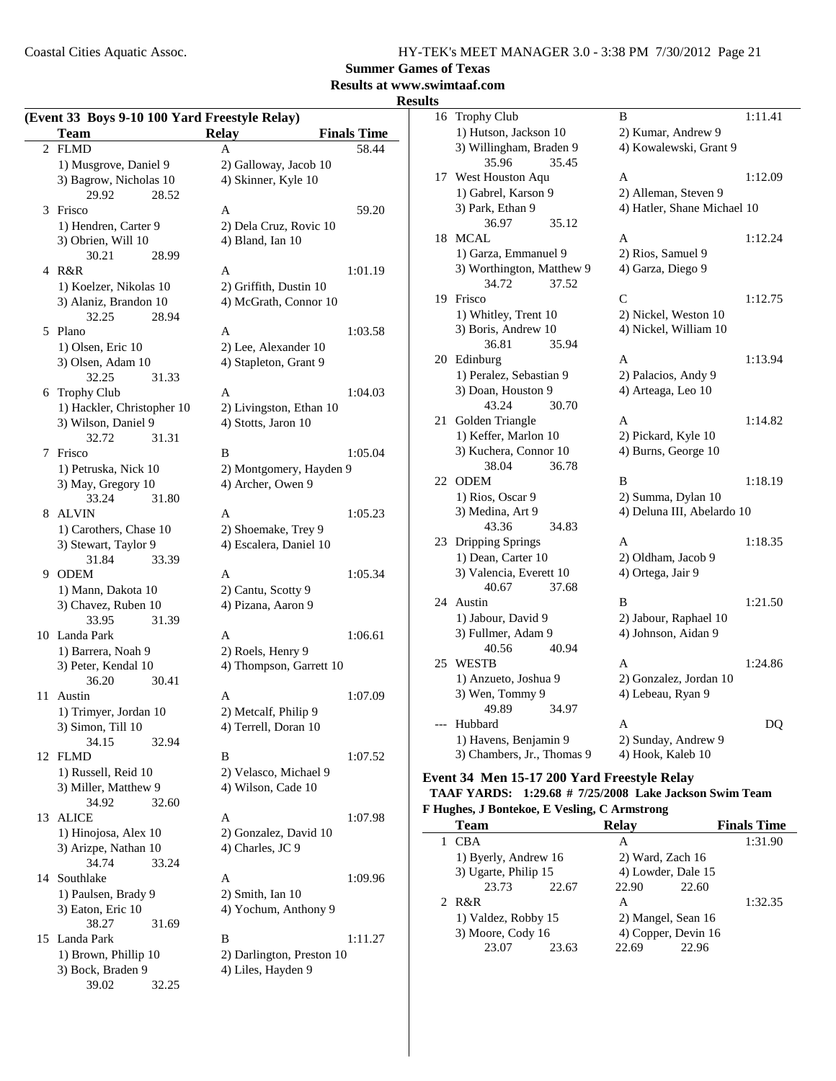**Summer Games of Texas**

### **Results at www.swimtaaf.com**

### **Results**

 $\overline{a}$ 

|                | (Event 33 Boys 9-10 100 Yard Freestyle Relay)<br><b>Team</b> | <b>Relay</b>                             | <b>Finals Time</b> |
|----------------|--------------------------------------------------------------|------------------------------------------|--------------------|
| $\overline{2}$ | <b>FLMD</b>                                                  | A                                        | 58.44              |
|                | 1) Musgrove, Daniel 9                                        | 2) Galloway, Jacob 10                    |                    |
|                | 3) Bagrow, Nicholas 10                                       | 4) Skinner, Kyle 10                      |                    |
|                | 29.92<br>28.52                                               |                                          |                    |
| 3              | Frisco                                                       | Α                                        | 59.20              |
|                | 1) Hendren, Carter 9                                         | 2) Dela Cruz, Rovic 10                   |                    |
|                | 3) Obrien, Will 10                                           | 4) Bland, Ian 10                         |                    |
|                | 30.21<br>28.99                                               |                                          |                    |
|                | 4 R&R                                                        | A                                        | 1:01.19            |
|                | 1) Koelzer, Nikolas 10                                       | 2) Griffith, Dustin 10                   |                    |
|                | 3) Alaniz, Brandon 10                                        | 4) McGrath, Connor 10                    |                    |
|                | 32.25<br>28.94                                               |                                          |                    |
| 5              | Plano                                                        | A                                        | 1:03.58            |
|                | 1) Olsen, Eric 10                                            | 2) Lee, Alexander 10                     |                    |
|                | 3) Olsen, Adam 10                                            | 4) Stapleton, Grant 9                    |                    |
|                | 32.25<br>31.33                                               |                                          |                    |
| 6              | <b>Trophy Club</b>                                           | A                                        | 1:04.03            |
|                | 1) Hackler, Christopher 10                                   | 2) Livingston, Ethan 10                  |                    |
|                | 3) Wilson, Daniel 9                                          | 4) Stotts, Jaron 10                      |                    |
|                | 32.72<br>31.31                                               |                                          |                    |
| 7              | Frisco                                                       | B                                        | 1:05.04            |
|                | 1) Petruska, Nick 10                                         | 2) Montgomery, Hayden 9                  |                    |
|                | 3) May, Gregory 10                                           | 4) Archer, Owen 9                        |                    |
|                | 33.24<br>31.80                                               |                                          |                    |
| 8              | <b>ALVIN</b>                                                 | A                                        | 1:05.23            |
|                | 1) Carothers, Chase 10                                       | 2) Shoemake, Trey 9                      |                    |
|                | 3) Stewart, Taylor 9                                         | 4) Escalera, Daniel 10                   |                    |
|                | 33.39<br>31.84<br>9 ODEM                                     |                                          |                    |
|                | 1) Mann, Dakota 10                                           | A                                        | 1:05.34            |
|                | 3) Chavez, Ruben 10                                          | 2) Cantu, Scotty 9<br>4) Pizana, Aaron 9 |                    |
|                | 33.95<br>31.39                                               |                                          |                    |
|                | 10 Landa Park                                                | A                                        | 1:06.61            |
|                | 1) Barrera, Noah 9                                           | 2) Roels, Henry 9                        |                    |
|                | 3) Peter, Kendal 10                                          | 4) Thompson, Garrett 10                  |                    |
|                | 36.20<br>30.41                                               |                                          |                    |
| 11             | Austin                                                       | A                                        | 1:07.09            |
|                | 1) Trimyer, Jordan 10                                        | 2) Metcalf, Philip 9                     |                    |
|                | 3) Simon, Till 10                                            | 4) Terrell, Doran 10                     |                    |
|                | 34.15<br>32.94                                               |                                          |                    |
|                | 12 FLMD                                                      | В                                        | 1:07.52            |
|                | 1) Russell, Reid 10                                          | 2) Velasco, Michael 9                    |                    |
|                | 3) Miller, Matthew 9                                         | 4) Wilson, Cade 10                       |                    |
|                | 34.92<br>32.60                                               |                                          |                    |
| 13             | <b>ALICE</b>                                                 | A                                        | 1:07.98            |
|                | 1) Hinojosa, Alex 10                                         | 2) Gonzalez, David 10                    |                    |
|                | 3) Arizpe, Nathan 10                                         | 4) Charles, JC 9                         |                    |
|                | 34.74<br>33.24                                               |                                          |                    |
|                | 14 Southlake                                                 | A                                        | 1:09.96            |
|                | 1) Paulsen, Brady 9                                          | 2) Smith, Ian 10                         |                    |
|                | 3) Eaton, Eric 10                                            | 4) Yochum, Anthony 9                     |                    |
|                | 38.27<br>31.69                                               |                                          |                    |
|                | 15 Landa Park                                                | B                                        | 1:11.27            |
|                | 1) Brown, Phillip 10                                         | 2) Darlington, Preston 10                |                    |
|                | 3) Bock, Braden 9                                            | 4) Liles, Hayden 9                       |                    |
|                | 39.02<br>32.25                                               |                                          |                    |

| 16  | <b>Trophy Club</b>         |       | В                           | 1:11.41 |
|-----|----------------------------|-------|-----------------------------|---------|
|     | 1) Hutson, Jackson 10      |       | 2) Kumar, Andrew 9          |         |
|     | 3) Willingham, Braden 9    |       | 4) Kowalewski, Grant 9      |         |
|     | 35.96                      | 35.45 |                             |         |
| 17  | West Houston Aqu           |       | A                           | 1:12.09 |
|     | 1) Gabrel, Karson 9        |       | 2) Alleman, Steven 9        |         |
|     | 3) Park, Ethan 9           |       | 4) Hatler, Shane Michael 10 |         |
|     | 36.97                      | 35.12 |                             |         |
| 18  | <b>MCAL</b>                |       | A                           | 1:12.24 |
|     | 1) Garza, Emmanuel 9       |       | 2) Rios, Samuel 9           |         |
|     | 3) Worthington, Matthew 9  |       | 4) Garza, Diego 9           |         |
|     | 34.72                      | 37.52 |                             |         |
| 19  | Frisco                     |       | C                           | 1:12.75 |
|     | 1) Whitley, Trent 10       |       | 2) Nickel, Weston 10        |         |
|     | 3) Boris, Andrew 10        |       | 4) Nickel, William 10       |         |
|     | 36.81                      | 35.94 |                             |         |
| 20  | Edinburg                   |       | A                           | 1:13.94 |
|     | 1) Peralez, Sebastian 9    |       | 2) Palacios, Andy 9         |         |
|     | 3) Doan, Houston 9         |       | 4) Arteaga, Leo 10          |         |
|     | 43.24                      | 30.70 |                             |         |
| 21  | Golden Triangle            |       | А                           | 1:14.82 |
|     | 1) Keffer, Marlon 10       |       | 2) Pickard, Kyle 10         |         |
|     | 3) Kuchera, Connor 10      |       | 4) Burns, George 10         |         |
|     | 38.04                      | 36.78 |                             |         |
| 22  | <b>ODEM</b>                |       | B                           | 1:18.19 |
|     | 1) Rios, Oscar 9           |       | 2) Summa, Dylan 10          |         |
|     | 3) Medina, Art 9           |       | 4) Deluna III, Abelardo 10  |         |
|     | 43.36                      | 34.83 |                             |         |
| 23  | <b>Dripping Springs</b>    |       | A                           | 1:18.35 |
|     | 1) Dean, Carter 10         |       | 2) Oldham, Jacob 9          |         |
|     | 3) Valencia, Everett 10    |       | 4) Ortega, Jair 9           |         |
|     | 40.67                      | 37.68 |                             |         |
| 24  | Austin                     |       | B                           | 1:21.50 |
|     | 1) Jabour, David 9         |       | 2) Jabour, Raphael 10       |         |
|     | 3) Fullmer, Adam 9         |       | 4) Johnson, Aidan 9         |         |
|     | 40.56                      | 40.94 |                             |         |
| 25  | <b>WESTB</b>               |       | A                           | 1:24.86 |
|     | 1) Anzueto, Joshua 9       |       | 2) Gonzalez, Jordan 10      |         |
|     | 3) Wen, Tommy 9            |       | 4) Lebeau, Ryan 9           |         |
|     | 49.89                      | 34.97 |                             |         |
| --- | Hubbard                    |       | A                           | DQ      |
|     | 1) Havens, Benjamin 9      |       | 2) Sunday, Andrew 9         |         |
|     | 3) Chambers, Jr., Thomas 9 |       | 4) Hook, Kaleb 10           |         |
|     |                            |       |                             |         |

#### **Event 34 Men 15-17 200 Yard Freestyle Relay TAAF YARDS:** 1:29.68 # 7/25/2008 Lake Jackson Swim Team

# **F Hughes, J Bontekoe, E Vesling, C Armstrong**

|     | <b>Finals Time</b>  |
|-----|---------------------|
|     | 1:31.90             |
|     |                     |
|     | 4) Lowder, Dale 15  |
|     |                     |
| R&R | 1:32.35             |
|     | 2) Mangel, Sean 16  |
|     | 4) Copper, Devin 16 |
|     |                     |
|     |                     |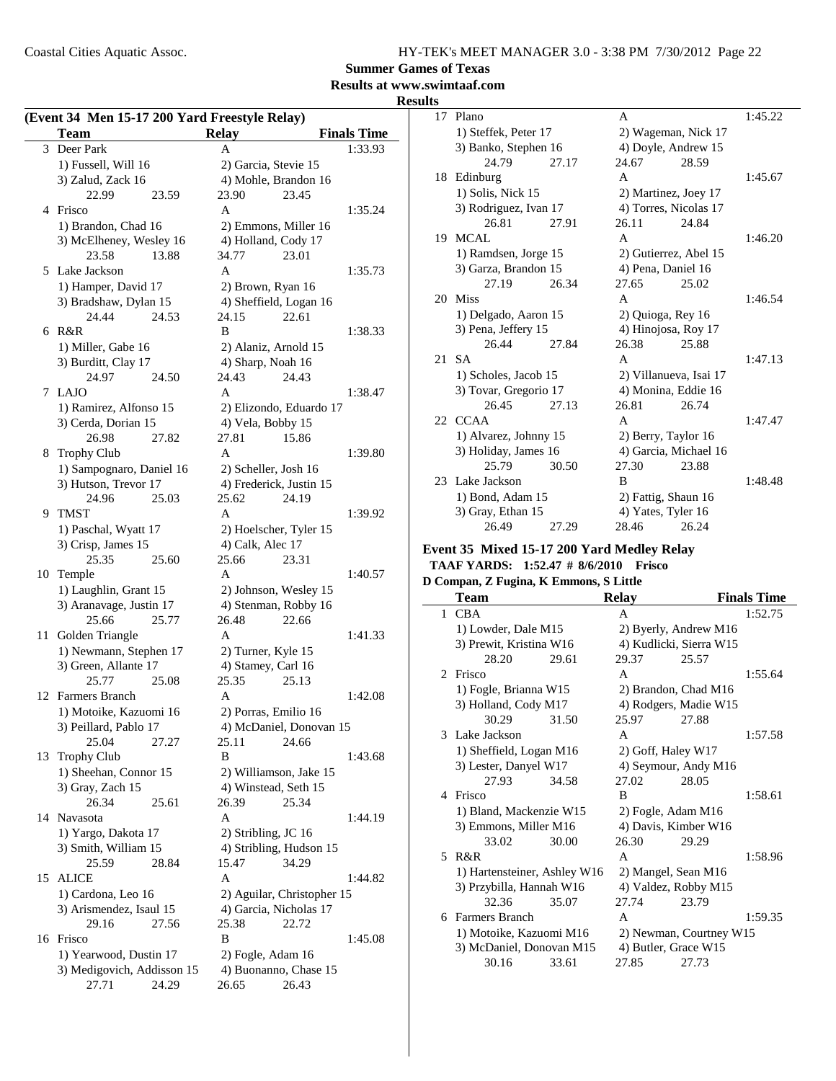**Summer Games of Texas**

### **Results at www.swimtaaf.com**

**Results**

|    | (Event 34 Men 15-17 200 Yard Freestyle Relay) |                                           |                    |
|----|-----------------------------------------------|-------------------------------------------|--------------------|
|    | <b>Team</b>                                   | <b>Relay</b>                              | <b>Finals Time</b> |
| 3  | Deer Park                                     | A                                         | 1:33.93            |
|    | 1) Fussell, Will 16                           | 2) Garcia, Stevie 15                      |                    |
|    | 3) Zalud, Zack 16                             | 4) Mohle, Brandon 16                      |                    |
|    | 22.99<br>23.59                                | 23.90<br>23.45                            |                    |
|    | 4 Frisco                                      | A                                         | 1:35.24            |
|    | 1) Brandon, Chad 16                           | 2) Emmons, Miller 16                      |                    |
|    | 3) McElheney, Wesley 16                       | 4) Holland, Cody 17                       |                    |
|    | 23.58<br>13.88                                | 34.77<br>23.01                            |                    |
|    | 5 Lake Jackson                                | A                                         | 1:35.73            |
|    | 1) Hamper, David 17                           | 2) Brown, Ryan 16                         |                    |
|    | 3) Bradshaw, Dylan 15                         | 4) Sheffield, Logan 16                    |                    |
|    | 24.44<br>24.53                                | 24.15<br>22.61                            |                    |
| 6  | R&R                                           | B                                         | 1:38.33            |
|    | 1) Miller, Gabe 16                            | 2) Alaniz, Arnold 15                      |                    |
|    | 3) Burditt, Clay 17                           | 4) Sharp, Noah 16                         |                    |
|    | 24.97<br>24.50                                | 24.43<br>24.43                            |                    |
| 7  | <b>LAJO</b>                                   | A                                         | 1:38.47            |
|    | 1) Ramirez, Alfonso 15                        | 2) Elizondo, Eduardo 17                   |                    |
|    | 3) Cerda, Dorian 15                           | 4) Vela, Bobby 15                         |                    |
|    | 26.98<br>27.82                                | 27.81<br>15.86                            |                    |
| 8  | <b>Trophy Club</b>                            | A                                         | 1:39.80            |
|    | 1) Sampognaro, Daniel 16                      | 2) Scheller, Josh 16                      |                    |
|    | 3) Hutson, Trevor 17                          | 4) Frederick, Justin 15                   |                    |
|    | 24.96<br>25.03                                | 25.62<br>24.19                            |                    |
| 9  | <b>TMST</b>                                   | A                                         | 1:39.92            |
|    | 1) Paschal, Wyatt 17                          | 2) Hoelscher, Tyler 15                    |                    |
|    | 3) Crisp, James 15                            | 4) Calk, Alec 17                          |                    |
|    | 25.35<br>25.60                                | 25.66<br>23.31                            |                    |
| 10 | Temple                                        | A                                         | 1:40.57            |
|    | 1) Laughlin, Grant 15                         | 2) Johnson, Wesley 15                     |                    |
|    | 3) Aranavage, Justin 17<br>25.66              | 4) Stenman, Robby 16                      |                    |
|    | 25.77                                         | 26.48<br>22.66<br>A                       |                    |
| 11 | Golden Triangle                               |                                           | 1:41.33            |
|    | 1) Newmann, Stephen 17                        | 2) Turner, Kyle 15                        |                    |
|    | 3) Green, Allante 17<br>25.77                 | 4) Stamey, Carl 16<br>25.35<br>25.13      |                    |
| 12 | 25.08<br><b>Farmers Branch</b>                | A                                         | 1:42.08            |
|    | 1) Motoike, Kazuomi 16                        | 2) Porras, Emilio 16                      |                    |
|    |                                               |                                           |                    |
|    | 3) Peillard, Pablo 17<br>25.04<br>27.27       | 4) McDaniel, Donovan 15<br>25.11<br>24.66 |                    |
| 13 | <b>Trophy Club</b>                            | B                                         | 1:43.68            |
|    | 1) Sheehan, Connor 15                         | 2) Williamson, Jake 15                    |                    |
|    | 3) Gray, Zach 15                              | 4) Winstead, Seth 15                      |                    |
|    | 26.34<br>25.61                                | 26.39<br>25.34                            |                    |
|    | 14 Navasota                                   | A                                         | 1:44.19            |
|    | 1) Yargo, Dakota 17                           | 2) Stribling, JC 16                       |                    |
|    | 3) Smith, William 15                          | 4) Stribling, Hudson 15                   |                    |
|    | 28.84<br>25.59                                | 15.47<br>34.29                            |                    |
| 15 | <b>ALICE</b>                                  | A                                         | 1:44.82            |
|    | 1) Cardona, Leo 16                            | 2) Aguilar, Christopher 15                |                    |
|    | 3) Arismendez, Isaul 15                       | 4) Garcia, Nicholas 17                    |                    |
|    | 29.16<br>27.56                                | 22.72<br>25.38                            |                    |
|    | 16 Frisco                                     | B                                         | 1:45.08            |
|    | 1) Yearwood, Dustin 17                        | 2) Fogle, Adam 16                         |                    |
|    | 3) Medigovich, Addisson 15                    | 4) Buonanno, Chase 15                     |                    |
|    | 24.29<br>27.71                                | 26.65<br>26.43                            |                    |
|    |                                               |                                           |                    |

| 17 | Plano                 |       | A                      |       | 1:45.22 |
|----|-----------------------|-------|------------------------|-------|---------|
|    | 1) Steffek, Peter 17  |       | 2) Wageman, Nick 17    |       |         |
|    | 3) Banko, Stephen 16  |       | 4) Doyle, Andrew 15    |       |         |
|    | 24.79                 | 27.17 | 24.67                  | 28.59 |         |
| 18 | Edinburg              |       | A                      |       | 1:45.67 |
|    | 1) Solis, Nick 15     |       | 2) Martinez, Joey 17   |       |         |
|    | 3) Rodriguez, Ivan 17 |       | 4) Torres, Nicolas 17  |       |         |
|    | 26.81                 | 27.91 | 26.11                  | 24.84 |         |
| 19 | MCAL                  |       | A                      |       | 1:46.20 |
|    | 1) Ramdsen, Jorge 15  |       | 2) Gutierrez, Abel 15  |       |         |
|    | 3) Garza, Brandon 15  |       | 4) Pena, Daniel 16     |       |         |
|    | 27.19                 | 26.34 | 27.65                  | 25.02 |         |
| 20 | <b>Miss</b>           |       | A                      |       | 1:46.54 |
|    | 1) Delgado, Aaron 15  |       | 2) Quioga, Rey 16      |       |         |
|    | 3) Pena, Jeffery 15   |       | 4) Hinojosa, Roy 17    |       |         |
|    | 26.44                 | 27.84 | 26.38                  | 25.88 |         |
| 21 | SА                    |       | A                      |       | 1:47.13 |
|    | 1) Scholes, Jacob 15  |       | 2) Villanueva, Isai 17 |       |         |
|    | 3) Tovar, Gregorio 17 |       | 4) Monina, Eddie 16    |       |         |
|    | 26.45                 | 27.13 | 26.81                  | 26.74 |         |
|    | 22 CCAA               |       | A                      |       | 1:47.47 |
|    | 1) Alvarez, Johnny 15 |       | 2) Berry, Taylor 16    |       |         |
|    | 3) Holiday, James 16  |       | 4) Garcia, Michael 16  |       |         |
|    | 25.79                 | 30.50 | 27.30                  | 23.88 |         |
| 23 | Lake Jackson          |       | B                      |       | 1:48.48 |
|    | 1) Bond, Adam 15      |       | 2) Fattig, Shaun 16    |       |         |
|    | 3) Gray, Ethan 15     |       | 4) Yates, Tyler 16     |       |         |
|    | 26.49                 | 27.29 | 28.46                  | 26.24 |         |
|    |                       |       |                        |       |         |

#### **Event 35 Mixed 15-17 200 Yard Medley Relay**

**TAAF YARDS:** 1:52.47 # 8/6/2010 Frisco

|             | D Compan, Z Fugina, K Emmons, S Little |       |                         |                         |                    |  |  |
|-------------|----------------------------------------|-------|-------------------------|-------------------------|--------------------|--|--|
|             | <b>Team</b>                            |       | Relay                   |                         | <b>Finals Time</b> |  |  |
|             | 1 CBA                                  |       | A                       |                         | 1:52.75            |  |  |
|             | 1) Lowder, Dale M15                    |       |                         | 2) Byerly, Andrew M16   |                    |  |  |
|             | 3) Prewit, Kristina W16                |       |                         | 4) Kudlicki, Sierra W15 |                    |  |  |
|             | 28.20                                  | 29.61 | 29.37                   | 25.57                   |                    |  |  |
| $2^{\circ}$ | Frisco                                 |       | A                       |                         | 1:55.64            |  |  |
|             | 1) Fogle, Brianna W15                  |       |                         | 2) Brandon, Chad M16    |                    |  |  |
|             | 3) Holland, Cody M17                   |       |                         | 4) Rodgers, Madie W15   |                    |  |  |
|             | 30.29                                  | 31.50 | 25.97                   | 27.88                   |                    |  |  |
|             | 3 Lake Jackson                         |       | A                       |                         | 1:57.58            |  |  |
|             | 1) Sheffield, Logan M16                |       |                         | 2) Goff, Haley W17      |                    |  |  |
|             | 3) Lester, Danyel W17                  |       |                         | 4) Seymour, Andy M16    |                    |  |  |
|             | 27.93                                  | 34.58 | 27.02                   | 28.05                   |                    |  |  |
|             | 4 Frisco                               |       | B                       |                         | 1:58.61            |  |  |
|             | 1) Bland, Mackenzie W15                |       | 2) Fogle, Adam M16      |                         |                    |  |  |
|             | 3) Emmons, Miller M16                  |       | 4) Davis, Kimber W16    |                         |                    |  |  |
|             | 33.02                                  | 30.00 | 26.30                   | 29.29                   |                    |  |  |
|             | 5 R&R                                  |       | A                       |                         | 1:58.96            |  |  |
|             | 1) Hartensteiner, Ashley W16           |       |                         | 2) Mangel, Sean M16     |                    |  |  |
|             | 3) Przybilla, Hannah W16               |       |                         | 4) Valdez, Robby M15    |                    |  |  |
|             | 32.36                                  | 35.07 | 27.74                   | 23.79                   |                    |  |  |
|             | 6 Farmers Branch                       |       | A                       |                         | 1:59.35            |  |  |
|             | 1) Motoike, Kazuomi M16                |       | 2) Newman, Courtney W15 |                         |                    |  |  |
|             | 3) McDaniel, Donovan M15               |       |                         | 4) Butler, Grace W15    |                    |  |  |
|             | 30.16                                  | 33.61 | 27.85                   | 27.73                   |                    |  |  |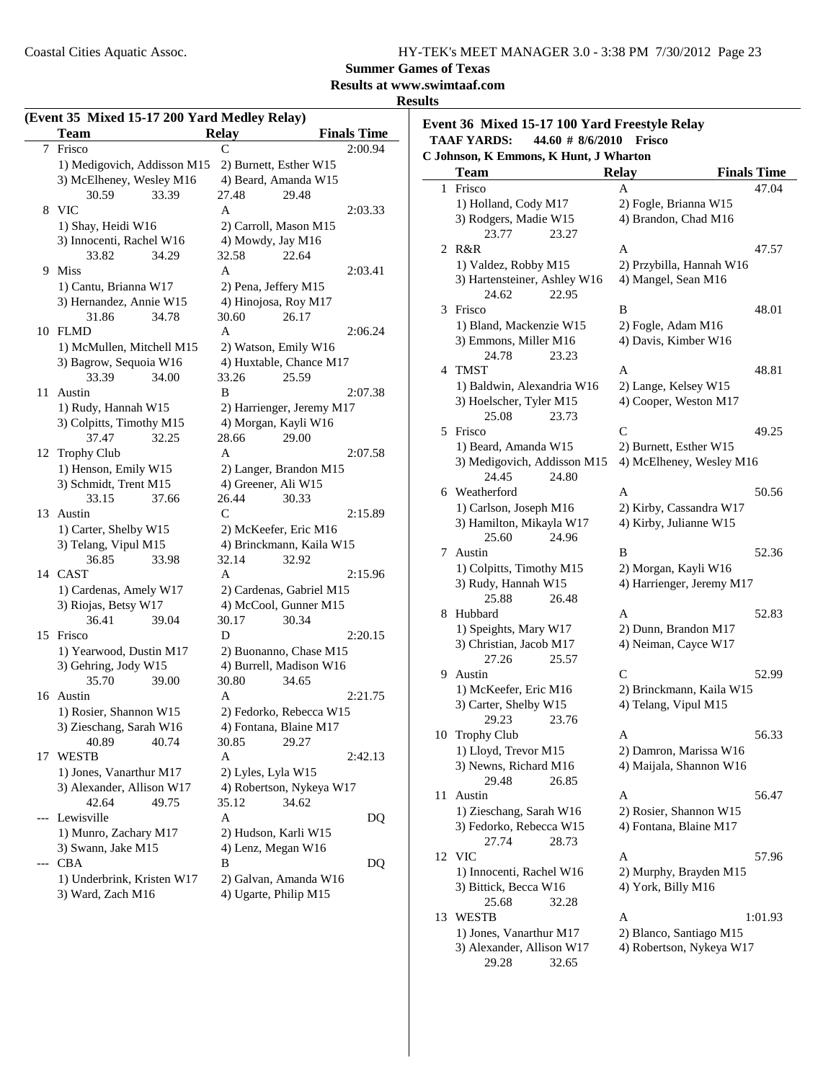### **Results at www.swimtaaf.com**

#### **Results**

|    | <b>Team</b>                                     | rara mean,<br><b>Relay</b>                        | <b>Finals Time</b> |
|----|-------------------------------------------------|---------------------------------------------------|--------------------|
| 7  | Frisco                                          |                                                   | 2:00.94            |
|    | 1) Medigovich, Addisson M15                     | 2) Burnett, Esther W15                            |                    |
|    | 3) McElheney, Wesley M16                        | 4) Beard, Amanda W15                              |                    |
|    | 30.59<br>33.39                                  | 27.48                                             | 29.48              |
| 8  | <b>VIC</b>                                      | A                                                 | 2:03.33            |
|    | 1) Shay, Heidi W16                              | 2) Carroll, Mason M15                             |                    |
|    | 3) Innocenti, Rachel W16                        | 4) Mowdy, Jay M16                                 |                    |
|    | 34.29<br>33.82                                  | 32.58                                             | 22.64              |
| 9  | <b>Miss</b>                                     | A                                                 | 2:03.41            |
|    | 1) Cantu, Brianna W17                           | 2) Pena, Jeffery M15                              |                    |
|    | 3) Hernandez, Annie W15                         | 4) Hinojosa, Roy M17                              |                    |
|    | 31.86<br>34.78                                  | 30.60                                             | 26.17              |
|    | 10 FLMD                                         | A                                                 | 2:06.24            |
|    | 1) McMullen, Mitchell M15                       | 2) Watson, Emily W16                              |                    |
|    | 3) Bagrow, Sequoia W16                          | 4) Huxtable, Chance M17                           |                    |
|    | 33.39<br>34.00                                  | 33.26                                             | 25.59              |
| 11 | Austin                                          | B                                                 | 2:07.38            |
|    | 1) Rudy, Hannah W15                             | 2) Harrienger, Jeremy M17                         |                    |
|    | 3) Colpitts, Timothy M15                        | 4) Morgan, Kayli W16                              |                    |
|    | 37.47<br>32.25                                  | 28.66                                             | 29.00              |
| 12 | <b>Trophy Club</b>                              | A                                                 | 2:07.58            |
|    | 1) Henson, Emily W15                            | 2) Langer, Brandon M15                            |                    |
|    | 3) Schmidt, Trent M15                           | 4) Greener, Ali W15                               |                    |
|    | 33.15<br>37.66                                  | 26.44                                             | 30.33              |
| 13 | Austin                                          | C                                                 | 2:15.89            |
|    | 1) Carter, Shelby W15                           | 2) McKeefer, Eric M16                             |                    |
|    | 3) Telang, Vipul M15                            | 4) Brinckmann, Kaila W15                          |                    |
|    | 36.85<br>33.98                                  | 32.14                                             | 32.92              |
| 14 | <b>CAST</b>                                     | A                                                 | 2:15.96            |
|    | 1) Cardenas, Amely W17                          | 2) Cardenas, Gabriel M15                          |                    |
|    | 3) Riojas, Betsy W17                            | 4) McCool, Gunner M15                             |                    |
|    | 36.41<br>39.04                                  | 30.17<br>D                                        | 30.34              |
| 15 | Frisco                                          |                                                   | 2:20.15            |
|    | 1) Yearwood, Dustin M17<br>3) Gehring, Jody W15 | 2) Buonanno, Chase M15<br>4) Burrell, Madison W16 |                    |
|    | 35.70<br>39.00                                  | 30.80                                             | 34.65              |
| 16 | Austin                                          | A                                                 | 2:21.75            |
|    | 1) Rosier, Shannon W15                          | 2) Fedorko, Rebecca W15                           |                    |
|    | 3) Zieschang, Sarah W16                         | 4) Fontana, Blaine M17                            |                    |
|    | 40.89<br>40.74                                  | 30.85                                             | 29.27              |
| 17 | WESTB                                           | Α                                                 | 2:42.13            |
|    | 1) Jones, Vanarthur M17                         | 2) Lyles, Lyla W15                                |                    |
|    | 3) Alexander, Allison W17                       | 4) Robertson, Nykeya W17                          |                    |
|    | 42.64<br>49.75                                  | 35.12                                             | 34.62              |
|    | Lewisville                                      | Α                                                 | DQ                 |
|    | 1) Munro, Zachary M17                           | 2) Hudson, Karli W15                              |                    |
|    | 3) Swann, Jake M15                              | 4) Lenz, Megan W16                                |                    |
|    | <b>CBA</b>                                      | В                                                 | DO.                |
|    | 1) Underbrink, Kristen W17                      | 2) Galvan, Amanda W16                             |                    |
|    | 3) Ward, Zach M16                               | 4) Ugarte, Philip M15                             |                    |

#### **Event 36 Mixed 15-17 100 Yard Freestyle Relay TAAF YARDS: 44.60 # Frisco 8/6/2010 C** Johnson

|    | Johnson, K Emmons, K Hunt, J Wharton |                           |                    |
|----|--------------------------------------|---------------------------|--------------------|
|    | <b>Team</b>                          | <b>Relay</b>              | <b>Finals Time</b> |
| 1  | Frisco                               | A                         | 47.04              |
|    | 1) Holland, Cody M17                 | 2) Fogle, Brianna W15     |                    |
|    | 3) Rodgers, Madie W15                | 4) Brandon, Chad M16      |                    |
|    | 23.77<br>23.27                       |                           |                    |
| 2  | R&R                                  | A                         | 47.57              |
|    | 1) Valdez, Robby M15                 | 2) Przybilla, Hannah W16  |                    |
|    | 3) Hartensteiner, Ashley W16         | 4) Mangel, Sean M16       |                    |
|    | 22.95<br>24.62                       |                           |                    |
| 3  | Frisco                               | B                         | 48.01              |
|    | 1) Bland, Mackenzie W15              | 2) Fogle, Adam M16        |                    |
|    | 3) Emmons, Miller M16                | 4) Davis, Kimber W16      |                    |
|    | 24.78<br>23.23                       |                           |                    |
| 4  | <b>TMST</b>                          | A                         | 48.81              |
|    | 1) Baldwin, Alexandria W16           | 2) Lange, Kelsey W15      |                    |
|    | 3) Hoelscher, Tyler M15              | 4) Cooper, Weston M17     |                    |
|    | 25.08<br>23.73                       |                           |                    |
| 5  | Frisco                               | C                         | 49.25              |
|    | 1) Beard, Amanda W15                 | 2) Burnett, Esther W15    |                    |
|    |                                      | 4) McElheney, Wesley M16  |                    |
|    | 3) Medigovich, Addisson M15<br>24.45 |                           |                    |
|    | 24.80<br>6 Weatherford               | A                         | 50.56              |
|    |                                      |                           |                    |
|    | 1) Carlson, Joseph M16               | 2) Kirby, Cassandra W17   |                    |
|    | 3) Hamilton, Mikayla W17             | 4) Kirby, Julianne W15    |                    |
|    | 25.60<br>24.96                       |                           |                    |
| 7  | Austin                               | B                         | 52.36              |
|    | 1) Colpitts, Timothy M15             | 2) Morgan, Kayli W16      |                    |
|    | 3) Rudy, Hannah W15                  | 4) Harrienger, Jeremy M17 |                    |
|    | 25.88<br>26.48                       |                           |                    |
| 8  | Hubbard                              | A                         | 52.83              |
|    | 1) Speights, Mary W17                | 2) Dunn, Brandon M17      |                    |
|    | 3) Christian, Jacob M17              | 4) Neiman, Cayce W17      |                    |
|    | 27.26<br>25.57                       |                           |                    |
| 9  | Austin                               | C                         | 52.99              |
|    | 1) McKeefer, Eric M16                | 2) Brinckmann, Kaila W15  |                    |
|    | 3) Carter, Shelby W15                | 4) Telang, Vipul M15      |                    |
|    | 29.23<br>23.76                       |                           |                    |
| 10 | Trophy Club                          | A                         | 56.33              |
|    | 1) Lloyd, Trevor M15                 | 2) Damron, Marissa W16    |                    |
|    | 3) Newns, Richard M16                | 4) Maijala, Shannon W16   |                    |
|    | 29.48<br>26.85                       |                           |                    |
| 11 | Austin                               | Α                         | 56.47              |
|    | 1) Zieschang, Sarah W16              | 2) Rosier, Shannon W15    |                    |
|    | 3) Fedorko, Rebecca W15              | 4) Fontana, Blaine M17    |                    |
|    | 27.74<br>28.73                       |                           |                    |
| 12 | VIC                                  | A                         | 57.96              |
|    | 1) Innocenti, Rachel W16             | 2) Murphy, Brayden M15    |                    |
|    | 3) Bittick, Becca W16                | 4) York, Billy M16        |                    |
|    | 25.68<br>32.28                       |                           |                    |
| 13 | WESTB                                | A                         | 1:01.93            |
|    | 1) Jones, Vanarthur M17              | 2) Blanco, Santiago M15   |                    |
|    | 3) Alexander, Allison W17            | 4) Robertson, Nykeya W17  |                    |
|    | 29.28<br>32.65                       |                           |                    |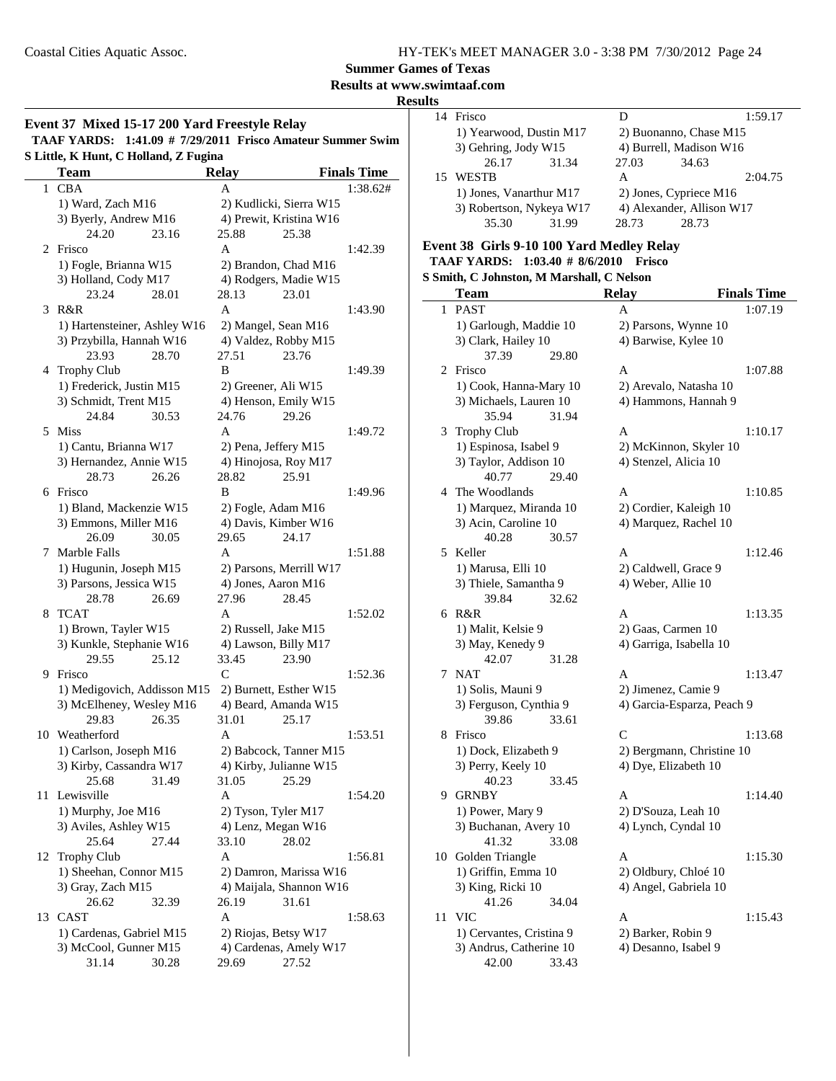L.

**Summer Games of Texas**

#### **Results at www.swimtaaf.com Results**

#### **Event 37 Mixed 15-17 200 Yard Freestyle Relay**

**TAAF YARDS: 1:41.09 # Frisco Amateur Summer Swim 7/29/2011 S Little, K Hunt, C Holland, Z Fugina**

|              | пин, іх пиш, є попана, <i>п</i> і а <u>д</u> ша<br><b>Team</b> |                         |                    |
|--------------|----------------------------------------------------------------|-------------------------|--------------------|
|              |                                                                | Relay<br>A              | <b>Finals Time</b> |
| $\mathbf{1}$ | <b>CBA</b>                                                     |                         | 1:38.62#           |
|              | 1) Ward, Zach M16                                              | 2) Kudlicki, Sierra W15 |                    |
|              | 3) Byerly, Andrew M16                                          | 4) Prewit, Kristina W16 |                    |
|              | 24.20<br>23.16                                                 | 25.88<br>25.38          |                    |
|              | 2 Frisco                                                       | A                       | 1:42.39            |
|              | 1) Fogle, Brianna W15                                          | 2) Brandon, Chad M16    |                    |
|              | 3) Holland, Cody M17                                           | 4) Rodgers, Madie W15   |                    |
|              | 23.24<br>28.01                                                 | 28.13<br>23.01          |                    |
| 3            | R&R                                                            | A                       | 1:43.90            |
|              | 1) Hartensteiner, Ashley W16                                   | 2) Mangel, Sean M16     |                    |
|              | 3) Przybilla, Hannah W16                                       | 4) Valdez, Robby M15    |                    |
|              | 23.93<br>28.70                                                 | 23.76<br>27.51          |                    |
|              | 4 Trophy Club                                                  | B                       | 1:49.39            |
|              | 1) Frederick, Justin M15                                       | 2) Greener, Ali W15     |                    |
|              | 3) Schmidt, Trent M15                                          | 4) Henson, Emily W15    |                    |
|              | 24.84<br>30.53                                                 | 29.26<br>24.76          |                    |
| 5            | <b>Miss</b>                                                    | A                       | 1:49.72            |
|              | 1) Cantu, Brianna W17                                          | 2) Pena, Jeffery M15    |                    |
|              | 3) Hernandez, Annie W15                                        | 4) Hinojosa, Roy M17    |                    |
|              | 26.26<br>28.73                                                 | 28.82<br>25.91          |                    |
|              | 6 Frisco                                                       | B                       | 1:49.96            |
|              |                                                                |                         |                    |
|              | 1) Bland, Mackenzie W15                                        | 2) Fogle, Adam M16      |                    |
|              | 3) Emmons, Miller M16                                          | 4) Davis, Kimber W16    |                    |
|              | 26.09<br>30.05                                                 | 29.65<br>24.17          |                    |
| 7            | Marble Falls                                                   | A                       | 1:51.88            |
|              | 1) Hugunin, Joseph M15                                         | 2) Parsons, Merrill W17 |                    |
|              | 3) Parsons, Jessica W15                                        | 4) Jones, Aaron M16     |                    |
|              | 28.78<br>26.69                                                 | 27.96<br>28.45          |                    |
| 8            | <b>TCAT</b>                                                    | A                       | 1:52.02            |
|              | 1) Brown, Tayler W15                                           | 2) Russell, Jake M15    |                    |
|              | 3) Kunkle, Stephanie W16                                       | 4) Lawson, Billy M17    |                    |
|              | 29.55<br>25.12                                                 | 33.45<br>23.90          |                    |
|              | 9 Frisco                                                       | $\mathsf{C}$            | 1:52.36            |
|              | 1) Medigovich, Addisson M15                                    | 2) Burnett, Esther W15  |                    |
|              | 3) McElheney, Wesley M16                                       | 4) Beard, Amanda W15    |                    |
|              | 29.83<br>26.35                                                 | 31.01<br>25.17          |                    |
| 10           | Weatherford                                                    | A                       | 1:53.51            |
|              | 1) Carlson, Joseph M16                                         | 2) Babcock, Tanner M15  |                    |
|              | 3) Kirby, Cassandra W17                                        | 4) Kirby, Julianne W15  |                    |
|              | 31.49<br>25.68                                                 | 31.05<br>25.29          |                    |
|              | 11 Lewisville                                                  | A                       | 1:54.20            |
|              | 1) Murphy, Joe M16                                             | 2) Tyson, Tyler M17     |                    |
|              | 3) Aviles, Ashley W15                                          | 4) Lenz, Megan W16      |                    |
|              | 25.64<br>27.44                                                 | 33.10<br>28.02          |                    |
| 12           | <b>Trophy Club</b>                                             | A                       | 1:56.81            |
|              | 1) Sheehan, Connor M15                                         | 2) Damron, Marissa W16  |                    |
|              | 3) Gray, Zach M15                                              | 4) Maijala, Shannon W16 |                    |
|              | 26.62<br>32.39                                                 | 26.19<br>31.61          |                    |
| 13           | <b>CAST</b>                                                    | A                       | 1:58.63            |
|              |                                                                |                         |                    |
|              | 1) Cardenas, Gabriel M15                                       | 2) Riojas, Betsy W17    |                    |
|              | 3) McCool, Gunner M15                                          | 4) Cardenas, Amely W17  |                    |
|              | 31.14<br>30.28                                                 | 29.69<br>27.52          |                    |

| 14 Frisco                |       |       |                           | 1:59.17 |
|--------------------------|-------|-------|---------------------------|---------|
| 1) Yearwood, Dustin M17  |       |       | 2) Buonanno, Chase M15    |         |
| 3) Gehring, Jody W15     |       |       | 4) Burrell, Madison W16   |         |
| 26.17                    | 31.34 | 27.03 | 34.63                     |         |
| 15 WESTB                 |       | A     |                           | 2:04.75 |
| 1) Jones, Vanarthur M17  |       |       | 2) Jones, Cypriece M16    |         |
| 3) Robertson, Nykeya W17 |       |       | 4) Alexander, Allison W17 |         |
| 35.30                    | 31.99 | 28.73 | 28.73                     |         |
|                          |       |       |                           |         |

#### **Event 38 Girls 9-10 100 Yard Medley Relay TAAF YARDS:** 1:03.40 # 8/6/2010 **Frisco S Smith, C Johnston, M Marshall, C Nelson**

42.00 33.43

|    | энци, С Jоннѕюн, ім імаї ман, С і чеізон<br><b>Team</b> | <b>Relay</b>                                  | <b>Finals Time</b> |
|----|---------------------------------------------------------|-----------------------------------------------|--------------------|
| 1  | <b>PAST</b>                                             | A                                             | 1:07.19            |
|    | 1) Garlough, Maddie 10                                  | 2) Parsons, Wynne 10                          |                    |
|    | 3) Clark, Hailey 10                                     | 4) Barwise, Kylee 10                          |                    |
|    | 37.39<br>29.80                                          |                                               |                    |
| 2  | Frisco                                                  | A                                             | 1:07.88            |
|    | 1) Cook, Hanna-Mary 10                                  | 2) Arevalo, Natasha 10                        |                    |
|    | 3) Michaels, Lauren 10                                  | 4) Hammons, Hannah 9                          |                    |
|    | 35.94<br>31.94                                          |                                               |                    |
| 3  | Trophy Club                                             | A                                             | 1:10.17            |
|    | 1) Espinosa, Isabel 9                                   | 2) McKinnon, Skyler 10                        |                    |
|    | 3) Taylor, Addison 10                                   | 4) Stenzel, Alicia 10                         |                    |
|    | 40.77<br>29.40                                          |                                               |                    |
| 4  | The Woodlands                                           | A                                             | 1:10.85            |
|    | 1) Marquez, Miranda 10                                  | 2) Cordier, Kaleigh 10                        |                    |
|    | 3) Acin, Caroline 10                                    | 4) Marquez, Rachel 10                         |                    |
|    | 40.28<br>30.57                                          |                                               |                    |
| 5  | Keller                                                  | A                                             | 1:12.46            |
|    | 1) Marusa, Elli 10                                      | 2) Caldwell, Grace 9                          |                    |
|    | 3) Thiele, Samantha 9                                   | 4) Weber, Allie 10                            |                    |
|    | 39.84<br>32.62                                          |                                               |                    |
| 6  | R&R                                                     | A                                             | 1:13.35            |
|    | 1) Malit, Kelsie 9                                      | 2) Gaas, Carmen 10                            |                    |
|    | 3) May, Kenedy 9                                        | 4) Garriga, Isabella 10                       |                    |
|    | 42.07<br>31.28                                          |                                               |                    |
| 7  | <b>NAT</b>                                              | A                                             | 1:13.47            |
|    | 1) Solis, Mauni 9                                       | 2) Jimenez, Camie 9                           |                    |
|    | 3) Ferguson, Cynthia 9                                  | 4) Garcia-Esparza, Peach 9                    |                    |
|    | 39.86<br>33.61                                          |                                               |                    |
| 8  | Frisco                                                  | $\mathsf{C}$                                  | 1:13.68            |
|    | 1) Dock, Elizabeth 9                                    | 2) Bergmann, Christine 10                     |                    |
|    | 3) Perry, Keely 10                                      | 4) Dye, Elizabeth 10                          |                    |
|    | 40.23<br>33.45                                          |                                               |                    |
| 9. | <b>GRNBY</b>                                            | A                                             | 1:14.40            |
|    | 1) Power, Mary 9                                        | 2) D'Souza, Leah 10                           |                    |
|    | 3) Buchanan, Avery 10<br>33.08                          | 4) Lynch, Cyndal 10                           |                    |
|    | 41.32<br>10 Golden Triangle                             | A                                             | 1:15.30            |
|    |                                                         |                                               |                    |
|    | 1) Griffin, Emma 10<br>3) King, Ricki 10                | 2) Oldbury, Chloé 10<br>4) Angel, Gabriela 10 |                    |
|    | 41.26<br>34.04                                          |                                               |                    |
| 11 | <b>VIC</b>                                              | A                                             | 1:15.43            |
|    | 1) Cervantes, Cristina 9                                | 2) Barker, Robin 9                            |                    |
|    | 3) Andrus, Catherine 10                                 | 4) Desanno, Isabel 9                          |                    |
|    |                                                         |                                               |                    |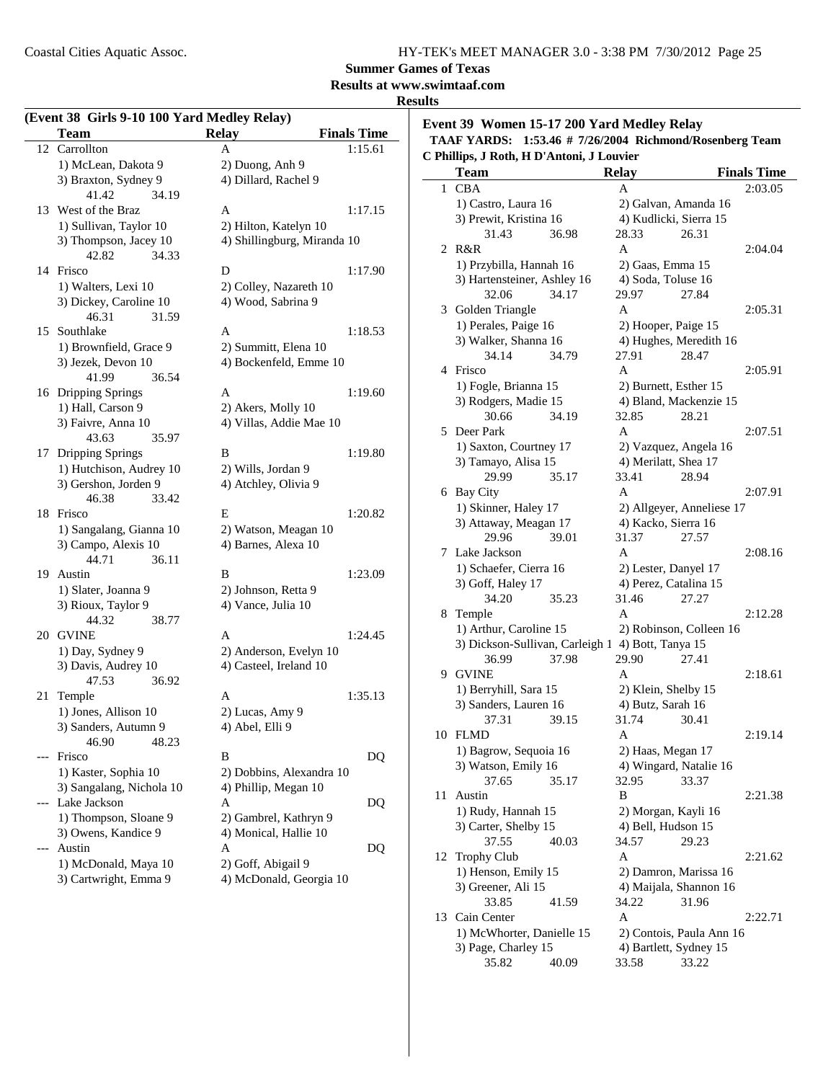### **Summer Games of Texas**

**Results at www.swimtaaf.com**

#### **Results**

| (Event 38 Girls 9-10 100 Yard Medley Relay) |                                  |                                    |  |  |
|---------------------------------------------|----------------------------------|------------------------------------|--|--|
|                                             | <b>Team</b>                      | <b>Relay</b><br><b>Finals Time</b> |  |  |
| 12                                          | Carrollton                       | 1:15.61<br>A                       |  |  |
|                                             | 1) McLean, Dakota 9              | 2) Duong, Anh 9                    |  |  |
|                                             | 3) Braxton, Sydney 9             | 4) Dillard, Rachel 9               |  |  |
|                                             | 41.42<br>34.19                   |                                    |  |  |
| 13                                          | West of the Braz                 | A<br>1:17.15                       |  |  |
|                                             | 1) Sullivan, Taylor 10           | 2) Hilton, Katelyn 10              |  |  |
|                                             | 3) Thompson, Jacey 10            | 4) Shillingburg, Miranda 10        |  |  |
|                                             | 42.82<br>34.33                   |                                    |  |  |
| 14                                          | Frisco                           | D<br>1:17.90                       |  |  |
|                                             | 1) Walters, Lexi 10              | 2) Colley, Nazareth 10             |  |  |
|                                             | 3) Dickey, Caroline 10           | 4) Wood, Sabrina 9                 |  |  |
|                                             | 46.31<br>31.59                   |                                    |  |  |
| 15                                          | Southlake                        | A<br>1:18.53                       |  |  |
|                                             | 1) Brownfield, Grace 9           | 2) Summitt, Elena 10               |  |  |
|                                             | 3) Jezek, Devon 10               | 4) Bockenfeld, Emme 10             |  |  |
|                                             | 41.99<br>36.54                   |                                    |  |  |
|                                             | 16 Dripping Springs              | A<br>1:19.60                       |  |  |
|                                             | 1) Hall, Carson 9                | 2) Akers, Molly 10                 |  |  |
|                                             | 3) Faivre, Anna 10<br>35.97      | 4) Villas, Addie Mae 10            |  |  |
|                                             | 43.63<br><b>Dripping Springs</b> | B<br>1:19.80                       |  |  |
| 17                                          | 1) Hutchison, Audrey 10          | 2) Wills, Jordan 9                 |  |  |
|                                             | 3) Gershon, Jorden 9             | 4) Atchley, Olivia 9               |  |  |
|                                             | 46.38<br>33.42                   |                                    |  |  |
| 18                                          | Frisco                           | E<br>1:20.82                       |  |  |
|                                             | 1) Sangalang, Gianna 10          | 2) Watson, Meagan 10               |  |  |
|                                             | 3) Campo, Alexis 10              | 4) Barnes, Alexa 10                |  |  |
|                                             | 44.71<br>36.11                   |                                    |  |  |
| 19                                          | Austin                           | B<br>1:23.09                       |  |  |
|                                             | 1) Slater, Joanna 9              | 2) Johnson, Retta 9                |  |  |
|                                             | 3) Rioux, Taylor 9               | 4) Vance, Julia 10                 |  |  |
|                                             | 44.32<br>38.77                   |                                    |  |  |
|                                             | 20 GVINE                         | A<br>1:24.45                       |  |  |
|                                             | 1) Day, Sydney 9                 | 2) Anderson, Evelyn 10             |  |  |
|                                             | 3) Davis, Audrey 10              | 4) Casteel, Ireland 10             |  |  |
|                                             | 47.53<br>36.92                   |                                    |  |  |
| 21                                          | Temple                           | A<br>1:35.13                       |  |  |
|                                             | 1) Jones, Allison 10             | 2) Lucas, Amy 9                    |  |  |
|                                             | 3) Sanders, Autumn 9             | 4) Abel, Elli 9                    |  |  |
|                                             | 46.90<br>48.23                   |                                    |  |  |
|                                             | Frisco                           | В<br>DQ                            |  |  |
|                                             | 1) Kaster, Sophia 10             | 2) Dobbins, Alexandra 10           |  |  |
|                                             | 3) Sangalang, Nichola 10         | 4) Phillip, Megan 10               |  |  |
|                                             | Lake Jackson                     | Α<br>DQ                            |  |  |
|                                             | 1) Thompson, Sloane 9            | 2) Gambrel, Kathryn 9              |  |  |
|                                             | 3) Owens, Kandice 9              | 4) Monical, Hallie 10              |  |  |
|                                             | Austin                           | Α<br>DQ                            |  |  |
|                                             | 1) McDonald, Maya 10             | 2) Goff, Abigail 9                 |  |  |
|                                             | 3) Cartwright, Emma 9            | 4) McDonald, Georgia 10            |  |  |

### **Event 39 Women 15-17 200 Yard Medley Relay TAAF YARDS: 1:53.46 # Richmond/Rosenberg Team 7/26/2004**

|    | C Phillips, J Roth, H D'Antoni, J Louvier         |                                          |                           |                    |
|----|---------------------------------------------------|------------------------------------------|---------------------------|--------------------|
|    | Team                                              | <b>Relay</b>                             |                           | <b>Finals Time</b> |
| 1  | <b>CBA</b>                                        | A                                        |                           | 2:03.05            |
|    | 1) Castro, Laura 16                               |                                          | 2) Galvan, Amanda 16      |                    |
|    | 3) Prewit, Kristina 16                            |                                          | 4) Kudlicki, Sierra 15    |                    |
|    | 31.43<br>36.98                                    | 28.33                                    | 26.31                     |                    |
|    | 2 R&R                                             | A                                        |                           | 2:04.04            |
|    | 1) Przybilla, Hannah 16                           | 2) Gaas, Emma 15                         |                           |                    |
|    | 3) Hartensteiner, Ashley 16                       | 4) Soda, Toluse 16                       |                           |                    |
|    | 34.17<br>32.06                                    | 29.97                                    | 27.84                     |                    |
| 3  | Golden Triangle                                   | A                                        |                           | 2:05.31            |
|    | 1) Perales, Paige 16                              | 2) Hooper, Paige 15                      |                           |                    |
|    | 3) Walker, Shanna 16                              |                                          | 4) Hughes, Meredith 16    |                    |
|    | 34.14<br>34.79                                    | 27.91                                    | 28.47                     |                    |
| 4  | Frisco                                            | A                                        |                           | 2:05.91            |
|    | 1) Fogle, Brianna 15                              |                                          | 2) Burnett, Esther 15     |                    |
|    | 3) Rodgers, Madie 15                              |                                          | 4) Bland, Mackenzie 15    |                    |
|    | 30.66<br>34.19                                    | 32.85                                    | 28.21                     |                    |
| 5  | Deer Park                                         | A                                        |                           | 2:07.51            |
|    | 1) Saxton, Courtney 17                            |                                          | 2) Vazquez, Angela 16     |                    |
|    | 3) Tamayo, Alisa 15                               | 4) Merilatt, Shea 17                     |                           |                    |
|    | 29.99<br>35.17                                    | 33.41                                    | 28.94                     |                    |
|    | 6 Bay City                                        | A                                        |                           | 2:07.91            |
|    | 1) Skinner, Haley 17                              |                                          | 2) Allgeyer, Anneliese 17 |                    |
|    | 3) Attaway, Meagan 17                             | 4) Kacko, Sierra 16                      |                           |                    |
|    | 29.96<br>39.01                                    | 31.37                                    | 27.57                     |                    |
| 7  | Lake Jackson                                      | A                                        |                           | 2:08.16            |
|    | 1) Schaefer, Cierra 16                            |                                          | 2) Lester, Danyel 17      |                    |
|    | 3) Goff, Haley 17                                 |                                          | 4) Perez, Catalina 15     |                    |
|    | 34.20<br>35.23                                    | 31.46                                    | 27.27                     |                    |
| 8  | Temple                                            | A                                        |                           | 2:12.28            |
|    | 1) Arthur, Caroline 15                            |                                          | 2) Robinson, Colleen 16   |                    |
|    | 3) Dickson-Sullivan, Carleigh 1 4) Bott, Tanya 15 |                                          |                           |                    |
| 9  | 36.99<br>37.98<br><b>GVINE</b>                    | 29.90<br>A                               | 27.41                     |                    |
|    |                                                   |                                          |                           | 2:18.61            |
|    | 1) Berryhill, Sara 15<br>3) Sanders, Lauren 16    | 2) Klein, Shelby 15<br>4) Butz, Sarah 16 |                           |                    |
|    | 37.31<br>39.15                                    | 31.74                                    | 30.41                     |                    |
|    | 10 FLMD                                           | A                                        |                           | 2:19.14            |
|    | 1) Bagrow, Sequoia 16                             | 2) Haas, Megan 17                        |                           |                    |
|    | 3) Watson, Emily 16                               |                                          | 4) Wingard, Natalie 16    |                    |
|    | 37.65<br>35.17                                    | 32.95                                    | 33.37                     |                    |
| 11 | Austin                                            | B                                        |                           | 2:21.38            |
|    | 1) Rudy, Hannah 15                                |                                          | 2) Morgan, Kayli 16       |                    |
|    | 3) Carter, Shelby 15                              | 4) Bell, Hudson 15                       |                           |                    |
|    | 37.55<br>40.03                                    | 34.57                                    | 29.23                     |                    |
| 12 | Trophy Club                                       | A                                        |                           | 2:21.62            |
|    | 1) Henson, Emily 15                               |                                          | 2) Damron, Marissa 16     |                    |
|    | 3) Greener, Ali 15                                |                                          | 4) Maijala, Shannon 16    |                    |
|    | 33.85<br>41.59                                    | 34.22                                    | 31.96                     |                    |
| 13 | Cain Center                                       | A                                        |                           | 2:22.71            |
|    | 1) McWhorter, Danielle 15                         |                                          | 2) Contois, Paula Ann 16  |                    |
|    | 3) Page, Charley 15                               |                                          | 4) Bartlett, Sydney 15    |                    |
|    | 40.09<br>35.82                                    | 33.58                                    | 33.22                     |                    |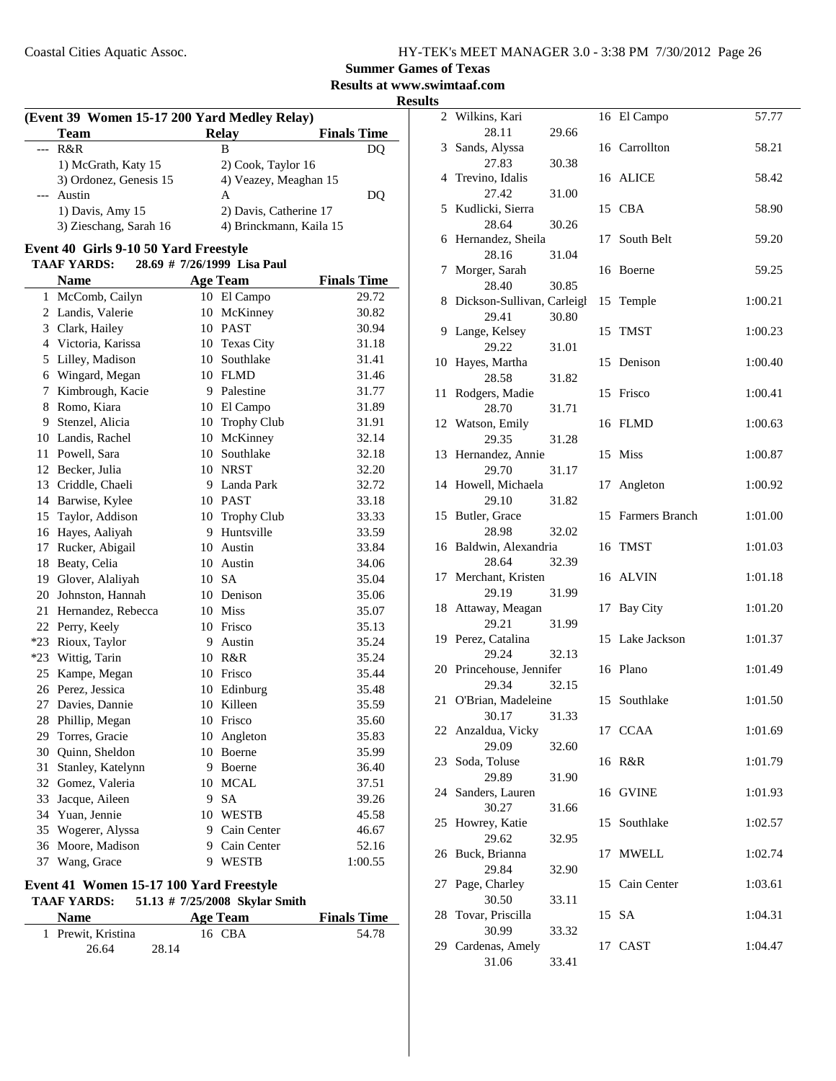### **Results at www.swimtaaf.com**

**Results**

| (Event 39 Women 15-17 200 Yard Medley Relay) |  |  |  |  |  |
|----------------------------------------------|--|--|--|--|--|
|----------------------------------------------|--|--|--|--|--|

| <b>Team</b>            | <b>Relay</b>            | <b>Finals Time</b> |
|------------------------|-------------------------|--------------------|
| $- R & R$              | в                       |                    |
| 1) McGrath, Katy 15    | 2) Cook, Taylor 16      |                    |
| 3) Ordonez, Genesis 15 | 4) Veazey, Meaghan 15   |                    |
| --- Austin             | А                       | DO                 |
| 1) Davis, Amy 15       | 2) Davis, Catherine 17  |                    |
| 3) Zieschang, Sarah 16 | 4) Brinckmann, Kaila 15 |                    |

#### **Event 40 Girls 9-10 50 Yard Freestyle**

j.

#### TAAF YARDS: 28.69 # 7/26/1999 Lisa Paul

|       | <b>Name</b>         |    | <b>Age Team</b>   | <b>Finals Time</b> |
|-------|---------------------|----|-------------------|--------------------|
| 1     | McComb, Cailyn      |    | 10 El Campo       | 29.72              |
|       | 2 Landis, Valerie   | 10 | McKinney          | 30.82              |
|       | 3 Clark, Hailey     |    | 10 PAST           | 30.94              |
|       | 4 Victoria, Karissa | 10 | <b>Texas City</b> | 31.18              |
| 5     | Lilley, Madison     | 10 | Southlake         | 31.41              |
|       | 6 Wingard, Megan    |    | 10 FLMD           | 31.46              |
| 7     | Kimbrough, Kacie    | 9  | Palestine         | 31.77              |
| 8     | Romo, Kiara         |    | 10 El Campo       | 31.89              |
| 9     | Stenzel, Alicia     |    | 10 Trophy Club    | 31.91              |
|       | 10 Landis, Rachel   | 10 | McKinney          | 32.14              |
| 11 -  | Powell, Sara        |    | 10 Southlake      | 32.18              |
|       | 12 Becker, Julia    |    | 10 NRST           | 32.20              |
| 13    | Criddle, Chaeli     | 9  | Landa Park        | 32.72              |
| 14    | Barwise, Kylee      |    | 10 PAST           | 33.18              |
| 15    | Taylor, Addison     |    | 10 Trophy Club    | 33.33              |
| 16    | Hayes, Aaliyah      | 9  | Huntsville        | 33.59              |
| 17    | Rucker, Abigail     |    | 10 Austin         | 33.84              |
| 18    | Beaty, Celia        | 10 | Austin            | 34.06              |
| 19    | Glover, Alaliyah    |    | 10 SA             | 35.04              |
| 20    | Johnston, Hannah    | 10 | Denison           | 35.06              |
| 21    | Hernandez, Rebecca  | 10 | Miss              | 35.07              |
|       | 22 Perry, Keely     | 10 | Frisco            | 35.13              |
| $*23$ | Rioux, Taylor       | 9  | Austin            | 35.24              |
| $*23$ | Wittig, Tarin       | 10 | R&R               | 35.24              |
| 25    | Kampe, Megan        | 10 | Frisco            | 35.44              |
| 26    | Perez, Jessica      | 10 | Edinburg          | 35.48              |
| 27    | Davies, Dannie      | 10 | Killeen           | 35.59              |
| 28    | Phillip, Megan      | 10 | Frisco            | 35.60              |
| 29    | Torres, Gracie      | 10 | Angleton          | 35.83              |
| 30    | Quinn, Sheldon      | 10 | Boerne            | 35.99              |
| 31    | Stanley, Katelynn   | 9  | Boerne            | 36.40              |
| 32    | Gomez, Valeria      | 10 | <b>MCAL</b>       | 37.51              |
| 33    | Jacque, Aileen      | 9  | <b>SA</b>         | 39.26              |
| 34    | Yuan, Jennie        | 10 | <b>WESTB</b>      | 45.58              |
| 35    | Wogerer, Alyssa     |    | 9 Cain Center     | 46.67              |
| 36    | Moore, Madison      | 9  | Cain Center       | 52.16              |
| 37    | Wang, Grace         | 9  | <b>WESTB</b>      | 1:00.55            |

#### **Event 41 Women 15-17 100 Yard Freestyle**

| <b>TAAF YARDS:</b> | 51.13 $\#$ 7/25/2008 Skylar Smith |  |
|--------------------|-----------------------------------|--|

| <b>Name</b>        | Age Team | <b>Finals Time</b> |
|--------------------|----------|--------------------|
| 1 Prewit, Kristina | 16 CBA   | 54.78              |
| 26.64              | 28.14    |                    |

| $\overline{2}$ | Wilkins, Kari              |       |    | 16 El Campo       | 57.77   |
|----------------|----------------------------|-------|----|-------------------|---------|
|                | 28.11                      | 29.66 |    |                   |         |
| 3              | Sands, Alyssa              |       |    | 16 Carrollton     | 58.21   |
|                | 27.83                      | 30.38 |    |                   |         |
| 4              | Trevino, Idalis            |       |    | 16 ALICE          | 58.42   |
|                | 27.42                      | 31.00 |    |                   |         |
| 5              | Kudlicki, Sierra           |       |    | 15 CBA            | 58.90   |
|                | 28.64                      | 30.26 |    |                   |         |
| 6              | Hernandez, Sheila          |       |    | 17 South Belt     | 59.20   |
|                | 28.16                      | 31.04 |    |                   |         |
| 7              | Morger, Sarah              |       |    | 16 Boerne         | 59.25   |
|                | 28.40                      | 30.85 |    |                   |         |
| 8              | Dickson-Sullivan, Carleigl |       |    | 15 Temple         | 1:00.21 |
|                | 29.41                      | 30.80 |    |                   |         |
| 9              | Lange, Kelsey              |       | 15 | TMST              | 1:00.23 |
|                | 29.22                      | 31.01 |    |                   |         |
| 10             | Hayes, Martha              |       | 15 | Denison           | 1:00.40 |
|                | 28.58                      | 31.82 |    |                   |         |
| 11             | Rodgers, Madie             |       |    | 15 Frisco         | 1:00.41 |
|                | 28.70                      | 31.71 |    |                   |         |
| 12             | Watson, Emily              |       |    | 16 FLMD           | 1:00.63 |
|                |                            |       |    |                   |         |
|                | 29.35                      | 31.28 |    |                   |         |
| 13             | Hernandez, Annie           |       |    | 15 Miss           | 1:00.87 |
|                | 29.70                      | 31.17 |    |                   |         |
|                | 14 Howell, Michaela        |       | 17 | Angleton          | 1:00.92 |
|                | 29.10                      | 31.82 |    |                   |         |
|                | 15 Butler, Grace           |       |    | 15 Farmers Branch | 1:01.00 |
|                | 28.98                      | 32.02 |    |                   |         |
| 16             | Baldwin, Alexandria        |       |    | 16 TMST           | 1:01.03 |
|                | 28.64                      | 32.39 |    |                   |         |
| 17             | Merchant, Kristen          |       |    | 16 ALVIN          | 1:01.18 |
|                | 29.19                      | 31.99 |    |                   |         |
| 18             | Attaway, Meagan            |       | 17 | <b>Bay City</b>   | 1:01.20 |
|                | 29.21                      | 31.99 |    |                   |         |
| 19             | Perez, Catalina            |       |    | 15 Lake Jackson   | 1:01.37 |
|                | 29.24                      | 32.13 |    |                   |         |
| 20             | Princehouse, Jennifer      |       |    | 16 Plano          | 1:01.49 |
|                | 29.34                      | 32.15 |    |                   |         |
| 21             | O'Brian, Madeleine         |       |    | 15 Southlake      | 1:01.50 |
|                | 30.17                      | 31.33 |    |                   |         |
|                | 22 Anzaldua, Vicky         |       |    | 17 CCAA           | 1:01.69 |
|                | 29.09                      | 32.60 |    |                   |         |
| 23             | Soda, Toluse               |       |    | 16 R&R            | 1:01.79 |
|                | 29.89                      | 31.90 |    |                   |         |
| 24             | Sanders, Lauren            |       |    | 16 GVINE          | 1:01.93 |
|                | 30.27                      | 31.66 |    |                   |         |
| 25             | Howrey, Katie              |       |    | 15 Southlake      | 1:02.57 |
|                | 29.62                      | 32.95 |    |                   |         |
| 26             | Buck, Brianna              |       |    | 17 MWELL          | 1:02.74 |
|                | 29.84                      |       |    |                   |         |
|                |                            | 32.90 |    |                   |         |
| 27             | Page, Charley              |       |    | 15 Cain Center    | 1:03.61 |
|                | 30.50                      | 33.11 |    |                   |         |
| 28             | Tovar, Priscilla           |       |    | 15 SA             | 1:04.31 |
|                | 30.99                      | 33.32 |    |                   |         |
| 29             | Cardenas, Amely            |       |    | 17 CAST           | 1:04.47 |
|                | 31.06                      | 33.41 |    |                   |         |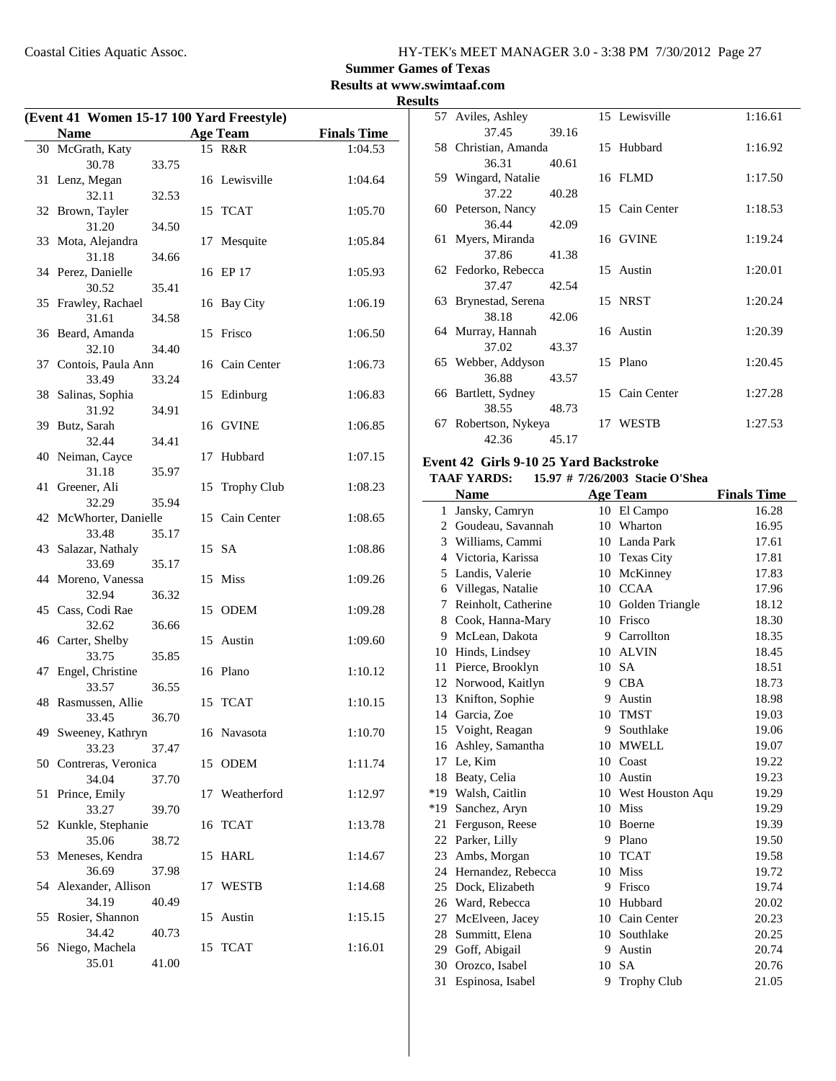### **Summer Games of Texas**

**Results at www.swimtaaf.com**

| <b>Results</b> |
|----------------|
|----------------|

|    | (Event 41 Women 15-17 100 Yard Freestyle) |       |    |                    |                    |  |
|----|-------------------------------------------|-------|----|--------------------|--------------------|--|
|    | Name                                      |       |    | <b>Age Team</b>    | <b>Finals Time</b> |  |
|    | 30 McGrath, Katy                          |       |    | 15 R&R             | 1:04.53            |  |
|    | 30.78                                     | 33.75 |    |                    |                    |  |
| 31 | Lenz, Megan<br>32.11                      | 32.53 |    | 16 Lewisville      | 1:04.64            |  |
|    | 32 Brown, Tayler                          |       |    | 15 TCAT            | 1:05.70            |  |
|    | 31.20                                     | 34.50 |    |                    |                    |  |
|    | 33 Mota, Alejandra<br>31.18               | 34.66 | 17 | Mesquite           | 1:05.84            |  |
|    | 34 Perez, Danielle                        |       |    | 16 EP 17           | 1:05.93            |  |
|    | 30.52<br>35 Frawley, Rachael              | 35.41 | 16 | <b>Bay City</b>    | 1:06.19            |  |
|    | 31.61<br>36 Beard, Amanda                 | 34.58 |    | 15 Frisco          | 1:06.50            |  |
|    | 32.10                                     | 34.40 |    |                    |                    |  |
|    | 37 Contois, Paula Ann                     |       |    | 16 Cain Center     | 1:06.73            |  |
|    | 33.49                                     | 33.24 |    |                    |                    |  |
| 38 | Salinas, Sophia                           |       | 15 | Edinburg           | 1:06.83            |  |
|    | 31.92<br>39 Butz, Sarah                   | 34.91 | 16 | <b>GVINE</b>       | 1:06.85            |  |
|    | 32.44                                     | 34.41 |    |                    |                    |  |
|    | 40 Neiman, Cayce                          |       | 17 | Hubbard            | 1:07.15            |  |
|    | 31.18                                     | 35.97 |    |                    |                    |  |
| 41 | Greener, Ali                              |       | 15 | <b>Trophy Club</b> | 1:08.23            |  |
|    | 32.29<br>42 McWhorter, Danielle           | 35.94 |    | 15 Cain Center     | 1:08.65            |  |
|    | 33.48                                     | 35.17 |    |                    |                    |  |
|    | 43 Salazar, Nathaly                       |       |    | 15 SA              | 1:08.86            |  |
|    | 33.69                                     | 35.17 |    |                    |                    |  |
|    | 44 Moreno, Vanessa                        |       |    | 15 Miss            | 1:09.26            |  |
|    | 32.94<br>45 Cass, Codi Rae                | 36.32 | 15 | ODEM               | 1:09.28            |  |
|    | 32.62                                     | 36.66 |    |                    |                    |  |
|    | 46 Carter, Shelby                         |       | 15 | Austin             | 1:09.60            |  |
|    | 33.75                                     | 35.85 |    |                    |                    |  |
| 47 | Engel, Christine                          |       |    | 16 Plano           | 1:10.12            |  |
|    | 33.57                                     | 36.55 |    |                    | 1:10.15            |  |
|    | 48 Rasmussen, Allie<br>33.45              | 36.70 |    | 15 TCAT            |                    |  |
|    | 49 Sweeney, Kathryn                       |       |    | 16 Navasota        | 1:10.70            |  |
|    | 33.23                                     | 37.47 |    |                    |                    |  |
| 50 | Contreras, Veronica<br>34.04              | 37.70 | 15 | <b>ODEM</b>        | 1:11.74            |  |
| 51 | Prince, Emily                             |       |    | 17 Weatherford     | 1:12.97            |  |
| 52 | 33.27<br>Kunkle, Stephanie                | 39.70 | 16 | TCAT               | 1:13.78            |  |
|    | 35.06                                     | 38.72 |    |                    |                    |  |
| 53 | Meneses, Kendra                           |       | 15 | <b>HARL</b>        | 1:14.67            |  |
|    | 36.69                                     | 37.98 |    |                    |                    |  |
|    | 54 Alexander, Allison<br>34.19            |       | 17 | <b>WESTB</b>       | 1:14.68            |  |
| 55 | Rosier, Shannon                           | 40.49 | 15 | Austin             | 1:15.15            |  |
|    | 34.42                                     | 40.73 |    |                    |                    |  |
|    | 56 Niego, Machela                         |       |    | 15 TCAT            | 1:16.01            |  |
|    | 35.01                                     | 41.00 |    |                    |                    |  |

|    | 57 Aviles, Ashley    |       | 15 Lewisville  | 1:16.61 |
|----|----------------------|-------|----------------|---------|
|    | 37.45                | 39.16 |                |         |
|    | 58 Christian, Amanda |       | 15 Hubbard     | 1:16.92 |
|    | 36.31                | 40.61 |                |         |
|    | 59 Wingard, Natalie  |       | 16 FLMD        | 1:17.50 |
|    | 37.22                | 40.28 |                |         |
|    | 60 Peterson, Nancy   |       | 15 Cain Center | 1:18.53 |
|    | 36.44                | 42.09 |                |         |
|    | 61 Myers, Miranda    |       | 16 GVINE       | 1:19.24 |
|    | 37.86                | 41.38 |                |         |
|    | 62 Fedorko, Rebecca  |       | 15 Austin      | 1:20.01 |
|    | 37.47                | 42.54 |                |         |
|    | 63 Brynestad, Serena |       | 15 NRST        | 1:20.24 |
|    | 38.18                | 42.06 |                |         |
|    | 64 Murray, Hannah    |       | 16 Austin      | 1:20.39 |
|    | 37.02 43.37          |       |                |         |
|    | 65 Webber, Addyson   |       | 15 Plano       | 1:20.45 |
|    | 36.88                | 43.57 |                |         |
|    | 66 Bartlett, Sydney  |       | 15 Cain Center | 1:27.28 |
|    | 38.55                | 48.73 |                |         |
| 67 | Robertson, Nykeya    |       | 17 WESTB       | 1:27.53 |
|    | 42.36                | 45.17 |                |         |

#### **Event 42 Girls 9-10 25 Yard Backstroke**

### **TAAF YARDS: 15.97 # Stacie O'Shea 7/26/2003**

|       | <b>Name</b>           |         | <b>Age Team</b>     | <b>Finals Time</b> |
|-------|-----------------------|---------|---------------------|--------------------|
| 1     | Jansky, Camryn        |         | 10 El Campo         | 16.28              |
| 2     | Goudeau, Savannah     | 10      | Wharton             | 16.95              |
|       | 3 Williams, Cammi     |         | 10 Landa Park       | 17.61              |
|       | 4 Victoria, Karissa   |         | 10 Texas City       | 17.81              |
| 5     | Landis, Valerie       | 10      | McKinney            | 17.83              |
| 6     | Villegas, Natalie     | $10-10$ | <b>CCAA</b>         | 17.96              |
| 7     | Reinholt, Catherine   | 10      | Golden Triangle     | 18.12              |
| 8     | Cook, Hanna-Mary      | 10      | Frisco              | 18.30              |
| 9     | McLean, Dakota        | 9       | Carrollton          | 18.35              |
| 10    | Hinds, Lindsey        | 10      | <b>ALVIN</b>        | 18.45              |
| 11    | Pierce, Brooklyn      | 10      | <b>SA</b>           | 18.51              |
| 12    | Norwood, Kaitlyn      | 9       | <b>CBA</b>          | 18.73              |
| 13    | Knifton, Sophie       | 9       | Austin              | 18.98              |
| 14    | Garcia, Zoe           | 10      | <b>TMST</b>         | 19.03              |
|       | 15 Voight, Reagan     | 9       | Southlake           | 19.06              |
| 16    | Ashley, Samantha      | 10      | <b>MWELL</b>        | 19.07              |
| 17    | Le, Kim               |         | 10 Coast            | 19.22              |
| 18    | Beaty, Celia          |         | 10 Austin           | 19.23              |
| $*19$ | Walsh, Caitlin        |         | 10 West Houston Aqu | 19.29              |
| $*19$ | Sanchez, Aryn         | 10      | <b>Miss</b>         | 19.29              |
| 21    | Ferguson, Reese       | 10      | Boerne              | 19.39              |
| 22    | Parker, Lilly         | 9       | Plano               | 19.50              |
| 23    | Ambs, Morgan          | 10      | <b>TCAT</b>         | 19.58              |
|       | 24 Hernandez, Rebecca | 10      | <b>Miss</b>         | 19.72              |
| 25    | Dock, Elizabeth       | 9       | Frisco              | 19.74              |
| 26    | Ward, Rebecca         | 10      | Hubbard             | 20.02              |
| 27    | McElveen, Jacey       | 10      | Cain Center         | 20.23              |
| 28    | Summitt, Elena        | 10      | Southlake           | 20.25              |
| 29    | Goff, Abigail         | 9       | Austin              | 20.74              |
| 30    | Orozco, Isabel        | 10      | <b>SA</b>           | 20.76              |
| 31    | Espinosa, Isabel      | 9       | <b>Trophy Club</b>  | 21.05              |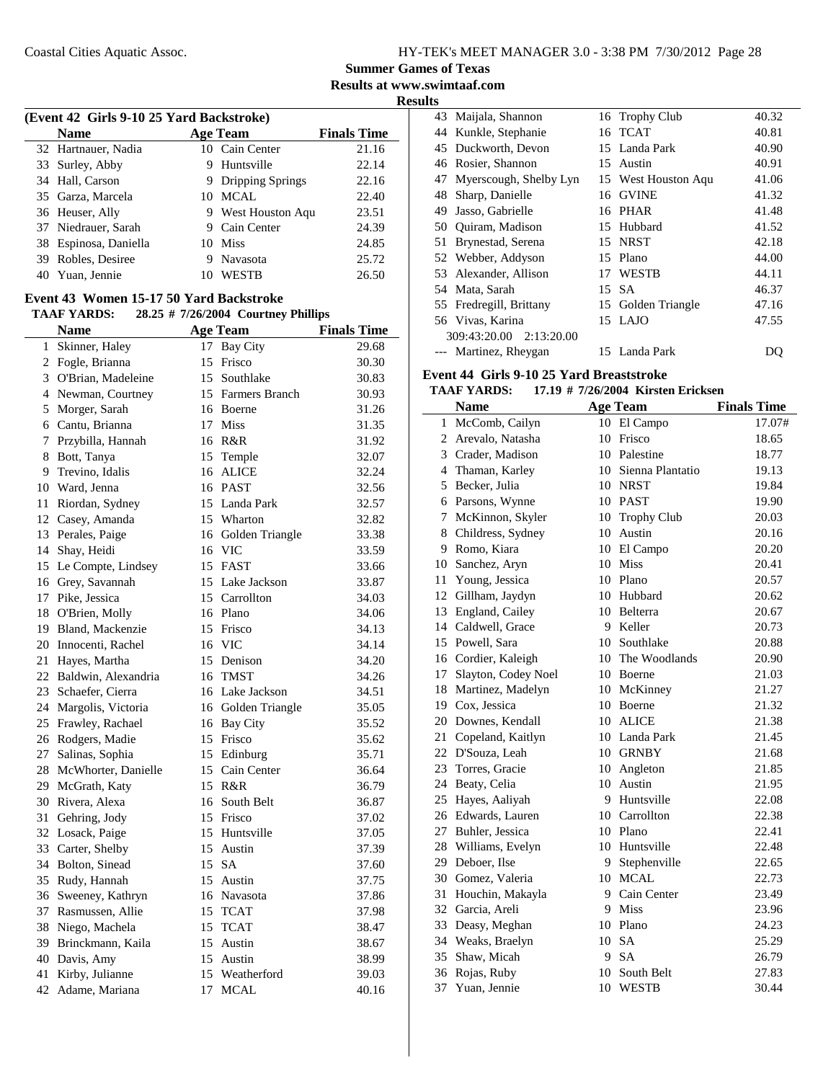**Summer Games of Texas**

**Results at www.swimtaaf.com Results**

|    |                                          |    |                                     | ĸ                  |
|----|------------------------------------------|----|-------------------------------------|--------------------|
|    | (Event 42 Girls 9-10 25 Yard Backstroke) |    |                                     |                    |
|    | <b>Name</b>                              |    | <b>Age Team</b>                     | <b>Finals Time</b> |
| 32 | Hartnauer, Nadia                         | 10 | Cain Center                         | 21.16              |
|    | 33 Surley, Abby                          | 9  | Huntsville                          | 22.14              |
|    | 34 Hall, Carson                          |    | 9 Dripping Springs                  | 22.16              |
| 35 | Garza, Marcela                           |    | 10 MCAL                             | 22.40              |
|    | 36 Heuser, Ally                          |    | 9 West Houston Aqu                  | 23.51              |
|    | 37 Niedrauer, Sarah                      |    | 9 Cain Center                       | 24.39              |
|    | 38 Espinosa, Daniella                    |    | 10 Miss                             | 24.85              |
|    | 39 Robles, Desiree                       |    | 9 Navasota                          | 25.72              |
|    | 40 Yuan, Jennie                          |    | 10 WESTB                            | 26.50              |
|    | Event 43 Women 15-17 50 Yard Backstroke  |    |                                     |                    |
|    | <b>TAAF YARDS:</b>                       |    | 28.25 # 7/26/2004 Courtney Phillips |                    |
|    | <b>Name</b>                              |    | <b>Age Team</b>                     | <b>Finals Time</b> |
| 1  | Skinner, Haley                           | 17 | Bay City                            | 29.68              |
| 2  | Fogle, Brianna                           | 15 | Frisco                              | 30.30              |
|    | 3 O'Brian, Madeleine                     | 15 | Southlake                           | 30.83              |
|    | 4 Newman, Courtney                       |    | 15 Farmers Branch                   | 30.93              |
| 5  | Morger, Sarah                            |    | 16 Boerne                           | 31.26              |
|    | 6 Cantu, Brianna                         |    | 17 Miss                             | 31.35              |
| 7  | Przybilla, Hannah                        |    | 16 R&R                              | 31.92              |
| 8  | Bott, Tanya                              |    |                                     | 32.07              |
|    | Trevino, Idalis                          |    | 15 Temple                           |                    |
| 9  |                                          |    | 16 ALICE                            | 32.24              |
| 10 | Ward, Jenna                              |    | 16 PAST                             | 32.56              |
| 11 | Riordan, Sydney                          |    | 15 Landa Park                       | 32.57              |
| 12 | Casey, Amanda                            |    | 15 Wharton                          | 32.82              |
| 13 | Perales, Paige                           | 16 | Golden Triangle                     | 33.38              |
| 14 | Shay, Heidi                              |    | 16 VIC                              | 33.59              |
| 15 | Le Compte, Lindsey                       |    | 15 FAST                             | 33.66              |
| 16 | Grey, Savannah                           |    | 15 Lake Jackson                     | 33.87              |
|    | 17 Pike, Jessica                         |    | 15 Carrollton                       | 34.03              |
| 18 | O'Brien, Molly                           |    | 16 Plano                            | 34.06              |
|    | 19 Bland, Mackenzie                      |    | 15 Frisco                           | 34.13              |
|    | 20 Innocenti, Rachel                     |    | 16 VIC                              | 34.14              |
| 21 | Hayes, Martha                            |    | 15 Denison                          | 34.20              |
|    | 22 Baldwin, Alexandria                   | 16 | TMST                                | 34.26              |
| 23 | Schaefer, Cierra                         |    | 16 Lake Jackson                     | 34.51              |
|    | 24 Margolis, Victoria                    |    | 16 Golden Triangle                  | 35.05              |
| 25 | Frawley, Rachael                         | 16 | <b>Bay City</b>                     | 35.52              |
| 26 | Rodgers, Madie                           | 15 | Frisco                              | 35.62              |
| 27 | Salinas, Sophia                          | 15 | Edinburg                            | 35.71              |
| 28 | McWhorter, Danielle                      | 15 | Cain Center                         | 36.64              |
| 29 | McGrath, Katy                            | 15 | R&R                                 | 36.79              |
| 30 | Rivera, Alexa                            | 16 | South Belt                          | 36.87              |
| 31 | Gehring, Jody                            | 15 | Frisco                              | 37.02              |
|    |                                          |    | 15 Huntsville                       |                    |
| 32 | Losack, Paige                            |    |                                     | 37.05              |
| 33 | Carter, Shelby                           | 15 | Austin                              | 37.39              |
| 34 | Bolton, Sinead                           |    | 15 SA                               | 37.60              |
| 35 | Rudy, Hannah                             | 15 | Austin                              | 37.75              |
| 36 | Sweeney, Kathryn                         |    | 16 Navasota                         | 37.86              |
| 37 | Rasmussen, Allie                         | 15 | <b>TCAT</b>                         | 37.98              |
| 38 | Niego, Machela                           | 15 | <b>TCAT</b>                         | 38.47              |
| 39 | Brinckmann, Kaila                        | 15 | Austin                              | 38.67              |
| 40 | Davis, Amy                               | 15 | Austin                              | 38.99              |
| 41 | Kirby, Julianne                          | 15 | Weatherford                         | 39.03              |
| 42 | Adame, Mariana                           | 17 | MCAL                                | 40.16              |

|     | 43 Maijala, Shannon     |    | 16 Trophy Club      | 40.32 |
|-----|-------------------------|----|---------------------|-------|
| 44  | Kunkle, Stephanie       |    | 16 TCAT             | 40.81 |
|     | 45 Duckworth, Devon     |    | 15 Landa Park       | 40.90 |
|     | 46 Rosier, Shannon      |    | 15 Austin           | 40.91 |
| 47  | Myerscough, Shelby Lyn  |    | 15 West Houston Aqu | 41.06 |
| 48. | Sharp, Danielle         | 16 | <b>GVINE</b>        | 41.32 |
| 49  | Jasso, Gabrielle        |    | 16 PHAR             | 41.48 |
| 50  | Quiram, Madison         |    | 15 Hubbard          | 41.52 |
| 51  | Brynestad, Serena       |    | 15 NRST             | 42.18 |
|     | 52 Webber, Addyson      |    | 15 Plano            | 44.00 |
|     | 53 Alexander, Allison   |    | 17 WESTB            | 44.11 |
| 54  | Mata, Sarah             | 15 | <b>SA</b>           | 46.37 |
|     | 55 Fredregill, Brittany |    | 15 Golden Triangle  | 47.16 |
|     | 56 Vivas, Karina        |    | 15 LAJO             | 47.55 |
|     | 309:43:20.00 2:13:20.00 |    |                     |       |
|     | --- Martinez, Rheygan   |    | 15 Landa Park       | DQ    |

#### **Event 44 Girls 9-10 25 Yard Breaststroke**

#### **TAAF YARDS:** 17.19 # 7/26/2004 Kirsten Ericksen

|                | <b>Name</b>            |         | <b>Age Team</b>     | <b>Finals Time</b> |
|----------------|------------------------|---------|---------------------|--------------------|
| 1              | McComb, Cailyn         |         | 10 El Campo         | 17.07#             |
| $\overline{2}$ | Arevalo, Natasha       | 10      | Frisco              | 18.65              |
|                | 3 Crader, Madison      |         | 10 Palestine        | 18.77              |
|                | 4 Thaman, Karley       |         | 10 Sienna Plantatio | 19.13              |
|                | 5 Becker, Julia        |         | 10 NRST             | 19.84              |
|                | 6 Parsons, Wynne       |         | 10 PAST             | 19.90              |
|                | 7 McKinnon, Skyler     |         | 10 Trophy Club      | 20.03              |
|                | 8 Childress, Sydney    |         | 10 Austin           | 20.16              |
|                | 9 Romo, Kiara          |         | 10 El Campo         | 20.20              |
|                | 10 Sanchez, Aryn       |         | 10 Miss             | 20.41              |
|                | 11 Young, Jessica      |         | 10 Plano            | 20.57              |
|                | 12 Gillham, Jaydyn     |         | 10 Hubbard          | 20.62              |
|                | 13 England, Cailey     |         | 10 Belterra         | 20.67              |
|                | 14 Caldwell, Grace     |         | 9 Keller            | 20.73              |
|                | 15 Powell, Sara        |         | 10 Southlake        | 20.88              |
|                | 16 Cordier, Kaleigh    |         | 10 The Woodlands    | 20.90              |
|                | 17 Slayton, Codey Noel |         | 10 Boerne           | 21.03              |
|                | 18 Martinez, Madelyn   |         | 10 McKinney         | 21.27              |
|                | 19 Cox, Jessica        |         | 10 Boerne           | 21.32              |
|                | 20 Downes, Kendall     |         | 10 ALICE            | 21.38              |
|                | 21 Copeland, Kaitlyn   |         | 10 Landa Park       | 21.45              |
|                | 22 D'Souza, Leah       |         | 10 GRNBY            | 21.68              |
|                | 23 Torres, Gracie      |         | 10 Angleton         | 21.85              |
|                | 24 Beaty, Celia        |         | 10 Austin           | 21.95              |
|                | 25 Hayes, Aaliyah      |         | 9 Huntsville        | 22.08              |
|                | 26 Edwards, Lauren     |         | 10 Carrollton       | 22.38              |
|                | 27 Buhler, Jessica     |         | 10 Plano            | 22.41              |
|                | 28 Williams, Evelyn    |         | 10 Huntsville       | 22.48              |
|                | 29 Deboer, Ilse        | 9.      | Stephenville        | 22.65              |
|                | 30 Gomez, Valeria      | $10-10$ | MCAL                | 22.73              |
|                | 31 Houchin, Makayla    | 9       | Cain Center         | 23.49              |
|                | 32 Garcia, Areli       |         | 9 Miss              | 23.96              |
|                | 33 Deasy, Meghan       |         | 10 Plano            | 24.23              |
|                | 34 Weaks, Braelyn      | 10      | <b>SA</b>           | 25.29              |
|                | 35 Shaw, Micah         | 9       | <b>SA</b>           | 26.79              |
|                | 36 Rojas, Ruby         | 10      | South Belt          | 27.83              |
| 37             | Yuan, Jennie           |         | 10 WESTB            | 30.44              |
|                |                        |         |                     |                    |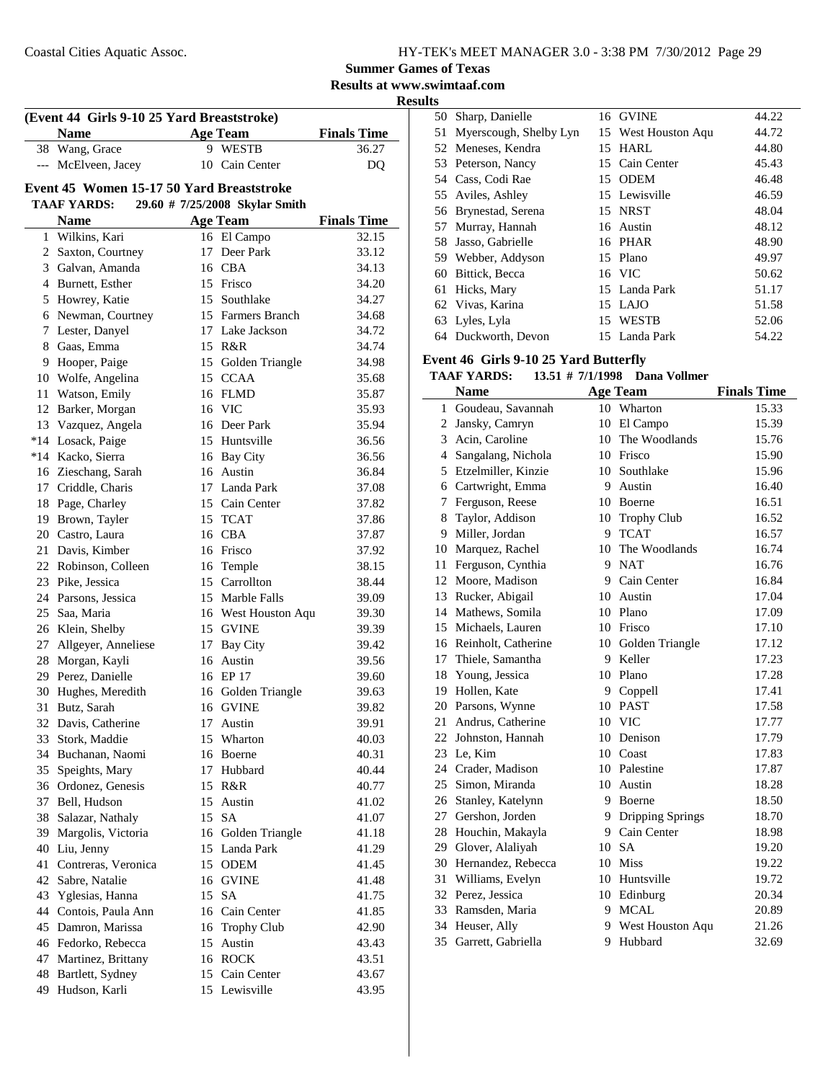**Summer Games of Texas**

**Results at www.swimtaaf.com**

| ווח<br>SI<br>M<br>r |  |
|---------------------|--|
|                     |  |

|       | (Event 44 Girls 9-10 25 Yard Breaststroke)<br>Name |    | <b>Age Team</b>                | <b>Finals Time</b> |
|-------|----------------------------------------------------|----|--------------------------------|--------------------|
|       | 38 Wang, Grace                                     |    | 9 WESTB                        | 36.27              |
| ---   | McElveen, Jacey                                    |    | 10 Cain Center                 | DQ                 |
|       | Event 45 Women 15-17 50 Yard Breaststroke          |    |                                |                    |
|       | <b>TAAF YARDS:</b>                                 |    | 29.60 # 7/25/2008 Skylar Smith |                    |
|       | <b>Name</b>                                        |    | <b>Age Team</b>                | <b>Finals Time</b> |
|       | 1 Wilkins, Kari                                    |    | 16 El Campo                    | 32.15              |
| 2     | Saxton, Courtney                                   | 17 | Deer Park                      | 33.12              |
|       | 3 Galvan, Amanda                                   | 16 | CBA                            | 34.13              |
|       | 4 Burnett, Esther                                  |    | 15 Frisco                      | 34.20              |
|       | 5 Howrey, Katie                                    |    | 15 Southlake                   | 34.27              |
|       | 6 Newman, Courtney                                 |    | 15 Farmers Branch              | 34.68              |
|       | 7 Lester, Danyel                                   |    | 17 Lake Jackson                | 34.72              |
| 8     | Gaas, Emma                                         |    | 15 R&R                         | 34.74              |
| 9     | Hooper, Paige                                      | 15 | Golden Triangle                | 34.98              |
| 10    | Wolfe, Angelina                                    | 15 | <b>CCAA</b>                    | 35.68              |
| 11    | Watson, Emily                                      |    | 16 FLMD                        | 35.87              |
| 12    | Barker, Morgan                                     | 16 | <b>VIC</b>                     | 35.93              |
| 13    | Vazquez, Angela                                    |    | 16 Deer Park                   | 35.94              |
| $*14$ | Losack, Paige                                      |    | 15 Huntsville                  | 36.56              |
|       | *14 Kacko, Sierra                                  |    | 16 Bay City                    | 36.56              |
|       | 16 Zieschang, Sarah                                |    | 16 Austin                      | 36.84              |
|       | 17 Criddle, Charis                                 |    | 17 Landa Park                  | 37.08              |
| 18    | Page, Charley                                      |    | 15 Cain Center                 | 37.82              |
|       | 19 Brown, Tayler                                   |    | 15 TCAT                        | 37.86              |
| 20    | Castro, Laura                                      |    | 16 CBA                         | 37.87              |
| 21    | Davis, Kimber                                      | 16 | Frisco                         | 37.92              |
| 22    | Robinson, Colleen                                  | 16 | Temple                         | 38.15              |
| 23    | Pike, Jessica                                      | 15 | Carrollton                     | 38.44              |
|       | 24 Parsons, Jessica                                |    | 15 Marble Falls                | 39.09              |
| 25    | Saa, Maria                                         |    | 16 West Houston Aqu            | 39.30              |
|       | 26 Klein, Shelby                                   | 15 | <b>GVINE</b>                   | 39.39              |
| 27    | Allgeyer, Anneliese                                | 17 | Bay City                       | 39.42              |
| 28    | Morgan, Kayli                                      | 16 | Austin                         | 39.56              |
|       | 29 Perez, Danielle                                 |    | 16 EP 17                       | 39.60              |
| 30    | Hughes, Meredith                                   |    | 16 Golden Triangle             | 39.63              |
|       | 31 Butz, Sarah                                     |    | 16 GVINE                       | 39.82              |
|       | 32 Davis, Catherine                                |    | 17 Austin                      | 39.91              |
| 33    | Stork, Maddie                                      |    | 15 Wharton                     | 40.03              |
|       | 34 Buchanan, Naomi                                 |    | 16 Boerne                      | 40.31              |
| 35    | Speights, Mary                                     | 17 | Hubbard                        | 40.44              |
| 36    | Ordonez, Genesis                                   | 15 | R&R                            | 40.77              |
| 37    | Bell, Hudson                                       |    | 15 Austin                      | 41.02              |
| 38    | Salazar, Nathaly                                   | 15 | SA                             | 41.07              |
| 39    | Margolis, Victoria                                 |    | 16 Golden Triangle             | 41.18              |
| 40    | Liu, Jenny                                         |    | 15 Landa Park                  | 41.29              |
| 41    | Contreras, Veronica                                |    | 15 ODEM                        | 41.45              |
| 42    | Sabre, Natalie                                     |    | 16 GVINE                       | 41.48              |
| 43    | Yglesias, Hanna                                    | 15 | SA                             | 41.75              |
| 44    | Contois, Paula Ann                                 | 16 | Cain Center                    | 41.85              |
| 45    | Damron, Marissa                                    |    | 16 Trophy Club                 | 42.90              |
|       | 46 Fedorko, Rebecca                                | 15 | Austin                         | 43.43              |
| 47    | Martinez, Brittany                                 | 16 | ROCK                           | 43.51              |
| 48    | Bartlett, Sydney                                   | 15 | Cain Center                    | 43.67              |
| 49    | Hudson, Karli                                      |    | 15 Lewisville                  | 43.95              |

|    | 50 Sharp, Danielle     | 16 GVINE            | 44.22 |
|----|------------------------|---------------------|-------|
| 51 | Myerscough, Shelby Lyn | 15 West Houston Aqu | 44.72 |
|    | 52 Meneses, Kendra     | 15 HARL             | 44.80 |
|    | 53 Peterson, Nancy     | 15 Cain Center      | 45.43 |
|    | 54 Cass, Codi Rae      | 15 ODEM             | 46.48 |
|    | 55 Aviles, Ashley      | 15 Lewisville       | 46.59 |
|    | 56 Brynestad, Serena   | 15 NRST             | 48.04 |
|    | 57 Murray, Hannah      | 16 Austin           | 48.12 |
|    | 58 Jasso, Gabrielle    | 16 PHAR             | 48.90 |
|    | 59 Webber, Addyson     | 15 Plano            | 49.97 |
| 60 | Bittick, Becca         | 16 VIC              | 50.62 |
|    | 61 Hicks, Mary         | 15 Landa Park       | 51.17 |
|    | 62 Vivas, Karina       | 15 LAJO             | 51.58 |
|    | 63 Lyles, Lyla         | 15 WESTB            | 52.06 |
|    | 64 Duckworth, Devon    | 15 Landa Park       | 54.22 |

### **Event 46 Girls 9-10 25 Yard Butterfly**

### **TAAF YARDS:** 13.51 # 7/1/1998 Dana Vollmer

|    | <b>Name</b>            |    | <b>Age Team</b>    | <b>Finals Time</b> |
|----|------------------------|----|--------------------|--------------------|
|    | 1 Goudeau, Savannah    |    | 10 Wharton         | 15.33              |
|    | 2 Jansky, Camryn       |    | 10 El Campo        | 15.39              |
|    | 3 Acin. Caroline       |    | 10 The Woodlands   | 15.76              |
|    | 4 Sangalang, Nichola   |    | 10 Frisco          | 15.90              |
|    | 5 Etzelmiller, Kinzie  |    | 10 Southlake       | 15.96              |
|    | 6 Cartwright, Emma     |    | 9 Austin           | 16.40              |
|    | 7 Ferguson, Reese      |    | 10 Boerne          | 16.51              |
|    | 8 Taylor, Addison      |    | 10 Trophy Club     | 16.52              |
|    | 9 Miller, Jordan       |    | 9 TCAT             | 16.57              |
|    | 10 Marquez, Rachel     |    | 10 The Woodlands   | 16.74              |
| 11 | Ferguson, Cynthia      | 9  | <b>NAT</b>         | 16.76              |
|    | 12 Moore, Madison      | 9  | Cain Center        | 16.84              |
|    | 13 Rucker, Abigail     |    | 10 Austin          | 17.04              |
|    | 14 Mathews, Somila     |    | 10 Plano           | 17.09              |
|    | 15 Michaels, Lauren    |    | 10 Frisco          | 17.10              |
|    | 16 Reinholt, Catherine |    | 10 Golden Triangle | 17.12              |
|    | 17 Thiele, Samantha    | 9. | Keller             | 17.23              |
|    | 18 Young, Jessica      |    | 10 Plano           | 17.28              |
|    | 19 Hollen, Kate        |    | 9 Coppell          | 17.41              |
|    | 20 Parsons, Wynne      |    | 10 PAST            | 17.58              |
|    | 21 Andrus, Catherine   |    | 10 VIC             | 17.77              |
|    | 22 Johnston, Hannah    |    | 10 Denison         | 17.79              |
|    | 23 Le, Kim             |    | 10 Coast           | 17.83              |
|    | 24 Crader, Madison     |    | 10 Palestine       | 17.87              |
|    | 25 Simon, Miranda      |    | 10 Austin          | 18.28              |
|    | 26 Stanley, Katelynn   |    | 9 Boerne           | 18.50              |
|    | 27 Gershon, Jorden     |    | 9 Dripping Springs | 18.70              |
|    | 28 Houchin, Makayla    |    | 9 Cain Center      | 18.98              |
|    | 29 Glover, Alaliyah    |    | 10 SA              | 19.20              |
|    | 30 Hernandez, Rebecca  |    | 10 Miss            | 19.22              |
|    | 31 Williams, Evelyn    |    | 10 Huntsville      | 19.72              |
|    | 32 Perez, Jessica      |    | 10 Edinburg        | 20.34              |
|    | 33 Ramsden, Maria      | 9. | <b>MCAL</b>        | 20.89              |
|    | 34 Heuser, Ally        | 9. | West Houston Aqu   | 21.26              |
|    | 35 Garrett, Gabriella  | 9  | Hubbard            | 32.69              |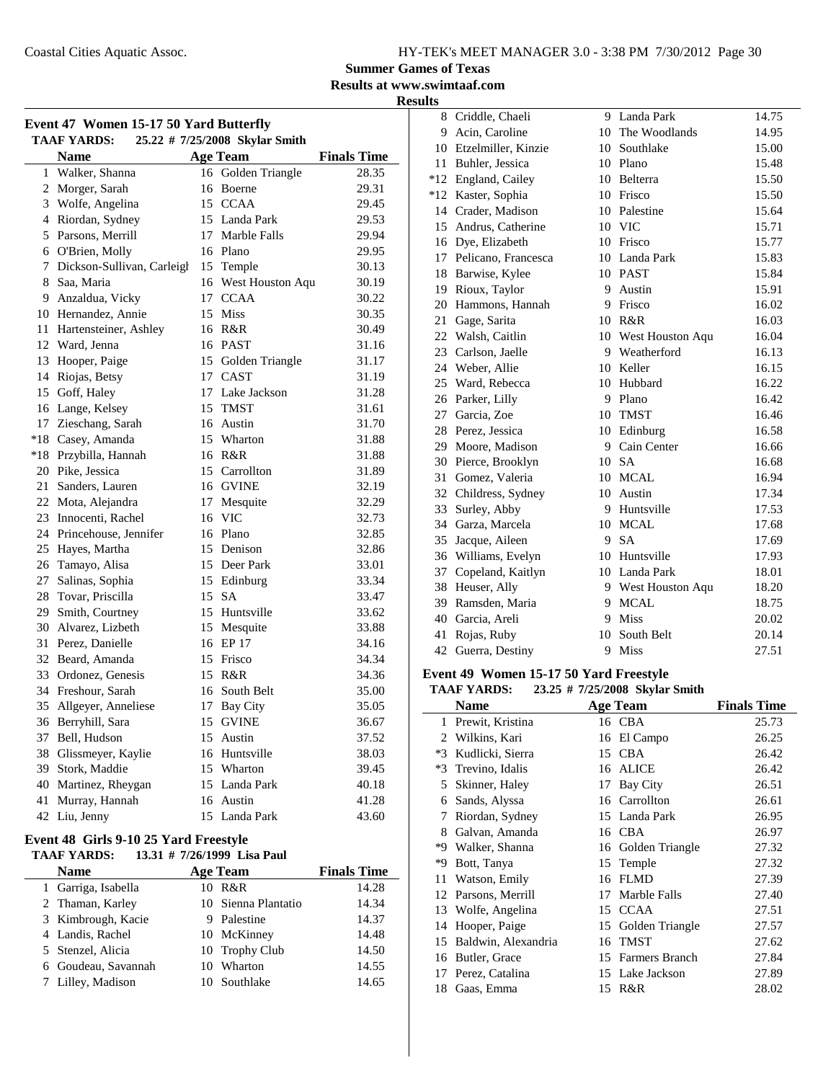**Summer Games of Texas**

**Results at www.swimtaaf.com**

**Results**

| Event 47 Women 15-17 50 Yard Butterfly |                                                      |    |                     |                    |  |  |  |
|----------------------------------------|------------------------------------------------------|----|---------------------|--------------------|--|--|--|
|                                        | <b>TAAF YARDS:</b><br>25.22 # 7/25/2008 Skylar Smith |    |                     |                    |  |  |  |
|                                        | <b>Name</b>                                          |    | <b>Age Team</b>     | <b>Finals Time</b> |  |  |  |
| $\mathbf{1}$                           | Walker, Shanna                                       |    | 16 Golden Triangle  | 28.35              |  |  |  |
| $\overline{c}$                         | Morger, Sarah                                        |    | 16 Boerne           | 29.31              |  |  |  |
|                                        | 3 Wolfe, Angelina                                    |    | 15 CCAA             | 29.45              |  |  |  |
| $\overline{4}$                         | Riordan, Sydney                                      |    | 15 Landa Park       | 29.53              |  |  |  |
| 5                                      | Parsons, Merrill                                     |    | 17 Marble Falls     | 29.94              |  |  |  |
|                                        | 6 O'Brien, Molly                                     |    | 16 Plano            | 29.95              |  |  |  |
| 7                                      | Dickson-Sullivan, Carleigh                           |    | 15 Temple           | 30.13              |  |  |  |
| 8                                      | Saa, Maria                                           |    | 16 West Houston Aqu | 30.19              |  |  |  |
| 9                                      | Anzaldua, Vicky                                      |    | 17 CCAA             | 30.22              |  |  |  |
|                                        | 10 Hernandez, Annie                                  |    | 15 Miss             | 30.35              |  |  |  |
| 11                                     | Hartensteiner, Ashley                                |    | 16 R&R              | 30.49              |  |  |  |
| 12                                     | Ward, Jenna                                          |    | 16 PAST             | 31.16              |  |  |  |
| 13                                     | Hooper, Paige                                        |    | 15 Golden Triangle  | 31.17              |  |  |  |
| 14                                     | Riojas, Betsy                                        |    | 17 CAST             | 31.19              |  |  |  |
| 15                                     | Goff, Haley                                          |    | 17 Lake Jackson     | 31.28              |  |  |  |
|                                        | 16 Lange, Kelsey                                     |    | 15 TMST             | 31.61              |  |  |  |
| 17                                     | Zieschang, Sarah                                     |    | 16 Austin           | 31.70              |  |  |  |
| $*18$                                  | Casey, Amanda                                        |    | 15 Wharton          | 31.88              |  |  |  |
| $*18$                                  | Przybilla, Hannah                                    |    | 16 R&R              | 31.88              |  |  |  |
| 20                                     | Pike, Jessica                                        |    | 15 Carrollton       | 31.89              |  |  |  |
| 21                                     | Sanders, Lauren                                      |    | 16 GVINE            | 32.19              |  |  |  |
|                                        | 22 Mota, Alejandra                                   |    | 17 Mesquite         | 32.29              |  |  |  |
| 23                                     | Innocenti, Rachel                                    |    | 16 VIC              | 32.73              |  |  |  |
|                                        | 24 Princehouse, Jennifer                             |    | 16 Plano            | 32.85              |  |  |  |
| 25                                     | Hayes, Martha                                        |    | 15 Denison          | 32.86              |  |  |  |
| 26                                     | Tamayo, Alisa                                        |    | 15 Deer Park        | 33.01              |  |  |  |
| 27                                     | Salinas, Sophia                                      |    | 15 Edinburg         | 33.34              |  |  |  |
| 28                                     | Tovar, Priscilla                                     | 15 | <b>SA</b>           | 33.47              |  |  |  |
| 29                                     | Smith, Courtney                                      |    | 15 Huntsville       | 33.62              |  |  |  |
| 30                                     | Alvarez, Lizbeth                                     |    | 15 Mesquite         | 33.88              |  |  |  |
| 31                                     | Perez, Danielle                                      |    | 16 EP 17            | 34.16              |  |  |  |
| 32                                     | Beard, Amanda                                        |    | 15 Frisco           | 34.34              |  |  |  |
| 33                                     | Ordonez, Genesis                                     |    | 15 R&R              | 34.36              |  |  |  |
| 34                                     | Freshour, Sarah                                      |    | 16 South Belt       | 35.00              |  |  |  |
| 35                                     | Allgeyer, Anneliese                                  |    | 17 Bay City         | 35.05              |  |  |  |
| 36                                     | Berryhill, Sara                                      |    | 15 GVINE            | 36.67              |  |  |  |
| 37                                     | Bell, Hudson                                         |    | 15 Austin           | 37.52              |  |  |  |
| 38                                     | Glissmeyer, Kaylie                                   |    | 16 Huntsville       | 38.03              |  |  |  |
| 39                                     | Stork, Maddie                                        |    | 15 Wharton          | 39.45              |  |  |  |
| 40                                     | Martinez, Rheygan                                    |    | 15 Landa Park       | 40.18              |  |  |  |
| 41                                     | Murray, Hannah                                       |    | 16 Austin           | 41.28              |  |  |  |
|                                        | 42 Liu, Jenny                                        |    | 15 Landa Park       | 43.60              |  |  |  |

#### **Event 48 Girls 9-10 25 Yard Freestyle**<br>TAAE VARDS: 13.31 # 7/26/1000 13: **TABLE 2012/2012**<br>**Ta** 21 # 7/26/1999 **J** is Paul

| TAAF YARDS:<br>13.31 # $7/26/1999$ Lisa Paul |    |                     |                    |  |  |
|----------------------------------------------|----|---------------------|--------------------|--|--|
| <b>Name</b>                                  |    | <b>Age Team</b>     | <b>Finals Time</b> |  |  |
| 1 Garriga, Isabella                          |    | 10 R&R              | 14.28              |  |  |
| 2 Thaman, Karley                             |    | 10 Sienna Plantatio | 14.34              |  |  |
| 3 Kimbrough, Kacie                           | 9. | Palestine           | 14.37              |  |  |
| 4 Landis, Rachel                             |    | 10 McKinney         | 14.48              |  |  |
| 5 Stenzel, Alicia                            |    | 10 Trophy Club      | 14.50              |  |  |
| 6 Goudeau, Savannah                          |    | 10 Wharton          | 14.55              |  |  |
| 7 Lilley, Madison                            |    | 10 Southlake        | 14.65              |  |  |

|    | 8 Criddle, Chaeli      | 9       | Landa Park          | 14.75 |
|----|------------------------|---------|---------------------|-------|
|    | 9 Acin, Caroline       | $10-10$ | The Woodlands       | 14.95 |
|    | 10 Etzelmiller, Kinzie | 10      | Southlake           | 15.00 |
| 11 | Buhler, Jessica        |         | 10 Plano            | 15.48 |
|    | *12 England, Cailey    |         | 10 Belterra         | 15.50 |
|    | *12 Kaster, Sophia     | 10      | Frisco              | 15.50 |
|    | 14 Crader, Madison     |         | 10 Palestine        | 15.64 |
|    | 15 Andrus, Catherine   |         | 10 VIC              | 15.71 |
|    | 16 Dye, Elizabeth      |         | 10 Frisco           | 15.77 |
|    | 17 Pelicano, Francesca |         | 10 Landa Park       | 15.83 |
|    | 18 Barwise, Kylee      |         | 10 PAST             | 15.84 |
| 19 | Rioux, Taylor          | 9       | Austin              | 15.91 |
|    | 20 Hammons, Hannah     | 9       | Frisco              | 16.02 |
|    | 21 Gage, Sarita        |         | 10 R&R              | 16.03 |
|    | 22 Walsh, Caitlin      |         | 10 West Houston Aqu | 16.04 |
|    | 23 Carlson, Jaelle     |         | 9 Weatherford       | 16.13 |
|    | 24 Weber, Allie        |         | 10 Keller           | 16.15 |
|    | 25 Ward, Rebecca       | 10      | Hubbard             | 16.22 |
|    | 26 Parker, Lilly       | 9       | Plano               | 16.42 |
|    | 27 Garcia, Zoe         |         | 10 TMST             | 16.46 |
|    | 28 Perez, Jessica      |         | 10 Edinburg         | 16.58 |
|    | 29 Moore, Madison      |         | 9 Cain Center       | 16.66 |
|    | 30 Pierce, Brooklyn    |         | 10 SA               | 16.68 |
| 31 | Gomez, Valeria         | 10      | <b>MCAL</b>         | 16.94 |
| 32 | Childress, Sydney      | 10      | Austin              | 17.34 |
| 33 | Surley, Abby           | 9.      | Huntsville          | 17.53 |
|    | 34 Garza, Marcela      |         | 10 MCAL             | 17.68 |
| 35 | Jacque, Aileen         |         | 9 SA                | 17.69 |
|    | 36 Williams, Evelyn    |         | 10 Huntsville       | 17.93 |
| 37 | Copeland, Kaitlyn      |         | 10 Landa Park       | 18.01 |
| 38 | Heuser, Ally           |         | 9 West Houston Aqu  | 18.20 |
| 39 | Ramsden, Maria         | 9.      | <b>MCAL</b>         | 18.75 |
|    | 40 Garcia, Areli       | 9       | Miss                | 20.02 |
| 41 | Rojas, Ruby            | 10      | South Belt          | 20.14 |
| 42 | Guerra, Destiny        | 9       | Miss                | 27.51 |

#### **Event 49 Women 15-17 50 Yard Freestyle**

#### **TAAF YARDS:** 23.25 # 7/25/2008 Skylar Smith

|      | <b>Name</b>         |    | <b>Age Team</b>    | <b>Finals Time</b> |
|------|---------------------|----|--------------------|--------------------|
| 1    | Prewit, Kristina    |    | 16 CBA             | 25.73              |
| 2    | Wilkins, Kari       | 16 | El Campo           | 26.25              |
| $*3$ | Kudlicki, Sierra    | 15 | <b>CBA</b>         | 26.42              |
| $*3$ | Trevino, Idalis     | 16 | <b>ALICE</b>       | 26.42              |
| 5    | Skinner, Haley      | 17 | Bay City           | 26.51              |
| 6    | Sands, Alyssa       |    | 16 Carrollton      | 26.61              |
| 7    | Riordan, Sydney     |    | 15 Landa Park      | 26.95              |
| 8    | Galvan, Amanda      |    | 16 CBA             | 26.97              |
| *9   | Walker, Shanna      |    | 16 Golden Triangle | 27.32              |
| *9   | Bott, Tanya         |    | 15 Temple          | 27.32              |
| 11   | Watson, Emily       | 16 | <b>FLMD</b>        | 27.39              |
| 12   | Parsons, Merrill    | 17 | Marble Falls       | 27.40              |
| 13   | Wolfe, Angelina     | 15 | <b>CCAA</b>        | 27.51              |
| 14   | Hooper, Paige       | 15 | Golden Triangle    | 27.57              |
| 15   | Baldwin, Alexandria | 16 | TMST               | 27.62              |
| 16   | Butler, Grace       |    | 15 Farmers Branch  | 27.84              |
| 17   | Perez, Catalina     |    | 15 Lake Jackson    | 27.89              |
| 18   | Gaas, Emma          |    | 15 R&R             | 28.02              |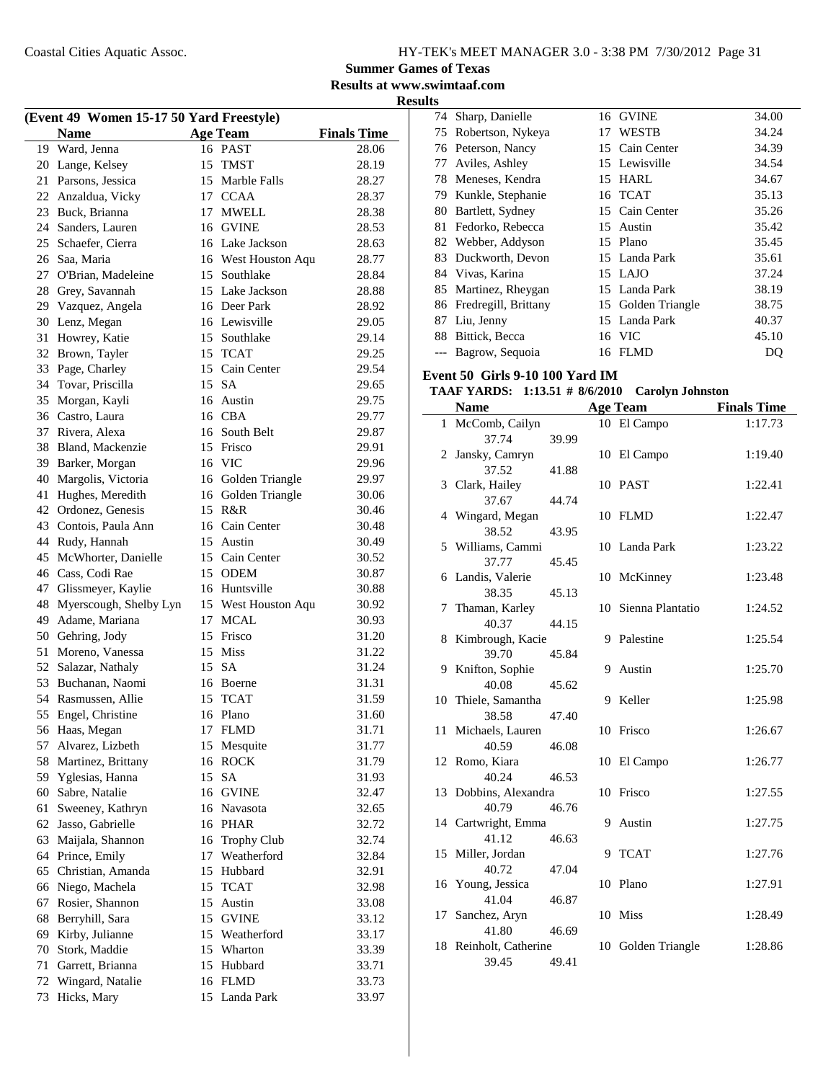## **Summer Games of Texas**

**Results at www.swimtaaf.com Results**

| (Event 49 Women 15-17 50 Yard Freestyle) |                        |    |                     |                    |  |
|------------------------------------------|------------------------|----|---------------------|--------------------|--|
|                                          | <b>Name</b>            |    | <b>Age Team</b>     | <b>Finals Time</b> |  |
| 19                                       | Ward, Jenna            |    | 16 PAST             | 28.06              |  |
| 20                                       | Lange, Kelsey          | 15 | <b>TMST</b>         | 28.19              |  |
| 21                                       | Parsons, Jessica       |    | 15 Marble Falls     | 28.27              |  |
| 22                                       | Anzaldua, Vicky        |    | 17 CCAA             | 28.37              |  |
| 23                                       | Buck, Brianna          |    | 17 MWELL            | 28.38              |  |
| 24                                       | Sanders, Lauren        |    | 16 GVINE            | 28.53              |  |
| 25                                       | Schaefer, Cierra       |    | 16 Lake Jackson     | 28.63              |  |
| 26                                       | Saa, Maria             |    | 16 West Houston Aqu | 28.77              |  |
| 27                                       | O'Brian, Madeleine     |    | 15 Southlake        | 28.84              |  |
| 28                                       | Grey, Savannah         |    | 15 Lake Jackson     | 28.88              |  |
| 29                                       | Vazquez, Angela        |    | 16 Deer Park        | 28.92              |  |
| 30                                       | Lenz, Megan            |    | 16 Lewisville       | 29.05              |  |
| 31                                       | Howrey, Katie          |    | 15 Southlake        | 29.14              |  |
| 32                                       | Brown, Tayler          |    | 15 TCAT             | 29.25              |  |
| 33                                       | Page, Charley          |    | 15 Cain Center      | 29.54              |  |
| 34                                       | Tovar, Priscilla       |    | 15 SA               | 29.65              |  |
| 35                                       |                        |    |                     |                    |  |
|                                          | Morgan, Kayli          |    | 16 Austin<br>16 CBA | 29.75              |  |
| 36                                       | Castro, Laura          |    |                     | 29.77              |  |
| 37                                       | Rivera, Alexa          |    | 16 South Belt       | 29.87              |  |
| 38                                       | Bland, Mackenzie       |    | 15 Frisco           | 29.91              |  |
| 39                                       | Barker, Morgan         |    | 16 VIC              | 29.96              |  |
| 40                                       | Margolis, Victoria     |    | 16 Golden Triangle  | 29.97              |  |
| 41                                       | Hughes, Meredith       |    | 16 Golden Triangle  | 30.06              |  |
| 42                                       | Ordonez, Genesis       |    | 15 R&R              | 30.46              |  |
| 43                                       | Contois, Paula Ann     |    | 16 Cain Center      | 30.48              |  |
| 44                                       | Rudy, Hannah           | 15 | Austin              | 30.49              |  |
| 45                                       | McWhorter, Danielle    |    | 15 Cain Center      | 30.52              |  |
| 46                                       | Cass, Codi Rae         |    | 15 ODEM             | 30.87              |  |
| 47                                       | Glissmeyer, Kaylie     |    | 16 Huntsville       | 30.88              |  |
| 48                                       | Myerscough, Shelby Lyn |    | 15 West Houston Aqu | 30.92              |  |
| 49                                       | Adame, Mariana         |    | 17 MCAL             | 30.93              |  |
| 50                                       | Gehring, Jody          |    | 15 Frisco           | 31.20              |  |
| 51                                       | Moreno, Vanessa        |    | 15 Miss             | 31.22              |  |
| 52                                       | Salazar, Nathaly       |    | 15 SA               | 31.24              |  |
| 53                                       | Buchanan, Naomi        |    | 16 Boerne           | 31.31              |  |
| 54                                       | Rasmussen, Allie       |    | 15 TCAT             | 31.59              |  |
| 55                                       | Engel, Christine       |    | 16 Plano            | 31.60              |  |
| 56                                       | Haas, Megan            |    | 17 FLMD             | 31.71              |  |
| 57                                       | Alvarez, Lizbeth       |    | 15 Mesquite         | 31.77              |  |
| 58                                       | Martinez, Brittany     |    | 16 ROCK             | 31.79              |  |
| 59                                       | Yglesias, Hanna        | 15 | <b>SA</b>           | 31.93              |  |
| 60                                       | Sabre, Natalie         |    | 16 GVINE            | 32.47              |  |
| 61                                       | Sweeney, Kathryn       |    | 16 Navasota         | 32.65              |  |
| 62                                       | Jasso, Gabrielle       |    | 16 PHAR             | 32.72              |  |
| 63                                       | Maijala, Shannon       |    | 16 Trophy Club      | 32.74              |  |
| 64                                       | Prince, Emily          |    | 17 Weatherford      | 32.84              |  |
| 65                                       | Christian, Amanda      |    | 15 Hubbard          | 32.91              |  |
| 66                                       | Niego, Machela         |    | 15 TCAT             | 32.98              |  |
| 67                                       | Rosier, Shannon        | 15 | Austin              | 33.08              |  |
| 68                                       | Berryhill, Sara        |    | 15 GVINE            | 33.12              |  |
| 69                                       | Kirby, Julianne        |    | 15 Weatherford      | 33.17              |  |
| 70                                       | Stork, Maddie          |    | 15 Wharton          | 33.39              |  |
| 71                                       | Garrett, Brianna       |    | 15 Hubbard          | 33.71              |  |
| 72                                       | Wingard, Natalie       |    | 16 FLMD             | 33.73              |  |
| 73                                       | Hicks, Mary            |    | 15 Landa Park       | 33.97              |  |
|                                          |                        |    |                     |                    |  |

| . <del>.</del> |                         |    |                    |       |
|----------------|-------------------------|----|--------------------|-------|
| 74             | Sharp, Danielle         |    | 16 GVINE           | 34.00 |
| 75             | Robertson, Nykeya       | 17 | <b>WESTB</b>       | 34.24 |
|                | 76 Peterson, Nancy      |    | 15 Cain Center     | 34.39 |
| 77             | Aviles, Ashley          |    | 15 Lewisville      | 34.54 |
|                | 78 Meneses, Kendra      | 15 | <b>HARL</b>        | 34.67 |
|                | 79 Kunkle, Stephanie    |    | 16 TCAT            | 35.13 |
| 80             | Bartlett, Sydney        |    | 15 Cain Center     | 35.26 |
| 81             | Fedorko, Rebecca        | 15 | Austin             | 35.42 |
|                | 82 Webber, Addyson      |    | 15 Plano           | 35.45 |
| 83             | Duckworth, Devon        |    | 15 Landa Park      | 35.61 |
|                | 84 Vivas, Karina        |    | $15$ LAJO          | 37.24 |
|                | 85 Martinez, Rheygan    | 15 | Landa Park         | 38.19 |
|                | 86 Fredregill, Brittany |    | 15 Golden Triangle | 38.75 |
| 87             | Liu, Jenny              |    | 15 Landa Park      | 40.37 |
| 88             | Bittick, Becca          |    | 16 VIC             | 45.10 |
|                | Bagrow, Sequoia         | 16 | FLMD               | DQ    |

#### **Event 50 Girls 9-10 100 Yard IM**

#### **TAAF YARDS:** 1:13.51 # 8/6/2010 Carolyn Johnston

|    | <b>Name</b>                  |       |    | <b>Age Team</b>     | <b>Finals Time</b> |
|----|------------------------------|-------|----|---------------------|--------------------|
|    | 1 McComb, Cailyn             |       |    | 10 El Campo         | 1:17.73            |
|    | 37.74                        | 39.99 |    |                     |                    |
| 2  | Jansky, Camryn               |       |    | 10 El Campo         | 1:19.40            |
|    | 37.52                        | 41.88 |    |                     |                    |
| 3  | Clark, Hailey                |       |    | 10 PAST             | 1:22.41            |
|    | 37.67                        | 44.74 |    |                     |                    |
| 4  | Wingard, Megan               |       |    | 10 FLMD             | 1:22.47            |
|    | 38.52                        | 43.95 |    |                     |                    |
| 5  | Williams, Cammi              |       |    | 10 Landa Park       | 1:23.22            |
|    | 37.77                        | 45.45 |    |                     |                    |
|    | 6 Landis, Valerie            |       | 10 | McKinney            | 1:23.48            |
|    | 38.35                        | 45.13 |    |                     |                    |
| 7  | Thaman, Karley               |       |    | 10 Sienna Plantatio | 1:24.52            |
|    | 40.37                        | 44.15 |    |                     |                    |
| 8  | Kimbrough, Kacie             |       | 9  | Palestine           | 1:25.54            |
|    | 39.70                        | 45.84 |    |                     |                    |
| 9. | Knifton, Sophie              |       | 9  | Austin              | 1:25.70            |
|    | 40.08                        | 45.62 |    |                     |                    |
|    | 10 Thiele, Samantha<br>38.58 | 47.40 | 9  | Keller              | 1:25.98            |
|    | 11 Michaels, Lauren          |       | 10 | Frisco              | 1:26.67            |
|    | 40.59                        | 46.08 |    |                     |                    |
|    | 12 Romo, Kiara               |       |    | 10 El Campo         | 1:26.77            |
|    | 40.24                        | 46.53 |    |                     |                    |
|    | 13 Dobbins, Alexandra        |       | 10 | Frisco              | 1:27.55            |
|    | 40.79                        | 46.76 |    |                     |                    |
|    | 14 Cartwright, Emma          |       | 9  | Austin              | 1:27.75            |
|    | 41.12                        | 46.63 |    |                     |                    |
| 15 | Miller, Jordan               |       | 9  | <b>TCAT</b>         | 1:27.76            |
|    | 40.72                        | 47.04 |    |                     |                    |
|    | 16 Young, Jessica            |       | 10 | Plano               | 1:27.91            |
|    | 41.04                        | 46.87 |    |                     |                    |
| 17 | Sanchez, Aryn                |       |    | 10 Miss             | 1:28.49            |
|    | 41.80                        | 46.69 |    |                     |                    |
| 18 | Reinholt, Catherine          |       | 10 | Golden Triangle     | 1:28.86            |
|    | 39.45                        | 49.41 |    |                     |                    |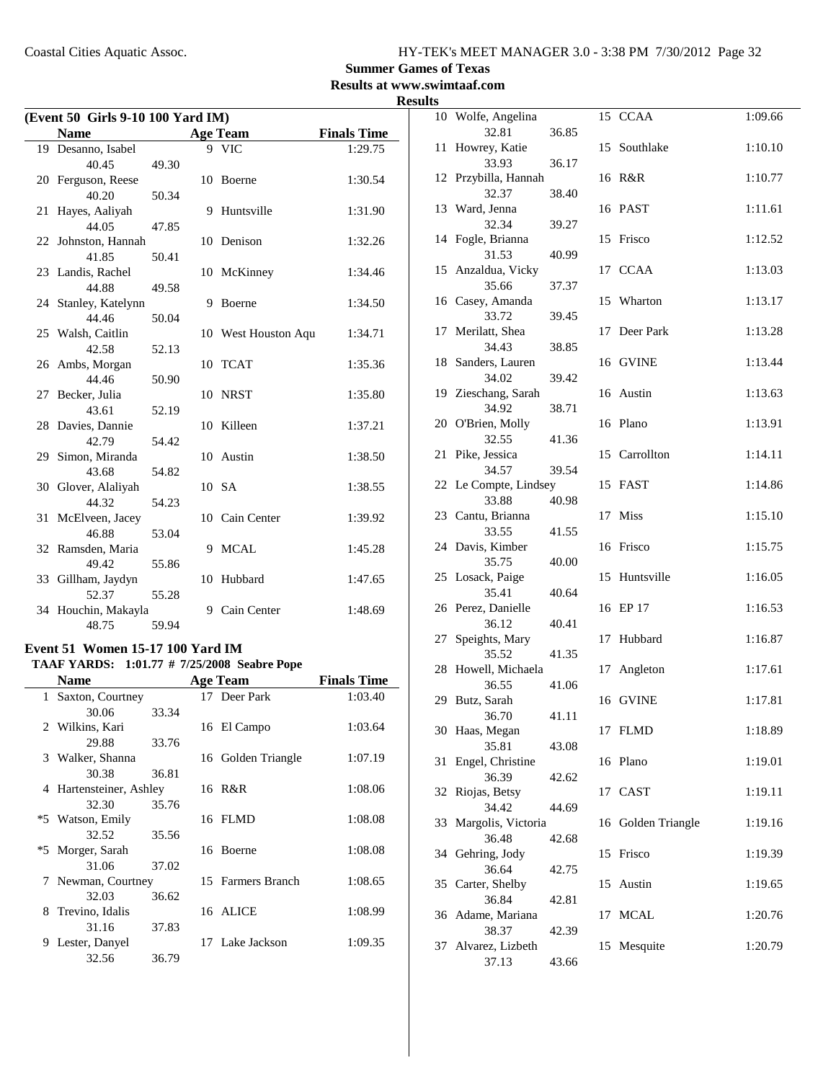### **Summer Games of Texas**

**Results at www.swimtaaf.com**

#### **Results**

| (Event 50 Girls 9-10 100 Yard IM) |                              |       |    |                     |                    |
|-----------------------------------|------------------------------|-------|----|---------------------|--------------------|
|                                   | <b>Name</b>                  |       |    | <b>Age Team</b>     | <b>Finals Time</b> |
|                                   | 19 Desanno, Isabel           |       |    | 9 VIC               | 1:29.75            |
|                                   | 40.45                        | 49.30 |    |                     |                    |
|                                   | 20 Ferguson, Reese           |       |    | 10 Boerne           | 1:30.54            |
|                                   | 40.20                        | 50.34 |    |                     |                    |
| 21                                | Hayes, Aaliyah               |       | 9  | Huntsville          | 1:31.90            |
|                                   | 44.05                        | 47.85 |    |                     |                    |
|                                   | 22 Johnston, Hannah          |       | 10 | Denison             | 1:32.26            |
|                                   | 41.85                        | 50.41 |    |                     |                    |
|                                   | 23 Landis, Rachel            |       |    | 10 McKinney         | 1:34.46            |
|                                   | 44.88                        | 49.58 |    |                     |                    |
|                                   | 24 Stanley, Katelynn         |       | 9  | Boerne              | 1:34.50            |
|                                   | 44.46                        | 50.04 |    |                     |                    |
|                                   | 25 Walsh, Caitlin            |       |    | 10 West Houston Aqu | 1:34.71            |
|                                   | 42.58                        | 52.13 |    |                     |                    |
|                                   | 26 Ambs, Morgan              |       | 10 | <b>TCAT</b>         | 1:35.36            |
|                                   | 44.46                        | 50.90 |    |                     |                    |
| 27                                | Becker, Julia                |       | 10 | <b>NRST</b>         | 1:35.80            |
|                                   | 43.61                        | 52.19 |    |                     |                    |
|                                   | 28 Davies, Dannie            |       |    | 10 Killeen          | 1:37.21            |
|                                   | 42.79                        | 54.42 |    |                     |                    |
|                                   | 29 Simon, Miranda            |       |    | 10 Austin           | 1:38.50            |
|                                   | 43.68                        | 54.82 |    |                     |                    |
|                                   | 30 Glover, Alaliyah          |       |    | 10 SA               | 1:38.55            |
|                                   | 44.32                        | 54.23 |    |                     |                    |
|                                   | 31 McElveen, Jacey           |       |    | 10 Cain Center      | 1:39.92            |
|                                   | 46.88                        | 53.04 |    |                     |                    |
|                                   | 32 Ramsden, Maria            |       | 9  | <b>MCAL</b>         | 1:45.28            |
|                                   | 49.42                        | 55.86 |    |                     |                    |
|                                   | 33 Gillham, Jaydyn           |       | 10 | Hubbard             | 1:47.65            |
|                                   | 52.37                        | 55.28 |    | Cain Center         |                    |
|                                   | 34 Houchin, Makayla<br>48.75 | 59.94 | 9  |                     | 1:48.69            |
|                                   |                              |       |    |                     |                    |

### **Event 51 Women 15-17 100 Yard IM**

# **TAAF YARDS:** 1:01.77 # 7/25/2008 Seabre Pope<br>Name Age Team

|   | Name                    |       | <b>Age Team</b>    | <b>Finals Time</b> |
|---|-------------------------|-------|--------------------|--------------------|
| 1 | Saxton, Courtney        |       | 17 Deer Park       | 1:03.40            |
|   | 30.06                   | 33.34 |                    |                    |
|   | 2 Wilkins, Kari         |       | 16 El Campo        | 1:03.64            |
|   | 29.88                   | 33.76 |                    |                    |
|   | 3 Walker, Shanna        |       | 16 Golden Triangle | 1:07.19            |
|   | 30.38                   | 36.81 |                    |                    |
|   | 4 Hartensteiner, Ashley |       | 16 R&R             | 1:08.06            |
|   | 32.30                   | 35.76 |                    |                    |
|   | *5 Watson, Emily        |       | 16 FLMD            | 1:08.08            |
|   | 32.52                   | 35.56 |                    |                    |
|   | *5 Morger, Sarah        |       | 16 Boerne          | 1:08.08            |
|   | 31.06                   | 37.02 |                    |                    |
|   | 7 Newman, Courtney      |       | 15 Farmers Branch  | 1:08.65            |
|   | 32.03                   | 36.62 |                    |                    |
|   | 8 Trevino, Idalis       |       | 16 ALICE           | 1:08.99            |
|   | 31.16                   | 37.83 |                    |                    |
| 9 | Lester, Danyel          |       | 17 Lake Jackson    | 1:09.35            |
|   | 32.56                   | 36.79 |                    |                    |

|    | 10 Wolfe, Angelina        |       |    | 15 CCAA            | 1:09.66 |
|----|---------------------------|-------|----|--------------------|---------|
|    | 32.81                     | 36.85 |    |                    |         |
| 11 | Howrey, Katie             |       | 15 | Southlake          | 1:10.10 |
|    | 33.93                     | 36.17 |    |                    |         |
| 12 | Przybilla, Hannah         |       |    | 16 R&R             | 1:10.77 |
| 13 | 32.37<br>Ward, Jenna      | 38.40 |    | 16 PAST            | 1:11.61 |
|    | 32.34                     | 39.27 |    |                    |         |
| 14 | Fogle, Brianna            |       |    | 15 Frisco          | 1:12.52 |
|    | 31.53                     | 40.99 |    |                    |         |
|    | 15 Anzaldua, Vicky        |       |    | 17 CCAA            | 1:13.03 |
|    | 35.66                     | 37.37 |    |                    |         |
|    | 16 Casey, Amanda          |       |    | 15 Wharton         | 1:13.17 |
|    | 33.72                     | 39.45 |    |                    |         |
|    | 17 Merilatt, Shea         |       |    | 17 Deer Park       | 1:13.28 |
|    | 34.43                     | 38.85 |    |                    |         |
| 18 | Sanders, Lauren           |       |    | 16 GVINE           | 1:13.44 |
|    | 34.02                     | 39.42 |    |                    |         |
| 19 | Zieschang, Sarah<br>34.92 |       |    | 16 Austin          | 1:13.63 |
| 20 | O'Brien, Molly            | 38.71 |    | 16 Plano           | 1:13.91 |
|    | 32.55                     | 41.36 |    |                    |         |
| 21 | Pike, Jessica             |       |    | 15 Carrollton      | 1:14.11 |
|    | 34.57                     | 39.54 |    |                    |         |
|    | 22 Le Compte, Lindsey     |       |    | 15 FAST            | 1:14.86 |
|    | 33.88                     | 40.98 |    |                    |         |
|    | 23 Cantu, Brianna         |       | 17 | Miss               | 1:15.10 |
|    | 33.55                     | 41.55 |    |                    |         |
| 24 | Davis, Kimber             |       |    | 16 Frisco          | 1:15.75 |
|    | 35.75                     | 40.00 |    |                    |         |
| 25 | Losack, Paige<br>35.41    | 40.64 | 15 | Huntsville         | 1:16.05 |
|    | 26 Perez, Danielle        |       |    | 16 EP 17           | 1:16.53 |
|    | 36.12                     | 40.41 |    |                    |         |
| 27 | Speights, Mary            |       | 17 | Hubbard            | 1:16.87 |
|    | 35.52                     | 41.35 |    |                    |         |
| 28 | Howell, Michaela          |       | 17 | Angleton           | 1:17.61 |
|    | 36.55                     | 41.06 |    |                    |         |
|    | 29 Butz, Sarah            |       |    | 16 GVINE           | 1:17.81 |
|    | 36.70                     | 41.11 |    |                    |         |
|    | 30 Haas, Megan            |       |    | 17 FLMD            | 1:18.89 |
|    | 35.81                     | 43.08 |    |                    |         |
| 31 | Engel, Christine          |       |    | 16 Plano           | 1:19.01 |
| 32 | 36.39<br>Riojas, Betsy    | 42.62 |    | 17 CAST            | 1:19.11 |
|    | 34.42                     | 44.69 |    |                    |         |
| 33 | Margolis, Victoria        |       |    | 16 Golden Triangle | 1:19.16 |
|    | 36.48                     | 42.68 |    |                    |         |
|    | 34 Gehring, Jody          |       |    | 15 Frisco          | 1:19.39 |
|    | 36.64                     | 42.75 |    |                    |         |
| 35 | Carter, Shelby            |       | 15 | Austin             | 1:19.65 |
|    | 36.84                     | 42.81 |    |                    |         |
|    | 36 Adame, Mariana         |       | 17 | <b>MCAL</b>        | 1:20.76 |
|    | 38.37                     | 42.39 |    |                    |         |
| 37 | Alvarez, Lizbeth          |       | 15 | Mesquite           | 1:20.79 |
|    | 37.13                     | 43.66 |    |                    |         |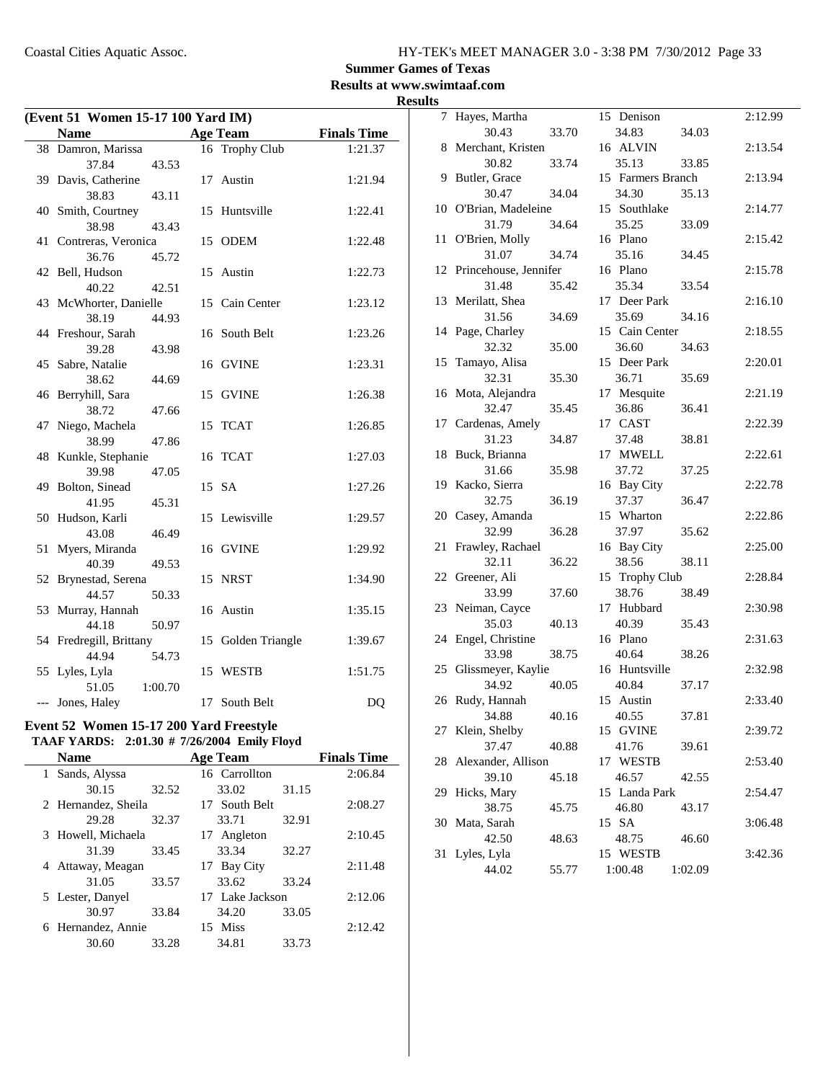### **Summer Games of Texas**

**Results at www.swimtaaf.com Results**

| (Event 51 Women 15-17 100 Yard IM) |                               |         |    |                    |                    |
|------------------------------------|-------------------------------|---------|----|--------------------|--------------------|
|                                    | <b>Name</b>                   |         |    | <b>Age Team</b>    | <b>Finals Time</b> |
|                                    | 38 Damron, Marissa            |         |    | 16 Trophy Club     | 1:21.37            |
|                                    | 37.84                         | 43.53   |    |                    |                    |
|                                    | 39 Davis, Catherine           |         | 17 | Austin             | 1:21.94            |
|                                    | 38.83                         | 43.11   |    |                    |                    |
| 40                                 | Smith, Courtney               |         | 15 | Huntsville         | 1:22.41            |
|                                    | 38.98                         | 43.43   |    |                    |                    |
| 41                                 | Contreras, Veronica           |         |    | 15 ODEM            | 1:22.48            |
|                                    | 36.76                         | 45.72   |    |                    |                    |
|                                    | 42 Bell, Hudson               |         | 15 | Austin             | 1:22.73            |
|                                    | 40.22                         | 42.51   |    |                    |                    |
|                                    | 43 McWhorter, Danielle        |         |    | 15 Cain Center     | 1:23.12            |
|                                    | 38.19                         | 44.93   |    |                    |                    |
|                                    | 44 Freshour, Sarah            |         | 16 | South Belt         | 1:23.26            |
|                                    | 39.28                         | 43.98   |    |                    |                    |
| 45                                 | Sabre, Natalie                |         | 16 | <b>GVINE</b>       | 1:23.31            |
|                                    | 38.62                         | 44.69   |    |                    |                    |
|                                    | 46 Berryhill, Sara            |         | 15 | <b>GVINE</b>       | 1:26.38            |
|                                    | 38.72                         | 47.66   |    |                    |                    |
| 47                                 | Niego, Machela<br>38.99       |         | 15 | <b>TCAT</b>        | 1:26.85            |
|                                    |                               | 47.86   |    | <b>TCAT</b>        | 1:27.03            |
|                                    | 48 Kunkle, Stephanie<br>39.98 | 47.05   | 16 |                    |                    |
|                                    | 49 Bolton, Sinead             |         |    | 15 SA              | 1:27.26            |
|                                    | 41.95                         | 45.31   |    |                    |                    |
| 50                                 | Hudson, Karli                 |         | 15 | Lewisville         | 1:29.57            |
|                                    | 43.08                         | 46.49   |    |                    |                    |
| 51                                 | Myers, Miranda                |         |    | 16 GVINE           | 1:29.92            |
|                                    | 40.39                         | 49.53   |    |                    |                    |
| 52                                 | Brynestad, Serena             |         | 15 | <b>NRST</b>        | 1:34.90            |
|                                    | 44.57                         | 50.33   |    |                    |                    |
| 53                                 | Murray, Hannah                |         |    | 16 Austin          | 1:35.15            |
|                                    | 44.18                         | 50.97   |    |                    |                    |
|                                    | 54 Fredregill, Brittany       |         |    | 15 Golden Triangle | 1:39.67            |
|                                    | 44.94                         | 54.73   |    |                    |                    |
|                                    | 55 Lyles, Lyla                |         | 15 | WESTB              | 1:51.75            |
|                                    | 51.05                         | 1:00.70 |    |                    |                    |
| $---$                              | Jones, Haley                  |         |    | 17 South Belt      | DQ                 |

### **Event 52 Women 15-17 200 Yard Freestyle**

#### **TAAF YARDS: 2:01.30 # Emily Floyd 7/26/2004**

| <b>Name</b>            |       | <b>Age Team</b> |       | <b>Finals Time</b> |
|------------------------|-------|-----------------|-------|--------------------|
| Sands, Alyssa<br>1.    |       | 16 Carrollton   |       | 2:06.84            |
| 30.15                  | 32.52 | 33.02           | 31.15 |                    |
| 2 Hernandez, Sheila    |       | 17 South Belt   |       | 2:08.27            |
| 29.28                  | 32.37 | 33.71           | 32.91 |                    |
| 3 Howell, Michaela     |       | 17 Angleton     |       | 2:10.45            |
| 31.39                  | 33.45 | 33.34           | 32.27 |                    |
| Attaway, Meagan        |       | 17 Bay City     |       | 2:11.48            |
| 31.05                  | 33.57 | 33.62           | 33.24 |                    |
| 5 Lester, Danyel       |       | 17 Lake Jackson |       | 2:12.06            |
| 30.97                  | 33.84 | 34.20           | 33.05 |                    |
| Hernandez, Annie<br>6. |       | 15 Miss         |       | 2:12.42            |
| 30.60                  | 33.28 | 34.81           | 33.73 |                    |
|                        |       |                 |       |                    |

| 7  | Hayes, Martha         |       | 15 Denison        |         | 2:12.99 |
|----|-----------------------|-------|-------------------|---------|---------|
|    | 30.43                 | 33.70 | 34.83             | 34.03   |         |
| 8  | Merchant, Kristen     |       | 16 ALVIN          |         | 2:13.54 |
|    | 30.82                 | 33.74 | 35.13             | 33.85   |         |
| 9  | Butler, Grace         |       | 15 Farmers Branch |         | 2:13.94 |
|    | 30.47                 | 34.04 | 34.30             | 35.13   |         |
|    | 10 O'Brian, Madeleine |       | 15 Southlake      |         | 2:14.77 |
|    | 31.79                 | 34.64 | 35.25             | 33.09   |         |
| 11 | O'Brien, Molly        |       | 16 Plano          |         | 2:15.42 |
|    | 31.07                 | 34.74 | 35.16             | 34.45   |         |
| 12 | Princehouse, Jennifer |       | 16 Plano          |         | 2:15.78 |
|    | 31.48                 | 35.42 | 35.34             | 33.54   |         |
|    | 13 Merilatt, Shea     |       | 17 Deer Park      |         | 2:16.10 |
|    | 31.56                 | 34.69 | 35.69             | 34.16   |         |
| 14 | Page, Charley         |       | 15 Cain Center    |         | 2:18.55 |
|    | 32.32                 | 35.00 | 36.60             | 34.63   |         |
| 15 | Tamayo, Alisa         |       | 15 Deer Park      |         | 2:20.01 |
|    | 32.31                 | 35.30 | 36.71             | 35.69   |         |
| 16 | Mota, Alejandra       |       | 17 Mesquite       |         | 2:21.19 |
|    | 32.47                 | 35.45 | 36.86             | 36.41   |         |
| 17 | Cardenas, Amely       |       | 17 CAST           |         | 2:22.39 |
|    | 31.23                 | 34.87 | 37.48             | 38.81   |         |
| 18 | Buck, Brianna         |       | 17 MWELL          |         | 2:22.61 |
|    | 31.66                 | 35.98 | 37.72             | 37.25   |         |
| 19 | Kacko, Sierra         |       | 16 Bay City       |         | 2:22.78 |
|    | 32.75                 | 36.19 | 37.37             | 36.47   |         |
| 20 | Casey, Amanda         |       | 15 Wharton        |         | 2:22.86 |
|    | 32.99                 | 36.28 | 37.97             | 35.62   |         |
| 21 | Frawley, Rachael      |       | 16 Bay City       |         | 2:25.00 |
|    | 32.11                 | 36.22 | 38.56             | 38.11   |         |
| 22 | Greener, Ali          |       | 15 Trophy Club    |         | 2:28.84 |
|    | 33.99                 | 37.60 | 38.76             | 38.49   |         |
| 23 | Neiman, Cayce         |       | 17 Hubbard        |         | 2:30.98 |
|    | 35.03                 | 40.13 | 40.39             | 35.43   |         |
| 24 | Engel, Christine      |       | 16 Plano          |         | 2:31.63 |
|    | 33.98                 | 38.75 | 40.64             | 38.26   |         |
| 25 | Glissmeyer, Kaylie    |       | 16 Huntsville     |         | 2:32.98 |
|    | 34.92                 | 40.05 | 40.84             | 37.17   |         |
| 26 | Rudy, Hannah          |       | 15 Austin         |         | 2:33.40 |
|    | 34.88                 | 40.16 | 40.55             | 37.81   |         |
| 27 | Klein, Shelby         |       | 15 GVINE          |         | 2:39.72 |
|    | 37.47                 | 40.88 | 41.76             | 39.61   |         |
| 28 | Alexander, Allison    |       | 17 WESTB          |         | 2:53.40 |
|    | 39.10                 | 45.18 | 46.57             | 42.55   |         |
| 29 | Hicks, Mary           |       | 15 Landa Park     |         | 2:54.47 |
|    | 38.75                 | 45.75 | 46.80             | 43.17   |         |
| 30 | Mata, Sarah           |       | 15 SA             |         | 3:06.48 |
|    | 42.50                 | 48.63 | 48.75             | 46.60   |         |
| 31 | Lyles, Lyla           |       | 15 WESTB          |         | 3:42.36 |
|    | 44.02                 | 55.77 | 1:00.48           | 1:02.09 |         |
|    |                       |       |                   |         |         |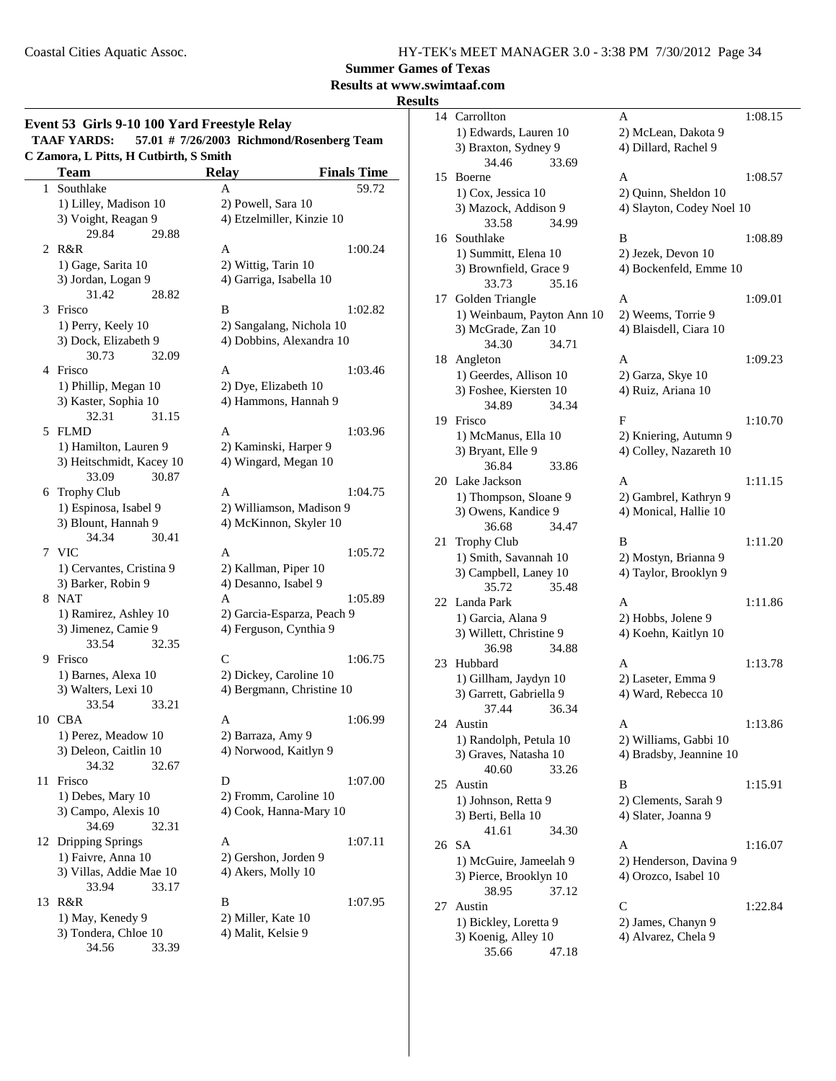**Summer Games of Texas**

### **Results at www.swimtaaf.com**

### **Results**

|    | Event 53 Girls 9-10 100 Yard Freestyle Relay<br>57.01 # 7/26/2003 Richmond/Rosenberg Team<br><b>TAAF YARDS:</b> |                                    |  |  |  |  |
|----|-----------------------------------------------------------------------------------------------------------------|------------------------------------|--|--|--|--|
|    | C Zamora, L Pitts, H Cutbirth, S Smith<br><b>Team</b>                                                           | <b>Relay</b><br><b>Finals Time</b> |  |  |  |  |
| 1  | Southlake                                                                                                       | 59.72<br>A                         |  |  |  |  |
|    | 1) Lilley, Madison 10                                                                                           | 2) Powell, Sara 10                 |  |  |  |  |
|    | 3) Voight, Reagan 9                                                                                             | 4) Etzelmiller, Kinzie 10          |  |  |  |  |
|    | 29.84<br>29.88                                                                                                  |                                    |  |  |  |  |
| 2  | R&R                                                                                                             | 1:00.24<br>A                       |  |  |  |  |
|    | 1) Gage, Sarita 10                                                                                              | 2) Wittig, Tarin 10                |  |  |  |  |
|    | 3) Jordan, Logan 9                                                                                              | 4) Garriga, Isabella 10            |  |  |  |  |
|    | 31.42<br>28.82                                                                                                  |                                    |  |  |  |  |
|    | 3 Frisco                                                                                                        | B<br>1:02.82                       |  |  |  |  |
|    | 1) Perry, Keely 10                                                                                              | 2) Sangalang, Nichola 10           |  |  |  |  |
|    | 3) Dock, Elizabeth 9                                                                                            | 4) Dobbins, Alexandra 10           |  |  |  |  |
|    | 30.73<br>32.09                                                                                                  |                                    |  |  |  |  |
|    | 4 Frisco                                                                                                        | 1:03.46<br>A                       |  |  |  |  |
|    | 1) Phillip, Megan 10                                                                                            | 2) Dye, Elizabeth 10               |  |  |  |  |
|    | 3) Kaster, Sophia 10                                                                                            | 4) Hammons, Hannah 9               |  |  |  |  |
|    | 31.15<br>32.31                                                                                                  |                                    |  |  |  |  |
|    | 5 FLMD                                                                                                          | A<br>1:03.96                       |  |  |  |  |
|    | 1) Hamilton, Lauren 9                                                                                           | 2) Kaminski, Harper 9              |  |  |  |  |
|    | 3) Heitschmidt, Kacey 10                                                                                        | 4) Wingard, Megan 10               |  |  |  |  |
|    | 33.09<br>30.87                                                                                                  |                                    |  |  |  |  |
|    | 6 Trophy Club                                                                                                   | 1:04.75<br>A                       |  |  |  |  |
|    | 1) Espinosa, Isabel 9                                                                                           | 2) Williamson, Madison 9           |  |  |  |  |
|    | 3) Blount, Hannah 9                                                                                             | 4) McKinnon, Skyler 10             |  |  |  |  |
|    | 34.34<br>30.41                                                                                                  |                                    |  |  |  |  |
|    | 7 VIC                                                                                                           | 1:05.72<br>A                       |  |  |  |  |
|    | 1) Cervantes, Cristina 9                                                                                        | 2) Kallman, Piper 10               |  |  |  |  |
|    | 3) Barker, Robin 9                                                                                              | 4) Desanno, Isabel 9               |  |  |  |  |
|    | 8 NAT                                                                                                           | A<br>1:05.89                       |  |  |  |  |
|    | 1) Ramirez, Ashley 10                                                                                           | 2) Garcia-Esparza, Peach 9         |  |  |  |  |
|    | 3) Jimenez, Camie 9                                                                                             | 4) Ferguson, Cynthia 9             |  |  |  |  |
|    | 33.54<br>32.35                                                                                                  |                                    |  |  |  |  |
|    | 9 Frisco                                                                                                        | C<br>1:06.75                       |  |  |  |  |
|    | 1) Barnes, Alexa 10                                                                                             | 2) Dickey, Caroline 10             |  |  |  |  |
|    | 3) Walters, Lexi 10                                                                                             | 4) Bergmann, Christine 10          |  |  |  |  |
|    | 33.54<br>33.21                                                                                                  |                                    |  |  |  |  |
|    | 10 CBA                                                                                                          | 1:06.99<br>Α                       |  |  |  |  |
|    | 1) Perez, Meadow 10                                                                                             | 2) Barraza, Amy 9                  |  |  |  |  |
|    | 3) Deleon, Caitlin 10                                                                                           | 4) Norwood, Kaitlyn 9              |  |  |  |  |
|    | 34.32<br>32.67                                                                                                  |                                    |  |  |  |  |
| 11 | Frisco                                                                                                          | 1:07.00<br>D                       |  |  |  |  |
|    | 1) Debes, Mary 10                                                                                               | 2) Fromm, Caroline 10              |  |  |  |  |
|    | 3) Campo, Alexis 10                                                                                             | 4) Cook, Hanna-Mary 10             |  |  |  |  |
|    | 34.69<br>32.31                                                                                                  |                                    |  |  |  |  |
|    | 12 Dripping Springs                                                                                             | A<br>1:07.11                       |  |  |  |  |
|    | 1) Faivre, Anna 10                                                                                              | 2) Gershon, Jorden 9               |  |  |  |  |
|    | 3) Villas, Addie Mae 10                                                                                         | 4) Akers, Molly 10                 |  |  |  |  |
|    | 33.94<br>33.17                                                                                                  |                                    |  |  |  |  |
| 13 | R&R                                                                                                             | B<br>1:07.95                       |  |  |  |  |
|    | 1) May, Kenedy 9                                                                                                | 2) Miller, Kate 10                 |  |  |  |  |
|    | 3) Tondera, Chloe 10                                                                                            | 4) Malit, Kelsie 9                 |  |  |  |  |
|    | 34.56<br>33.39                                                                                                  |                                    |  |  |  |  |
|    |                                                                                                                 |                                    |  |  |  |  |

| 14 | Carrollton                               | A                         | 1:08.15 |
|----|------------------------------------------|---------------------------|---------|
|    | 1) Edwards, Lauren 10                    | 2) McLean, Dakota 9       |         |
|    | 3) Braxton, Sydney 9                     | 4) Dillard, Rachel 9      |         |
|    | 34.46<br>33.69                           |                           |         |
| 15 | Boerne                                   | A                         | 1:08.57 |
|    | 1) Cox, Jessica 10                       | 2) Quinn, Sheldon 10      |         |
|    | 3) Mazock, Addison 9                     | 4) Slayton, Codey Noel 10 |         |
|    | 34.99<br>33.58                           |                           |         |
| 16 | Southlake                                | B                         | 1:08.89 |
|    | 1) Summitt, Elena 10                     | 2) Jezek, Devon 10        |         |
|    | 3) Brownfield, Grace 9                   | 4) Bockenfeld, Emme 10    |         |
|    | 33.73<br>35.16                           |                           |         |
| 17 | Golden Triangle                          | Α                         | 1:09.01 |
|    | 1) Weinbaum, Payton Ann 10               | 2) Weems, Torrie 9        |         |
|    | 3) McGrade, Zan 10                       | 4) Blaisdell, Ciara 10    |         |
|    | 34.30<br>34.71                           |                           |         |
| 18 | Angleton                                 | A                         | 1:09.23 |
|    | 1) Geerdes, Allison 10                   | 2) Garza, Skye 10         |         |
|    | 3) Foshee, Kiersten 10                   | 4) Ruiz, Ariana 10        |         |
|    | 34.34<br>34.89                           |                           |         |
| 19 | Frisco                                   | F                         | 1:10.70 |
|    | 1) McManus, Ella 10                      | 2) Kniering, Autumn 9     |         |
|    | 3) Bryant, Elle 9                        | 4) Colley, Nazareth 10    |         |
| 20 | 36.84<br>33.86<br>Lake Jackson           | A                         | 1:11.15 |
|    | 1) Thompson, Sloane 9                    | 2) Gambrel, Kathryn 9     |         |
|    | 3) Owens, Kandice 9                      | 4) Monical, Hallie 10     |         |
|    | 34.47<br>36.68                           |                           |         |
| 21 | <b>Trophy Club</b>                       | B                         | 1:11.20 |
|    | 1) Smith, Savannah 10                    | 2) Mostyn, Brianna 9      |         |
|    | 3) Campbell, Laney 10                    | 4) Taylor, Brooklyn 9     |         |
|    | 35.72<br>35.48                           |                           |         |
| 22 | Landa Park                               | А                         | 1:11.86 |
|    | 1) Garcia, Alana 9                       | 2) Hobbs, Jolene 9        |         |
|    | 3) Willett, Christine 9                  | 4) Koehn, Kaitlyn 10      |         |
|    | 34.88<br>36.98                           |                           |         |
| 23 | Hubbard                                  | A                         | 1:13.78 |
|    | 1) Gillham, Jaydyn 10                    | 2) Laseter, Emma 9        |         |
|    | 3) Garrett, Gabriella 9                  | 4) Ward, Rebecca 10       |         |
|    | 37.44<br>36.34                           |                           |         |
| 24 | Austin                                   | Α                         | 1:13.86 |
|    | 1) Randolph, Petula 10                   | 2) Williams, Gabbi 10     |         |
|    | 3) Graves, Natasha 10                    | 4) Bradsby, Jeannine 10   |         |
|    | 40.60<br>33.26                           |                           |         |
| 25 | Austin                                   | B                         | 1:15.91 |
|    | 1) Johnson, Retta 9                      | 2) Clements, Sarah 9      |         |
|    | 3) Berti, Bella 10                       | 4) Slater, Joanna 9       |         |
|    | 41.61<br>34.30                           |                           |         |
| 26 | SА                                       | Α                         | 1:16.07 |
|    | 1) McGuire, Jameelah 9                   | 2) Henderson, Davina 9    |         |
|    | 3) Pierce, Brooklyn 10<br>38.95<br>37.12 | 4) Orozco, Isabel 10      |         |
| 27 | Austin                                   | C                         | 1:22.84 |
|    | 1) Bickley, Loretta 9                    | 2) James, Chanyn 9        |         |
|    | 3) Koenig, Alley 10                      | 4) Alvarez, Chela 9       |         |
|    | 35.66<br>47.18                           |                           |         |
|    |                                          |                           |         |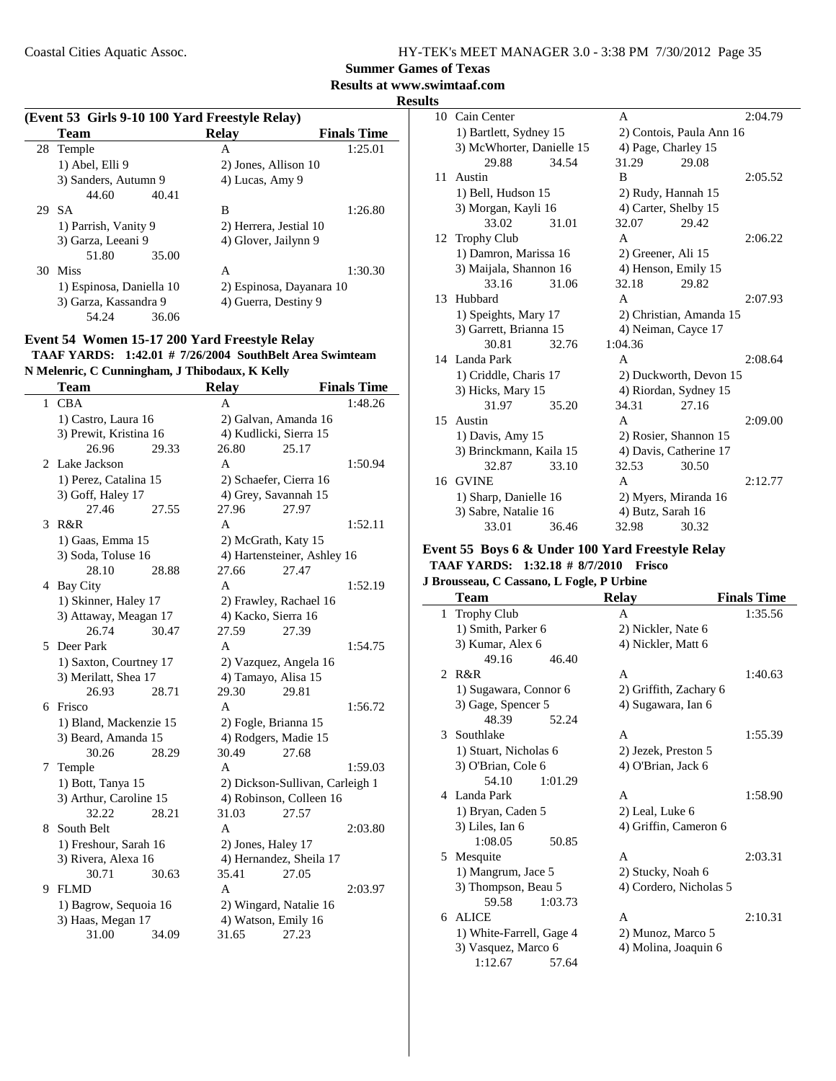| HY-TEK's MEET MANAGER 3.0 - 3:38 PM 7/30/2012 Page 35 |  |  |  |
|-------------------------------------------------------|--|--|--|
|-------------------------------------------------------|--|--|--|

**Results at www.swimtaaf.com**

**Results**

 $\overline{\phantom{0}}$ 

|    | (Event 53 Girls 9-10 100 Yard Freestyle Relay) |                          |                    |  |  |
|----|------------------------------------------------|--------------------------|--------------------|--|--|
|    | Team                                           | Relay                    | <b>Finals Time</b> |  |  |
|    | 28 Temple                                      | A                        | 1:25.01            |  |  |
|    | 1) Abel, Elli 9                                | 2) Jones, Allison 10     |                    |  |  |
|    | 3) Sanders, Autumn 9                           | 4) Lucas, Amy 9          |                    |  |  |
|    | 44.60<br>40.41                                 |                          |                    |  |  |
|    | 29 SA                                          | B                        | 1:26.80            |  |  |
|    | 1) Parrish, Vanity 9                           | 2) Herrera, Jestial 10   |                    |  |  |
|    | 3) Garza, Leeani 9                             | 4) Glover, Jailynn 9     |                    |  |  |
|    | 35.00<br>51.80                                 |                          |                    |  |  |
| 30 | <b>Miss</b>                                    | A                        | 1:30.30            |  |  |
|    | 1) Espinosa, Daniella 10                       | 2) Espinosa, Dayanara 10 |                    |  |  |
|    | 3) Garza, Kassandra 9                          | 4) Guerra, Destiny 9     |                    |  |  |
|    | 54.24<br>36.06                                 |                          |                    |  |  |

#### **Event 54 Women 15-17 200 Yard Freestyle Relay TAAF YARDS:** 1:42.01 # 7/26/2004 SouthBelt Area Swimteam **N Melenric, C Cunningham, J Thibodaux, K Kelly**

|   | <b>Team</b>            |       | <b>Relay</b>           |                                 | <b>Finals Time</b> |
|---|------------------------|-------|------------------------|---------------------------------|--------------------|
| 1 | <b>CBA</b>             |       | A                      |                                 | 1:48.26            |
|   | 1) Castro, Laura 16    |       | 2) Galvan, Amanda 16   |                                 |                    |
|   | 3) Prewit, Kristina 16 |       | 4) Kudlicki, Sierra 15 |                                 |                    |
|   | 26.96                  | 29.33 | 26.80                  | 25.17                           |                    |
| 2 | Lake Jackson           |       | A                      |                                 | 1:50.94            |
|   | 1) Perez, Catalina 15  |       | 2) Schaefer, Cierra 16 |                                 |                    |
|   | 3) Goff, Haley 17      |       | 4) Grey, Savannah 15   |                                 |                    |
|   | 27.46                  | 27.55 | 27.96                  | 27.97                           |                    |
| 3 | R&R                    |       | A                      |                                 | 1:52.11            |
|   | 1) Gaas, Emma 15       |       | 2) McGrath, Katy 15    |                                 |                    |
|   | 3) Soda, Toluse 16     |       |                        | 4) Hartensteiner, Ashley 16     |                    |
|   | 28.10                  | 28.88 | 27.66                  | 27.47                           |                    |
|   | 4 Bay City             |       | A                      |                                 | 1:52.19            |
|   | 1) Skinner, Haley 17   |       |                        | 2) Frawley, Rachael 16          |                    |
|   | 3) Attaway, Meagan 17  |       |                        | 4) Kacko, Sierra 16             |                    |
|   | 26.74                  | 30.47 | 27.59                  | 27.39                           |                    |
|   | 5 Deer Park            |       | A                      |                                 | 1:54.75            |
|   | 1) Saxton, Courtney 17 |       | 2) Vazquez, Angela 16  |                                 |                    |
|   | 3) Merilatt, Shea 17   |       | 4) Tamayo, Alisa 15    |                                 |                    |
|   | 26.93                  | 28.71 | 29.30                  | 29.81                           |                    |
| 6 | Frisco                 |       | A                      |                                 | 1:56.72            |
|   | 1) Bland, Mackenzie 15 |       | 2) Fogle, Brianna 15   |                                 |                    |
|   | 3) Beard, Amanda 15    |       | 4) Rodgers, Madie 15   |                                 |                    |
|   | 30.26                  | 28.29 | 30.49                  | 27.68                           |                    |
| 7 | Temple                 |       | A                      |                                 | 1:59.03            |
|   | 1) Bott, Tanya 15      |       |                        | 2) Dickson-Sullivan, Carleigh 1 |                    |
|   | 3) Arthur, Caroline 15 |       |                        | 4) Robinson, Colleen 16         |                    |
|   | 32.22                  | 28.21 | 31.03                  | 27.57                           |                    |
| 8 | South Belt             |       | A                      |                                 | 2:03.80            |
|   | 1) Freshour, Sarah 16  |       | 2) Jones, Haley 17     |                                 |                    |
|   | 3) Rivera, Alexa 16    |       |                        | 4) Hernandez, Sheila 17         |                    |
|   | 30.71                  | 30.63 | 35.41                  | 27.05                           |                    |
| 9 | <b>FLMD</b>            |       | A                      |                                 | 2:03.97            |
|   | 1) Bagrow, Sequoia 16  |       | 2) Wingard, Natalie 16 |                                 |                    |
|   | 3) Haas, Megan 17      |       | 4) Watson, Emily 16    |                                 |                    |
|   | 31.00                  | 34.09 | 31.65                  | 27.23                           |                    |

|    | 10 Cain Center            |       | A                        |                         | 2:04.79 |
|----|---------------------------|-------|--------------------------|-------------------------|---------|
|    | 1) Bartlett, Sydney 15    |       | 2) Contois, Paula Ann 16 |                         |         |
|    | 3) McWhorter, Danielle 15 |       |                          | 4) Page, Charley 15     |         |
|    | 29.88                     | 34.54 | 31.29                    | 29.08                   |         |
| 11 | Austin                    |       | B                        |                         | 2:05.52 |
|    | 1) Bell, Hudson 15        |       |                          | 2) Rudy, Hannah 15      |         |
|    | 3) Morgan, Kayli 16       |       |                          | 4) Carter, Shelby 15    |         |
|    | 33.02                     | 31.01 | 32.07                    | 29.42                   |         |
| 12 | <b>Trophy Club</b>        |       | $\mathsf{A}$             |                         | 2:06.22 |
|    | 1) Damron, Marissa 16     |       |                          | 2) Greener, Ali 15      |         |
|    | 3) Maijala, Shannon 16    |       |                          | 4) Henson, Emily 15     |         |
|    | 33.16                     | 31.06 | 32.18                    | 29.82                   |         |
|    | 13 Hubbard                |       | A                        |                         | 2:07.93 |
|    | 1) Speights, Mary 17      |       |                          | 2) Christian, Amanda 15 |         |
|    | 3) Garrett, Brianna 15    |       |                          | 4) Neiman, Cayce 17     |         |
|    | 30.81                     | 32.76 | 1:04.36                  |                         |         |
|    | 14 Landa Park             |       | A                        |                         | 2:08.64 |
|    | 1) Criddle, Charis 17     |       | 2) Duckworth, Devon 15   |                         |         |
|    | 3) Hicks, Mary 15         |       |                          | 4) Riordan, Sydney 15   |         |
|    | 31.97                     | 35.20 | 34.31                    | 27.16                   |         |
| 15 | Austin                    |       | $\mathsf{A}$             |                         | 2:09.00 |
|    | 1) Davis, Amy 15          |       |                          | 2) Rosier, Shannon 15   |         |
|    | 3) Brinckmann, Kaila 15   |       |                          | 4) Davis, Catherine 17  |         |
|    | 32.87                     | 33.10 | 32.53                    | 30.50                   |         |
|    | 16 GVINE                  |       | A                        |                         | 2:12.77 |
|    | 1) Sharp, Danielle 16     |       | 2) Myers, Miranda 16     |                         |         |
|    | 3) Sabre, Natalie 16      |       | 4) Butz, Sarah 16        |                         |         |
|    | 33.01                     | 36.46 | 32.98                    | 30.32                   |         |

#### **Event 55 Boys 6 & Under 100 Yard Freestyle Relay TAAF YARDS:** 1:32.18 # 8/7/2010 **Frisco**

**J Brousseau, C Cassano, L Fogle, P Urbine**

|              | $P100$ usseau, C Cassano, L Pogie, P Orbine |                        |                    |
|--------------|---------------------------------------------|------------------------|--------------------|
|              | Team                                        | <b>Relay</b>           | <b>Finals Time</b> |
| $\mathbf{1}$ | <b>Trophy Club</b>                          | A                      | 1:35.56            |
|              | 1) Smith, Parker 6                          | 2) Nickler, Nate 6     |                    |
|              | 3) Kumar, Alex 6                            | 4) Nickler, Matt 6     |                    |
|              | 49.16<br>46.40                              |                        |                    |
|              | 2 R&R                                       | A                      | 1:40.63            |
|              | 1) Sugawara, Connor 6                       | 2) Griffith, Zachary 6 |                    |
|              | 3) Gage, Spencer 5                          | 4) Sugawara, Ian 6     |                    |
|              | 48.39<br>52.24                              |                        |                    |
|              | 3 Southlake                                 | A                      | 1:55.39            |
|              | 1) Stuart, Nicholas 6                       | 2) Jezek, Preston 5    |                    |
|              | 3) O'Brian, Cole 6                          | 4) O'Brian, Jack 6     |                    |
|              | 54.10<br>1:01.29                            |                        |                    |
|              | 4 Landa Park                                | A                      | 1:58.90            |
|              | 1) Bryan, Caden 5                           | 2) Leal, Luke 6        |                    |
|              | 3) Liles, Ian 6                             | 4) Griffin, Cameron 6  |                    |
|              | 1:08.05<br>50.85                            |                        |                    |
| 5.           | Mesquite                                    | A                      | 2:03.31            |
|              | 1) Mangrum, Jace 5                          | 2) Stucky, Noah 6      |                    |
|              | 3) Thompson, Beau 5                         | 4) Cordero, Nicholas 5 |                    |
|              | 1:03.73<br>59.58                            |                        |                    |
| 6            | <b>ALICE</b>                                | A                      | 2:10.31            |
|              | 1) White-Farrell, Gage 4                    | 2) Munoz, Marco 5      |                    |
|              | 3) Vasquez, Marco 6                         | 4) Molina, Joaquin 6   |                    |
|              | 1:12.67<br>57.64                            |                        |                    |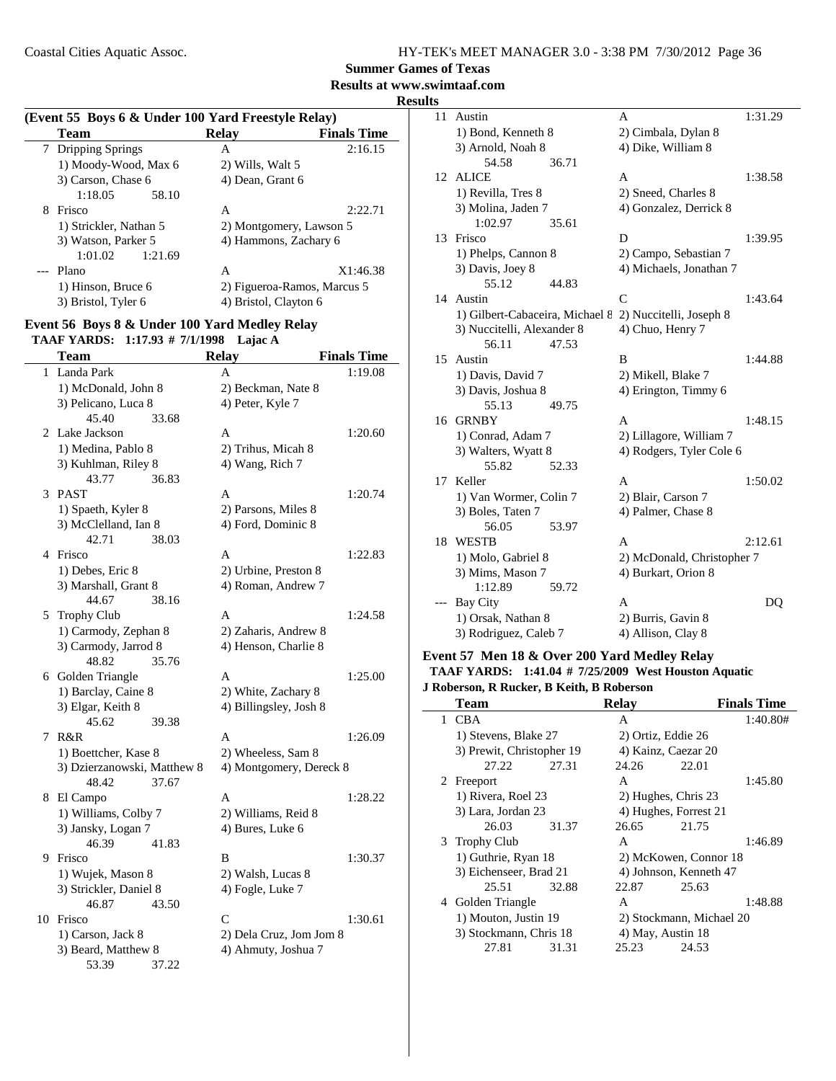**Summer Games of Texas**

**Results at www.swimtaaf.com**

|   | (Event 55 Boys 6 & Under 100 Yard Freestyle Relay) |                             |                    |             |
|---|----------------------------------------------------|-----------------------------|--------------------|-------------|
|   | Team                                               | <b>Relay</b>                | <b>Finals Time</b> |             |
|   | 7 Dripping Springs                                 | A                           | 2:16.15            |             |
|   | 1) Moody-Wood, Max 6                               | 2) Wills, Walt 5            |                    |             |
|   | 3) Carson, Chase 6                                 | 4) Dean, Grant 6            |                    | 1.          |
|   | 1:18.05<br>58.10                                   |                             |                    |             |
| 8 | Frisco                                             | A                           | 2:22.71            |             |
|   | 1) Strickler, Nathan 5                             | 2) Montgomery, Lawson 5     |                    |             |
|   | 3) Watson, Parker 5                                | 4) Hammons, Zachary 6       |                    | $1^{\circ}$ |
|   | 1:01.02<br>1:21.69                                 |                             |                    |             |
|   | --- Plano                                          | A                           | X1:46.38           |             |
|   | 1) Hinson, Bruce 6                                 | 2) Figueroa-Ramos, Marcus 5 |                    |             |
|   | 3) Bristol, Tyler 6                                | 4) Bristol, Clayton 6       |                    | 1.          |

#### **Event 56 Boys 8 & Under 100 Yard Medley Relay TAAF YARDS:** 1:17.93 # 7/1/1998 Lajac A

|   | <b>Team</b>                 |       | <b>Relay</b>            | <b>Finals Time</b> |
|---|-----------------------------|-------|-------------------------|--------------------|
|   | 1 Landa Park                |       | A                       | 1:19.08            |
|   | 1) McDonald, John 8         |       | 2) Beckman, Nate 8      |                    |
|   | 3) Pelicano, Luca 8         |       | 4) Peter, Kyle 7        |                    |
|   | 45.40                       | 33.68 |                         |                    |
|   | 2 Lake Jackson              |       | A                       | 1:20.60            |
|   | 1) Medina, Pablo 8          |       | 2) Trihus, Micah 8      |                    |
|   | 3) Kuhlman, Riley 8         |       | 4) Wang, Rich 7         |                    |
|   | 43.77                       | 36.83 |                         |                    |
|   | 3 PAST                      |       | A                       | 1:20.74            |
|   | 1) Spaeth, Kyler 8          |       | 2) Parsons, Miles 8     |                    |
|   | 3) McClelland, Ian 8        |       | 4) Ford, Dominic 8      |                    |
|   | 42.71                       | 38.03 |                         |                    |
|   | 4 Frisco                    |       | A                       | 1:22.83            |
|   | 1) Debes, Eric 8            |       | 2) Urbine, Preston 8    |                    |
|   | 3) Marshall, Grant 8        |       | 4) Roman, Andrew 7      |                    |
|   | 44.67                       | 38.16 |                         |                    |
|   | 5 Trophy Club               |       | A                       | 1:24.58            |
|   | 1) Carmody, Zephan 8        |       | 2) Zaharis, Andrew 8    |                    |
|   | 3) Carmody, Jarrod 8        |       | 4) Henson, Charlie 8    |                    |
|   | 48.82                       | 35.76 |                         |                    |
|   | 6 Golden Triangle           |       | A                       | 1:25.00            |
|   | 1) Barclay, Caine 8         |       | 2) White, Zachary 8     |                    |
|   | 3) Elgar, Keith 8           |       | 4) Billingsley, Josh 8  |                    |
|   | 45.62                       | 39.38 |                         |                    |
| 7 | R&R                         |       | A                       | 1:26.09            |
|   | 1) Boettcher, Kase 8        |       | 2) Wheeless, Sam 8      |                    |
|   | 3) Dzierzanowski, Matthew 8 |       | 4) Montgomery, Dereck 8 |                    |
|   | 48.42                       | 37.67 |                         |                    |
|   | 8 El Campo                  |       | Α                       | 1:28.22            |
|   | 1) Williams, Colby 7        |       | 2) Williams, Reid 8     |                    |
|   | 3) Jansky, Logan 7          |       | 4) Bures, Luke 6        |                    |
|   | 46.39                       | 41.83 |                         |                    |
|   | 9 Frisco                    |       | B                       | 1:30.37            |
|   | 1) Wujek, Mason 8           |       | 2) Walsh, Lucas 8       |                    |
|   | 3) Strickler, Daniel 8      |       | 4) Fogle, Luke 7        |                    |
|   | 46.87                       | 43.50 |                         |                    |
|   | 10 Frisco                   |       | C                       | 1:30.61            |
|   | 1) Carson, Jack 8           |       | 2) Dela Cruz, Jom Jom 8 |                    |
|   | 3) Beard, Matthew 8         |       | 4) Ahmuty, Joshua 7     |                    |
|   | 53.39                       | 37.22 |                         |                    |

| 11 | Austin                          | A                          | 1:31.29 |
|----|---------------------------------|----------------------------|---------|
|    | 1) Bond, Kenneth 8              | 2) Cimbala, Dylan 8        |         |
|    | 3) Arnold, Noah 8               | 4) Dike, William 8         |         |
|    | 54.58<br>36.71                  |                            |         |
|    | 12 ALICE                        | A                          | 1:38.58 |
|    | 1) Revilla, Tres 8              | 2) Sneed, Charles 8        |         |
|    | 3) Molina, Jaden 7              | 4) Gonzalez, Derrick 8     |         |
|    | 1:02.97<br>35.61                |                            |         |
| 13 | Frisco                          | D                          | 1:39.95 |
|    | 1) Phelps, Cannon 8             | 2) Campo, Sebastian 7      |         |
|    | 3) Davis, Joey 8                | 4) Michaels, Jonathan 7    |         |
|    | 55.12<br>44.83                  |                            |         |
|    | 14 Austin                       | $\mathsf{C}$               | 1:43.64 |
|    | 1) Gilbert-Cabaceira, Michael 8 | 2) Nuccitelli, Joseph 8    |         |
|    | 3) Nuccitelli, Alexander 8      | 4) Chuo, Henry 7           |         |
|    | 56.11<br>47.53                  |                            |         |
| 15 | Austin                          | B                          | 1:44.88 |
|    | 1) Davis, David 7               | 2) Mikell, Blake 7         |         |
|    | 3) Davis, Joshua 8              | 4) Erington, Timmy 6       |         |
|    | 55.13<br>49.75                  |                            |         |
|    | 16 GRNBY                        | A                          | 1:48.15 |
|    | 1) Conrad, Adam 7               | 2) Lillagore, William 7    |         |
|    | 3) Walters, Wyatt 8             | 4) Rodgers, Tyler Cole 6   |         |
|    | 55.82<br>52.33                  |                            |         |
| 17 | Keller                          | A                          | 1:50.02 |
|    | 1) Van Wormer, Colin 7          | 2) Blair, Carson 7         |         |
|    | 3) Boles, Taten 7               | 4) Palmer, Chase 8         |         |
|    | 56.05<br>53.97                  |                            |         |
|    | 18 WESTB                        | A                          | 2:12.61 |
|    | 1) Molo, Gabriel 8              | 2) McDonald, Christopher 7 |         |
|    | 3) Mims, Mason 7                | 4) Burkart, Orion 8        |         |
|    | 1:12.89<br>59.72                |                            |         |
|    | <b>Bay City</b>                 | A                          | DQ      |
|    | 1) Orsak, Nathan 8              | 2) Burris, Gavin 8         |         |
|    | 3) Rodriguez, Caleb 7           | 4) Allison, Clay 8         |         |

### **Event 57 Men 18 & Over 200 Yard Medley Relay TAAF YARDS:** 1:41.04 # 7/25/2009 West Houston Aquatic

**J Roberson, R Rucker, B Keith, B Roberson**

| Team                      |       | <b>Relay</b> |                          | <b>Finals Time</b> |
|---------------------------|-------|--------------|--------------------------|--------------------|
| 1 CBA                     |       | A            |                          | 1:40.80#           |
| 1) Stevens, Blake 27      |       |              | 2) Ortiz, Eddie 26       |                    |
| 3) Prewit, Christopher 19 |       |              | 4) Kainz, Caezar 20      |                    |
| 27.22                     | 27.31 | 24.26        | 22.01                    |                    |
| 2 Freeport                |       | A            |                          | 1:45.80            |
| 1) Rivera, Roel 23        |       |              | 2) Hughes, Chris 23      |                    |
| 3) Lara, Jordan 23        |       |              | 4) Hughes, Forrest 21    |                    |
| 26.03                     | 31.37 | 26.65        | 21.75                    |                    |
| 3 Trophy Club             |       | A            |                          | 1:46.89            |
| 1) Guthrie, Ryan 18       |       |              | 2) McKowen, Connor 18    |                    |
| 3) Eichenseer, Brad 21    |       |              | 4) Johnson, Kenneth 47   |                    |
| 25.51                     | 32.88 | 22.87        | 25.63                    |                    |
| 4 Golden Triangle         |       | A            |                          | 1:48.88            |
| 1) Mouton, Justin 19      |       |              | 2) Stockmann, Michael 20 |                    |
| 3) Stockmann, Chris 18    |       |              | 4) May, Austin 18        |                    |
| 27.81                     | 31.31 | 25.23        | 24.53                    |                    |
|                           |       |              |                          |                    |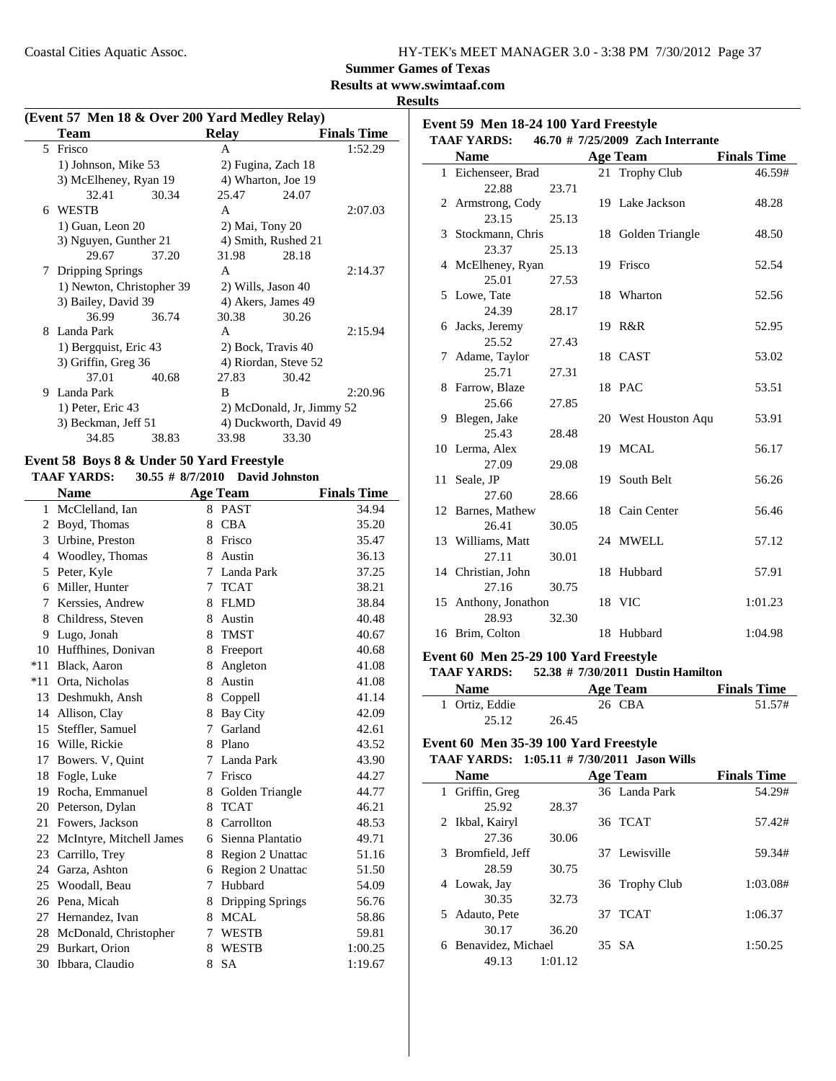| HY-TEK's MEET MANAGER 3.0 - 3:38 PM 7/30/2012 Page 37 |  |
|-------------------------------------------------------|--|
|-------------------------------------------------------|--|

**Event 59 Men 18-24 100 Yard Freestyle**

### **Summer Games of Texas**

#### **Results at www.swimtaaf.com**

**Results**

| (Event 57 Men 18 & Over 200 Yard Medley Relay) |  |  |  |  |
|------------------------------------------------|--|--|--|--|
|                                                |  |  |  |  |

|    | <b>Team</b>               |       | <b>Relay</b>              |       | <b>Finals Time</b> |
|----|---------------------------|-------|---------------------------|-------|--------------------|
| 5. | Frisco                    |       | A                         |       | 1:52.29            |
|    | 1) Johnson, Mike 53       |       | 2) Fugina, Zach 18        |       |                    |
|    | 3) McElheney, Ryan 19     |       | 4) Wharton, Joe 19        |       |                    |
|    | 32.41                     | 30.34 | 25.47                     | 24.07 |                    |
| 6  | <b>WESTB</b>              |       | A                         |       | 2:07.03            |
|    | 1) Guan, Leon 20          |       | 2) Mai, Tony 20           |       |                    |
|    | 3) Nguyen, Gunther 21     |       | 4) Smith, Rushed 21       |       |                    |
|    | 29.67                     | 37.20 | 31.98                     | 28.18 |                    |
| 7. | Dripping Springs          |       | A                         |       | 2:14.37            |
|    | 1) Newton, Christopher 39 |       | 2) Wills, Jason 40        |       |                    |
|    | 3) Bailey, David 39       |       | 4) Akers, James 49        |       |                    |
|    | 36.99                     | 36.74 | 30.38                     | 30.26 |                    |
| 8  | Landa Park                |       | $\mathsf{A}$              |       | 2:15.94            |
|    | 1) Bergquist, Eric 43     |       | 2) Bock, Travis 40        |       |                    |
|    | 3) Griffin, Greg 36       |       | 4) Riordan, Steve 52      |       |                    |
|    | 37.01                     | 40.68 | 27.83                     | 30.42 |                    |
| 9  | Landa Park                |       | B                         |       | 2:20.96            |
|    | 1) Peter, Eric 43         |       | 2) McDonald, Jr, Jimmy 52 |       |                    |
|    | 3) Beckman, Jeff 51       |       | 4) Duckworth, David 49    |       |                    |
|    | 34.85                     | 38.83 | 33.98                     | 33.30 |                    |

#### **Event 58 Boys 8 & Under 50 Yard Freestyle**

**TAAF YARDS:** 30.55 # 8/7/2010 David Johnston

|       | <b>Name</b>              |    | <b>Age Team</b>    | <b>Finals Time</b> |
|-------|--------------------------|----|--------------------|--------------------|
| 1     | McClelland, Ian          | 8  | <b>PAST</b>        | 34.94              |
| 2     | Boyd, Thomas             | 8  | <b>CBA</b>         | 35.20              |
| 3     | Urbine, Preston          | 8  | Frisco             | 35.47              |
| 4     | Woodley, Thomas          | 8  | Austin             | 36.13              |
| 5     | Peter, Kyle              | 7  | Landa Park         | 37.25              |
| 6     | Miller, Hunter           | 7  | <b>TCAT</b>        | 38.21              |
| 7     | Kerssies, Andrew         | 8  | <b>FLMD</b>        | 38.84              |
| 8     | Childress, Steven        | 8  | Austin             | 40.48              |
| 9     | Lugo, Jonah              | 8  | <b>TMST</b>        | 40.67              |
| 10    | Huffhines, Donivan       | 8  | Freeport           | 40.68              |
| $*11$ | Black, Aaron             | 8  | Angleton           | 41.08              |
| $*11$ | Orta, Nicholas           | 8  | Austin             | 41.08              |
| 13    | Deshmukh, Ansh           | 8  | Coppell            | 41.14              |
|       | 14 Allison, Clay         | 8  | Bay City           | 42.09              |
| 15    | Steffler, Samuel         | 7  | Garland            | 42.61              |
| 16    | Wille, Rickie            | 8  | Plano              | 43.52              |
| 17    | Bowers. V, Quint         | 7  | Landa Park         | 43.90              |
| 18    | Fogle, Luke              | 7  | Frisco             | 44.27              |
| 19    | Rocha, Emmanuel          |    | 8 Golden Triangle  | 44.77              |
|       | 20 Peterson, Dylan       | 8  | <b>TCAT</b>        | 46.21              |
| 21    | Fowers, Jackson          | 8. | Carrollton         | 48.53              |
| 22    | McIntyre, Mitchell James |    | 6 Sienna Plantatio | 49.71              |
| 23    | Carrillo, Trey           | 8  | Region 2 Unattac   | 51.16              |
|       | 24 Garza, Ashton         | 6  | Region 2 Unattac   | 51.50              |
|       | 25 Woodall, Beau         | 7  | Hubbard            | 54.09              |
|       | 26 Pena, Micah           | 8  | Dripping Springs   | 56.76              |
| 27    | Hernandez, Ivan          | 8  | <b>MCAL</b>        | 58.86              |
| 28    | McDonald, Christopher    | 7  | <b>WESTB</b>       | 59.81              |
| 29    | Burkart, Orion           | 8  | <b>WESTB</b>       | 1:00.25            |
| 30    | Ibbara, Claudio          | 8  | <b>SA</b>          | 1:19.67            |

| <b>TAAF YARDS:</b>   |       | 46.70 # 7/25/2009 Zach Interrante |                    |
|----------------------|-------|-----------------------------------|--------------------|
| <b>Name</b>          |       | <b>Age Team</b>                   | <b>Finals Time</b> |
| 1 Eichenseer, Brad   |       | 21 Trophy Club                    | 46.59#             |
| 22.88                | 23.71 |                                   |                    |
| 2 Armstrong, Cody    |       | 19 Lake Jackson                   | 48.28              |
| 23.15                | 25.13 |                                   |                    |
| 3 Stockmann, Chris   |       | 18 Golden Triangle                | 48.50              |
| 23.37                | 25.13 |                                   |                    |
| 4 McElheney, Ryan    |       | 19 Frisco                         | 52.54              |
| 25.01                | 27.53 |                                   |                    |
| 5 Lowe, Tate         |       | 18 Wharton                        | 52.56              |
| 24.39                | 28.17 |                                   |                    |
| 6 Jacks, Jeremy      |       | 19 R&R                            | 52.95              |
| 25.52                | 27.43 |                                   |                    |
| 7 Adame, Taylor      |       | 18 CAST                           | 53.02              |
| 25.71                | 27.31 |                                   |                    |
| 8 Farrow, Blaze      |       | 18 PAC                            | 53.51              |
| 25.66                | 27.85 |                                   |                    |
| 9 Blegen, Jake       |       | 20 West Houston Aqu               | 53.91              |
| 25.43                | 28.48 |                                   |                    |
| 10 Lerma, Alex       |       | 19 MCAL                           | 56.17              |
| 27.09                | 29.08 |                                   |                    |
| 11 Seale, JP         |       | 19 South Belt                     | 56.26              |
| 27.60                | 28.66 |                                   |                    |
| 12 Barnes, Mathew    |       | 18 Cain Center                    | 56.46              |
| 26.41                | 30.05 |                                   |                    |
| 13 Williams, Matt    |       | 24 MWELL                          | 57.12              |
| 27.11                | 30.01 |                                   |                    |
| 14 Christian, John   |       | 18 Hubbard                        | 57.91              |
| 27.16                | 30.75 |                                   |                    |
| 15 Anthony, Jonathon |       | 18 VIC                            | 1:01.23            |
| 28.93                | 32.30 |                                   |                    |
| 16 Brim, Colton      |       | 18 Hubbard                        | 1:04.98            |

#### **Event 60 Men 25-29 100 Yard Freestyle**

**TAAF YARDS:** 52.38 # 7/30/2011 Dustin Hamilton

| <b>Name</b>    | Age Team | <b>Finals Time</b> |
|----------------|----------|--------------------|
| 1 Ortiz, Eddie | 26 CBA   | 51.57#             |
| 25.12          | 26.45    |                    |

### **Event 60 Men 35-39 100 Yard Freestyle**

### **TAAF YARDS:** 1:05.11 # 7/30/2011 Jason Wills

| <b>Name</b>             |         | <b>Age Team</b> | <b>Finals Time</b> |
|-------------------------|---------|-----------------|--------------------|
| 1 Griffin, Greg         |         | 36 Landa Park   | 54.29#             |
| 25.92                   | 28.37   |                 |                    |
| 2 Ikbal, Kairyl         |         | 36 TCAT         | 57.42#             |
| 27.36                   | 30.06   |                 |                    |
| 3 Bromfield, Jeff       |         | 37 Lewisville   | 59.34#             |
| 28.59                   | 30.75   |                 |                    |
| 4 Lowak, Jay            |         | 36 Trophy Club  | 1:03.08#           |
| 30.35                   | 32.73   |                 |                    |
| 5 Adauto, Pete          |         | 37 TCAT         | 1:06.37            |
| 30.17                   | 36.20   |                 |                    |
| Benavidez, Michael<br>6 |         | 35 SA           | 1:50.25            |
| 49.13                   | 1:01.12 |                 |                    |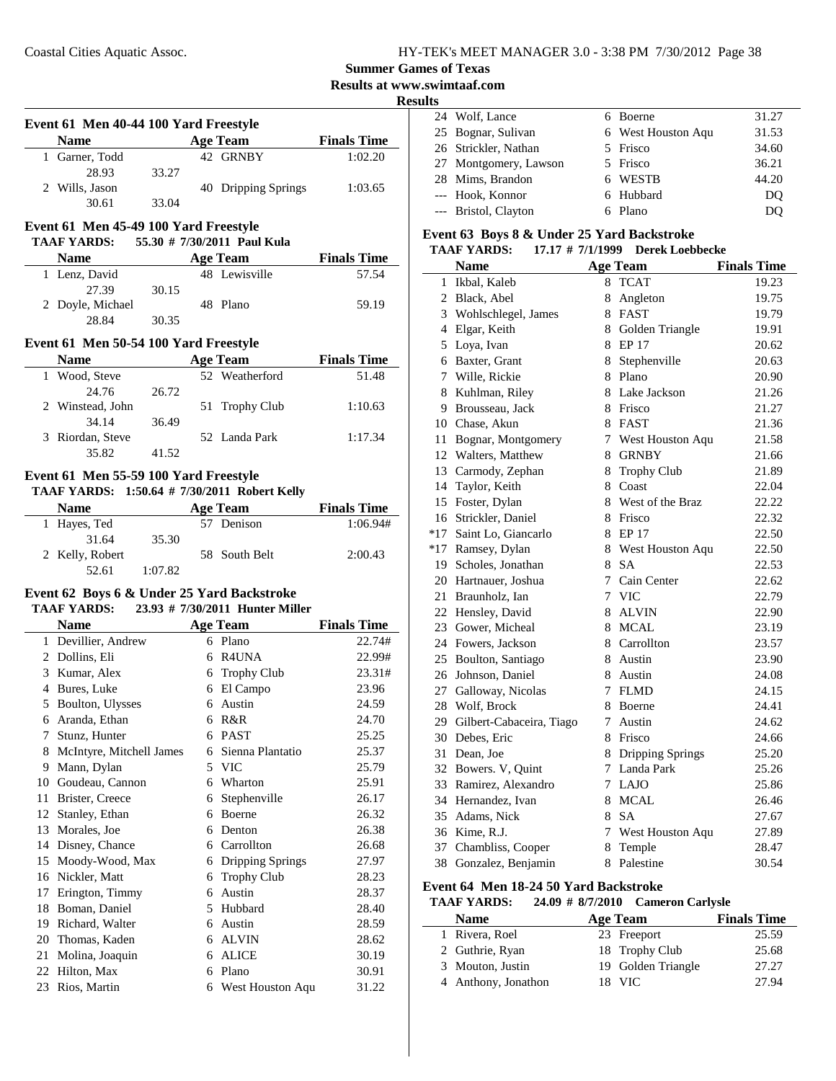L.

 $\overline{\phantom{a}}$ 

### **Summer Games of Texas**

### **Results at www.swimtaaf.com**

#### **Results**

 $\overline{a}$ 

| Event 61 Men 40-44 100 Yard Freestyle |                |       |                     |                    |  |  |
|---------------------------------------|----------------|-------|---------------------|--------------------|--|--|
|                                       | <b>Name</b>    |       | Age Team            | <b>Finals Time</b> |  |  |
|                                       | 1 Garner, Todd |       | 42 GRNBY            | 1:02.20            |  |  |
|                                       | 28.93          | 33.27 |                     |                    |  |  |
|                                       | 2 Wills, Jason |       | 40 Dripping Springs | 1:03.65            |  |  |
|                                       | 30.61          | 33.04 |                     |                    |  |  |

### **Event 61 Men 45-49 100 Yard Freestyle**

#### **TAAF YARDS:** 55.30 # 7/30/2011 Paul Kula

| <b>Name</b>      | Age Team |  |               | <b>Finals Time</b> |
|------------------|----------|--|---------------|--------------------|
| 1 Lenz, David    |          |  | 48 Lewisville | 57.54              |
| 27.39            | 30.15    |  |               |                    |
| 2 Doyle, Michael |          |  | 48 Plano      | 59.19              |
| 28.84            | 30.35    |  |               |                    |

#### **Event 61 Men 50-54 100 Yard Freestyle**

| <b>Name</b>      |       | Age Team       | <b>Finals Time</b> |
|------------------|-------|----------------|--------------------|
| 1 Wood, Steve    |       | 52 Weatherford | 51.48              |
| 24.76            | 26.72 |                |                    |
| 2 Winstead, John |       | 51 Trophy Club | 1:10.63            |
| 34.14            | 36.49 |                |                    |
| 3 Riordan, Steve |       | 52 Landa Park  | 1:17.34            |
| 35.82            | 41.52 |                |                    |

#### **Event 61 Men 55-59 100 Yard Freestyle TAAF YARDS: 1:50.64 # Robert Kelly 7/30/2011**

|                 |         | $1.1111$ $1.11111$ , $1.1001011$ , $1.100111011$ , $1.0000110110111$ |                    |
|-----------------|---------|----------------------------------------------------------------------|--------------------|
| <b>Name</b>     |         | Age Team                                                             | <b>Finals Time</b> |
| 1 Hayes, Ted    |         | 57 Denison                                                           | 1:06.94#           |
| 31.64           | 35.30   |                                                                      |                    |
| 2 Kelly, Robert |         | 58 South Belt                                                        | 2:00.43            |
| 52.61           | 1:07.82 |                                                                      |                    |

#### **Event 62 Boys 6 & Under 25 Yard Backstroke TAAF YARDS:** 23.93 # 7/30/2011 Hunter Miller

|    | Name                     |    | <b>Age Team</b>    | <b>Finals Time</b> |
|----|--------------------------|----|--------------------|--------------------|
| 1  | Devillier, Andrew        | 6  | Plano              | 22.74#             |
| 2  | Dollins, Eli             | 6  | R4UNA              | 22.99#             |
| 3  | Kumar, Alex              | 6  | <b>Trophy Club</b> | 23.31#             |
| 4  | Bures, Luke              | 6  | El Campo           | 23.96              |
| 5  | Boulton, Ulysses         | 6  | Austin             | 24.59              |
| 6  | Aranda, Ethan            | 6  | R&R                | 24.70              |
| 7  | Stunz, Hunter            | 6  | <b>PAST</b>        | 25.25              |
| 8  | McIntyre, Mitchell James | 6  | Sienna Plantatio   | 25.37              |
| 9  | Mann, Dylan              | 5. | <b>VIC</b>         | 25.79              |
| 10 | Goudeau, Cannon          | 6  | Wharton            | 25.91              |
| 11 | Brister, Creece          | 6  | Stephenville       | 26.17              |
| 12 | Stanley, Ethan           | 6  | <b>Boerne</b>      | 26.32              |
| 13 | Morales, Joe             | 6  | Denton             | 26.38              |
| 14 | Disney, Chance           | 6  | Carrollton         | 26.68              |
| 15 | Moody-Wood, Max          | 6  | Dripping Springs   | 27.97              |
| 16 | Nickler, Matt            | 6  | <b>Trophy Club</b> | 28.23              |
| 17 | Erington, Timmy          | 6  | Austin             | 28.37              |
| 18 | Boman, Daniel            | 5  | Hubbard            | 28.40              |
| 19 | Richard, Walter          | 6  | Austin             | 28.59              |
| 20 | Thomas, Kaden            | 6  | <b>ALVIN</b>       | 28.62              |
| 21 | Molina, Joaquin          | 6  | <b>ALICE</b>       | 30.19              |
| 22 | Hilton, Max              | 6  | Plano              | 30.91              |
| 23 | Rios, Martin             | 6  | West Houston Aqu   | 31.22              |

|  | 24 Wolf, Lance        | 6 Boerne           | 31.27 |
|--|-----------------------|--------------------|-------|
|  | 25 Bognar, Sulivan    | 6 West Houston Aqu | 31.53 |
|  | 26 Strickler, Nathan  | 5 Frisco           | 34.60 |
|  | 27 Montgomery, Lawson | 5 Frisco           | 36.21 |
|  | 28 Mims, Brandon      | 6 WESTB            | 44.20 |
|  | --- Hook, Konnor      | 6 Hubbard          | DO    |
|  | --- Bristol, Clayton  | 6 Plano            | DO    |
|  |                       |                    |       |

#### **Event 63 Boys 8 & Under 25 Yard Backstroke**

#### **TAAF YARDS:** 17.17 # 7/1/1999 Derek Loebbecke

|                 | <b>Name</b>                 |               | <b>Age Team</b>    | <b>Finals Time</b> |
|-----------------|-----------------------------|---------------|--------------------|--------------------|
|                 | 1 Ikbal, Kaleb              | 8             | <b>TCAT</b>        | 19.23              |
|                 | 2 Black, Abel               | 8             | Angleton           | 19.75              |
| 3               | Wohlschlegel, James         |               | 8 FAST             | 19.79              |
|                 | 4 Elgar, Keith              |               | 8 Golden Triangle  | 19.91              |
| 5               | Loya, Ivan                  |               | 8 EP 17            | 20.62              |
|                 | 6 Baxter, Grant             | 8             | Stephenville       | 20.63              |
| $7\phantom{.0}$ | Wille, Rickie               | 8             | Plano              | 20.90              |
| 8               | Kuhlman, Riley              |               | 8 Lake Jackson     | 21.26              |
|                 | 9 Brousseau, Jack           |               | 8 Frisco           | 21.27              |
|                 | 10 Chase, Akun              |               | 8 FAST             | 21.36              |
| 11              | Bognar, Montgomery          | 7             | West Houston Aqu   | 21.58              |
|                 | 12 Walters, Matthew         |               | 8 GRNBY            | 21.66              |
|                 | 13 Carmody, Zephan          | 8             | <b>Trophy Club</b> | 21.89              |
|                 | 14 Taylor, Keith            | 8             | Coast              | 22.04              |
|                 | 15 Foster, Dylan            |               | 8 West of the Braz | 22.22              |
|                 | 16 Strickler, Daniel        |               | 8 Frisco           | 22.32              |
| $*17$           | Saint Lo, Giancarlo         |               | 8 EP 17            | 22.50              |
|                 | *17 Ramsey, Dylan           |               | 8 West Houston Aqu | 22.50              |
|                 | 19 Scholes, Jonathan        | 8             | <b>SA</b>          | 22.53              |
|                 | 20 Hartnauer, Joshua        | $\tau$        | Cain Center        | 22.62              |
| 21              | Braunholz, Ian              | 7             | <b>VIC</b>         | 22.79              |
|                 | 22 Hensley, David           | 8             | <b>ALVIN</b>       | 22.90              |
|                 | 23 Gower, Micheal           | 8             | <b>MCAL</b>        | 23.19              |
|                 | 24 Fowers, Jackson          |               | 8 Carrollton       | 23.57              |
|                 | 25 Boulton, Santiago        |               | 8 Austin           | 23.90              |
| 26              | Johnson, Daniel             |               | 8 Austin           | 24.08              |
|                 | 27 Galloway, Nicolas        | 7             | <b>FLMD</b>        | 24.15              |
|                 | 28 Wolf, Brock              | 8             | Boerne             | 24.41              |
|                 | 29 Gilbert-Cabaceira, Tiago | $\mathcal{I}$ | Austin             | 24.62              |
|                 | 30 Debes, Eric              |               | 8 Frisco           | 24.66              |
|                 | 31 Dean, Joe                |               | 8 Dripping Springs | 25.20              |
|                 | 32 Bowers. V, Quint         | $7^{\circ}$   | Landa Park         | 25.26              |
|                 | 33 Ramirez, Alexandro       | 7             | LAJO               | 25.86              |
|                 | 34 Hernandez, Ivan          | 8             | <b>MCAL</b>        | 26.46              |
|                 | 35 Adams, Nick              | 8             | <b>SA</b>          | 27.67              |
|                 | 36 Kime, R.J.               | 7             | West Houston Aqu   | 27.89              |
|                 | 37 Chambliss, Cooper        | 8             | Temple             | 28.47              |
| 38              | Gonzalez, Benjamin          | 8             | Palestine          | 30.54              |

#### **Event 64 Men 18-24 50 Yard Backstroke**

#### **TAAF YARDS:** 24.09 # 8/7/2010 Cameron Carlysle

| <b>Name</b>         | Age Team           | <b>Finals Time</b> |
|---------------------|--------------------|--------------------|
| 1 Rivera, Roel      | 23 Freeport        | 25.59              |
| 2 Guthrie, Ryan     | 18 Trophy Club     | 25.68              |
| 3 Mouton, Justin    | 19 Golden Triangle | 27.27              |
| 4 Anthony, Jonathon | 18 VIC             | 27.94              |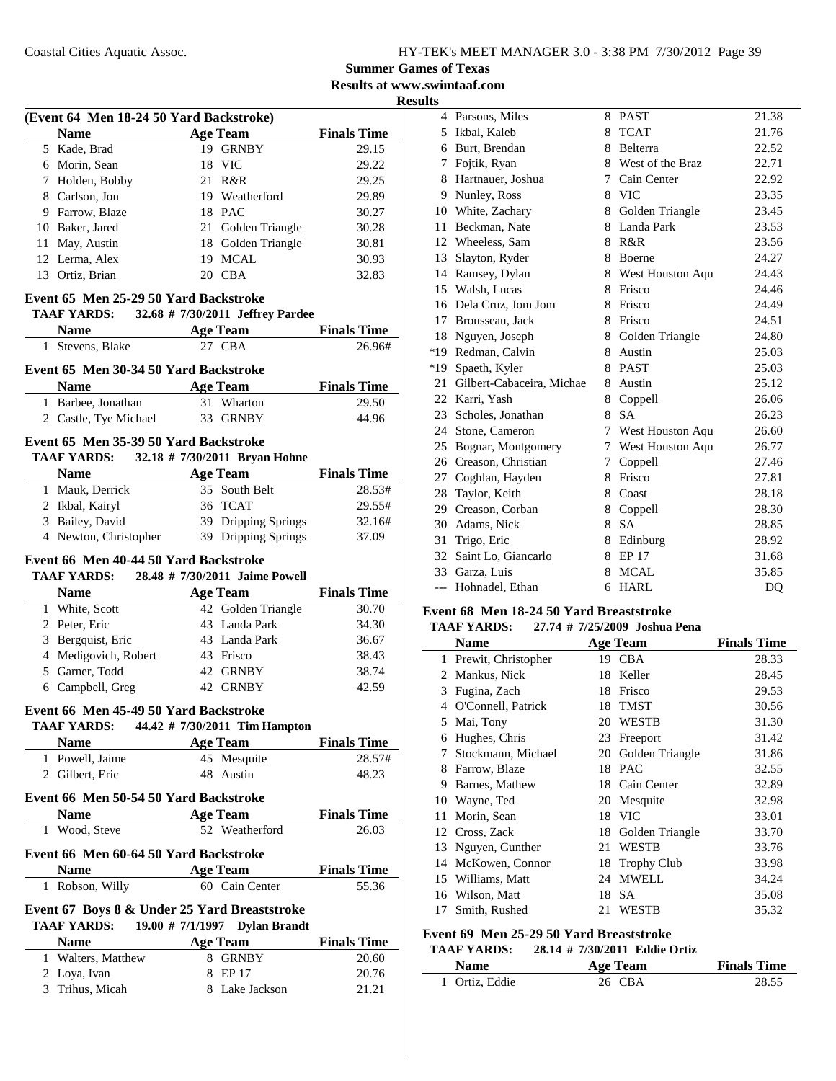#### **Summer Games of Texas Results at www.swimtaaf.com**

**Results**

| (Event 64 Men 18-24 50 Yard Backstroke)              |                                                   |                             |
|------------------------------------------------------|---------------------------------------------------|-----------------------------|
| <b>Name</b>                                          | <b>Age Team</b>                                   | <b>Finals Time</b>          |
| 5 Kade, Brad                                         | 19 GRNBY                                          | 29.15                       |
| 6 Morin, Sean                                        | 18 VIC                                            | 29.22                       |
| 7 Holden, Bobby                                      | 21 R&R                                            | 29.25                       |
| 8 Carlson, Jon                                       | 19 Weatherford                                    | 29.89                       |
| 9 Farrow, Blaze                                      | 18 PAC                                            | 30.27                       |
| 10 Baker, Jared                                      | 21 Golden Triangle                                | 30.28                       |
| 11 May, Austin                                       | 18 Golden Triangle                                | 30.81                       |
| 12 Lerma, Alex                                       | 19 MCAL                                           | 30.93                       |
| 13 Ortiz, Brian                                      | 20 CBA                                            | 32.83                       |
| Event 65 Men 25-29 50 Yard Backstroke                |                                                   |                             |
| TAAF YARDS:                                          | 32.68 # 7/30/2011 Jeffrey Pardee                  |                             |
| <b>Name</b>                                          | <b>Age Team</b>                                   | <b>Finals Time</b>          |
| Stevens, Blake<br>1                                  | 27 CBA                                            | 26.96#                      |
| Event 65 Men 30-34 50 Yard Backstroke                |                                                   |                             |
|                                                      |                                                   |                             |
| Name                                                 | <b>Age Team</b><br>31 Wharton                     | <b>Finals Time</b><br>29.50 |
| 1 Barbee, Jonathan                                   |                                                   | 44.96                       |
| 2 Castle, Tye Michael                                | 33 GRNBY                                          |                             |
| Event 65 Men 35-39 50 Yard Backstroke                |                                                   |                             |
| TAAF YARDS: 32.18 # 7/30/2011 Bryan Hohne            |                                                   |                             |
| <b>Name</b>                                          | <b>Age Team</b>                                   | <b>Finals Time</b>          |
| 1 Mauk, Derrick                                      | 35 South Belt                                     | 28.53#                      |
| 2 Ikbal, Kairyl                                      | 36 TCAT                                           | 29.55#                      |
| 3 Bailey, David                                      | 39 Dripping Springs                               | 32.16#                      |
| 4 Newton, Christopher                                | 39 Dripping Springs                               | 37.09                       |
| TAAF YARDS:<br><b>Name</b>                           | 28.48 # 7/30/2011 Jaime Powell<br><b>Age Team</b> | <b>Finals Time</b>          |
| 1 White, Scott                                       | 42 Golden Triangle                                | 30.70                       |
| 2 Peter, Eric                                        | 43 Landa Park                                     | 34.30                       |
| 3 Bergquist, Eric                                    | 43 Landa Park                                     | 36.67                       |
| 4 Medigovich, Robert                                 | 43 Frisco                                         | 38.43                       |
| 5 Garner, Todd                                       | 42 GRNBY                                          | 38.74                       |
| 6 Campbell, Greg                                     | 42 GRNBY                                          | 42.59                       |
| Event 66 Men 45-49 50 Yard Backstroke                |                                                   |                             |
| TAAF YARDS: 44.42 # 7/30/2011 Tim Hampton            |                                                   |                             |
| <b>Name</b>                                          | <b>Age Team</b>                                   | <b>Finals Time</b>          |
| 1 Powell, Jaime                                      | 45 Mesquite                                       | 28.57#                      |
| 2 Gilbert, Eric                                      | 48 Austin                                         | 48.23                       |
|                                                      |                                                   |                             |
| Event 66 Men 50-54 50 Yard Backstroke                |                                                   |                             |
| Name<br>1 Wood, Steve                                | <b>Age Team</b><br>52 Weatherford                 | <b>Finals Time</b><br>26.03 |
|                                                      |                                                   |                             |
| Event 66 Men 60-64 50 Yard Backstroke<br><b>Name</b> | <b>Age Team</b>                                   | <b>Finals Time</b>          |
| 1 Robson, Willy                                      | 60 Cain Center                                    | 55.36                       |
| Event 67 Boys 8 & Under 25 Yard Breaststroke         |                                                   |                             |
| TAAF YARDS: 19.00 # 7/1/1997 Dylan Brandt            |                                                   |                             |
| <b>Name</b>                                          | <b>Age Team</b>                                   | <b>Finals Time</b>          |
| 1 Walters, Matthew                                   | 8 GRNBY                                           | 20.60                       |
| 2 Loya, Ivan                                         |                                                   |                             |
|                                                      | 8 EP 17                                           | 20.76                       |

|       | 4 Parsons, Miles          | 8 | <b>PAST</b>      | 21.38 |
|-------|---------------------------|---|------------------|-------|
| 5     | Ikbal, Kaleb              | 8 | <b>TCAT</b>      | 21.76 |
|       | 6 Burt, Brendan           | 8 | Belterra         | 22.52 |
| 7     | Fojtik, Ryan              | 8 | West of the Braz | 22.71 |
| 8     | Hartnauer, Joshua         | 7 | Cain Center      | 22.92 |
| 9     | Nunley, Ross              | 8 | <b>VIC</b>       | 23.35 |
| 10    | White, Zachary            | 8 | Golden Triangle  | 23.45 |
| 11    | Beckman, Nate             | 8 | Landa Park       | 23.53 |
|       | 12 Wheeless, Sam          | 8 | R&R              | 23.56 |
| 13    | Slayton, Ryder            | 8 | Boerne           | 24.27 |
|       | 14 Ramsey, Dylan          | 8 | West Houston Aqu | 24.43 |
|       | 15 Walsh, Lucas           | 8 | Frisco           | 24.46 |
| 16    | Dela Cruz, Jom Jom        | 8 | Frisco           | 24.49 |
| 17    | Brousseau, Jack           | 8 | Frisco           | 24.51 |
|       | 18 Nguyen, Joseph         | 8 | Golden Triangle  | 24.80 |
|       | *19 Redman, Calvin        | 8 | Austin           | 25.03 |
|       | *19 Spaeth, Kyler         | 8 | <b>PAST</b>      | 25.03 |
| 21    | Gilbert-Cabaceira, Michae | 8 | Austin           | 25.12 |
|       | 22 Karri, Yash            | 8 | Coppell          | 26.06 |
|       | 23 Scholes, Jonathan      | 8 | <b>SA</b>        | 26.23 |
| 24    | Stone, Cameron            | 7 | West Houston Aqu | 26.60 |
| 25    | Bognar, Montgomery        | 7 | West Houston Aqu | 26.77 |
|       | 26 Creason, Christian     | 7 | Coppell          | 27.46 |
| 27    | Coghlan, Hayden           | 8 | Frisco           | 27.81 |
| 28    | Taylor, Keith             | 8 | Coast            | 28.18 |
|       | 29 Creason, Corban        | 8 | Coppell          | 28.30 |
|       | 30 Adams, Nick            | 8 | <b>SA</b>        | 28.85 |
| 31    | Trigo, Eric               | 8 | Edinburg         | 28.92 |
| 32    | Saint Lo, Giancarlo       | 8 | EP 17            | 31.68 |
|       | 33 Garza, Luis            | 8 | <b>MCAL</b>      | 35.85 |
| $---$ | Hohnadel, Ethan           | 6 | <b>HARL</b>      | DQ    |
|       |                           |   |                  |       |

#### **Event 68 Men 18-24 50 Yard Breaststroke TAAF YARDS: 27.74 # Joshua Pena 7/25/2009**

| іллі ілішэ.<br>$21.77$ $\pi$ $112.7200$ $\sigma$ dositual cha |                     |    |                    |                    |  |
|---------------------------------------------------------------|---------------------|----|--------------------|--------------------|--|
|                                                               | <b>Name</b>         |    | Age Team           | <b>Finals Time</b> |  |
| 1                                                             | Prewit, Christopher |    | 19 CBA             | 28.33              |  |
| 2                                                             | Mankus, Nick        | 18 | Keller             | 28.45              |  |
| 3                                                             | Fugina, Zach        | 18 | Frisco             | 29.53              |  |
| 4                                                             | O'Connell, Patrick  | 18 | <b>TMST</b>        | 30.56              |  |
| 5                                                             | Mai, Tony           | 20 | <b>WESTB</b>       | 31.30              |  |
| 6                                                             | Hughes, Chris       | 23 | Freeport           | 31.42              |  |
| 7                                                             | Stockmann, Michael  | 20 | Golden Triangle    | 31.86              |  |
| 8                                                             | Farrow, Blaze       | 18 | <b>PAC</b>         | 32.55              |  |
| 9                                                             | Barnes, Mathew      | 18 | Cain Center        | 32.89              |  |
| 10                                                            | Wayne, Ted          | 20 | Mesquite           | 32.98              |  |
| 11                                                            | Morin, Sean         | 18 | <b>VIC</b>         | 33.01              |  |
|                                                               | 12 Cross, Zack      | 18 | Golden Triangle    | 33.70              |  |
| 13                                                            | Nguyen, Gunther     | 21 | WESTB              | 33.76              |  |
| 14                                                            | McKowen, Connor     | 18 | <b>Trophy Club</b> | 33.98              |  |
| 15                                                            | Williams, Matt      | 24 | <b>MWELL</b>       | 34.24              |  |
| 16                                                            | Wilson, Matt        | 18 | <b>SA</b>          | 35.08              |  |
| 17                                                            | Smith, Rushed       | 21 | WESTB              | 35.32              |  |
|                                                               |                     |    |                    |                    |  |

### **Event 69 Men 25-29 50 Yard Breaststroke**

### **TAAF YARDS:** 28.14 # 7/30/2011 Eddie Ortiz<br>Name Age Team **Name Age Team Finals Time**

| гчанне         | А2С теаш | тинав типе |
|----------------|----------|------------|
| 1 Ortiz, Eddie | 26 CBA   | 28.55      |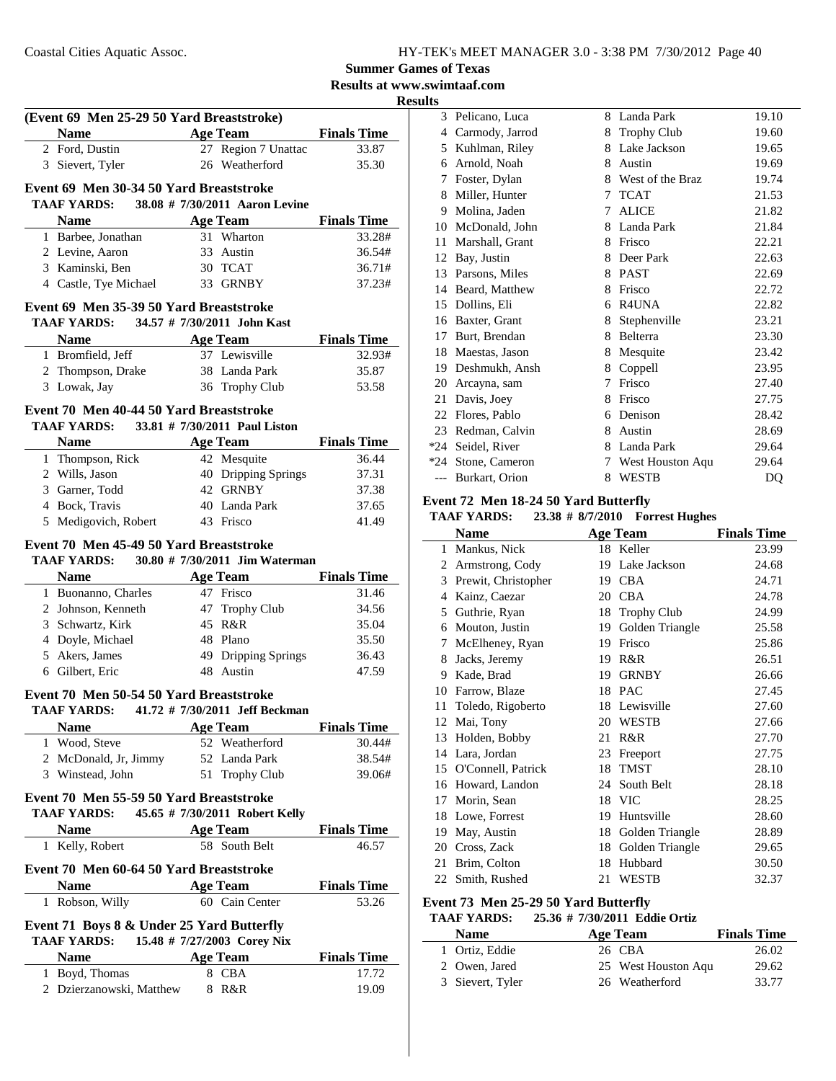### **Soumary** German Street

#### **Results at www.swimtaaf.com Results**

|                                                               |                 |                                       | <b>Summer Game</b>       |
|---------------------------------------------------------------|-----------------|---------------------------------------|--------------------------|
|                                                               |                 |                                       | <b>Results at www.sv</b> |
|                                                               |                 |                                       |                          |
| (Event 69 Men 25-29 50 Yard Breaststroke)                     |                 |                                       |                          |
| <b>Name</b>                                                   |                 | Age Team Finals Time                  |                          |
| 2 Ford, Dustin                                                |                 | 27 Region 7 Unattac<br>26 Weatherford | 33.87                    |
| 3 Sievert, Tyler                                              |                 |                                       | 35.30                    |
| Event 69 Men 30-34 50 Yard Breaststroke                       |                 |                                       |                          |
| <b>TAAF YARDS:</b>                                            |                 | 38.08 # 7/30/2011 Aaron Levine        |                          |
| <b>Name</b>                                                   |                 | Age Team                              | <b>Finals Time</b>       |
| 1 Barbee, Jonathan                                            |                 | 31 Wharton                            | 33.28#                   |
| 2 Levine, Aaron                                               |                 | 33 Austin                             | 36.54#                   |
| 3 Kaminski, Ben                                               |                 | 30 TCAT                               | 36.71#                   |
| 4 Castle, Tye Michael                                         |                 | 33 GRNBY                              | 37.23#                   |
| Event 69 Men 35-39 50 Yard Breaststroke                       |                 |                                       |                          |
| TAAF YARDS: 34.57 # 7/30/2011 John Kast                       |                 |                                       |                          |
| <b>Name</b>                                                   |                 | <b>Age Team</b>                       | <b>Finals Time</b>       |
| 1 Bromfield, Jeff                                             |                 | 37 Lewisville                         | 32.93#                   |
| 2 Thompson, Drake                                             |                 | 38 Landa Park                         | 35.87                    |
| 3 Lowak, Jay                                                  |                 | 36 Trophy Club                        | 53.58                    |
|                                                               |                 |                                       |                          |
| Event 70 Men 40-44 50 Yard Breaststroke<br><b>TAAF YARDS:</b> |                 | 33.81 # 7/30/2011 Paul Liston         |                          |
| <b>Name</b>                                                   |                 | <b>Age Team</b>                       | <b>Finals Time</b>       |
| 1 Thompson, Rick                                              |                 | 42 Mesquite                           | 36.44                    |
| 2 Wills, Jason                                                |                 | 40 Dripping Springs                   | 37.31                    |
| 3 Garner, Todd                                                |                 | 42 GRNBY                              | 37.38                    |
| 4 Bock, Travis                                                |                 | 40 Landa Park                         | 37.65                    |
| 5 Medigovich, Robert                                          |                 | 43 Frisco                             | 41.49                    |
|                                                               |                 |                                       |                          |
|                                                               |                 |                                       |                          |
| Event 70 Men 45-49 50 Yard Breaststroke                       |                 |                                       |                          |
| TAAF YARDS: 30.80 # 7/30/2011 Jim Waterman                    |                 |                                       |                          |
| <b>Name</b>                                                   |                 | <b>Age Team</b>                       | <b>Finals Time</b>       |
| 1 Buonanno, Charles                                           |                 | 47 Frisco                             | 31.46                    |
| 2 Johnson, Kenneth                                            |                 | 47 Trophy Club                        | 34.56                    |
| 3 Schwartz, Kirk                                              |                 | 45 R&R                                | 35.04                    |
| 4 Doyle, Michael                                              |                 | 48 Plano                              | 35.50                    |
| 5 Akers, James                                                |                 | 49 Dripping Springs                   | 36.43                    |
| 6 Gilbert, Eric                                               |                 | 48 Austin                             | 47.59                    |
| Event 70 Men 50-54 50 Yard Breaststroke                       |                 |                                       |                          |
| TAAF YARDS:                                                   |                 | 41.72 # 7/30/2011 Jeff Beckman        |                          |
| <b>Name</b>                                                   |                 | <b>Age Team</b>                       | <b>Finals Time</b>       |
| 1 Wood, Steve                                                 |                 | 52 Weatherford                        | 30.44#                   |
| 2 McDonald, Jr, Jimmy                                         |                 | 52 Landa Park                         | 38.54#                   |
| 3 Winstead, John                                              |                 | 51 Trophy Club                        | 39.06#                   |
| Event 70 Men 55-59 50 Yard Breaststroke                       |                 |                                       |                          |
| TAAF YARDS: 45.65 # 7/30/2011 Robert Kelly                    |                 |                                       |                          |
|                                                               |                 |                                       | <b>Finals Time</b>       |
| Name $\qquad \qquad$<br>1 Kelly, Robert                       |                 | <b>Age Team</b><br>58 South Belt      | 46.57                    |
|                                                               |                 |                                       |                          |
| Event 70 Men 60-64 50 Yard Breaststroke                       |                 |                                       |                          |
| <b>Name</b>                                                   | <b>Age Team</b> |                                       | <b>Finals Time</b>       |
| 1 Robson, Willy                                               |                 | 60 Cain Center                        | 53.26                    |
| Event 71 Boys 8 & Under 25 Yard Butterfly                     |                 |                                       |                          |
| <b>TAAF YARDS:</b>                                            |                 | 15.48 # 7/27/2003 Corey Nix           |                          |
| <b>Name</b>                                                   |                 | <b>Age Team</b>                       | <b>Finals Time</b>       |
| 1 Boyd, Thomas                                                |                 | 8 CBA                                 | 17.72                    |

| 3     | Pelicano, Luca  | 8 | Landa Park         | 19.10 |
|-------|-----------------|---|--------------------|-------|
| 4     | Carmody, Jarrod | 8 | <b>Trophy Club</b> | 19.60 |
| 5     | Kuhlman, Riley  | 8 | Lake Jackson       | 19.65 |
| 6     | Arnold, Noah    | 8 | Austin             | 19.69 |
| 7     | Foster, Dylan   | 8 | West of the Braz   | 19.74 |
| 8     | Miller, Hunter  | 7 | <b>TCAT</b>        | 21.53 |
| 9     | Molina, Jaden   | 7 | ALICE              | 21.82 |
| 10    | McDonald, John  | 8 | Landa Park         | 21.84 |
| 11    | Marshall, Grant | 8 | Frisco             | 22.21 |
| 12    | Bay, Justin     | 8 | Deer Park          | 22.63 |
| 13    | Parsons, Miles  | 8 | <b>PAST</b>        | 22.69 |
| 14    | Beard, Matthew  | 8 | Frisco             | 22.72 |
| 15    | Dollins, Eli    | 6 | R4UNA              | 22.82 |
| 16    | Baxter, Grant   | 8 | Stephenville       | 23.21 |
| 17    | Burt, Brendan   | 8 | Belterra           | 23.30 |
| 18    | Maestas, Jason  | 8 | Mesquite           | 23.42 |
| 19    | Deshmukh, Ansh  | 8 | Coppell            | 23.95 |
| 20    | Arcayna, sam    | 7 | Frisco             | 27.40 |
| 21    | Davis, Joey     | 8 | Frisco             | 27.75 |
| 22    | Flores, Pablo   | 6 | Denison            | 28.42 |
| 23    | Redman, Calvin  | 8 | Austin             | 28.69 |
| *24   | Seidel, River   | 8 | Landa Park         | 29.64 |
| $*24$ | Stone, Cameron  | 7 | West Houston Aqu   | 29.64 |
| $---$ | Burkart, Orion  | 8 | <b>WESTB</b>       | DQ    |
|       |                 |   |                    |       |

#### **Event 72 Men 18-24 50 Yard Butterfly**

#### **TAAF YARDS:** 23.38 # 8/7/2010 Forrest Hughes

|    | <b>Name</b>         |    | <b>Age Team</b>    | <b>Finals Time</b> |
|----|---------------------|----|--------------------|--------------------|
|    | 1 Mankus, Nick      |    | 18 Keller          | 23.99              |
| 2  | Armstrong, Cody     | 19 | Lake Jackson       | 24.68              |
| 3  | Prewit, Christopher | 19 | <b>CBA</b>         | 24.71              |
| 4  | Kainz, Caezar       | 20 | <b>CBA</b>         | 24.78              |
| 5  | Guthrie, Ryan       | 18 | <b>Trophy Club</b> | 24.99              |
| 6  | Mouton, Justin      | 19 | Golden Triangle    | 25.58              |
| 7  | McElheney, Ryan     | 19 | Frisco             | 25.86              |
| 8  | Jacks, Jeremy       | 19 | R&R                | 26.51              |
| 9  | Kade, Brad          | 19 | <b>GRNBY</b>       | 26.66              |
| 10 | Farrow, Blaze       | 18 | <b>PAC</b>         | 27.45              |
| 11 | Toledo, Rigoberto   | 18 | Lewisville         | 27.60              |
| 12 | Mai, Tony           | 20 | <b>WESTB</b>       | 27.66              |
| 13 | Holden, Bobby       | 21 | R&R                | 27.70              |
| 14 | Lara, Jordan        | 23 | Freeport           | 27.75              |
| 15 | O'Connell, Patrick  | 18 | <b>TMST</b>        | 28.10              |
| 16 | Howard, Landon      | 24 | South Belt         | 28.18              |
| 17 | Morin, Sean         | 18 | <b>VIC</b>         | 28.25              |
| 18 | Lowe, Forrest       | 19 | Huntsville         | 28.60              |
| 19 | May, Austin         | 18 | Golden Triangle    | 28.89              |
| 20 | Cross, Zack         | 18 | Golden Triangle    | 29.65              |
| 21 | Brim, Colton        | 18 | Hubbard            | 30.50              |
| 22 | Smith, Rushed       | 21 | <b>WESTB</b>       | 32.37              |

#### **Event 73 Men 25-29 50 Yard Butterfly**

#### TAAF YARDS: 25.36 # 7/30/2011 Eddie Ortiz

| <b>Name</b>      | Age Team            | <b>Finals Time</b> |
|------------------|---------------------|--------------------|
| 1 Ortiz, Eddie   | 26 CBA              | 26.02              |
| 2 Owen, Jared    | 25 West Houston Aqu | 29.62              |
| 3 Sievert, Tyler | 26 Weatherford      | 33.77              |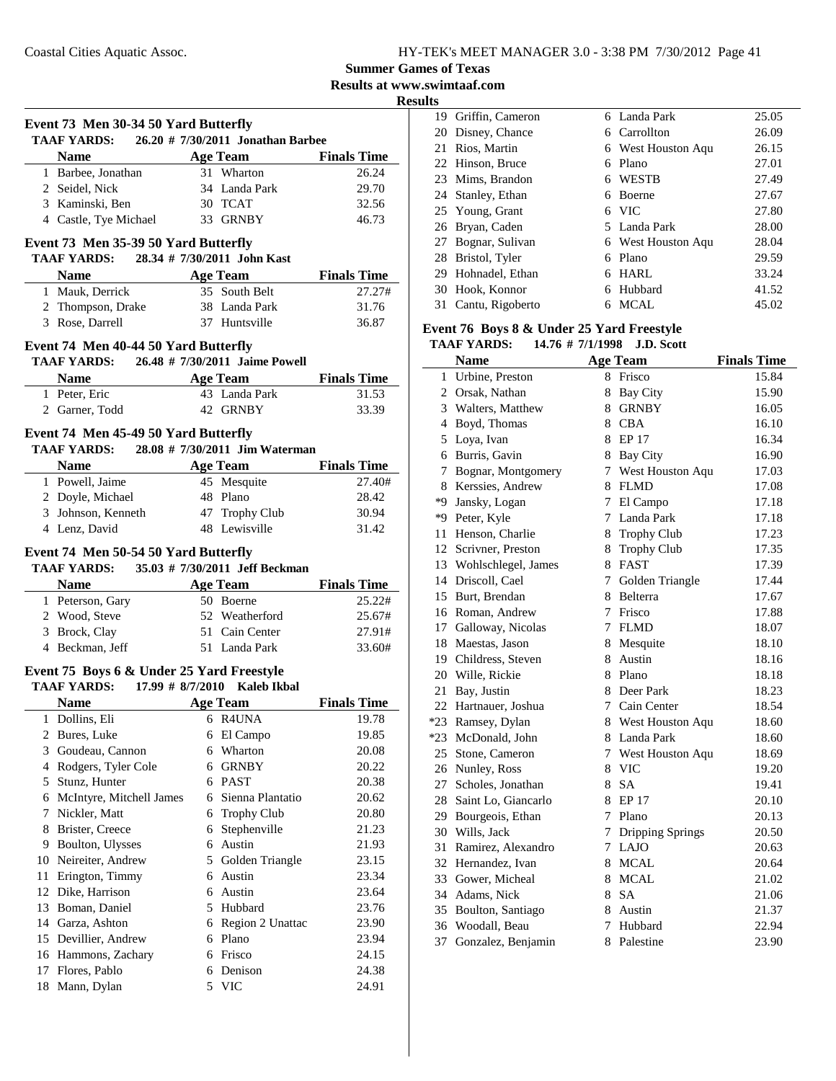**Summer Games of Texas**

**Results at www.swimtaaf.com**

**Results**

|    | Event 73 Men 30-34 50 Yard Butterfly<br>TAAF YARDS: 26.20 # 7/30/2011 Jonathan Barbee |   |                           |                    |
|----|---------------------------------------------------------------------------------------|---|---------------------------|--------------------|
|    | Name Age Team Finals Time                                                             |   |                           |                    |
|    | 1 Barbee, Jonathan                                                                    |   | 31 Wharton                | 26.24              |
|    | 2 Seidel, Nick                                                                        |   | 34 Landa Park             | 29.70              |
|    | 3 Kaminski, Ben                                                                       |   | 30 TCAT                   | 32.56              |
|    | 4 Castle, Tye Michael                                                                 |   | 33 GRNBY                  | 46.73              |
|    | Event 73 Men 35-39 50 Yard Butterfly                                                  |   |                           |                    |
|    | TAAF YARDS: 28.34 # 7/30/2011 John Kast                                               |   |                           |                    |
|    | <b>Name</b><br><b>Example 2 Age Team</b>                                              |   |                           | <b>Finals Time</b> |
|    | 1 Mauk, Derrick                                                                       |   | 35 South Belt             | 27.27#             |
|    | 2 Thompson, Drake 38 Landa Park                                                       |   |                           | 31.76              |
|    | 3 Rose, Darrell                                                                       |   | 37 Huntsville             | 36.87              |
|    | Event 74 Men 40-44 50 Yard Butterfly                                                  |   |                           |                    |
|    | TAAF YARDS: 26.48 # 7/30/2011 Jaime Powell<br><b>Name</b>                             |   |                           | <b>Finals Time</b> |
|    | 1 Peter, Eric                                                                         |   |                           | 31.53              |
|    | <b>Age Team</b><br>ic a 43 Landa Park<br>Fodd 42 GRNBY<br>2 Garner, Todd              |   |                           | 33.39              |
|    |                                                                                       |   |                           |                    |
|    | Event 74 Men 45-49 50 Yard Butterfly<br>TAAF YARDS: 28.08 # 7/30/2011 Jim Waterman    |   |                           |                    |
|    | Name Age Team                                                                         |   |                           | <b>Finals Time</b> |
|    | 1 Powell, Jaime                                                                       |   | 45 Mesquite               | 27.40#             |
|    | 2 Doyle, Michael                                                                      |   | 48 Plano                  | 28.42              |
|    | 3 Johnson, Kenneth 47 Trophy Club                                                     |   |                           | 30.94              |
|    | 4 Lenz, David                                                                         |   | 48 Lewisville             | 31.42              |
|    | TAAF YARDS: 35.03 # 7/30/2011 Jeff Beckman<br><b>Name</b>                             |   | <b>Example 2 Age Team</b> | <b>Finals Time</b> |
|    | 1 Peterson, Gary 50 Boerne                                                            |   |                           | 25.22#             |
|    |                                                                                       |   | 52 Weatherford            | 25.67#             |
|    | 2 Wood, Steve<br>3 Brock, Clay<br>4 Beckman, Jeff                                     |   | 51 Cain Center            | 27.91#             |
|    |                                                                                       |   | 51 Landa Park             | 33.60#             |
|    | Event 75 Boys 6 & Under 25 Yard Freestyle<br>TAAF YARDS: 17.99 # 8/7/2010 Kaleb Ikbal |   |                           |                    |
|    | Name                                                                                  |   | Age Team                  | <b>Finals Time</b> |
| 1  | Dollins, Eli                                                                          |   | 6 R4UNA                   | 19.78              |
|    | 2 Bures, Luke                                                                         | 6 | El Campo                  | 19.85              |
|    | 3 Goudeau, Cannon                                                                     | 6 | Wharton                   | 20.08              |
|    | 4 Rodgers, Tyler Cole                                                                 |   | 6 GRNBY                   | 20.22              |
|    | 5 Stunz, Hunter                                                                       |   | 6 PAST                    | 20.38              |
|    | 6 McIntyre, Mitchell James                                                            |   | 6 Sienna Plantatio        | 20.62              |
| 7  | Nickler, Matt                                                                         |   | 6 Trophy Club             | 20.80              |
| 8  | Brister, Creece                                                                       | 6 | Stephenville              | 21.23              |
|    | 9 Boulton, Ulysses                                                                    | 6 | Austin                    | 21.93              |
|    | 10 Neireiter, Andrew                                                                  |   | 5 Golden Triangle         | 23.15              |
| 11 | Erington, Timmy                                                                       | 6 | Austin                    | 23.34              |
|    | 12 Dike, Harrison                                                                     | 6 | Austin                    | 23.64              |
|    | 13 Boman, Daniel                                                                      |   | 5 Hubbard                 | 23.76              |
|    | 14 Garza, Ashton                                                                      |   | 6 Region 2 Unattac        | 23.90              |
|    | 15 Devillier, Andrew                                                                  |   | 6 Plano                   | 23.94              |
|    |                                                                                       |   |                           |                    |
|    | 16 Hammons, Zachary                                                                   |   | 6 Frisco                  | 24.15              |
| 17 | Flores, Pablo                                                                         | 6 | Denison                   | 24.38              |

| w  |                    |   |                    |       |
|----|--------------------|---|--------------------|-------|
| 19 | Griffin, Cameron   |   | 6 Landa Park       | 25.05 |
|    | 20 Disney, Chance  |   | 6 Carrollton       | 26.09 |
|    | 21 Rios, Martin    |   | 6 West Houston Agu | 26.15 |
|    | 22 Hinson, Bruce   | 6 | Plano              | 27.01 |
|    | 23 Mims, Brandon   | 6 | <b>WESTB</b>       | 27.49 |
|    | 24 Stanley, Ethan  | 6 | <b>Boerne</b>      | 27.67 |
|    | 25 Young, Grant    | 6 | - VIC              | 27.80 |
|    | 26 Bryan, Caden    |   | 5 Landa Park       | 28.00 |
|    | 27 Bognar, Sulivan |   | 6 West Houston Agu | 28.04 |
|    | 28 Bristol, Tyler  | 6 | Plano              | 29.59 |
|    | 29 Hohnadel, Ethan | 6 | HARL               | 33.24 |
|    | 30 Hook, Konnor    | 6 | Hubbard            | 41.52 |
| 31 | Cantu, Rigoberto   | 6 | MCAL               | 45.02 |
|    |                    |   |                    |       |

### **Event 76 Boys 8 & Under 25 Yard Freestyle**

#### **TAAF YARDS: 14.76 # J.D. Scott 7/1/1998**

|       | <b>Name</b>            |                 | <b>Age Team</b>         | <b>Finals Time</b> |
|-------|------------------------|-----------------|-------------------------|--------------------|
| 1     | Urbine, Preston        | 8               | Frisco                  | 15.84              |
|       | 2 Orsak, Nathan        | 8               | <b>Bay City</b>         | 15.90              |
| 3     | Walters, Matthew       |                 | 8 GRNBY                 | 16.05              |
| 4     | Boyd, Thomas           |                 | 8 CBA                   | 16.10              |
| 5     | Loya, Ivan             |                 | 8 EP 17                 | 16.34              |
| 6     | Burris, Gavin          |                 | 8 Bay City              | 16.90              |
| 7     | Bognar, Montgomery     | 7               | West Houston Aqu        | 17.03              |
| 8     | Kerssies, Andrew       | 8               | <b>FLMD</b>             | 17.08              |
| *9    | Jansky, Logan          | 7               | El Campo                | 17.18              |
| *9    | Peter, Kyle            | 7               | Landa Park              | 17.18              |
| 11    | Henson, Charlie        | 8               | <b>Trophy Club</b>      | 17.23              |
|       | 12 Scrivner, Preston   | 8               | <b>Trophy Club</b>      | 17.35              |
|       | 13 Wohlschlegel, James | 8               | FAST                    | 17.39              |
| 14    | Driscoll, Cael         | 7               | Golden Triangle         | 17.44              |
| 15    | Burt, Brendan          | 8               | Belterra                | 17.67              |
|       | 16 Roman, Andrew       | 7               | Frisco                  | 17.88              |
| 17    | Galloway, Nicolas      | 7               | <b>FLMD</b>             | 18.07              |
| 18    | Maestas, Jason         | 8               | Mesquite                | 18.10              |
|       | 19 Childress, Steven   | 8               | Austin                  | 18.16              |
|       | 20 Wille, Rickie       | 8               | Plano                   | 18.18              |
| 21    | Bay, Justin            | 8               | Deer Park               | 18.23              |
|       | 22 Hartnauer, Joshua   | 7               | Cain Center             | 18.54              |
|       | *23 Ramsey, Dylan      | 8               | West Houston Aqu        | 18.60              |
| $*23$ | McDonald, John         |                 | 8 Landa Park            | 18.60              |
| 25    | Stone, Cameron         | 7               | West Houston Aqu        | 18.69              |
| 26    | Nunley, Ross           | 8               | <b>VIC</b>              | 19.20              |
| 27    | Scholes, Jonathan      | 8               | <b>SA</b>               | 19.41              |
| 28    | Saint Lo, Giancarlo    | 8               | <b>EP 17</b>            | 20.10              |
| 29    | Bourgeois, Ethan       | 7               | Plano                   | 20.13              |
|       | 30 Wills, Jack         | 7               | <b>Dripping Springs</b> | 20.50              |
| 31    | Ramirez, Alexandro     | $7\overline{ }$ | LAJO                    | 20.63              |
|       | 32 Hernandez, Ivan     | 8               | <b>MCAL</b>             | 20.64              |
|       | 33 Gower, Micheal      | 8               | <b>MCAL</b>             | 21.02              |
|       | 34 Adams, Nick         | 8               | <b>SA</b>               | 21.06              |
|       | 35 Boulton, Santiago   | 8               | Austin                  | 21.37              |
| 36    | Woodall, Beau          | 7               | Hubbard                 | 22.94              |
| 37    | Gonzalez, Benjamin     | 8               | Palestine               | 23.90              |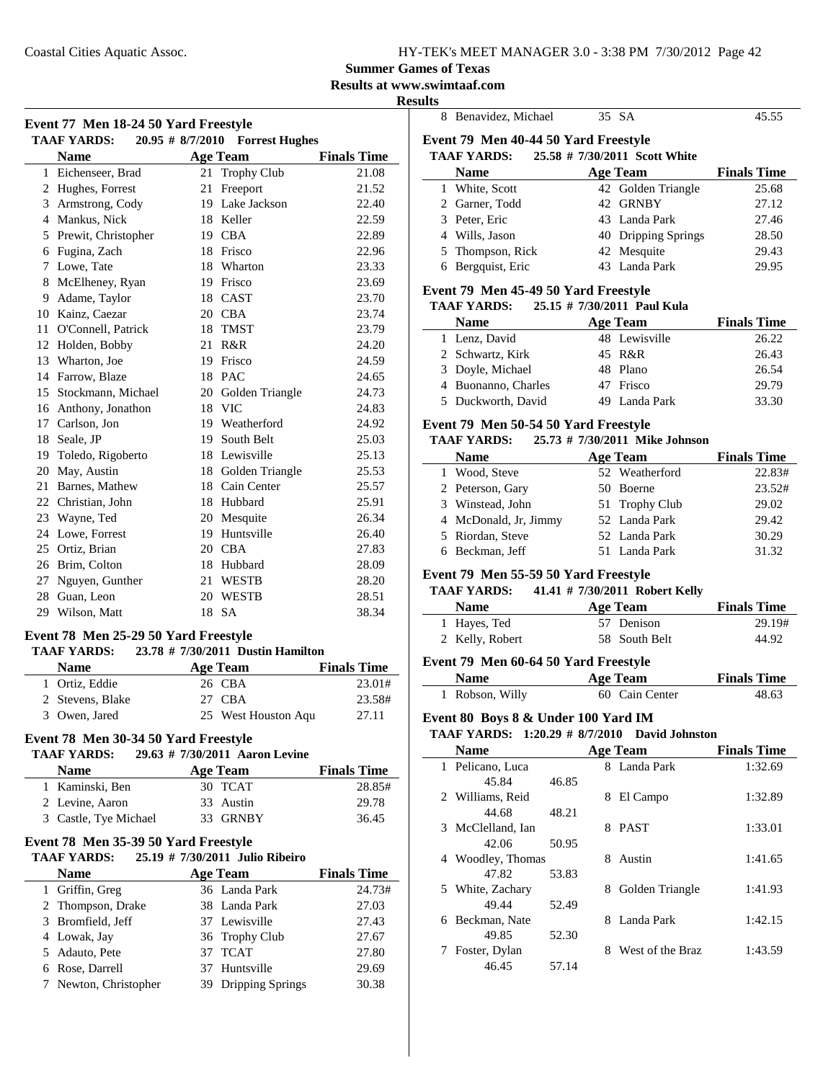### **Summer Games of Texas**

**Results at www.swimtaaf.com**

**Results**

| Event 77 Men 18-24 50 Yard Freestyle<br><b>TAAF YARDS:</b><br>20.95 # 8/7/2010<br><b>Forrest Hughes</b> |                                                            |    |                                   |                    |  |
|---------------------------------------------------------------------------------------------------------|------------------------------------------------------------|----|-----------------------------------|--------------------|--|
|                                                                                                         | <b>Name</b>                                                |    | <b>Age Team</b>                   | <b>Finals Time</b> |  |
| $\mathbf{1}$                                                                                            | Eichenseer, Brad                                           |    | 21 Trophy Club                    | 21.08              |  |
|                                                                                                         | 2 Hughes, Forrest                                          |    | 21 Freeport                       | 21.52              |  |
|                                                                                                         | 3 Armstrong, Cody                                          |    | 19 Lake Jackson                   | 22.40              |  |
|                                                                                                         | 4 Mankus, Nick                                             |    | 18 Keller                         | 22.59              |  |
| 5                                                                                                       | Prewit, Christopher                                        |    | 19 CBA                            | 22.89              |  |
| 6                                                                                                       | Fugina, Zach                                               |    | 18 Frisco                         | 22.96              |  |
| 7                                                                                                       | Lowe, Tate                                                 |    | 18 Wharton                        | 23.33              |  |
| 8                                                                                                       | McElheney, Ryan                                            |    | 19 Frisco                         | 23.69              |  |
| 9                                                                                                       | Adame, Taylor                                              |    | 18 CAST                           | 23.70              |  |
|                                                                                                         | 10 Kainz, Caezar                                           |    | 20 CBA                            | 23.74              |  |
| 11                                                                                                      | O'Connell, Patrick                                         |    | 18 TMST                           | 23.79              |  |
| 12                                                                                                      | Holden, Bobby                                              |    | 21 R&R                            | 24.20              |  |
| 13                                                                                                      | Wharton, Joe                                               |    | 19 Frisco                         | 24.59              |  |
|                                                                                                         | 14 Farrow, Blaze                                           |    | 18 PAC                            | 24.65              |  |
|                                                                                                         | 15 Stockmann, Michael                                      |    | 20 Golden Triangle                | 24.73              |  |
|                                                                                                         | 16 Anthony, Jonathon                                       |    | 18 VIC                            | 24.83              |  |
|                                                                                                         | 17 Carlson, Jon                                            |    | 19 Weatherford                    | 24.92              |  |
| 18                                                                                                      | Seale, JP                                                  |    | 19 South Belt                     | 25.03              |  |
| 19                                                                                                      | Toledo, Rigoberto                                          |    | 18 Lewisville                     | 25.13              |  |
| 20                                                                                                      | May, Austin                                                |    | 18 Golden Triangle                | 25.53              |  |
| 21                                                                                                      | Barnes, Mathew                                             |    | 18 Cain Center                    | 25.57              |  |
|                                                                                                         | 22 Christian, John                                         |    | 18 Hubbard                        | 25.91              |  |
|                                                                                                         | 23 Wayne, Ted                                              |    | 20 Mesquite                       | 26.34              |  |
|                                                                                                         | 24 Lowe, Forrest                                           |    | 19 Huntsville                     | 26.40              |  |
|                                                                                                         | 25 Ortiz, Brian                                            |    | 20 CBA                            | 27.83              |  |
| 26                                                                                                      | Brim, Colton                                               |    | 18 Hubbard                        | 28.09              |  |
| 27                                                                                                      | Nguyen, Gunther                                            | 21 | <b>WESTB</b>                      | 28.20              |  |
| 28                                                                                                      | Guan, Leon                                                 |    | 20 WESTB                          | 28.51              |  |
|                                                                                                         | 29 Wilson, Matt                                            |    | 18 SA                             | 38.34              |  |
|                                                                                                         | Event 78 Men 25-29 50 Yard Freestyle<br><b>TAAF YARDS:</b> |    | 23.78 # 7/30/2011 Dustin Hamilton |                    |  |
|                                                                                                         | <b>Name</b>                                                |    | <b>Age Team</b>                   | <b>Finals Time</b> |  |
|                                                                                                         | 1 Ortiz, Eddie                                             |    | 26 CBA                            | 23.01#             |  |
|                                                                                                         | 2 Stevens, Blake                                           |    | 27 CBA                            | 23.58#             |  |
|                                                                                                         | 3 Owen, Jared                                              |    | 25 West Houston Aqu               | 27.11              |  |
| Event 78 Men 30-34 50 Yard Freestyle                                                                    |                                                            |    |                                   |                    |  |

| <b>TAAF YARDS:</b>    | $29.63 \# 7/30/2011$ Aaron Levine |                    |
|-----------------------|-----------------------------------|--------------------|
| <b>Name</b>           | Age Team                          | <b>Finals Time</b> |
| 1 Kaminski, Ben       | 30 TCAT                           | 28.85#             |
| 2 Levine, Aaron       | 33 Austin                         | 29.78              |
| 3 Castle, Tye Michael | 33 GRNBY                          | 36.45              |

#### **Event 78 Men 35-39 50 Yard Freestyle**

| 2000 10 1000 <i>00 07 0</i> 0 1 <b>110 1100</b> 000   |  |                     |                    |  |  |  |
|-------------------------------------------------------|--|---------------------|--------------------|--|--|--|
| 25.19 # 7/30/2011 Julio Ribeiro<br><b>TAAF YARDS:</b> |  |                     |                    |  |  |  |
| <b>Name</b>                                           |  | <b>Age Team</b>     | <b>Finals Time</b> |  |  |  |
| 1 Griffin, Greg                                       |  | 36 Landa Park       | 24.73#             |  |  |  |
| 2 Thompson, Drake                                     |  | 38 Landa Park       | 27.03              |  |  |  |
| 3 Bromfield, Jeff                                     |  | 37 Lewisville       | 27.43              |  |  |  |
| 4 Lowak, Jay                                          |  | 36 Trophy Club      | 27.67              |  |  |  |
| 5 Adauto, Pete                                        |  | 37 TCAT             | 27.80              |  |  |  |
| 6 Rose, Darrell                                       |  | 37 Huntsville       | 29.69              |  |  |  |
| 7 Newton, Christopher                                 |  | 39 Dripping Springs | 30.38              |  |  |  |

| ատ |                                                                                    |                       |    |                                 |                    |
|----|------------------------------------------------------------------------------------|-----------------------|----|---------------------------------|--------------------|
|    | 8 Benavidez, Michael                                                               |                       |    | 35 SA                           | 45.55              |
|    | Event 79 Men 40-44 50 Yard Freestyle                                               |                       |    |                                 |                    |
|    | <b>TAAF YARDS:</b>                                                                 |                       |    | 25.58 # 7/30/2011 Scott White   |                    |
|    | <b>Name</b>                                                                        |                       |    | <b>Age Team</b>                 | <b>Finals Time</b> |
|    | 1 White, Scott                                                                     |                       |    | 42 Golden Triangle              | 25.68              |
|    | 2 Garner, Todd                                                                     |                       |    | 42 GRNBY                        | 27.12              |
|    | 3 Peter, Eric                                                                      |                       |    | 43 Landa Park                   | 27.46              |
|    | 4 Wills, Jason                                                                     |                       |    | 40 Dripping Springs             | 28.50              |
|    | 5 Thompson, Rick                                                                   |                       |    | 42 Mesquite                     | 29.43              |
|    | 6 Bergquist, Eric                                                                  |                       |    | 43 Landa Park                   | 29.95              |
|    | Event 79 Men 45-49 50 Yard Freestyle                                               |                       |    |                                 |                    |
|    | TAAF YARDS: 25.15 # 7/30/2011 Paul Kula                                            |                       |    |                                 |                    |
|    | <b>Name</b>                                                                        |                       |    | <b>Age Team</b>                 | <b>Finals Time</b> |
|    | 1 Lenz, David                                                                      |                       |    | 48 Lewisville                   | 26.22              |
|    | 2 Schwartz, Kirk                                                                   |                       |    | 45 R&R                          | 26.43              |
|    | 3 Doyle, Michael                                                                   |                       |    | 48 Plano                        | 26.54              |
|    | 4 Buonanno, Charles                                                                |                       |    | 47 Frisco                       | 29.79              |
|    | 5 Duckworth, David                                                                 |                       |    | 49 Landa Park                   | 33.30              |
|    |                                                                                    |                       |    |                                 |                    |
|    | Event 79 Men 50-54 50 Yard Freestyle<br>TAAF YARDS: 25.73 # 7/30/2011 Mike Johnson |                       |    |                                 |                    |
|    |                                                                                    |                       |    |                                 |                    |
|    | <b>Name</b>                                                                        |                       |    | <b>Age Team</b>                 | <b>Finals Time</b> |
|    | 1 Wood, Steve                                                                      |                       |    | 52 Weatherford                  | 22.83#             |
|    | 2 Peterson, Gary                                                                   |                       |    | 50 Boerne                       | 23.52#             |
|    | 3 Winstead, John                                                                   |                       |    | 51 Trophy Club                  | 29.02              |
|    | 4 McDonald, Jr, Jimmy                                                              |                       |    | 52 Landa Park                   | 29.42              |
|    | 5 Riordan, Steve                                                                   |                       |    | 52 Landa Park                   | 30.29              |
|    | 6 Beckman, Jeff                                                                    |                       |    | 51 Landa Park                   | 31.32              |
|    | Event 79 Men 55-59 50 Yard Freestyle                                               |                       |    |                                 |                    |
|    | <b>TAAF YARDS:</b>                                                                 |                       |    | 41.41 # 7/30/2011 Robert Kelly  |                    |
|    | <b>Name</b>                                                                        |                       |    | <b>Age Team</b>                 | <b>Finals Time</b> |
|    | 1 Hayes, Ted                                                                       |                       |    | 57 Denison                      | 29.19#             |
|    | 2 Kelly, Robert                                                                    |                       |    | 58 South Belt                   | 44.92              |
|    | Event 79 Men 60-64 50 Yard Freestyle                                               |                       |    |                                 |                    |
|    | <b>Name</b>                                                                        |                       |    | <b>Age Team</b>                 | <b>Finals Time</b> |
|    | 1 Robson, Willy                                                                    |                       |    | 60 Cain Center                  | 48.63              |
|    |                                                                                    |                       |    |                                 |                    |
|    | Event 80 Boys 8 & Under 100 Yard IM<br><b>TAAF YARDS:</b>                          | $1:20.29 \# 8/7/2010$ |    | <b>David Johnston</b>           |                    |
|    | <b>Name</b>                                                                        |                       |    |                                 |                    |
|    |                                                                                    |                       |    | <b>Age Team</b><br>8 Landa Park | <b>Finals Time</b> |
|    | 1 Pelicano, Luca<br>45.84                                                          |                       |    |                                 | 1:32.69            |
|    | 2 Williams, Reid                                                                   | 46.85                 |    |                                 | 1:32.89            |
|    |                                                                                    |                       |    | 8 El Campo                      |                    |
|    | 44.68                                                                              | 48.21                 |    |                                 |                    |
| 3  | McClelland, Ian                                                                    |                       |    | 8 PAST                          | 1:33.01            |
|    | 42.06                                                                              | 50.95                 |    | Austin                          |                    |
|    | 4 Woodley, Thomas                                                                  |                       | 8. |                                 | 1:41.65            |
|    | 47.82                                                                              | 53.83                 |    |                                 |                    |
|    | 5 White, Zachary<br>49.44                                                          |                       | 8  | Golden Triangle                 | 1:41.93            |
|    |                                                                                    | 52.49                 | 8  | Landa Park                      |                    |
|    | 6 Beckman, Nate<br>49.85                                                           |                       |    |                                 | 1:42.15            |
| 7  | Foster, Dylan                                                                      | 52.30                 |    | 8 West of the Braz              | 1:43.59            |
|    | 46.45                                                                              | 57.14                 |    |                                 |                    |
|    |                                                                                    |                       |    |                                 |                    |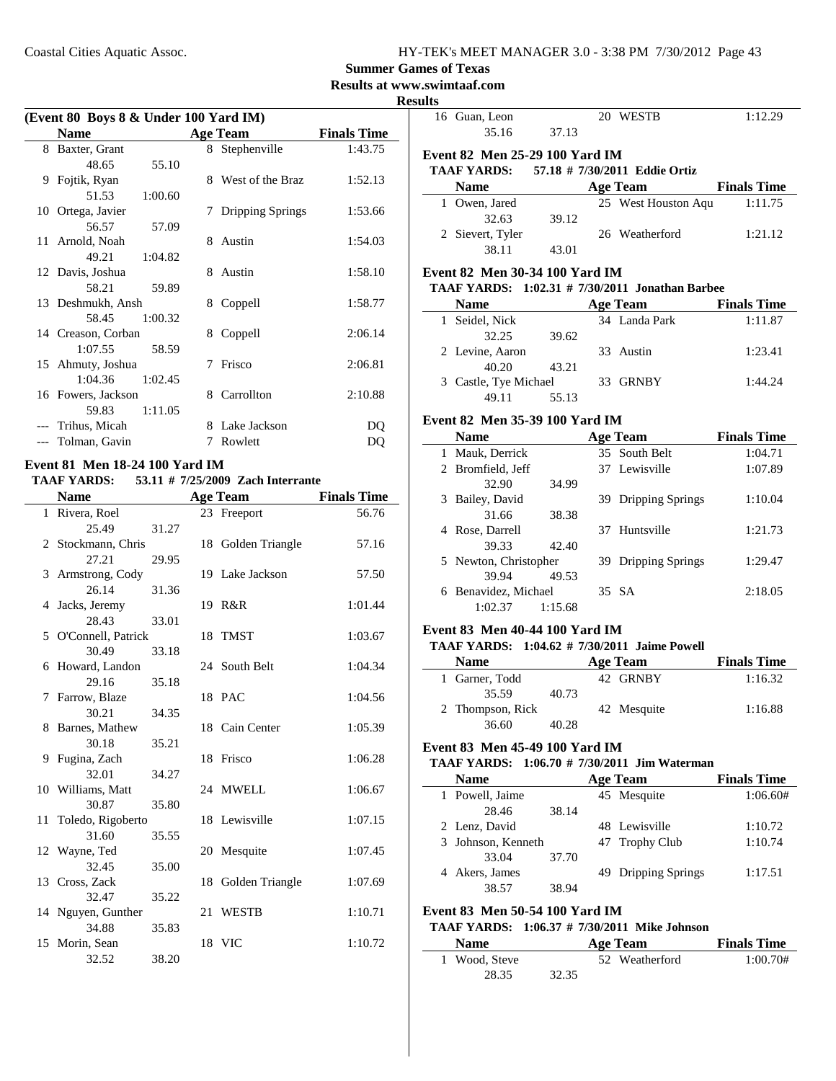### **Summer Games of Texas**

**Results at www.swimtaaf.com**

**Resul** 

| (Event 80 Boys 8 & Under 100 Yard IM) |                    |         |    |                  |                    |
|---------------------------------------|--------------------|---------|----|------------------|--------------------|
|                                       | <b>Name</b>        |         |    | <b>Age Team</b>  | <b>Finals Time</b> |
|                                       | 8 Baxter, Grant    |         |    | 8 Stephenville   | 1:43.75            |
|                                       | 48.65              | 55.10   |    |                  |                    |
| 9                                     | Fojtik, Ryan       |         | 8. | West of the Braz | 1:52.13            |
|                                       | 51.53              | 1:00.60 |    |                  |                    |
|                                       | 10 Ortega, Javier  |         | 7  | Dripping Springs | 1:53.66            |
|                                       | 56.57              | 57.09   |    |                  |                    |
|                                       | 11 Arnold, Noah    |         |    | 8 Austin         | 1:54.03            |
|                                       | 49.21              | 1:04.82 |    |                  |                    |
|                                       | 12 Davis, Joshua   |         |    | 8 Austin         | 1:58.10            |
|                                       | 58.21              | 59.89   |    |                  |                    |
|                                       | 13 Deshmukh, Ansh  |         | 8  | Coppell          | 1:58.77            |
|                                       | 58.45              | 1:00.32 |    |                  |                    |
|                                       | 14 Creason, Corban |         | 8  | Coppell          | 2:06.14            |
|                                       | 1:07.55            | 58.59   |    |                  |                    |
|                                       | 15 Ahmuty, Joshua  |         | 7  | Frisco           | 2:06.81            |
|                                       | 1:04.36            | 1:02.45 |    |                  |                    |
|                                       | 16 Fowers, Jackson |         | 8  | Carrollton       | 2:10.88            |
|                                       | 59.83              | 1:11.05 |    |                  |                    |
|                                       | --- Trihus, Micah  |         |    | 8 Lake Jackson   | DO                 |
|                                       | Tolman, Gavin      |         | 7  | Rowlett          | DO                 |

### **Event 81 Men 18-24 100 Yard IM**

#### **TAAF YARDS:** 53.11 # 7/25/2009 Zach Interrante

|   | <b>Name</b>          |       |    | <b>Age Team</b>    | <b>Finals Time</b> |
|---|----------------------|-------|----|--------------------|--------------------|
|   | 1 Rivera, Roel       |       |    | 23 Freeport        | 56.76              |
|   | 25.49                | 31.27 |    |                    |                    |
|   | 2 Stockmann, Chris   |       |    | 18 Golden Triangle | 57.16              |
|   | 27.21                | 29.95 |    |                    |                    |
|   | 3 Armstrong, Cody    |       |    | 19 Lake Jackson    | 57.50              |
|   | 26.14                | 31.36 |    |                    |                    |
|   | 4 Jacks, Jeremy      |       |    | 19 R&R             | 1:01.44            |
|   | 28.43                | 33.01 |    |                    |                    |
|   | 5 O'Connell, Patrick |       |    | 18 TMST            | 1:03.67            |
|   | 30.49                | 33.18 |    |                    |                    |
|   | 6 Howard, Landon     |       |    | 24 South Belt      | 1:04.34            |
|   | 29.16                | 35.18 |    |                    |                    |
|   | 7 Farrow, Blaze      |       |    | 18 PAC             | 1:04.56            |
|   | 30.21                | 34.35 |    |                    |                    |
|   | 8 Barnes, Mathew     |       |    | 18 Cain Center     | 1:05.39            |
|   | 30.18                | 35.21 |    |                    |                    |
| 9 | Fugina, Zach         |       |    | 18 Frisco          | 1:06.28            |
|   | 32.01                | 34.27 |    |                    |                    |
|   | 10 Williams, Matt    |       |    | 24 MWELL           | 1:06.67            |
|   | 30.87                | 35.80 |    |                    |                    |
|   | 11 Toledo, Rigoberto |       |    | 18 Lewisville      | 1:07.15            |
|   | 31.60                | 35.55 |    |                    |                    |
|   | 12 Wayne, Ted        |       |    | 20 Mesquite        | 1:07.45            |
|   | 32.45                | 35.00 |    |                    |                    |
|   | 13 Cross, Zack       |       |    | 18 Golden Triangle | 1:07.69            |
|   | 32.47                | 35.22 |    |                    |                    |
|   | 14 Nguyen, Gunther   |       | 21 | <b>WESTB</b>       | 1:10.71            |
|   | 34.88                | 35.83 |    |                    |                    |
|   | 15 Morin, Sean       |       |    | 18 VIC             | 1:10.72            |
|   | 32.52                | 38.20 |    |                    |                    |

| sults |                                                  |         |                                                 |                               |
|-------|--------------------------------------------------|---------|-------------------------------------------------|-------------------------------|
|       | 16 Guan, Leon<br>35.16                           | 37.13   | 20 WESTB                                        | 1:12.29                       |
|       | Event 82 Men 25-29 100 Yard IM                   |         |                                                 |                               |
|       | <b>TAAF YARDS:</b> 57.18 # 7/30/2011 Eddie Ortiz |         |                                                 |                               |
|       | <b>Name</b>                                      |         | <b>Age Team</b> Finals Time                     |                               |
|       | 1 Owen, Jared                                    |         | 25 West Houston Aqu 1:11.75                     |                               |
|       | 32.63                                            | 39.12   |                                                 |                               |
|       | 2 Sievert, Tyler                                 |         | 26 Weatherford                                  | 1:21.12                       |
|       | 38.11                                            | 43.01   |                                                 |                               |
|       | Event 82 Men 30-34 100 Yard IM                   |         |                                                 |                               |
|       |                                                  |         | TAAF YARDS: 1:02.31 # 7/30/2011 Jonathan Barbee |                               |
|       | Name $\qquad \qquad$                             |         | Age Team                                        | <b>Finals Time</b>            |
|       | 1 Seidel, Nick                                   |         | 34 Landa Park                                   | 1:11.87                       |
|       | 32.25                                            | 39.62   |                                                 |                               |
|       | 2 Levine, Aaron                                  |         | 33 Austin                                       | 1:23.41                       |
|       | 40.20                                            | 43.21   |                                                 |                               |
|       | 3 Castle, Tye Michael                            |         | 33 GRNBY                                        | 1:44.24                       |
|       | 49.11                                            | 55.13   |                                                 |                               |
|       | Event 82 Men 35-39 100 Yard IM                   |         |                                                 |                               |
|       | <b>Name</b>                                      |         |                                                 |                               |
|       |                                                  |         | <b>Age Team</b><br>35 South Belt                | <b>Finals Time</b><br>1:04.71 |
|       | 1 Mauk, Derrick                                  |         | 37 Lewisville                                   | 1:07.89                       |
|       | 2 Bromfield, Jeff                                |         |                                                 |                               |
|       | 32.90<br>3 Bailey, David                         | 34.99   |                                                 | 1:10.04                       |
|       | 31.66                                            |         | 39 Dripping Springs                             |                               |
|       | 4 Rose, Darrell                                  | 38.38   | 37 Huntsville                                   | 1:21.73                       |
|       | 39.33                                            | 42.40   |                                                 |                               |
|       | 5 Newton, Christopher                            |         | 39 Dripping Springs                             | 1:29.47                       |
|       | 39.94                                            | 49.53   |                                                 |                               |
|       | 6 Benavidez, Michael                             |         | 35 SA                                           | 2:18.05                       |
|       | 1:02.37                                          | 1:15.68 |                                                 |                               |
|       |                                                  |         |                                                 |                               |
|       | <b>Event 83 Men 40-44 100 Yard IM</b>            |         |                                                 |                               |
|       |                                                  |         | TAAF YARDS: 1:04.62 # 7/30/2011 Jaime Powell    |                               |
|       | <b>Name</b><br>1 Garner, Todd                    |         | <b>Age Team</b><br>42 GRNBY                     | <b>Finals Time</b>            |
|       |                                                  |         |                                                 | 1:16.32                       |
|       | 35.59                                            | 40.73   | 42 Mesquite                                     |                               |
|       | 2 Thompson, Rick<br>36.60                        | 40.28   |                                                 | 1:16.88                       |
|       |                                                  |         |                                                 |                               |
|       | Event 83 Men 45-49 100 Yard IM                   |         |                                                 |                               |
|       |                                                  |         | TAAF YARDS: 1:06.70 # 7/30/2011 Jim Waterman    |                               |
|       | <b>Name</b>                                      |         | <b>Age Team</b>                                 | <b>Finals Time</b>            |
|       | 1 Powell, Jaime                                  |         | 45 Mesquite                                     | 1:06.60#                      |
|       | 28.46                                            | 38.14   |                                                 |                               |
|       | 2 Lenz, David                                    |         | 48 Lewisville                                   | 1:10.72                       |
|       | 3 Johnson, Kenneth                               |         | 47 Trophy Club                                  | 1:10.74                       |
|       | 33.04                                            | 37.70   |                                                 |                               |
|       | 4 Akers, James                                   |         | 49 Dripping Springs                             | 1:17.51                       |
|       | 38.57                                            | 38.94   |                                                 |                               |
|       | <b>Event 83 Men 50-54 100 Yard IM</b>            |         |                                                 |                               |
|       |                                                  |         | TAAF YARDS: 1:06.37 # 7/30/2011 Mike Johnson    |                               |
|       | <b>Name</b>                                      |         | <b>Age Team</b>                                 | <b>Finals Time</b>            |
|       | 1 Wood, Steve                                    |         | 52 Weatherford                                  | 1:00.70#                      |
|       | 28.35                                            | 32.35   |                                                 |                               |
|       |                                                  |         |                                                 |                               |
|       |                                                  |         |                                                 |                               |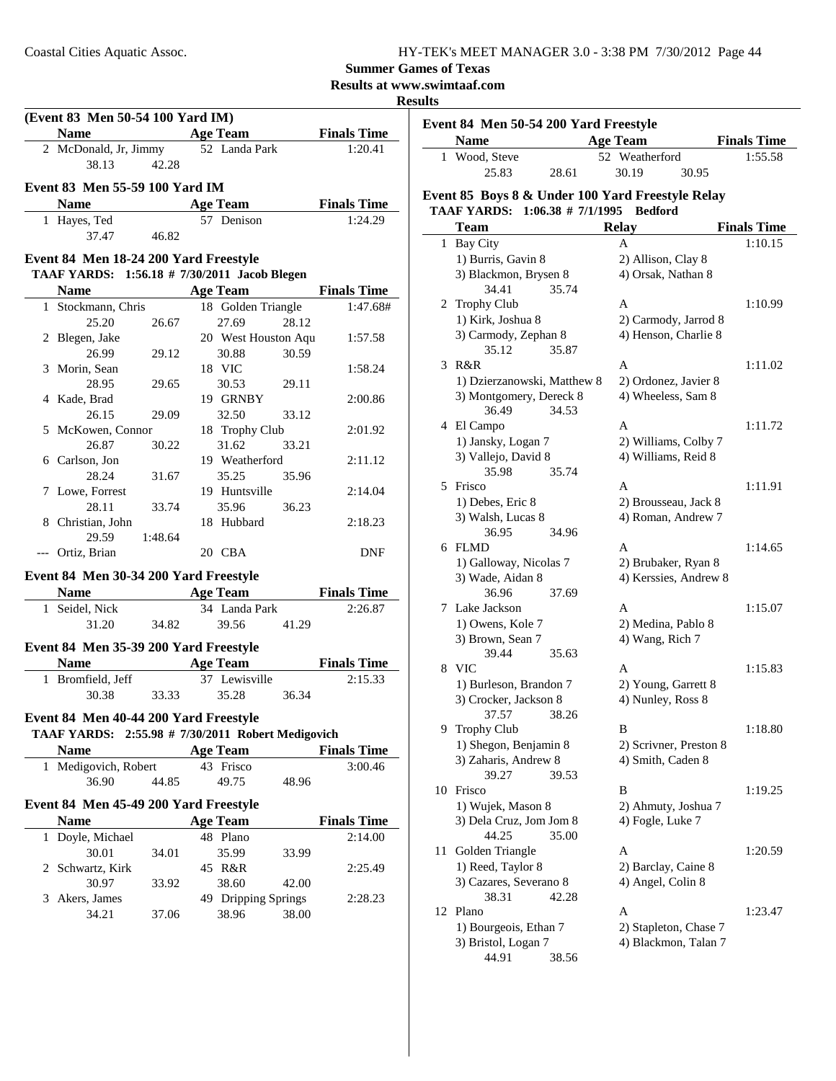**Summer Games of Texas**

**Results at www.swimtaaf.com**

### **Results**

| (Event 83 Men 50-54 100 Yard IM)      |                                                             |                |                                       |              |  |  |
|---------------------------------------|-------------------------------------------------------------|----------------|---------------------------------------|--------------|--|--|
| <b>Example 2 Age Team</b> Finals Time |                                                             |                | <b>Name</b>                           |              |  |  |
| 1:20.41                               | 2 McDonald, Jr, Jimmy 52 Landa Park                         |                |                                       |              |  |  |
|                                       |                                                             | 42.28          | 38.13                                 |              |  |  |
| Event 83 Men 55-59 100 Yard IM        |                                                             |                |                                       |              |  |  |
| <b>Example 2 Age Team</b> Finals Time |                                                             |                | <b>Name</b>                           |              |  |  |
| 1:24.29                               | 57 Denison                                                  |                | 1 Hayes, Ted                          |              |  |  |
|                                       |                                                             | 37.47 46.82    |                                       |              |  |  |
|                                       |                                                             |                |                                       |              |  |  |
|                                       |                                                             |                | Event 84 Men 18-24 200 Yard Freestyle |              |  |  |
|                                       | TAAF YARDS: 1:56.18 # 7/30/2011 Jacob Blegen                |                |                                       |              |  |  |
| <b>Name</b> Age Team Finals Time      |                                                             |                |                                       |              |  |  |
| 1:47.68#                              | 18 Golden Triangle                                          |                | 1 Stockmann, Chris                    |              |  |  |
| 28.12                                 | 27.69                                                       | 26.67          | 25.20                                 |              |  |  |
| 1:57.58                               | 20 West Houston Aqu                                         |                | 2 Blegen, Jake                        |              |  |  |
| 30.59                                 | 30.88                                                       | 29.12          | 26.99                                 |              |  |  |
| 1:58.24                               | 18 VIC                                                      |                | 3 Morin, Sean                         |              |  |  |
| 29.11                                 | 30.53                                                       | 29.65          | 28.95                                 |              |  |  |
| 2:00.86                               | 19 GRNBY                                                    |                | 4 Kade, Brad                          |              |  |  |
| 33.12                                 | 32.50                                                       | 29.09          | 26.15                                 |              |  |  |
| 2:01.92                               | 18 Trophy Club                                              |                | 5 McKowen, Connor                     |              |  |  |
| 33.21                                 | 31.62                                                       | 30.22          | 26.87                                 |              |  |  |
| 2:11.12                               | 19 Weatherford                                              |                | 6 Carlson, Jon                        |              |  |  |
| 35.96                                 | 35.25                                                       | 31.67          | 28.24                                 |              |  |  |
| 2:14.04                               | 19 Huntsville                                               |                | 7 Lowe, Forrest                       |              |  |  |
| 36.23                                 | 35.96                                                       | 33.74          | 28.11                                 |              |  |  |
| 2:18.23                               | 18 Hubbard                                                  |                | 8 Christian, John                     |              |  |  |
|                                       |                                                             | 29.59 1:48.64  |                                       |              |  |  |
| <b>DNF</b>                            | 20 CBA                                                      |                | --- Ortiz, Brian                      |              |  |  |
|                                       |                                                             |                | Event 84 Men 30-34 200 Yard Freestyle |              |  |  |
| <b>Finals Time</b>                    |                                                             | Name Age Team  |                                       |              |  |  |
| 2:26.87                               | 34 Landa Park                                               |                | 1 Seidel, Nick                        |              |  |  |
| 41.29                                 | 39.56                                                       | 34.82          | 31.20                                 |              |  |  |
|                                       |                                                             |                | Event 84 Men 35-39 200 Yard Freestyle |              |  |  |
| <b>Finals Time</b>                    |                                                             |                |                                       |              |  |  |
| 2:15.33                               | <b>Name</b><br>1 Bromfield, Jeff<br>30.38 33.33 35.28 36.34 |                |                                       |              |  |  |
|                                       |                                                             |                |                                       |              |  |  |
|                                       |                                                             |                |                                       |              |  |  |
|                                       | Event 84 Men 40-44 200 Yard Freestyle                       |                |                                       |              |  |  |
|                                       | TAAF YARDS: 2:55.98 # 7/30/2011 Robert Medigovich           |                |                                       |              |  |  |
| <b>Finals Time</b>                    | <b>Age Team</b>                                             |                | Name                                  |              |  |  |
| 3:00.46                               | 43 Frisco                                                   |                | Medigovich, Robert                    | $\mathbf{1}$ |  |  |
| 48.96                                 | 49.75                                                       | 44.85          | 36.90                                 |              |  |  |
|                                       |                                                             |                | Event 84 Men 45-49 200 Yard Freestyle |              |  |  |
| <b>Finals Time</b>                    | <b>Age Team</b>                                             |                | Name                                  |              |  |  |
| 2:14.00                               | 48 Plano                                                    |                | Doyle, Michael                        | 1            |  |  |
|                                       |                                                             |                | 30.01                                 |              |  |  |
| 33.99<br>2:25.49                      | 35.99<br>45 R&R                                             | 34.01          | 2 Schwartz, Kirk                      |              |  |  |
|                                       |                                                             |                |                                       |              |  |  |
|                                       |                                                             |                |                                       |              |  |  |
| 2:28.23                               |                                                             |                |                                       |              |  |  |
|                                       |                                                             |                |                                       |              |  |  |
| 42.00<br>38.00                        | 38.60<br>49 Dripping Springs<br>38.96                       | 33.92<br>37.06 | 30.97<br>Akers, James<br>34.21        | 3            |  |  |

|    | Event 84 Men 50-54 200 Yard Freestyle            |                                              |                    |
|----|--------------------------------------------------|----------------------------------------------|--------------------|
|    | <b>Name</b>                                      | <b>Age Team</b>                              | <b>Finals Time</b> |
|    | 1 Wood, Steve<br>25.83<br>28.61                  | 52 Weatherford<br>30.19<br>30.95             | 1:55.58            |
|    | Event 85 Boys 8 & Under 100 Yard Freestyle Relay |                                              |                    |
|    | <b>TAAF YARDS:</b><br>$1:06.38 \# 7/1/1995$      | <b>Bedford</b>                               |                    |
|    | Team                                             |                                              |                    |
|    |                                                  | <b>Relay</b>                                 | <b>Finals Time</b> |
| 1  | Bay City                                         | Α                                            | 1:10.15            |
|    | 1) Burris, Gavin 8                               | 2) Allison, Clay 8                           |                    |
|    | 3) Blackmon, Brysen 8<br>34.41<br>35.74          | 4) Orsak, Nathan 8                           |                    |
|    | 2 Trophy Club                                    | А                                            | 1:10.99            |
|    | 1) Kirk, Joshua 8                                | 2) Carmody, Jarrod 8                         |                    |
|    | 3) Carmody, Zephan 8                             | 4) Henson, Charlie 8                         |                    |
|    | 35.12<br>35.87                                   |                                              |                    |
|    | 3 R&R                                            | A                                            | 1:11.02            |
|    | 1) Dzierzanowski, Matthew 8                      | 2) Ordonez, Javier 8                         |                    |
|    | 3) Montgomery, Dereck 8                          | 4) Wheeless, Sam 8                           |                    |
|    | 34.53<br>36.49                                   |                                              |                    |
|    | 4 El Campo                                       | A                                            | 1:11.72            |
|    | 1) Jansky, Logan 7                               | 2) Williams, Colby 7                         |                    |
|    | 3) Vallejo, David 8                              | 4) Williams, Reid 8                          |                    |
|    | 35.74<br>35.98                                   |                                              |                    |
|    | 5 Frisco                                         | А                                            | 1:11.91            |
|    | 1) Debes, Eric 8                                 | 2) Brousseau, Jack 8                         |                    |
|    | 3) Walsh, Lucas 8                                | 4) Roman, Andrew 7                           |                    |
|    | 36.95<br>34.96                                   |                                              |                    |
|    | 6 FLMD                                           | A                                            | 1:14.65            |
|    | 1) Galloway, Nicolas 7                           | 2) Brubaker, Ryan 8<br>4) Kerssies, Andrew 8 |                    |
|    | 3) Wade, Aidan 8<br>36.96<br>37.69               |                                              |                    |
|    | 7 Lake Jackson                                   | A                                            | 1:15.07            |
|    | 1) Owens, Kole 7                                 | 2) Medina, Pablo 8                           |                    |
|    | 3) Brown, Sean 7                                 | 4) Wang, Rich 7                              |                    |
|    | 39.44<br>35.63                                   |                                              |                    |
|    | 8 VIC                                            | А                                            | 1:15.83            |
|    | 1) Burleson, Brandon 7                           | 2) Young, Garrett 8                          |                    |
|    | 3) Crocker, Jackson 8                            | 4) Nunley, Ross 8                            |                    |
|    | 37.57<br>38.26                                   |                                              |                    |
| 9. | Trophy Club                                      | B                                            | 1:18.80            |
|    | 1) Shegon, Benjamin 8                            | 2) Scrivner, Preston 8                       |                    |
|    | 3) Zaharis, Andrew 8                             | 4) Smith, Caden 8                            |                    |
|    | 39.27<br>39.53                                   |                                              |                    |
| 10 | Frisco                                           | B                                            | 1:19.25            |
|    | 1) Wujek, Mason 8                                | 2) Ahmuty, Joshua 7                          |                    |
|    | 3) Dela Cruz, Jom Jom 8                          | 4) Fogle, Luke 7                             |                    |
|    | 44.25<br>35.00                                   |                                              |                    |
| 11 | Golden Triangle                                  | А                                            | 1:20.59            |
|    | 1) Reed, Taylor 8                                | 2) Barclay, Caine 8                          |                    |
|    | 3) Cazares, Severano 8                           | 4) Angel, Colin 8                            |                    |
|    | 38.31<br>42.28                                   |                                              |                    |
| 12 | Plano                                            | A                                            | 1:23.47            |
|    | 1) Bourgeois, Ethan 7                            | 2) Stapleton, Chase 7                        |                    |
|    | 3) Bristol, Logan 7                              | 4) Blackmon, Talan 7                         |                    |
|    | 44.91<br>38.56                                   |                                              |                    |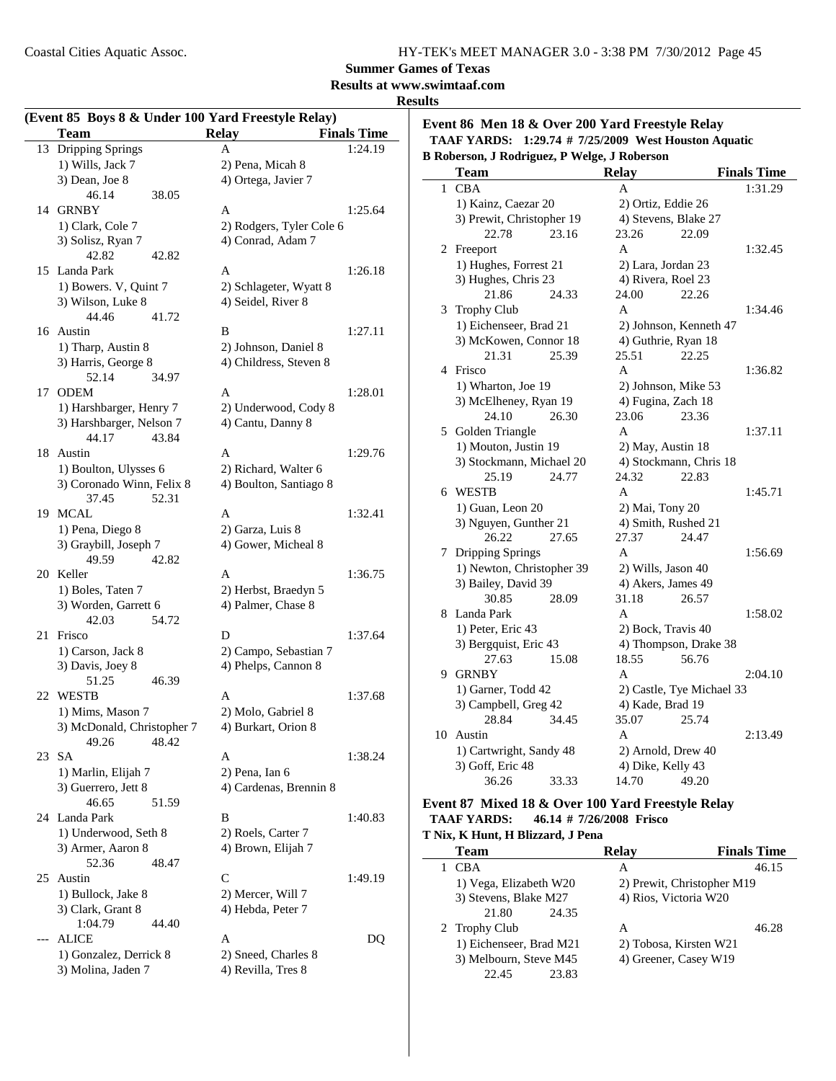Coastal Cities Aquatic Assoc.

| HY-TEK's MEET MANAGER 3.0 - 3:38 PM 7/30/2012 Page 45 |  |
|-------------------------------------------------------|--|
|-------------------------------------------------------|--|

### **Summer Games of Texas**

#### **Results at www.swimtaaf.com**

#### **Results**

|           | <b>Team</b>                        | (Event 85 Boys 8 & Under 100 Yard Freestyle Relay)<br><b>Relay</b> | <b>Finals Time</b> | Event 86 M          |
|-----------|------------------------------------|--------------------------------------------------------------------|--------------------|---------------------|
|           | 13 Dripping Springs                | A                                                                  | 1:24.19            | <b>TAAF YAR</b>     |
|           | 1) Wills, Jack 7                   | 2) Pena, Micah 8                                                   |                    | <b>B</b> Roberson,  |
|           | 3) Dean, Joe 8                     | 4) Ortega, Javier 7                                                |                    | <b>Team</b>         |
|           | 46.14<br>38.05                     |                                                                    |                    | 1 CBA               |
|           | 14 GRNBY                           | A                                                                  | 1:25.64            | 1) Kain             |
|           | 1) Clark, Cole 7                   | 2) Rodgers, Tyler Cole 6                                           |                    | 3) Prew             |
|           | 3) Solisz, Ryan 7                  | 4) Conrad, Adam 7                                                  |                    |                     |
|           | 42.82<br>42.82                     |                                                                    |                    | 2 Freepor           |
|           | 15 Landa Park                      | A                                                                  | 1:26.18            | 1) Hugl             |
|           | 1) Bowers. V, Quint 7              | 2) Schlageter, Wyatt 8                                             |                    | 3) Hugh             |
|           | 3) Wilson, Luke 8                  | 4) Seidel, River 8                                                 |                    |                     |
|           | 44.46<br>41.72                     |                                                                    |                    | 3 Trophy            |
| 16 Austin |                                    | B                                                                  | 1:27.11            | 1) Eich             |
|           | 1) Tharp, Austin 8                 | 2) Johnson, Daniel 8                                               |                    | 3) McK              |
|           | 3) Harris, George 8                | 4) Childress, Steven 8                                             |                    |                     |
|           | 52.14<br>34.97                     |                                                                    |                    | 4 Frisco            |
| 17 ODEM   |                                    | A                                                                  | 1:28.01            | 1) Wha              |
|           | 1) Harshbarger, Henry 7            | 2) Underwood, Cody 8                                               |                    | 3) McE              |
|           | 3) Harshbarger, Nelson 7           | 4) Cantu, Danny 8                                                  |                    | 5 Golden            |
|           | 44.17<br>43.84                     |                                                                    |                    | 1) Mou              |
| 18 Austin |                                    | A                                                                  | 1:29.76            | 3) Stocl            |
|           | 1) Boulton, Ulysses 6              | 2) Richard, Walter 6                                               |                    |                     |
|           | 3) Coronado Winn, Felix 8          | 4) Boulton, Santiago 8                                             |                    | 6 WESTH             |
|           | 37.45<br>52.31                     |                                                                    |                    | 1) Guar             |
| 19 MCAL   |                                    | A                                                                  | 1:32.41            | 3) Nguy             |
|           | 1) Pena, Diego 8                   | 2) Garza, Luis 8                                                   |                    |                     |
|           | 3) Graybill, Joseph 7              | 4) Gower, Micheal 8                                                |                    | 7 Drippin           |
|           | 49.59<br>42.82                     |                                                                    |                    | 1) New              |
| 20 Keller |                                    | A                                                                  | 1:36.75            | 3) Baile            |
|           | 1) Boles, Taten 7                  | 2) Herbst, Braedyn 5                                               |                    |                     |
|           | 3) Worden, Garrett 6               | 4) Palmer, Chase 8                                                 |                    | 8 Landa I           |
| 21 Frisco | 54.72<br>42.03                     |                                                                    | 1:37.64            | 1) Peter            |
|           |                                    | D                                                                  |                    | 3) Berg             |
|           | 1) Carson, Jack 8                  | 2) Campo, Sebastian 7                                              |                    |                     |
|           | 3) Davis, Joey 8<br>51.25<br>46.39 | 4) Phelps, Cannon 8                                                |                    | 9 GRNB!             |
| 22 WESTB  |                                    | A                                                                  | 1:37.68            | 1) Garn             |
|           | 1) Mims, Mason 7                   | 2) Molo, Gabriel 8                                                 |                    | 3) Cam              |
|           | 3) McDonald, Christopher 7         | 4) Burkart, Orion 8                                                |                    |                     |
|           | 48.42<br>49.26                     |                                                                    |                    | 10 Austin           |
| 23 SA     |                                    | A                                                                  | 1:38.24            | 1) Carty            |
|           | 1) Marlin, Elijah 7                | 2) Pena, Ian 6                                                     |                    | 3) Goff             |
|           | 3) Guerrero, Jett 8                | 4) Cardenas, Brennin 8                                             |                    |                     |
|           | 46.65<br>51.59                     |                                                                    |                    | Event 87 M          |
|           | 24 Landa Park                      | B                                                                  | 1:40.83            | <b>TAAF YAR</b>     |
|           | 1) Underwood, Seth 8               | 2) Roels, Carter 7                                                 |                    | T Nix, K Hun        |
|           | 3) Armer, Aaron 8                  | 4) Brown, Elijah 7                                                 |                    | Team                |
|           | 52.36<br>48.47                     |                                                                    |                    | 1 CBA               |
| 25 Austin |                                    | $\mathcal{C}$                                                      | 1:49.19            |                     |
|           | 1) Bullock, Jake 8                 | 2) Mercer, Will 7                                                  |                    | 1) Vega<br>3) Steve |
|           | 3) Clark, Grant 8                  | 4) Hebda, Peter 7                                                  |                    |                     |
|           | 1:04.79<br>44.40                   |                                                                    |                    | 2 Trophy            |
| $---$     | <b>ALICE</b>                       | A                                                                  | DQ                 | 1) Eich             |
|           | 1) Gonzalez, Derrick 8             | 2) Sneed, Charles 8                                                |                    | 3) Melb             |
|           | 3) Molina, Jaden 7                 | 4) Revilla, Tres 8                                                 |                    |                     |

**Evant 8 & Over 200 Yard Freestyle Relay TABIS:** 1:29.74 # 7/25/2009 West Houston Aquatic **B Roberson, J Rodriguez, P Welge, J Roberson**

|    | Team                      |       | <b>Relay</b>         |                           | <b>Finals Time</b> |
|----|---------------------------|-------|----------------------|---------------------------|--------------------|
| 1  | <b>CBA</b>                |       | A                    |                           | 1:31.29            |
|    | 1) Kainz, Caezar 20       |       |                      | 2) Ortiz, Eddie 26        |                    |
|    | 3) Prewit, Christopher 19 |       | 4) Stevens, Blake 27 |                           |                    |
|    | 22.78                     | 23.16 | 23.26                | 22.09                     |                    |
| 2  | Freeport                  |       | A                    |                           | 1:32.45            |
|    | 1) Hughes, Forrest 21     |       | 2) Lara, Jordan 23   |                           |                    |
|    | 3) Hughes, Chris 23       |       | 4) Rivera, Roel 23   |                           |                    |
|    | 21.86                     | 24.33 | 24.00                | 22.26                     |                    |
| 3  | <b>Trophy Club</b>        |       | A                    |                           | 1:34.46            |
|    | 1) Eichenseer, Brad 21    |       |                      | 2) Johnson, Kenneth 47    |                    |
|    | 3) McKowen, Connor 18     |       | 4) Guthrie, Ryan 18  |                           |                    |
|    | 21.31                     | 25.39 | 25.51                | 22.25                     |                    |
| 4  | Frisco                    |       | A                    |                           | 1:36.82            |
|    | 1) Wharton, Joe 19        |       | 2) Johnson, Mike 53  |                           |                    |
|    | 3) McElheney, Ryan 19     |       | 4) Fugina, Zach 18   |                           |                    |
|    | 24.10                     | 26.30 | 23.06                | 23.36                     |                    |
| 5  | Golden Triangle           |       | $\mathsf{A}$         |                           | 1:37.11            |
|    | 1) Mouton, Justin 19      |       | 2) May, Austin 18    |                           |                    |
|    | 3) Stockmann, Michael 20  |       |                      | 4) Stockmann, Chris 18    |                    |
|    | 25.19                     | 24.77 | 24.32                | 22.83                     |                    |
| 6  | <b>WESTB</b>              |       | A                    |                           | 1:45.71            |
|    | 1) Guan, Leon 20          |       | 2) Mai, Tony 20      |                           |                    |
|    | 3) Nguyen, Gunther 21     |       | 4) Smith, Rushed 21  |                           |                    |
|    | 26.22                     | 27.65 | 27.37                | 24.47                     |                    |
| 7  | Dripping Springs          |       | A                    |                           | 1:56.69            |
|    | 1) Newton, Christopher 39 |       | 2) Wills, Jason 40   |                           |                    |
|    | 3) Bailey, David 39       |       | 4) Akers, James 49   |                           |                    |
|    | 30.85                     | 28.09 | 31.18                | 26.57                     |                    |
| 8  | Landa Park                |       | A                    |                           | 1:58.02            |
|    | 1) Peter, Eric 43         |       | 2) Bock, Travis 40   |                           |                    |
|    | 3) Bergquist, Eric 43     |       |                      | 4) Thompson, Drake 38     |                    |
|    | 27.63                     | 15.08 | 18.55                | 56.76                     |                    |
|    | 9 GRNBY                   |       | A                    |                           | 2:04.10            |
|    | 1) Garner, Todd 42        |       |                      | 2) Castle, Tye Michael 33 |                    |
|    | 3) Campbell, Greg 42      |       | 4) Kade, Brad 19     |                           |                    |
|    | 28.84                     | 34.45 | 35.07                | 25.74                     |                    |
| 10 | Austin                    |       | A                    |                           | 2:13.49            |
|    | 1) Cartwright, Sandy 48   |       | 2) Arnold, Drew 40   |                           |                    |
|    | 3) Goff, Eric 48          |       | 4) Dike, Kelly 43    |                           |                    |
|    | 36.26                     | 33.33 | 14.70                | 49.20                     |                    |

#### **Exed 18 & Over 100 Yard Freestyle Relay TAAF YARDS: 46.14 # Frisco 7/26/2008**

**T Nix, K Hunt, H Blizzard, J Pena**

| 1914, IX HUMI, H DHZZAI U, O I CHA |                            |                    |
|------------------------------------|----------------------------|--------------------|
| <b>Team</b>                        | Relav                      | <b>Finals Time</b> |
| <b>CBA</b>                         | А                          | 46.15              |
| 1) Vega, Elizabeth W20             | 2) Prewit, Christopher M19 |                    |
| 3) Stevens, Blake M27              | 4) Rios, Victoria W20      |                    |
| 21.80<br>24.35                     |                            |                    |
| 2 Trophy Club                      | А                          | 46.28              |
| 1) Eichenseer, Brad M21            | 2) Tobosa, Kirsten W21     |                    |
| 3) Melbourn, Steve M45             | 4) Greener, Casey W19      |                    |
| 22.45<br>23.83                     |                            |                    |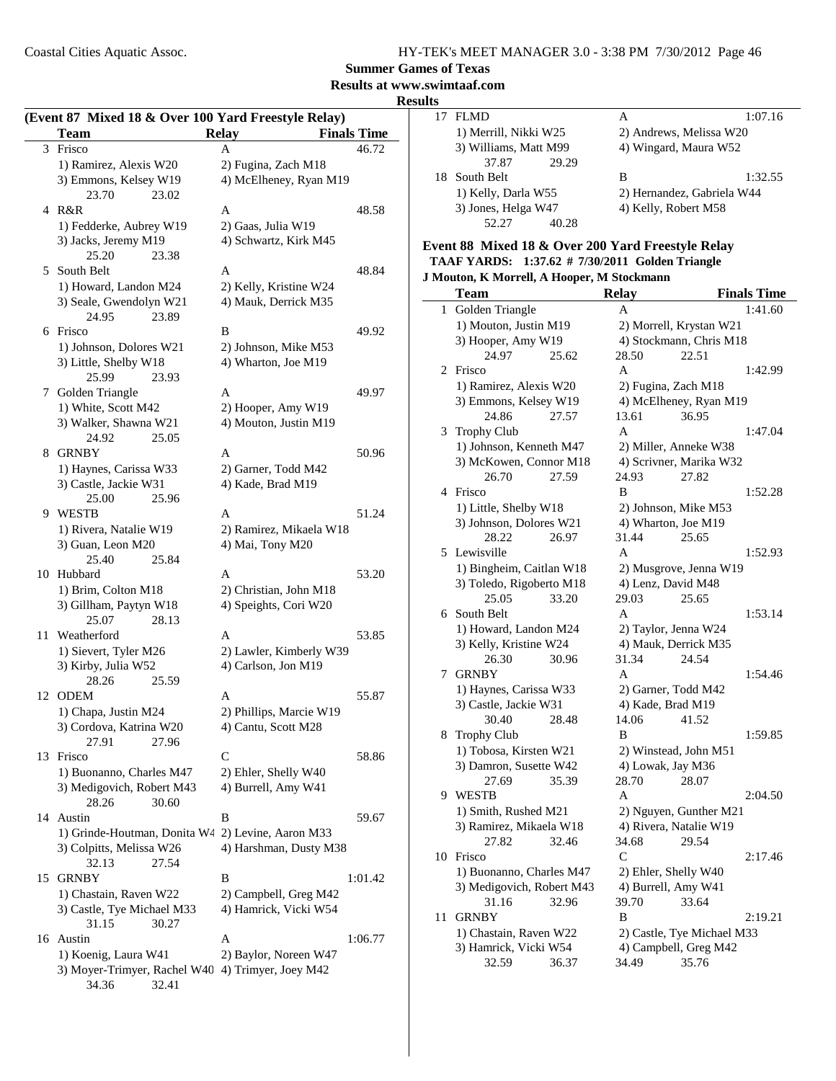**Summer Games of Texas**

**Results at www.swimtaaf.com**

#### **Results**

| (Event 87 Mixed 18 & Over 100 Yard Freestyle Relay) |                                                   |                                    |  |  |
|-----------------------------------------------------|---------------------------------------------------|------------------------------------|--|--|
|                                                     | <b>Team</b>                                       | <b>Relay</b><br><b>Finals Time</b> |  |  |
| 3                                                   | Frisco                                            | 46.72<br>A                         |  |  |
|                                                     | 1) Ramirez, Alexis W20                            | 2) Fugina, Zach M18                |  |  |
|                                                     | 3) Emmons, Kelsey W19                             | 4) McElheney, Ryan M19             |  |  |
|                                                     | 23.70<br>23.02                                    |                                    |  |  |
|                                                     | 4 R&R                                             | 48.58<br>A                         |  |  |
|                                                     | 1) Fedderke, Aubrey W19                           | 2) Gaas, Julia W19                 |  |  |
|                                                     | 3) Jacks, Jeremy M19                              | 4) Schwartz, Kirk M45              |  |  |
|                                                     | 25.20<br>23.38                                    |                                    |  |  |
| 5                                                   | South Belt                                        | 48.84<br>A                         |  |  |
|                                                     | 1) Howard, Landon M24                             | 2) Kelly, Kristine W24             |  |  |
|                                                     | 3) Seale, Gwendolyn W21<br>24.95                  | 4) Mauk, Derrick M35               |  |  |
|                                                     | 23.89<br>6 Frisco                                 | B<br>49.92                         |  |  |
|                                                     | 1) Johnson, Dolores W21                           | 2) Johnson, Mike M53               |  |  |
|                                                     | 3) Little, Shelby W18                             | 4) Wharton, Joe M19                |  |  |
|                                                     | 25.99<br>23.93                                    |                                    |  |  |
| 7                                                   | Golden Triangle                                   | A<br>49.97                         |  |  |
|                                                     | 1) White, Scott M42                               | 2) Hooper, Amy W19                 |  |  |
|                                                     | 3) Walker, Shawna W21                             | 4) Mouton, Justin M19              |  |  |
|                                                     | 25.05<br>24.92                                    |                                    |  |  |
| 8                                                   | <b>GRNBY</b>                                      | A<br>50.96                         |  |  |
|                                                     | 1) Haynes, Carissa W33                            | 2) Garner, Todd M42                |  |  |
|                                                     | 3) Castle, Jackie W31                             | 4) Kade, Brad M19                  |  |  |
|                                                     | 25.00<br>25.96                                    |                                    |  |  |
|                                                     | 9 WESTB                                           | A<br>51.24                         |  |  |
|                                                     | 1) Rivera, Natalie W19                            | 2) Ramirez, Mikaela W18            |  |  |
|                                                     | 3) Guan, Leon M20                                 | 4) Mai, Tony M20                   |  |  |
|                                                     | 25.40<br>25.84                                    |                                    |  |  |
|                                                     | 10 Hubbard                                        | 53.20<br>A                         |  |  |
|                                                     | 1) Brim, Colton M18                               | 2) Christian, John M18             |  |  |
|                                                     | 3) Gillham, Paytyn W18                            | 4) Speights, Cori W20              |  |  |
| 11                                                  | 25.07<br>28.13<br>Weatherford                     | A<br>53.85                         |  |  |
|                                                     | 1) Sievert, Tyler M26                             | 2) Lawler, Kimberly W39            |  |  |
|                                                     | 3) Kirby, Julia W52                               | 4) Carlson, Jon M19                |  |  |
|                                                     | 25.59<br>28.26                                    |                                    |  |  |
| 12                                                  | <b>ODEM</b>                                       | A<br>55.87                         |  |  |
|                                                     | 1) Chapa, Justin M24                              | 2) Phillips, Marcie W19            |  |  |
|                                                     | 3) Cordova, Katrina W20                           | 4) Cantu, Scott M28                |  |  |
|                                                     | 27.91<br>27.96                                    |                                    |  |  |
| 13                                                  | Frisco                                            | С<br>58.86                         |  |  |
|                                                     | 1) Buonanno, Charles M47                          | 2) Ehler, Shelly W40               |  |  |
|                                                     | 3) Medigovich, Robert M43                         | 4) Burrell, Amy W41                |  |  |
|                                                     | 28.26<br>30.60                                    |                                    |  |  |
| 14                                                  | Austin                                            | B<br>59.67                         |  |  |
|                                                     | 1) Grinde-Houtman, Donita W4 2) Levine, Aaron M33 |                                    |  |  |
|                                                     | 3) Colpitts, Melissa W26                          | 4) Harshman, Dusty M38             |  |  |
|                                                     | 32.13<br>27.54                                    |                                    |  |  |
| 15                                                  | <b>GRNBY</b>                                      | В<br>1:01.42                       |  |  |
|                                                     | 1) Chastain, Raven W22                            | 2) Campbell, Greg M42              |  |  |
|                                                     | 3) Castle, Tye Michael M33<br>31.15<br>30.27      | 4) Hamrick, Vicki W54              |  |  |
|                                                     | 16 Austin                                         | A<br>1:06.77                       |  |  |
|                                                     | 1) Koenig, Laura W41                              | 2) Baylor, Noreen W47              |  |  |
|                                                     | 3) Moyer-Trimyer, Rachel W40                      | 4) Trimyer, Joey M42               |  |  |
|                                                     | 34.36<br>32.41                                    |                                    |  |  |

| 17 FLMD               | А                          | 1:07.16 |
|-----------------------|----------------------------|---------|
| 1) Merrill, Nikki W25 | 2) Andrews, Melissa W20    |         |
| 3) Williams, Matt M99 | 4) Wingard, Maura W52      |         |
| 29.29<br>37.87        |                            |         |
| 18 South Belt         | в                          | 1:32.55 |
| 1) Kelly, Darla W55   | 2) Hernandez, Gabriela W44 |         |
| 3) Jones, Helga W47   | 4) Kelly, Robert M58       |         |
| 52.27<br>40.28        |                            |         |
|                       |                            |         |

#### **Event 88 Mixed 18 & Over 200 Yard Freestyle Relay TAAF YARDS:** 1:37.62 # 7/30/2011 Golden Triangle **J Mouton, K Morrell, A Hooper, M Stockmann**

|    | <b>Team</b>               | <b>Relay</b>         | <b>Finals Time</b>         |
|----|---------------------------|----------------------|----------------------------|
| 1  | Golden Triangle           | A                    | 1:41.60                    |
|    | 1) Mouton, Justin M19     |                      | 2) Morrell, Krystan W21    |
|    | 3) Hooper, Amy W19        |                      | 4) Stockmann, Chris M18    |
|    | 24.97<br>25.62            | 28.50                | 22.51                      |
| 2  | Frisco                    | A                    | 1:42.99                    |
|    | 1) Ramirez, Alexis W20    | 2) Fugina, Zach M18  |                            |
|    | 3) Emmons, Kelsey W19     |                      | 4) McElheney, Ryan M19     |
|    | 24.86<br>27.57            | 13.61                | 36.95                      |
| 3  | Trophy Club               | A                    | 1:47.04                    |
|    | 1) Johnson, Kenneth M47   |                      | 2) Miller, Anneke W38      |
|    | 3) McKowen, Connor M18    |                      | 4) Scrivner, Marika W32    |
|    | 27.59<br>26.70            | 24.93                | 27.82                      |
| 4  | Frisco                    | B                    | 1:52.28                    |
|    | 1) Little, Shelby W18     |                      | 2) Johnson, Mike M53       |
|    | 3) Johnson, Dolores W21   | 4) Wharton, Joe M19  |                            |
|    | 28.22<br>26.97            | 31.44                | 25.65                      |
| 5  | Lewisville                | A                    | 1:52.93                    |
|    | 1) Bingheim, Caitlan W18  |                      | 2) Musgrove, Jenna W19     |
|    | 3) Toledo, Rigoberto M18  | 4) Lenz, David M48   |                            |
|    | 33.20<br>25.05            | 29.03                | 25.65                      |
| 6  | South Belt                | A                    | 1:53.14                    |
|    | 1) Howard, Landon M24     |                      | 2) Taylor, Jenna W24       |
|    | 3) Kelly, Kristine W24    |                      | 4) Mauk, Derrick M35       |
|    | 26.30<br>30.96            | 31.34                | 24.54                      |
| 7  | <b>GRNBY</b>              | A                    | 1:54.46                    |
|    | 1) Haynes, Carissa W33    |                      | 2) Garner, Todd M42        |
|    | 3) Castle, Jackie W31     | 4) Kade, Brad M19    |                            |
|    | 30.40<br>28.48            | 14.06                | 41.52                      |
| 8  | <b>Trophy Club</b>        | B                    | 1:59.85                    |
|    | 1) Tobosa, Kirsten W21    |                      | 2) Winstead, John M51      |
|    | 3) Damron, Susette W42    | 4) Lowak, Jay M36    |                            |
|    | 27.69<br>35.39            | 28.70                | 28.07                      |
| 9  | <b>WESTB</b>              | A                    | 2:04.50                    |
|    | 1) Smith, Rushed M21      |                      | 2) Nguyen, Gunther M21     |
|    | 3) Ramirez, Mikaela W18   |                      | 4) Rivera, Natalie W19     |
|    | 27.82<br>32.46            | 34.68                | 29.54                      |
| 10 | Frisco                    | $\mathsf{C}$         | 2:17.46                    |
|    | 1) Buonanno, Charles M47  | 2) Ehler, Shelly W40 |                            |
|    | 3) Medigovich, Robert M43 | 4) Burrell, Amy W41  |                            |
|    | 31.16<br>32.96            | 39.70                | 33.64                      |
| 11 | <b>GRNBY</b>              | B                    | 2:19.21                    |
|    | 1) Chastain, Raven W22    |                      | 2) Castle, Tye Michael M33 |
|    | 3) Hamrick, Vicki W54     |                      | 4) Campbell, Greg M42      |
|    | 32.59<br>36.37            | 34.49                | 35.76                      |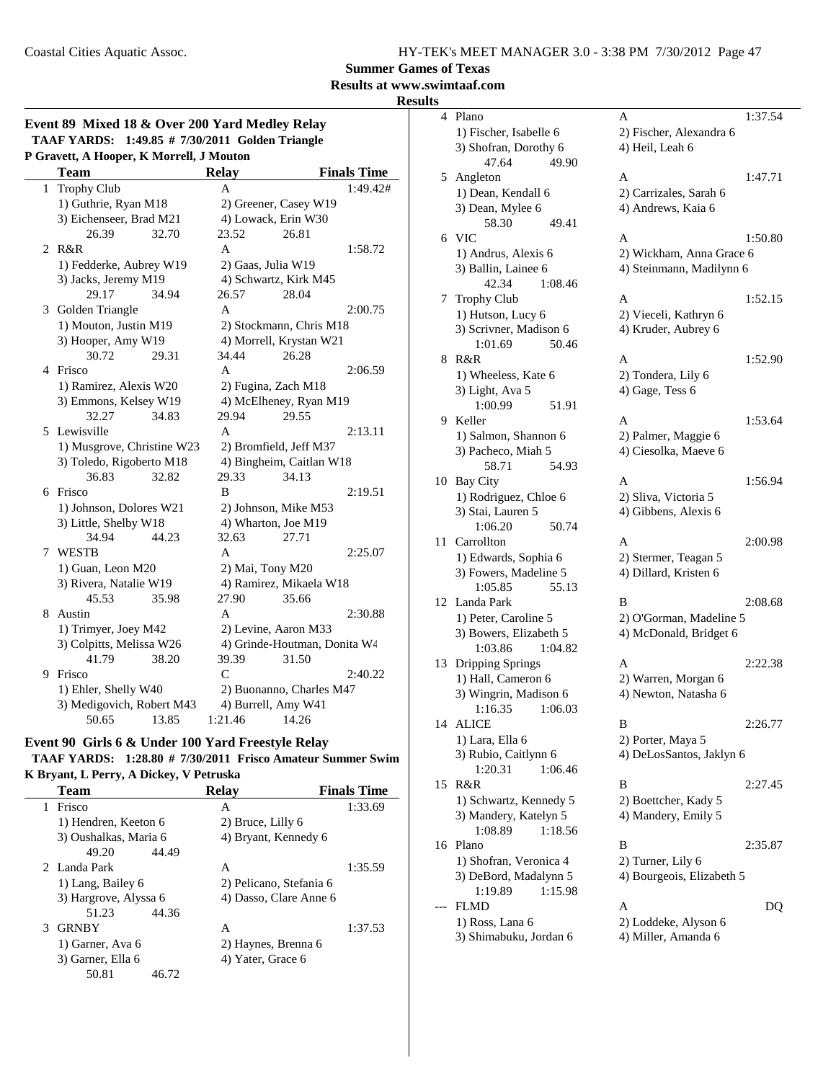**Summer Games of Texas**

### **Results at www.swimtaaf.com**

**Results**

|  |                                          | Event 89 Mixed 18 & Over 200 Yard Medley Relay         |
|--|------------------------------------------|--------------------------------------------------------|
|  |                                          | <b>TAAF YARDS:</b> 1:49.85 # 7/30/2011 Golden Triangle |
|  | P Gravett. A Hooper. K Morrell. J Mouton |                                                        |

|   | <b>Team</b>                     |       | <b>Relay</b>       |                                  | <b>Finals Time</b> |
|---|---------------------------------|-------|--------------------|----------------------------------|--------------------|
| 1 | <b>Trophy Club</b>              |       | A                  |                                  | 1:49.42#           |
|   | 1) Guthrie, Ryan M18            |       |                    | 2) Greener, Casey W19            |                    |
|   | 3) Eichenseer, Brad M21         |       |                    | 4) Lowack, Erin W30              |                    |
|   | 26.39                           | 32.70 | 23.52              | 26.81                            |                    |
| 2 | R&R                             |       | A                  |                                  | 1:58.72            |
|   | 1) Fedderke, Aubrey W19         |       | 2) Gaas, Julia W19 |                                  |                    |
|   | 3) Jacks, Jeremy M19            |       |                    | 4) Schwartz, Kirk M45            |                    |
|   | 29.17                           | 34.94 | 26.57              | 28.04                            |                    |
|   | 3 Golden Triangle               |       | A                  |                                  | 2:00.75            |
|   | 1) Mouton, Justin M19           |       |                    | 2) Stockmann, Chris M18          |                    |
|   | 3) Hooper, Amy W19              |       |                    | 4) Morrell, Krystan W21          |                    |
|   | 30.72                           | 29.31 | 34.44              | 26.28                            |                    |
| 4 | Frisco                          |       | $\overline{A}$     |                                  | 2:06.59            |
|   | 1) Ramirez, Alexis W20          |       |                    | 2) Fugina, Zach M18              |                    |
|   | 3) Emmons, Kelsey W19           |       |                    | 4) McElheney, Ryan M19           |                    |
|   | 32.27                           | 34.83 | 29.94              | 29.55                            |                    |
|   | 5 Lewisville                    |       | A                  |                                  | 2:13.11            |
|   | 1) Musgrove, Christine W23      |       |                    | 2) Bromfield, Jeff M37           |                    |
|   | 3) Toledo, Rigoberto M18        |       |                    | 4) Bingheim, Caitlan W18         |                    |
|   | 36.83                           | 32.82 | 29.33              | 34.13                            |                    |
| 6 | Frisco                          |       | B                  |                                  | 2:19.51            |
|   | 1) Johnson, Dolores W21         |       |                    | 2) Johnson, Mike M53             |                    |
|   | 3) Little, Shelby W18           |       |                    | 4) Wharton, Joe M19              |                    |
|   | 34.94                           | 44.23 | 32.63              | 27.71                            |                    |
| 7 | <b>WESTB</b>                    |       | A                  |                                  | 2:25.07            |
|   | 1) Guan, Leon M20               |       | 2) Mai, Tony M20   |                                  |                    |
|   | 3) Rivera, Natalie W19<br>45.53 | 35.98 | 27.90              | 4) Ramirez, Mikaela W18<br>35.66 |                    |
| 8 | Austin                          |       | A                  |                                  | 2:30.88            |
|   | 1) Trimyer, Joey M42            |       |                    | 2) Levine, Aaron M33             |                    |
|   | 3) Colpitts, Melissa W26        |       |                    | 4) Grinde-Houtman, Donita W4     |                    |
|   | 41.79                           | 38.20 | 39.39              | 31.50                            |                    |
| 9 | Frisco                          |       | $\mathcal{C}$      |                                  | 2:40.22            |
|   | 1) Ehler, Shelly W40            |       |                    | 2) Buonanno, Charles M47         |                    |
|   | 3) Medigovich, Robert M43       |       |                    | 4) Burrell, Amy W41              |                    |
|   | 50.65                           | 13.85 | 1:21.46            | 14.26                            |                    |

#### **Event 90 Girls 6 & Under 100 Yard Freestyle Relay**

TAAF YARDS: 1:28.80 # 7/30/2011 Frisco Amateur Summer Swim **K Bryant, L Perry, A Dickey, V Petruska**

|    | <b>Team</b>           |       | <b>Relay</b>            | <b>Finals Time</b> |
|----|-----------------------|-------|-------------------------|--------------------|
| 1. | Frisco                |       | A                       | 1:33.69            |
|    | 1) Hendren, Keeton 6  |       | 2) Bruce, Lilly 6       |                    |
|    | 3) Oushalkas, Maria 6 |       | 4) Bryant, Kennedy 6    |                    |
|    | 49.20                 | 44.49 |                         |                    |
|    | 2 Landa Park          |       | A                       | 1:35.59            |
|    | 1) Lang, Bailey 6     |       | 2) Pelicano, Stefania 6 |                    |
|    | 3) Hargrove, Alyssa 6 |       | 4) Dasso, Clare Anne 6  |                    |
|    | 51.23                 | 44.36 |                         |                    |
| 3  | <b>GRNBY</b>          |       | A                       | 1:37.53            |
|    | 1) Garner, Ava 6      |       | 2) Haynes, Brenna 6     |                    |
|    | 3) Garner, Ella 6     |       | 4) Yater, Grace 6       |                    |
|    | 50.81                 | 46.72 |                         |                    |
|    |                       |       |                         |                    |

| 4  | Plano                                        | 1:37.54<br>А               |
|----|----------------------------------------------|----------------------------|
|    | 1) Fischer, Isabelle 6                       | 2) Fischer, Alexandra 6    |
|    | 3) Shofran, Dorothy 6                        | 4) Heil, Leah 6            |
|    | 47.64<br>49.90                               |                            |
| 5  | Angleton                                     | A<br>1:47.71               |
|    | 1) Dean, Kendall 6                           | 2) Carrizales, Sarah 6     |
|    | 3) Dean, Mylee 6                             | 4) Andrews, Kaia 6         |
|    | 58.30<br>49.41                               |                            |
|    | 6 VIC                                        | 1:50.80<br>A               |
|    | 1) Andrus, Alexis 6                          | 2) Wickham, Anna Grace 6   |
|    | 3) Ballin, Lainee 6                          | 4) Steinmann, Madilynn 6   |
|    | 42.34<br>1:08.46                             |                            |
| 7  | <b>Trophy Club</b>                           | A<br>1:52.15               |
|    | 1) Hutson, Lucy 6                            | 2) Vieceli, Kathryn 6      |
|    | 3) Scrivner, Madison 6<br>50.46              | 4) Kruder, Aubrey 6        |
| 8  | 1:01.69<br>R&R                               | A<br>1:52.90               |
|    | 1) Wheeless, Kate 6                          | 2) Tondera, Lily 6         |
|    | 3) Light, Ava 5                              | 4) Gage, Tess 6            |
|    | 1:00.99<br>51.91                             |                            |
| 9  | Keller                                       | A<br>1:53.64               |
|    | 1) Salmon, Shannon 6                         | 2) Palmer, Maggie 6        |
|    | 3) Pacheco, Miah 5                           | 4) Ciesolka, Maeve 6       |
|    | 58.71<br>54.93                               |                            |
| 10 | <b>Bay City</b>                              | A<br>1:56.94               |
|    | 1) Rodriguez, Chloe 6                        | 2) Sliva, Victoria 5       |
|    | 3) Stai, Lauren 5                            | 4) Gibbens, Alexis 6       |
|    | 1:06.20<br>50.74                             |                            |
| 11 | Carrollton                                   | A<br>2:00.98               |
|    | 1) Edwards, Sophia 6                         | 2) Stermer, Teagan 5       |
|    | 3) Fowers, Madeline 5                        | 4) Dillard, Kristen 6      |
|    | 1:05.85<br>55.13                             |                            |
| 12 | Landa Park                                   | 2:08.68<br>B               |
|    | 1) Peter, Caroline 5                         | 2) O'Gorman, Madeline 5    |
|    | 3) Bowers, Elizabeth 5<br>1:03.86<br>1:04.82 | 4) McDonald, Bridget 6     |
| 13 | Dripping Springs                             | 2:22.38<br>A               |
|    | 1) Hall, Cameron 6                           | 2) Warren, Morgan 6        |
|    | 3) Wingrin, Madison 6                        | 4) Newton, Natasha 6       |
|    | 1:16.35<br>1:06.03                           |                            |
| 14 | <b>ALICE</b>                                 | B<br>2:26.77               |
|    | 1) Lara, Ella 6                              | 2) Porter, Maya 5          |
|    | 3) Rubio, Caitlynn 6                         | 4) DeLosSantos, Jaklyn 6   |
|    | 1:06.46<br>1:20.31                           |                            |
| 15 | R&R                                          | В<br>2:27.45               |
|    | 1) Schwartz, Kennedy 5                       | 2) Boettcher, Kady 5       |
|    | 3) Mandery, Katelyn 5                        | 4) Mandery, Emily 5        |
|    | 1:08.89<br>1:18.56                           |                            |
| 16 | Plano                                        | В<br>2:35.87               |
|    | 1) Shofran, Veronica 4                       | 2) Turner, Lily 6          |
|    | 3) DeBord, Madalynn 5                        | 4) Bourgeois, Elizabeth 5  |
|    | 1:19.89<br>1:15.98<br><b>FLMD</b>            | Α                          |
|    | 1) Ross, Lana 6                              | DQ<br>2) Loddeke, Alyson 6 |
|    | 3) Shimabuku, Jordan 6                       | 4) Miller, Amanda 6        |
|    |                                              |                            |
|    |                                              |                            |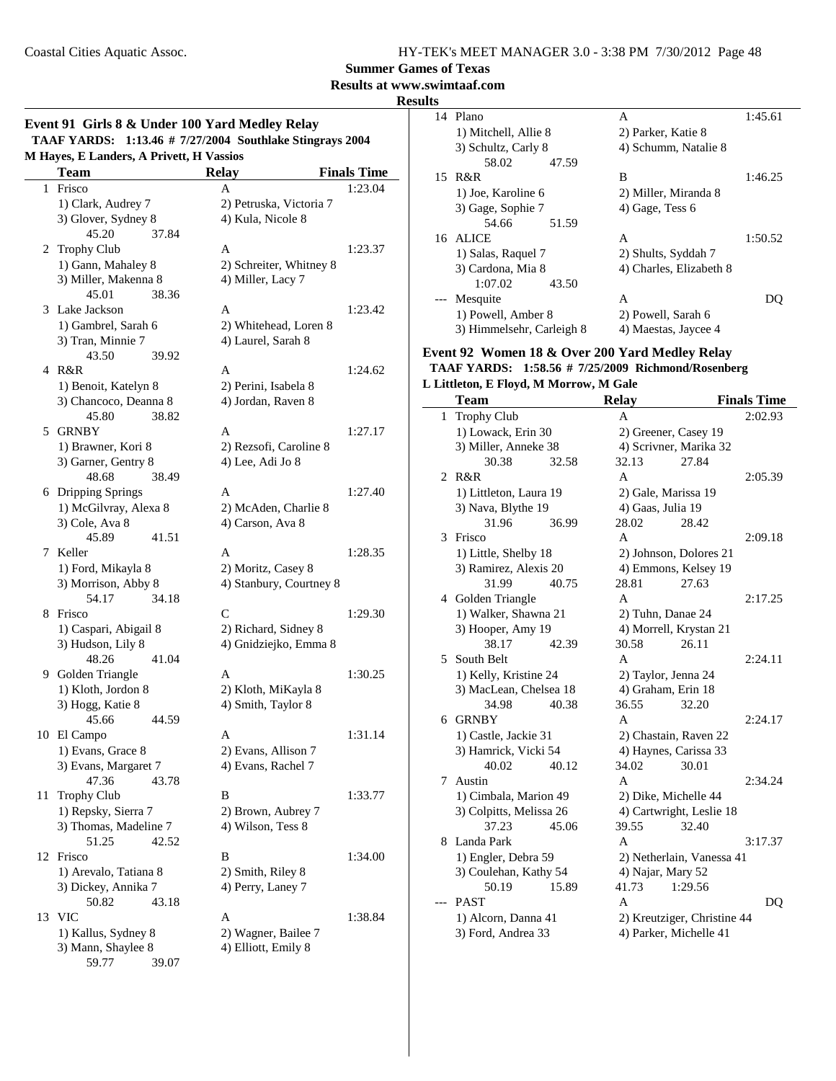**Summer Games of Texas**

#### **Results at www.swimtaaf.com Results**

#### **Event 91 Girls 8 & Under 100 Yard Medley Relay TAAF YARDS:** 1:13.46 # 7/27/2004 Southlake Stingrays 2004 **M Hayes, E Landers, A Privett, H Vassios**

|              | Hayes, E Langers, A Privell, H Vassios<br><b>Team</b> | <b>Relay</b>            | <b>Finals Time</b> |
|--------------|-------------------------------------------------------|-------------------------|--------------------|
| $\mathbf{1}$ | Frisco                                                | A                       | 1:23.04            |
|              | 1) Clark, Audrey 7                                    | 2) Petruska, Victoria 7 |                    |
|              | 3) Glover, Sydney 8                                   | 4) Kula, Nicole 8       |                    |
|              | 45.20<br>37.84                                        |                         |                    |
|              | 2 Trophy Club                                         | A                       | 1:23.37            |
|              | 1) Gann, Mahaley 8                                    | 2) Schreiter, Whitney 8 |                    |
|              | 3) Miller, Makenna 8                                  | 4) Miller, Lacy 7       |                    |
|              | 45.01<br>38.36                                        |                         |                    |
|              | 3 Lake Jackson                                        | A                       | 1:23.42            |
|              | 1) Gambrel, Sarah 6                                   | 2) Whitehead, Loren 8   |                    |
|              | 3) Tran, Minnie 7                                     | 4) Laurel, Sarah 8      |                    |
|              | 43.50<br>39.92                                        |                         |                    |
|              | 4 R&R                                                 | A                       | 1:24.62            |
|              | 1) Benoit, Katelyn 8                                  | 2) Perini, Isabela 8    |                    |
|              | 3) Chancoco, Deanna 8                                 | 4) Jordan, Raven 8      |                    |
|              | 45.80<br>38.82                                        |                         |                    |
|              | 5 GRNBY                                               | A                       | 1:27.17            |
|              | 1) Brawner, Kori 8                                    | 2) Rezsofi, Caroline 8  |                    |
|              | 3) Garner, Gentry 8                                   | 4) Lee, Adi Jo 8        |                    |
|              | 48.68<br>38.49                                        |                         |                    |
|              | 6 Dripping Springs                                    | A                       | 1:27.40            |
|              | 1) McGilvray, Alexa 8                                 | 2) McAden, Charlie 8    |                    |
|              | 3) Cole, Ava 8                                        | 4) Carson, Ava 8        |                    |
|              | 45.89<br>41.51                                        |                         |                    |
| 7            | Keller                                                | A                       | 1:28.35            |
|              | 1) Ford, Mikayla 8                                    | 2) Moritz, Casey 8      |                    |
|              | 3) Morrison, Abby 8                                   | 4) Stanbury, Courtney 8 |                    |
|              | 34.18<br>54.17                                        |                         |                    |
| 8            | Frisco                                                | $\mathsf{C}$            | 1:29.30            |
|              | 1) Caspari, Abigail 8                                 | 2) Richard, Sidney 8    |                    |
|              | 3) Hudson, Lily 8                                     | 4) Gnidziejko, Emma 8   |                    |
|              | 48.26<br>41.04                                        |                         |                    |
|              | 9 Golden Triangle                                     | A                       | 1:30.25            |
|              | 1) Kloth, Jordon 8                                    | 2) Kloth, MiKayla 8     |                    |
|              | 3) Hogg, Katie 8                                      | 4) Smith, Taylor 8      |                    |
|              | 45.66<br>44.59                                        |                         |                    |
| 10           | El Campo                                              | A                       | 1:31.14            |
|              | 1) Evans, Grace 8                                     | 2) Evans, Allison 7     |                    |
|              | 3) Evans, Margaret 7                                  | 4) Evans, Rachel 7      |                    |
|              | 47.36<br>43.78                                        |                         |                    |
| 11           | <b>Trophy Club</b>                                    | В                       | 1:33.77            |
|              | 1) Repsky, Sierra 7                                   | 2) Brown, Aubrey 7      |                    |
|              | 3) Thomas, Madeline 7                                 | 4) Wilson, Tess 8       |                    |
|              | 51.25<br>42.52                                        |                         |                    |
| 12           | Frisco                                                | B                       | 1:34.00            |
|              | 1) Arevalo, Tatiana 8                                 | 2) Smith, Riley 8       |                    |
|              | 3) Dickey, Annika 7                                   | 4) Perry, Laney 7       |                    |
|              | 50.82<br>43.18                                        |                         |                    |
| 13           | <b>VIC</b>                                            | A                       | 1:38.84            |
|              | 1) Kallus, Sydney 8                                   | 2) Wagner, Bailee 7     |                    |
|              | 3) Mann, Shaylee 8                                    | 4) Elliott, Emily 8     |                    |
|              | 59.77<br>39.07                                        |                         |                    |

| Plano                     | А                       | 1:45.61 |
|---------------------------|-------------------------|---------|
| 1) Mitchell, Allie 8      | 2) Parker, Katie 8      |         |
| 3) Schultz, Carly 8       | 4) Schumm, Natalie 8    |         |
| 58.02<br>47.59            |                         |         |
| 15 R&R                    | В                       | 1:46.25 |
| 1) Joe, Karoline 6        | 2) Miller, Miranda 8    |         |
| 3) Gage, Sophie 7         | 4) Gage, Tess 6         |         |
| 54.66<br>51.59            |                         |         |
| 16 ALICE                  | A                       | 1:50.52 |
| 1) Salas, Raquel 7        | 2) Shults, Syddah 7     |         |
| 3) Cardona, Mia 8         | 4) Charles, Elizabeth 8 |         |
| 1:07.02<br>43.50          |                         |         |
| Mesquite                  | A                       |         |
| 1) Powell, Amber 8        | 2) Powell, Sarah 6      |         |
| 3) Himmelsehr, Carleigh 8 | 4) Maestas, Jaycee 4    |         |
|                           |                         |         |

#### **Event 92 Women 18 & Over 200 Yard Medley Relay**

#### TAAF YARDS: 1:58.56 # 7/25/2009 Richmond/Rosenberg

#### **L Littleton, E Floyd, M Morrow, M Gale**

|       | <b>Team</b>             |       | <b>Relay</b>      |                             | <b>Finals Time</b> |
|-------|-------------------------|-------|-------------------|-----------------------------|--------------------|
| 1     | <b>Trophy Club</b>      |       | A                 |                             | 2:02.93            |
|       | 1) Lowack, Erin 30      |       |                   | 2) Greener, Casey 19        |                    |
|       | 3) Miller, Anneke 38    |       |                   | 4) Scrivner, Marika 32      |                    |
|       | 30.38                   | 32.58 | 32.13             | 27.84                       |                    |
|       | $2$ R&R                 |       | A                 |                             | 2:05.39            |
|       | 1) Littleton, Laura 19  |       |                   | 2) Gale, Marissa 19         |                    |
|       | 3) Nava, Blythe 19      |       | 4) Gaas, Julia 19 |                             |                    |
|       | 31.96                   | 36.99 | 28.02             | 28.42                       |                    |
|       | 3 Frisco                |       | A                 |                             | 2:09.18            |
|       | 1) Little, Shelby 18    |       |                   | 2) Johnson, Dolores 21      |                    |
|       | 3) Ramirez, Alexis 20   |       |                   | 4) Emmons, Kelsey 19        |                    |
|       | 31.99                   | 40.75 | 28.81             | 27.63                       |                    |
|       | 4 Golden Triangle       |       | A                 |                             | 2:17.25            |
|       | 1) Walker, Shawna 21    |       |                   | 2) Tuhn, Danae 24           |                    |
|       | 3) Hooper, Amy 19       |       |                   | 4) Morrell, Krystan 21      |                    |
|       | 38.17                   | 42.39 | 30.58             | 26.11                       |                    |
|       | 5 South Belt            |       | A                 |                             | 2:24.11            |
|       | 1) Kelly, Kristine 24   |       |                   | 2) Taylor, Jenna 24         |                    |
|       | 3) MacLean, Chelsea 18  |       |                   | 4) Graham, Erin 18          |                    |
|       | 34.98                   | 40.38 | 36.55             | 32.20                       |                    |
| 6     | <b>GRNBY</b>            |       | A                 |                             | 2:24.17            |
|       | 1) Castle, Jackie 31    |       |                   | 2) Chastain, Raven 22       |                    |
|       | 3) Hamrick, Vicki 54    |       |                   | 4) Haynes, Carissa 33       |                    |
|       | 40.02                   | 40.12 | 34.02             | 30.01                       |                    |
| 7     | Austin                  |       | A                 |                             | 2:34.24            |
|       | 1) Cimbala, Marion 49   |       |                   | 2) Dike, Michelle 44        |                    |
|       | 3) Colpitts, Melissa 26 |       |                   | 4) Cartwright, Leslie 18    |                    |
|       | 37.23                   | 45.06 | 39.55             | 32.40                       |                    |
|       | 8 Landa Park            |       | A                 |                             | 3:17.37            |
|       | 1) Engler, Debra 59     |       |                   | 2) Netherlain, Vanessa 41   |                    |
|       | 3) Coulehan, Kathy 54   |       | 4) Najar, Mary 52 |                             |                    |
|       | 50.19                   | 15.89 | 41.73             | 1:29.56                     |                    |
| $---$ | <b>PAST</b>             |       | A                 |                             | D <sub>O</sub>     |
|       | 1) Alcorn, Danna 41     |       |                   | 2) Kreutziger, Christine 44 |                    |
|       | 3) Ford, Andrea 33      |       |                   | 4) Parker, Michelle 41      |                    |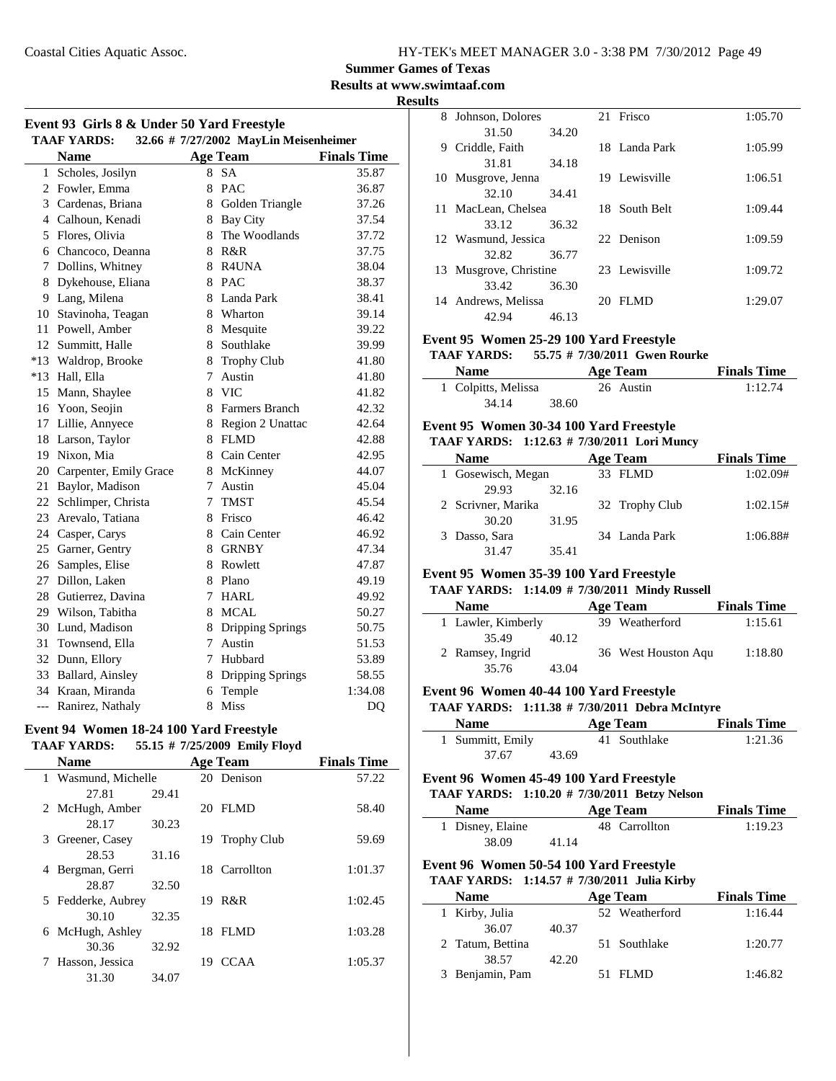**Summer Games of Texas**

**Results at www.swimtaaf.com**

**Results**

| Event 93 Girls 8 & Under 50 Yard Freestyle |                                                             |        |                    |                    |  |  |
|--------------------------------------------|-------------------------------------------------------------|--------|--------------------|--------------------|--|--|
|                                            | 32.66 # 7/27/2002 MayLin Meisenheimer<br><b>TAAF YARDS:</b> |        |                    |                    |  |  |
|                                            | <b>Name</b>                                                 |        | <b>Age Team</b>    | <b>Finals Time</b> |  |  |
| $\mathbf{1}$                               | Scholes, Josilyn                                            | 8      | <b>SA</b>          | 35.87              |  |  |
|                                            | 2 Fowler, Emma                                              |        | 8 PAC              | 36.87              |  |  |
|                                            | 3 Cardenas, Briana                                          |        | 8 Golden Triangle  | 37.26              |  |  |
|                                            | 4 Calhoun, Kenadi                                           |        | 8 Bay City         | 37.54              |  |  |
|                                            | 5 Flores, Olivia                                            | 8      | The Woodlands      | 37.72              |  |  |
|                                            | 6 Chancoco, Deanna                                          |        | 8 R&R              | 37.75              |  |  |
| 7                                          | Dollins, Whitney                                            |        | 8 R4UNA            | 38.04              |  |  |
| 8                                          | Dykehouse, Eliana                                           |        | 8 PAC              | 38.37              |  |  |
| 9                                          | Lang, Milena                                                |        | 8 Landa Park       | 38.41              |  |  |
| 10                                         | Stavinoha, Teagan                                           |        | 8 Wharton          | 39.14              |  |  |
| 11                                         | Powell, Amber                                               |        | 8 Mesquite         | 39.22              |  |  |
| 12                                         | Summitt, Halle                                              |        | 8 Southlake        | 39.99              |  |  |
| $*13$                                      | Waldrop, Brooke                                             | 8      | <b>Trophy Club</b> | 41.80              |  |  |
| $*13$                                      | Hall, Ella                                                  | $\tau$ | Austin             | 41.80              |  |  |
| 15                                         | Mann, Shaylee                                               |        | 8 VIC              | 41.82              |  |  |
| 16                                         | Yoon, Seojin                                                |        | 8 Farmers Branch   | 42.32              |  |  |
| 17                                         | Lillie, Annyece                                             |        | 8 Region 2 Unattac | 42.64              |  |  |
| 18                                         | Larson, Taylor                                              |        | 8 FLMD             | 42.88              |  |  |
| 19                                         | Nixon, Mia                                                  | 8      | Cain Center        | 42.95              |  |  |
| 20                                         | Carpenter, Emily Grace                                      | 8      | McKinney           | 44.07              |  |  |
| 21                                         | Baylor, Madison                                             | 7      | Austin             | 45.04              |  |  |
| 22                                         | Schlimper, Christa                                          | 7      | <b>TMST</b>        | 45.54              |  |  |
| 23                                         | Arevalo, Tatiana                                            | 8      | Frisco             | 46.42              |  |  |
| 24                                         | Casper, Carys                                               | 8      | Cain Center        | 46.92              |  |  |
| 25                                         | Garner, Gentry                                              | 8      | <b>GRNBY</b>       | 47.34              |  |  |
| 26                                         | Samples, Elise                                              | 8      | Rowlett            | 47.87              |  |  |
| 27                                         | Dillon, Laken                                               | 8.     | Plano              | 49.19              |  |  |
| 28                                         | Gutierrez, Davina                                           | $\tau$ | <b>HARL</b>        | 49.92              |  |  |
| 29                                         | Wilson, Tabitha                                             | 8      | <b>MCAL</b>        | 50.27              |  |  |
| 30                                         | Lund, Madison                                               | 8      | Dripping Springs   | 50.75              |  |  |
| 31                                         | Townsend, Ella                                              | $\tau$ | Austin             | 51.53              |  |  |
|                                            | 32 Dunn, Ellory                                             | 7      | Hubbard            | 53.89              |  |  |
| 33                                         | Ballard, Ainsley                                            |        | 8 Dripping Springs | 58.55              |  |  |
|                                            | 34 Kraan, Miranda                                           | 6      | Temple             | 1:34.08            |  |  |
| $---$                                      | Ranirez, Nathaly                                            | 8      | Miss               | D <sub>O</sub>     |  |  |

#### **Event 94 Women 18-24 100 Yard Freestyle TAAF YARDS:** 55.15 # 7/25/2009 **Emily Floyd**

|   |                     |       |     | $1.11 - 1.12 = 0.05$ |                    |
|---|---------------------|-------|-----|----------------------|--------------------|
|   | <b>Name</b>         |       |     | <b>Age Team</b>      | <b>Finals Time</b> |
|   | 1 Wasmund, Michelle |       |     | 20 Denison           | 57.22              |
|   | 27.81               | 29.41 |     |                      |                    |
|   | 2 McHugh, Amber     |       |     | 20 FLMD              | 58.40              |
|   | 28.17               | 30.23 |     |                      |                    |
| 3 | Greener, Casey      |       |     | 19 Trophy Club       | 59.69              |
|   | 28.53               | 31.16 |     |                      |                    |
| 4 | Bergman, Gerri      |       |     | 18 Carrollton        | 1:01.37            |
|   | 28.87               | 32.50 |     |                      |                    |
|   | 5 Fedderke, Aubrey  |       |     | 19 R&R               | 1:02.45            |
|   | 30.10               | 32.35 |     |                      |                    |
|   | 6 McHugh, Ashley    |       |     | 18 FLMD              | 1:03.28            |
|   | 30.36               | 32.92 |     |                      |                    |
|   | Hasson, Jessica     |       | 19. | <b>CCAA</b>          | 1:05.37            |
|   | 31.30               | 34.07 |     |                      |                    |

| 8 | Johnson, Dolores       |       |    | 21 Frisco     | 1:05.70 |
|---|------------------------|-------|----|---------------|---------|
|   | 31.50                  | 34.20 |    |               |         |
| 9 | Criddle, Faith         |       |    | 18 Landa Park | 1:05.99 |
|   | 31.81                  | 34.18 |    |               |         |
|   | 10 Musgrove, Jenna     |       |    | 19 Lewisville | 1:06.51 |
|   | 32.10                  | 34.41 |    |               |         |
|   | 11 MacLean, Chelsea    |       |    | 18 South Belt | 1:09.44 |
|   | 33.12                  | 36.32 |    |               |         |
|   | 12 Wasmund, Jessica    |       |    | 22 Denison    | 1:09.59 |
|   | 32.82                  | 36.77 |    |               |         |
|   | 13 Musgrove, Christine |       |    | 23 Lewisville | 1:09.72 |
|   | 33.42                  | 36.30 |    |               |         |
|   | 14 Andrews, Melissa    |       | 20 | <b>FLMD</b>   | 1:29.07 |
|   | 42.94                  | 46.13 |    |               |         |

#### **Event 95 Women 25-29 100 Yard Freestyle**

#### **TAAF YARDS:** 55.75 # 7/30/2011 Gwen Rourke

| Name                | Age Team  | <b>Finals Time</b> |
|---------------------|-----------|--------------------|
| 1 Colpitts, Melissa | 26 Austin | 1:12.74            |
| 34.14               | 38.60     |                    |

### **Event 95 Women 30-34 100 Yard Freestyle**

### **TAAF YARDS:** 1:12.63 # 7/30/2011 Lori Muncy

| <b>Name</b>        |       | <b>Age Team</b> | <b>Finals Time</b> |
|--------------------|-------|-----------------|--------------------|
| 1 Gosewisch, Megan |       | 33 FLMD         | 1:02.09#           |
| 29.93              | 32.16 |                 |                    |
| 2 Scrivner, Marika |       | 32 Trophy Club  | 1:02.15#           |
| 30.20              | 31.95 |                 |                    |
| 3 Dasso, Sara      |       | 34 Landa Park   | 1:06.88#           |
| 31.47              | 35.41 |                 |                    |

#### **Event 95 Women 35-39 100 Yard Freestyle**

#### **TAAF YARDS:** 1:14.09 # 7/30/2011 Mindy Russell

| <b>Name</b>        |       | Age Team            | <b>Finals Time</b> |
|--------------------|-------|---------------------|--------------------|
| 1 Lawler, Kimberly |       | 39 Weatherford      | 1:15.61            |
| 35.49              | 40.12 |                     |                    |
| 2 Ramsey, Ingrid   |       | 36 West Houston Aqu | 1:18.80            |
| 35.76              | 43.04 |                     |                    |

#### **Event 96 Women 40-44 100 Yard Freestyle**

#### **TAAF YARDS:** 1:11.38 # 7/30/2011 Debra McIntyre

| <b>Name</b>      |       | Age Team     | <b>Finals Time</b> |
|------------------|-------|--------------|--------------------|
| 1 Summitt, Emily |       | 41 Southlake | 1:21.36            |
| 37.67            | 43.69 |              |                    |

#### **Event 96 Women 45-49 100 Yard Freestyle**

#### **TAAF YARDS:** 1:10.20 # 7/30/2011 Betzy Nelson

| <b>Name</b>      | Age Team      | <b>Finals Time</b> |
|------------------|---------------|--------------------|
| 1 Disney, Elaine | 48 Carrollton | 1:19.23            |
| 38.09            | 41.14         |                    |

### **Event 96 Women 50-54 100 Yard Freestyle**

#### **TAAF YARDS:** 1:14.57 # 7/30/2011 Julia Kirby

| <b>Name</b>      |       | <b>Age Team</b> | <b>Finals Time</b> |
|------------------|-------|-----------------|--------------------|
| 1 Kirby, Julia   |       | 52 Weatherford  | 1:16.44            |
| 36.07            | 40.37 |                 |                    |
| 2 Tatum, Bettina |       | 51 Southlake    | 1:20.77            |
| 38.57            | 42.20 |                 |                    |
| 3 Benjamin, Pam  |       | 51 FLMD         | 1:46.82            |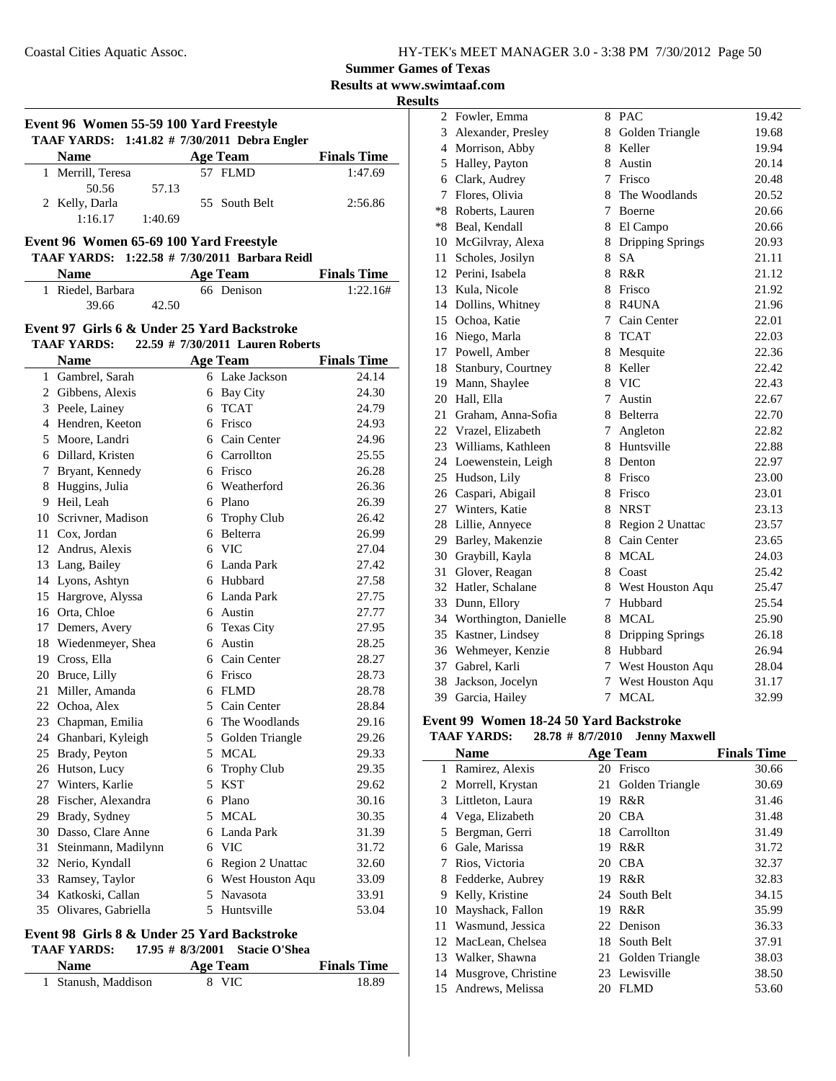**Results at www.swimtaaf.com**

**Results**

|    | Event 96 Women 55-59 100 Yard Freestyle<br>TAAF YARDS: 1:41.82 # 7/30/2011 Debra Engler |   |                                     |                    |
|----|-----------------------------------------------------------------------------------------|---|-------------------------------------|--------------------|
|    | <b>Name</b>                                                                             |   | <b>Age Team</b>                     | <b>Finals Time</b> |
|    | 1 Merrill, Teresa                                                                       |   | 57 FLMD                             | 1:47.69            |
|    | 50.56<br>57.13                                                                          |   |                                     |                    |
|    | 2 Kelly, Darla                                                                          |   | 55 South Belt                       | 2:56.86            |
|    | 1:16.17<br>1:40.69                                                                      |   |                                     |                    |
|    | Event 96 Women 65-69 100 Yard Freestyle                                                 |   |                                     |                    |
|    | <b>TAAF YARDS:</b>                                                                      |   | $1:22.58$ # 7/30/2011 Barbara Reidl |                    |
|    | <b>Name</b>                                                                             |   | Age Team                            | <b>Finals Time</b> |
|    | 1 Riedel, Barbara                                                                       |   | 66 Denison                          | 1:22.16#           |
|    | 39.66<br>42.50                                                                          |   |                                     |                    |
|    |                                                                                         |   |                                     |                    |
|    | Event 97 Girls 6 & Under 25 Yard Backstroke                                             |   |                                     |                    |
|    | <b>TAAF YARDS:</b>                                                                      |   | 22.59 # 7/30/2011 Lauren Roberts    |                    |
|    | <b>Name</b>                                                                             |   | <b>Age Team</b>                     | <b>Finals Time</b> |
|    | 1 Gambrel, Sarah                                                                        |   | 6 Lake Jackson                      | 24.14              |
|    | 2 Gibbens, Alexis                                                                       |   | 6 Bay City                          | 24.30              |
|    | 3 Peele, Lainey                                                                         |   | 6 TCAT                              | 24.79              |
|    | 4 Hendren, Keeton                                                                       |   | 6 Frisco                            | 24.93              |
|    | 5 Moore, Landri                                                                         |   | 6 Cain Center                       | 24.96              |
|    | 6 Dillard, Kristen                                                                      |   | 6 Carrollton                        | 25.55              |
|    | 7 Bryant, Kennedy                                                                       |   | 6 Frisco                            | 26.28              |
|    | 8 Huggins, Julia                                                                        |   | 6 Weatherford                       | 26.36              |
|    | 9 Heil, Leah                                                                            |   | 6 Plano                             | 26.39              |
|    | 10 Scrivner, Madison                                                                    |   | 6 Trophy Club                       | 26.42              |
|    | 11 Cox, Jordan                                                                          |   | 6 Belterra                          | 26.99              |
|    | 12 Andrus, Alexis                                                                       |   | 6 VIC                               | 27.04              |
|    | 13 Lang, Bailey                                                                         |   | 6 Landa Park                        | 27.42              |
|    | 14 Lyons, Ashtyn                                                                        |   | 6 Hubbard                           | 27.58              |
|    | 15 Hargrove, Alyssa                                                                     |   | 6 Landa Park                        | 27.75              |
|    | 16 Orta, Chloe                                                                          |   | 6 Austin                            | 27.77              |
|    | 17 Demers, Avery                                                                        |   | 6 Texas City                        | 27.95              |
|    | 18 Wiedenmeyer, Shea                                                                    |   | 6 Austin                            | 28.25              |
|    | 19 Cross, Ella                                                                          |   | 6 Cain Center                       | 28.27              |
|    | 20 Bruce, Lilly                                                                         |   | 6 Frisco                            | 28.73              |
|    | 21 Miller, Amanda                                                                       |   | 6 FLMD                              | 28.78              |
|    | 22 Ochoa, Alex                                                                          |   | 5 Cain Center                       | 28.84              |
|    | 23 Chapman, Emilia                                                                      |   | 6 The Woodlands                     | 29.16              |
|    | 24 Ghanbari, Kyleigh                                                                    |   | 5 Golden Triangle                   | 29.26              |
|    | 25 Brady, Peyton                                                                        |   | 5 MCAL                              | 29.33              |
|    | 26 Hutson, Lucy                                                                         |   | 6 Trophy Club                       | 29.35              |
|    | 27 Winters, Karlie                                                                      |   | 5 KST                               | 29.62              |
|    | 28 Fischer, Alexandra                                                                   |   | 6 Plano                             | 30.16              |
|    | 29 Brady, Sydney                                                                        | 5 | <b>MCAL</b>                         | 30.35              |
|    | 30 Dasso, Clare Anne                                                                    |   | 6 Landa Park                        | 31.39              |
| 31 | Steinmann, Madilynn                                                                     |   | 6 VIC                               | 31.72              |
| 32 | Nerio, Kyndall                                                                          |   | 6 Region 2 Unattac                  | 32.60              |
| 33 | Ramsey, Taylor                                                                          |   | 6 West Houston Aqu                  | 33.09              |
| 34 | Katkoski, Callan                                                                        |   | 5 Navasota                          | 33.91              |
| 35 | Olivares, Gabriella                                                                     |   | 5 Huntsville                        | 53.04              |

#### **Event 98 Girls 8 & Under 25 Yard Backstroke**

#### **TAAF YARDS: 17.95 # 8/3/2001 Stacie O'Shea**

| <b>Name</b>         | Age Team | <b>Finals Time</b> |
|---------------------|----------|--------------------|
| 1 Stanush, Maddison | 8 VIC    | 18.89              |

| ts |                          |   |                         |       |
|----|--------------------------|---|-------------------------|-------|
|    | 2 Fowler, Emma           |   | 8 PAC                   | 19.42 |
|    | 3 Alexander, Presley     | 8 | Golden Triangle         | 19.68 |
|    | 4 Morrison, Abby         | 8 | Keller                  | 19.94 |
|    | 5 Halley, Payton         | 8 | Austin                  | 20.14 |
| 6  | Clark, Audrey            | 7 | Frisco                  | 20.48 |
| 7  | Flores, Olivia           | 8 | The Woodlands           | 20.52 |
|    | *8 Roberts, Lauren       | 7 | Boerne                  | 20.66 |
|    | *8 Beal, Kendall         | 8 | El Campo                | 20.66 |
|    | 10 McGilvray, Alexa      | 8 | <b>Dripping Springs</b> | 20.93 |
| 11 | Scholes, Josilyn         | 8 | <b>SA</b>               | 21.11 |
|    | 12 Perini, Isabela       | 8 | R&R                     | 21.12 |
|    | 13 Kula, Nicole          | 8 | Frisco                  | 21.92 |
|    | 14 Dollins, Whitney      |   | 8 R4UNA                 | 21.96 |
|    | 15 Ochoa, Katie          | 7 | Cain Center             | 22.01 |
|    | 16 Niego, Marla          | 8 | <b>TCAT</b>             | 22.03 |
|    | 17 Powell, Amber         | 8 | Mesquite                | 22.36 |
|    | 18 Stanbury, Courtney    | 8 | Keller                  | 22.42 |
|    | 19 Mann, Shaylee         |   | 8 VIC                   | 22.43 |
|    | 20 Hall, Ella            | 7 | Austin                  | 22.67 |
| 21 | Graham, Anna-Sofia       | 8 | Belterra                | 22.70 |
|    | 22 Vrazel, Elizabeth     | 7 | Angleton                | 22.82 |
|    | 23 Williams, Kathleen    | 8 | Huntsville              | 22.88 |
|    | 24 Loewenstein, Leigh    |   | 8 Denton                | 22.97 |
|    | 25 Hudson, Lily          |   | 8 Frisco                | 23.00 |
|    | 26 Caspari, Abigail      | 8 | Frisco                  | 23.01 |
|    | 27 Winters, Katie        | 8 | <b>NRST</b>             | 23.13 |
|    | 28 Lillie, Annyece       |   | 8 Region 2 Unattac      | 23.57 |
|    | 29 Barley, Makenzie      |   | 8 Cain Center           | 23.65 |
|    | 30 Graybill, Kayla       | 8 | <b>MCAL</b>             | 24.03 |
| 31 | Glover, Reagan           |   | 8 Coast                 | 25.42 |
|    | 32 Hatler, Schalane      |   | 8 West Houston Aqu      | 25.47 |
| 33 | Dunn, Ellory             | 7 | Hubbard                 | 25.54 |
|    | 34 Worthington, Danielle | 8 | <b>MCAL</b>             | 25.90 |
|    | 35 Kastner, Lindsey      | 8 | <b>Dripping Springs</b> | 26.18 |
|    | 36 Wehmeyer, Kenzie      | 8 | Hubbard                 | 26.94 |
| 37 | Gabrel, Karli            | 7 | West Houston Aqu        | 28.04 |
| 38 | Jackson, Jocelyn         | 7 | West Houston Aqu        | 31.17 |
| 39 | Garcia, Hailey           | 7 | <b>MCAL</b>             | 32.99 |

### **Event 99 Women 18-24 50 Yard Backstroke**

#### **TAAF YARDS:** 28.78 # 8/7/2010 Jenny Maxwell

|    | <b>Name</b>         |    | <b>Age Team</b>    | <b>Finals Time</b> |
|----|---------------------|----|--------------------|--------------------|
| 1  | Ramirez, Alexis     | 20 | Frisco             | 30.66              |
|    | 2 Morrell, Krystan  |    | 21 Golden Triangle | 30.69              |
| 3  | Littleton, Laura    | 19 | R&R                | 31.46              |
| 4  | Vega, Elizabeth     | 20 | <b>CBA</b>         | 31.48              |
| 5  | Bergman, Gerri      |    | 18 Carrollton      | 31.49              |
| 6  | Gale, Marissa       | 19 | R&R                | 31.72              |
| 7  | Rios, Victoria      | 20 | <b>CBA</b>         | 32.37              |
| 8  | Fedderke, Aubrey    | 19 | R&R                | 32.83              |
| 9  | Kelly, Kristine     |    | 24 South Belt      | 34.15              |
| 10 | Mayshack, Fallon    | 19 | R&R                | 35.99              |
| 11 | Wasmund, Jessica    |    | 22 Denison         | 36.33              |
|    | 12 MacLean, Chelsea | 18 | South Belt         | 37.91              |
|    | 13 Walker, Shawna   | 21 | Golden Triangle    | 38.03              |
| 14 | Musgrove, Christine | 23 | Lewisville         | 38.50              |
|    | 15 Andrews, Melissa | 20 | <b>FLMD</b>        | 53.60              |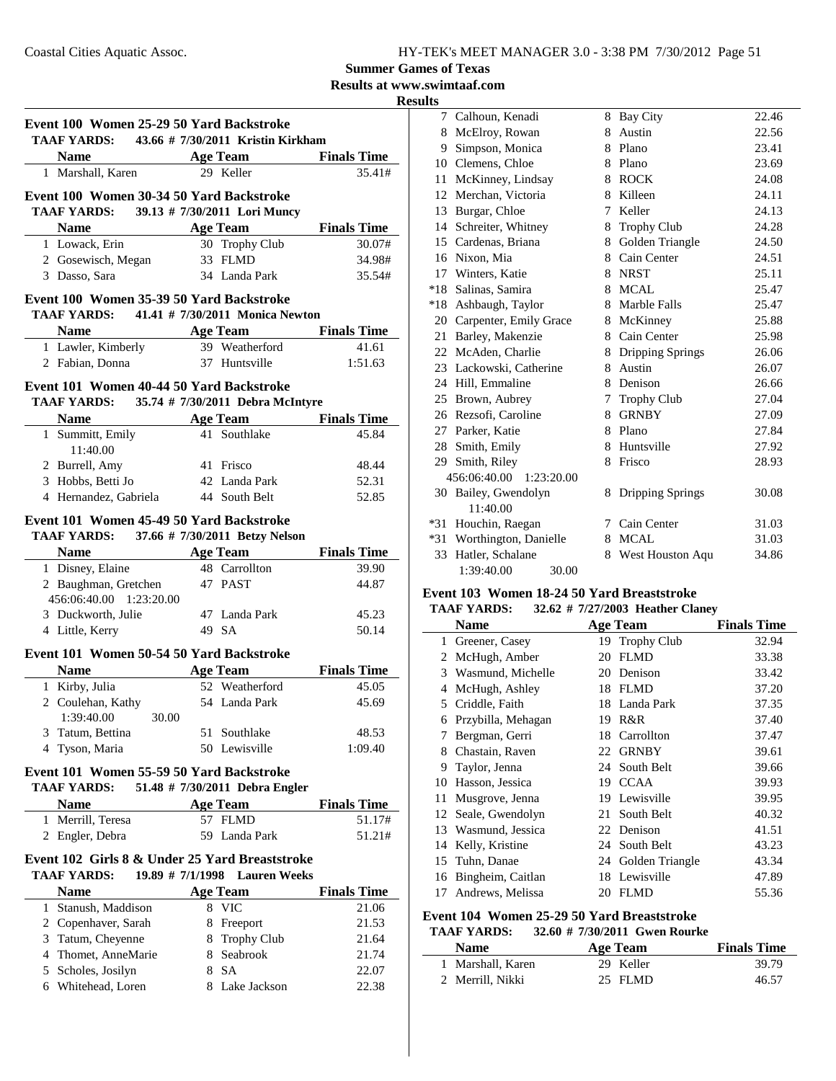**Results at www.swimtaaf.com**

**Results**

|                                                                                                       | Event 100 Women 25-29 50 Yard Backstroke<br><b>TAAF YARDS:</b> |     | 43.66 # 7/30/2011 Kristin Kirkham |                    |
|-------------------------------------------------------------------------------------------------------|----------------------------------------------------------------|-----|-----------------------------------|--------------------|
|                                                                                                       | <b>Name</b>                                                    |     | <b>Age Team</b>                   | <b>Finals Time</b> |
|                                                                                                       | 1 Marshall, Karen                                              |     | 29 Keller                         | 35.41#             |
|                                                                                                       |                                                                |     |                                   |                    |
|                                                                                                       | Event 100 Women 30-34 50 Yard Backstroke                       |     |                                   |                    |
|                                                                                                       | <b>TAAF YARDS:</b>                                             |     | 39.13 # 7/30/2011 Lori Muncy      |                    |
|                                                                                                       | <b>Name</b>                                                    |     | <b>Age Team</b>                   | <b>Finals Time</b> |
|                                                                                                       | 1 Lowack, Erin                                                 |     | 30 Trophy Club                    | 30.07#             |
|                                                                                                       | 2 Gosewisch, Megan                                             |     | 33 FLMD                           | 34.98#             |
|                                                                                                       | 3 Dasso, Sara                                                  |     | 34 Landa Park                     | 35.54#             |
|                                                                                                       | Event 100 Women 35-39 50 Yard Backstroke<br><b>TAAF YARDS:</b> |     | 41.41 # 7/30/2011 Monica Newton   |                    |
|                                                                                                       | <b>Name</b>                                                    |     | <b>Age Team</b>                   | <b>Finals</b> Time |
|                                                                                                       | 1 Lawler, Kimberly                                             |     | 39 Weatherford                    | 41.61              |
|                                                                                                       | 2 Fabian, Donna                                                |     | 37 Huntsville                     | 1:51.63            |
|                                                                                                       |                                                                |     |                                   |                    |
|                                                                                                       | Event 101 Women 40-44 50 Yard Backstroke                       |     |                                   |                    |
|                                                                                                       | <b>TAAF YARDS:</b>                                             |     | 35.74 # 7/30/2011 Debra McIntyre  |                    |
|                                                                                                       | <b>Name</b>                                                    |     | <b>Age Team</b>                   | <b>Finals Time</b> |
|                                                                                                       | 1 Summitt, Emily<br>11:40.00                                   |     | 41 Southlake                      | 45.84              |
|                                                                                                       | 2 Burrell, Amy                                                 |     | 41 Frisco                         | 48.44              |
|                                                                                                       | 3 Hobbs, Betti Jo                                              |     | 42 Landa Park                     | 52.31              |
|                                                                                                       | 4 Hernandez, Gabriela                                          |     | 44 South Belt                     | 52.85              |
|                                                                                                       |                                                                |     |                                   |                    |
|                                                                                                       | Event 101 Women 45-49 50 Yard Backstroke<br><b>TAAF YARDS:</b> |     | 37.66 # 7/30/2011 Betzy Nelson    |                    |
|                                                                                                       | <b>Name</b>                                                    |     | <b>Age Team</b>                   | <b>Finals Time</b> |
|                                                                                                       | 1 Disney, Elaine                                               |     | 48 Carrollton                     | 39.90              |
|                                                                                                       | 2 Baughman, Gretchen                                           |     | 47 PAST                           | 44.87              |
|                                                                                                       | 456:06:40.00 1:23:20.00                                        |     |                                   |                    |
|                                                                                                       | 3 Duckworth, Julie                                             |     | 47 Landa Park                     | 45.23              |
|                                                                                                       | 4 Little, Kerry                                                |     | 49 SA                             | 50.14              |
|                                                                                                       |                                                                |     |                                   |                    |
|                                                                                                       | Event 101 Women 50-54 50 Yard Backstroke                       |     |                                   |                    |
|                                                                                                       | <b>Name</b>                                                    |     | <b>Age Team</b>                   | <b>Finals Time</b> |
|                                                                                                       | 1 Kirby, Julia                                                 |     | 52 Weatherford                    | 45.05              |
|                                                                                                       | 2 Coulehan, Kathy                                              |     | 54 Landa Park                     | 45.69              |
|                                                                                                       | 1:39:40.00 30.00                                               |     |                                   |                    |
| 3                                                                                                     | Tatum, Bettina                                                 | 51  | Southlake                         | 48.53              |
| 4                                                                                                     | Tyson, Maria                                                   |     | 50 Lewisville                     | 1:09.40            |
|                                                                                                       | Event 101 Women 55-59 50 Yard Backstroke                       |     |                                   |                    |
|                                                                                                       | <b>TAAF YARDS:</b>                                             |     | 51.48 # 7/30/2011 Debra Engler    |                    |
|                                                                                                       | Name                                                           |     | <b>Age Team</b>                   | <b>Finals Time</b> |
|                                                                                                       | 1 Merrill, Teresa                                              |     | 57 FLMD                           | 51.17#             |
|                                                                                                       | 2 Engler, Debra                                                | 59. | Landa Park                        | 51.21#             |
| Event 102 Girls 8 & Under 25 Yard Breaststroke<br><b>TAAF YARDS:</b><br>19.89 # 7/1/1998 Lauren Weeks |                                                                |     |                                   |                    |
|                                                                                                       | <b>Name</b>                                                    |     |                                   | <b>Finals Time</b> |
|                                                                                                       | Stanush, Maddison                                              |     | <b>Age Team</b>                   |                    |
| $\mathbf{1}$                                                                                          |                                                                | 8   | VIC                               | 21.06              |
|                                                                                                       | 2 Copenhaver, Sarah                                            |     | 8 Freeport                        | 21.53              |
|                                                                                                       | 3 Tatum, Cheyenne                                              |     | 8 Trophy Club                     | 21.64              |
|                                                                                                       | 4 Thomet, AnneMarie                                            |     | 8 Seabrook                        | 21.74              |
|                                                                                                       | 5 Scholes, Josilyn                                             |     | 8 SA                              | 22.07              |
|                                                                                                       | 6 Whitehead, Loren                                             |     | 8 Lake Jackson                    | 22.38              |

| 7   | Calhoun, Kenadi            | 8 | <b>Bay City</b>    | 22.46 |
|-----|----------------------------|---|--------------------|-------|
| 8   | McElroy, Rowan             | 8 | Austin             | 22.56 |
| 9   | Simpson, Monica            | 8 | Plano              | 23.41 |
| 10  | Clemens, Chloe             | 8 | Plano              | 23.69 |
| 11  | McKinney, Lindsay          | 8 | <b>ROCK</b>        | 24.08 |
| 12  | Merchan, Victoria          | 8 | Killeen            | 24.11 |
| 13  | Burgar, Chloe              | 7 | Keller             | 24.13 |
| 14  | Schreiter, Whitney         | 8 | <b>Trophy Club</b> | 24.28 |
| 15  | Cardenas, Briana           | 8 | Golden Triangle    | 24.50 |
| 16  | Nixon, Mia                 | 8 | Cain Center        | 24.51 |
| 17  | Winters, Katie             | 8 | <b>NRST</b>        | 25.11 |
|     | *18 Salinas, Samira        | 8 | <b>MCAL</b>        | 25.47 |
| *18 | Ashbaugh, Taylor           | 8 | Marble Falls       | 25.47 |
|     | 20 Carpenter, Emily Grace  |   | 8 McKinney         | 25.88 |
| 21  | Barley, Makenzie           | 8 | Cain Center        | 25.98 |
|     | 22 McAden, Charlie         | 8 | Dripping Springs   | 26.06 |
|     | 23 Lackowski, Catherine    | 8 | Austin             | 26.07 |
|     | 24 Hill, Emmaline          | 8 | Denison            | 26.66 |
| 25  | Brown, Aubrey              | 7 | <b>Trophy Club</b> | 27.04 |
|     | 26 Rezsofi, Caroline       | 8 | <b>GRNBY</b>       | 27.09 |
|     | 27 Parker, Katie           | 8 | Plano              | 27.84 |
|     | 28 Smith, Emily            |   | 8 Huntsville       | 27.92 |
| 29  | Smith, Riley               | 8 | Frisco             | 28.93 |
|     | 456:06:40.00<br>1:23:20.00 |   |                    |       |
|     | 30 Bailey, Gwendolyn       | 8 | Dripping Springs   | 30.08 |
|     | 11:40.00                   |   |                    |       |
| *31 | Houchin, Raegan            | 7 | Cain Center        | 31.03 |
| *31 | Worthington, Danielle      | 8 | <b>MCAL</b>        | 31.03 |
| 33  | Hatler, Schalane           | 8 | West Houston Aqu   | 34.86 |
|     | 1:39:40.00<br>30.00        |   |                    |       |

#### **Event 103 Women 18-24 50 Yard Breaststroke**

|    | <b>TAAF YARDS:</b>  |    | 32.62 # 7/27/2003 Heather Claney |                    |
|----|---------------------|----|----------------------------------|--------------------|
|    | <b>Name</b>         |    | <b>Age Team</b>                  | <b>Finals Time</b> |
| 1  | Greener, Casey      |    | 19 Trophy Club                   | 32.94              |
|    | 2 McHugh, Amber     | 20 | <b>FLMD</b>                      | 33.38              |
| 3  | Wasmund, Michelle   |    | 20 Denison                       | 33.42              |
| 4  | McHugh, Ashley      | 18 | FLMD                             | 37.20              |
| 5. | Criddle, Faith      |    | 18 Landa Park                    | 37.35              |
| 6  | Przybilla, Mehagan  | 19 | R&R                              | 37.40              |
| 7  | Bergman, Gerri      | 18 | Carrollton                       | 37.47              |
| 8  | Chastain, Raven     | 22 | <b>GRNBY</b>                     | 39.61              |
| 9  | Taylor, Jenna       |    | 24 South Belt                    | 39.66              |
| 10 | Hasson, Jessica     | 19 | <b>CCAA</b>                      | 39.93              |
| 11 | Musgrove, Jenna     |    | 19 Lewisville                    | 39.95              |
|    | 12 Seale, Gwendolyn | 21 | South Belt                       | 40.32              |
| 13 | Wasmund, Jessica    |    | 22 Denison                       | 41.51              |
| 14 | Kelly, Kristine     |    | 24 South Belt                    | 43.23              |
|    | 15 Tuhn, Danae      |    | 24 Golden Triangle               | 43.34              |
| 16 | Bingheim, Caitlan   | 18 | Lewisville                       | 47.89              |
| 17 | Andrews, Melissa    | 20 | FLMD                             | 55.36              |

#### **Event 104 Women 25-29 50 Yard Breaststroke**

#### **TAAF YARDS:** 32.60 # 7/30/2011 Gwen Rourke

| <b>Name</b>       | Age Team  | <b>Finals Time</b> |
|-------------------|-----------|--------------------|
| 1 Marshall, Karen | 29 Keller | 39.79              |
| 2 Merrill, Nikki  | 25 FLMD   | 46.57              |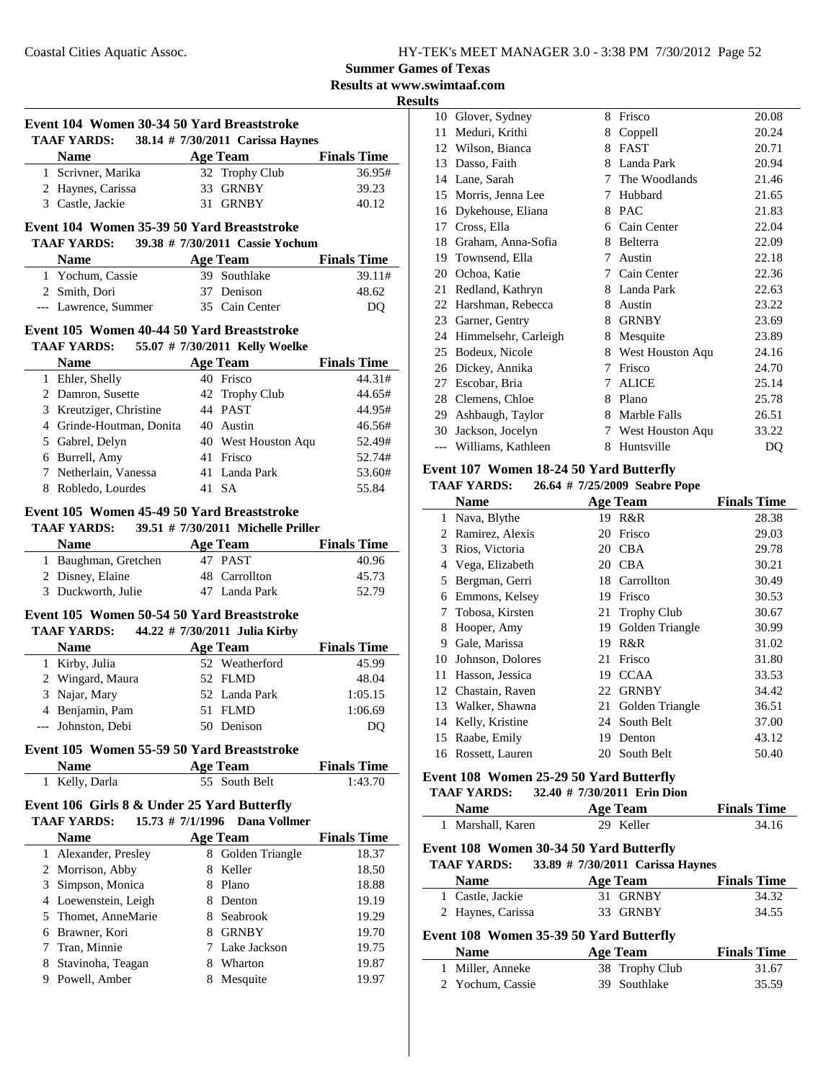**Results at www.swimtaaf.com**

**Results**

|              | Event 104 Women 30-34 50 Yard Breaststroke<br>TAAF YARDS: 38.14 # 7/30/2011 Carissa Haynes |    |                                  |                             |
|--------------|--------------------------------------------------------------------------------------------|----|----------------------------------|-----------------------------|
|              | <b>Name</b>                                                                                |    | Age Team                         | <b>Finals Time</b>          |
|              | 1 Scrivner, Marika                                                                         |    | 32 Trophy Club                   | 36.95#                      |
|              | 2 Haynes, Carissa                                                                          |    | 33 GRNBY                         | 39.23                       |
|              | 3 Castle, Jackie                                                                           | 31 | <b>GRNBY</b>                     | 40.12                       |
|              |                                                                                            |    |                                  |                             |
|              | Event 104 Women 35-39 50 Yard Breaststroke<br><b>TAAF YARDS:</b>                           |    | 39.38 # 7/30/2011 Cassie Yochum  |                             |
|              | <b>Name</b>                                                                                |    | <b>Age Team</b>                  | <b>Finals Time</b>          |
|              | 1 Yochum, Cassie                                                                           |    | 39 Southlake                     | 39.11#                      |
|              | 2 Smith, Dori                                                                              |    | 37 Denison                       | 48.62                       |
|              | --- Lawrence, Summer                                                                       |    | 35 Cain Center                   | DQ                          |
|              | Event 105 Women 40-44 50 Yard Breaststroke                                                 |    |                                  |                             |
|              | TAAF YARDS: 55.07 # 7/30/2011 Kelly Woelke                                                 |    |                                  |                             |
|              | <b>Name</b>                                                                                |    | Age Team                         | <b>Finals Time</b>          |
|              | 1 Ehler, Shelly                                                                            |    | 40 Frisco                        | 44.31#                      |
|              | 2 Damron, Susette                                                                          |    | 42 Trophy Club                   | 44.65#                      |
|              | 3 Kreutziger, Christine                                                                    |    | 44 PAST                          | 44.95#                      |
|              | 4 Grinde-Houtman, Donita                                                                   |    | 40 Austin                        | 46.56#                      |
|              | 5 Gabrel, Delyn                                                                            |    | 40 West Houston Aqu              | 52.49#                      |
|              | 6 Burrell, Amy                                                                             |    | 41 Frisco                        | 52.74#                      |
|              | 7 Netherlain, Vanessa                                                                      |    | 41 Landa Park                    | 53.60#                      |
|              | 8 Robledo, Lourdes                                                                         |    | 41 SA                            | 55.84                       |
|              | <b>Name</b><br>1 Baughman, Gretchen                                                        |    | <b>Age Team</b><br>47 PAST       | <b>Finals Time</b><br>40.96 |
|              | 2 Disney, Elaine                                                                           |    | 48 Carrollton                    | 45.73                       |
|              | 3 Duckworth, Julie                                                                         |    | 47 Landa Park                    | 52.79                       |
|              | Event 105 Women 50-54 50 Yard Breaststroke                                                 |    |                                  |                             |
|              | <b>TAAF YARDS:</b>                                                                         |    | 44.22 # 7/30/2011 Julia Kirby    |                             |
|              | <b>Name</b>                                                                                |    | <b>Age Team</b>                  | <b>Finals Time</b>          |
|              | 1 Kirby, Julia                                                                             |    | 52 Weatherford                   | 45.99                       |
|              | 2 Wingard, Maura                                                                           |    | 52 FLMD                          | 48.04                       |
|              | 3 Najar, Mary                                                                              |    | 52 Landa Park                    | 1:05.15                     |
|              | 4 Benjamin, Pam                                                                            |    | 51 FLMD                          | 1:06.69                     |
|              | --- Johnston, Debi                                                                         |    | 50 Denison                       | DO                          |
|              | Event 105 Women 55-59 50 Yard Breaststroke                                                 |    |                                  |                             |
|              | <b>Name</b>                                                                                |    | <b>Age Team</b><br>55 South Belt | <b>Finals Time</b>          |
|              | 1 Kelly, Darla                                                                             |    |                                  | 1:43.70                     |
|              | Event 106 Girls 8 & Under 25 Yard Butterfly<br><b>TAAF YARDS:</b><br>15.73 # 7/1/1996      |    | Dana Vollmer                     |                             |
|              | <b>Name</b>                                                                                |    | <b>Age Team</b>                  | <b>Finals Time</b>          |
| $\mathbf{1}$ | Alexander, Presley                                                                         |    | 8 Golden Triangle                | 18.37                       |
|              | 2 Morrison, Abby                                                                           |    | 8 Keller                         | 18.50                       |
| 3            | Simpson, Monica                                                                            |    | 8 Plano                          | 18.88                       |
|              | 4 Loewenstein, Leigh                                                                       |    | 8 Denton                         | 19.19                       |
|              | 5 Thomet, AnneMarie                                                                        |    | 8 Seabrook                       | 19.29                       |
| 6            | Brawner, Kori                                                                              |    | 8 GRNBY                          | 19.70                       |
| 7            | Tran, Minnie                                                                               |    | 7 Lake Jackson                   | 19.75                       |

8 Stavinoha, Teagan 8 Wharton 19.87 9 Powell, Amber 8 Mesquite 19.97

| 10 | Glover, Sydney       | 8 | Frisco           | 20.08 |
|----|----------------------|---|------------------|-------|
| 11 | Meduri, Krithi       | 8 | Coppell          | 20.24 |
| 12 | Wilson, Bianca       | 8 | <b>FAST</b>      | 20.71 |
| 13 | Dasso, Faith         | 8 | Landa Park       | 20.94 |
| 14 | Lane, Sarah          | 7 | The Woodlands    | 21.46 |
| 15 | Morris, Jenna Lee    | 7 | Hubbard          | 21.65 |
| 16 | Dykehouse, Eliana    | 8 | <b>PAC</b>       | 21.83 |
| 17 | Cross, Ella          | 6 | Cain Center      | 22.04 |
| 18 | Graham, Anna-Sofia   | 8 | Belterra         | 22.09 |
| 19 | Townsend, Ella       | 7 | Austin           | 22.18 |
| 20 | Ochoa, Katie         | 7 | Cain Center      | 22.36 |
| 21 | Redland, Kathryn     | 8 | Landa Park       | 22.63 |
| 22 | Harshman, Rebecca    | 8 | Austin           | 23.22 |
| 23 | Garner, Gentry       | 8 | <b>GRNBY</b>     | 23.69 |
| 24 | Himmelsehr, Carleigh | 8 | Mesquite         | 23.89 |
| 25 | Bodeux, Nicole       | 8 | West Houston Aqu | 24.16 |
| 26 | Dickey, Annika       | 7 | Frisco           | 24.70 |
| 27 | Escobar, Bria        | 7 | ALICE            | 25.14 |
| 28 | Clemens, Chloe       | 8 | Plano            | 25.78 |
| 29 | Ashbaugh, Taylor     | 8 | Marble Falls     | 26.51 |
| 30 | Jackson, Jocelyn     | 7 | West Houston Aqu | 33.22 |
|    | Williams, Kathleen   | 8 | Huntsville       | DQ    |
|    |                      |   |                  |       |

### **Event 107 Women 18-24 50 Yard Butterfly**

#### **TAAF YARDS:** 26.64 # 7/25/2009 Seabre Pope

|              | <b>Name</b>        |    | <b>Age Team</b>    | <b>Finals Time</b> |
|--------------|--------------------|----|--------------------|--------------------|
| $\mathbf{1}$ | Nava, Blythe       | 19 | R&R                | 28.38              |
| 2            | Ramirez, Alexis    | 20 | Frisco             | 29.03              |
| 3            | Rios, Victoria     | 20 | <b>CBA</b>         | 29.78              |
| 4            | Vega, Elizabeth    | 20 | <b>CBA</b>         | 30.21              |
| 5            | Bergman, Gerri     | 18 | Carrollton         | 30.49              |
| 6            | Emmons, Kelsey     | 19 | Frisco             | 30.53              |
| 7            | Tobosa, Kirsten    |    | 21 Trophy Club     | 30.67              |
| 8            | Hooper, Amy        | 19 | Golden Triangle    | 30.99              |
| 9            | Gale, Marissa      | 19 | R&R                | 31.02              |
| 10           | Johnson, Dolores   | 21 | Frisco             | 31.80              |
| 11           | Hasson, Jessica    | 19 | <b>CCAA</b>        | 33.53              |
|              | 12 Chastain, Raven | 22 | <b>GRNBY</b>       | 34.42              |
| 13           | Walker, Shawna     |    | 21 Golden Triangle | 36.51              |
| 14           | Kelly, Kristine    | 24 | South Belt         | 37.00              |
| 15           | Raabe, Emily       | 19 | Denton             | 43.12              |
| 16           | Rossett, Lauren    | 20 | South Belt         | 50.40              |

#### **Event 108 Women 25-29 50 Yard Butterfly**

#### **TAAF YARDS:** 32.40 # 7/30/2011 Erin Dion

#### **Name Age Team Finals Time** 1 34.16 Marshall, Karen 29 Keller

#### **Event 108 Women 30-34 50 Yard Butterfly**

#### **TAAF YARDS:** 33.89 # 7/30/2011 Carissa Haynes

| <b>Name</b>       | Age Team | <b>Finals Time</b> |
|-------------------|----------|--------------------|
| 1 Castle, Jackie  | 31 GRNBY | 34.32              |
| 2 Haynes, Carissa | 33 GRNBY | 34.55              |

#### **Event 108 Women 35-39 50 Yard Butterfly**

 $\overline{a}$ 

| <b>Name</b>      | Age Team       | <b>Finals Time</b> |
|------------------|----------------|--------------------|
| 1 Miller, Anneke | 38 Trophy Club | 31.67              |
| 2 Yochum, Cassie | 39 Southlake   | 35.59              |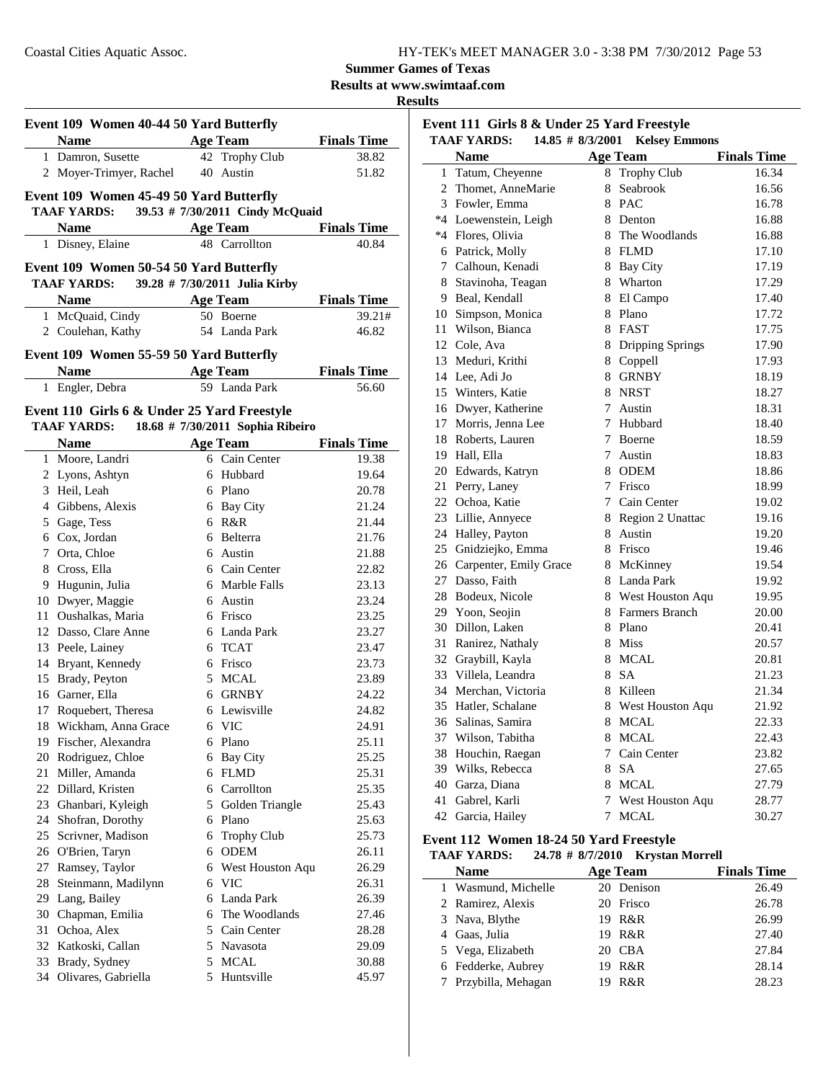**Results at www.swimtaaf.com**

#### **Results**

| Event 109 Women 40-44 50 Yard Butterfly |                                             |    |                                  |                    |  |
|-----------------------------------------|---------------------------------------------|----|----------------------------------|--------------------|--|
|                                         | <b>Name</b>                                 |    | <b>Age Team</b>                  | <b>Finals Time</b> |  |
| $\mathbf{1}$                            | Damron, Susette                             | 42 | <b>Trophy Club</b>               | 38.82              |  |
|                                         | 2 Moyer-Trimyer, Rachel                     |    | 40 Austin                        | 51.82              |  |
|                                         | Event 109 Women 45-49 50 Yard Butterfly     |    |                                  |                    |  |
|                                         | TAAF YARDS: 39.53 # 7/30/2011 Cindy McQuaid |    |                                  |                    |  |
|                                         | <b>Name</b>                                 |    | <b>Age Team</b>                  | <b>Finals Time</b> |  |
|                                         | 1 Disney, Elaine                            |    | 48 Carrollton                    | 40.84              |  |
|                                         |                                             |    |                                  |                    |  |
|                                         | Event 109 Women 50-54 50 Yard Butterfly     |    |                                  |                    |  |
|                                         | <b>TAAF YARDS:</b>                          |    | 39.28 # 7/30/2011 Julia Kirby    |                    |  |
|                                         | <b>Name</b>                                 |    | Age Team                         | <b>Finals Time</b> |  |
|                                         | 1 McQuaid, Cindy                            |    | 50 Boerne                        | 39.21#             |  |
|                                         | 2 Coulehan, Kathy                           |    | 54 Landa Park                    | 46.82              |  |
|                                         | Event 109 Women 55-59 50 Yard Butterfly     |    |                                  |                    |  |
|                                         | <b>Name</b>                                 |    | <b>Age Team</b>                  | <b>Finals Time</b> |  |
|                                         | 1 Engler, Debra                             |    | 59 Landa Park                    | 56.60              |  |
|                                         |                                             |    |                                  |                    |  |
|                                         | Event 110 Girls 6 & Under 25 Yard Freestyle |    |                                  |                    |  |
|                                         | <b>TAAF YARDS:</b>                          |    | 18.68 # 7/30/2011 Sophia Ribeiro |                    |  |
|                                         | <b>Name</b>                                 |    | Age Team                         | <b>Finals Time</b> |  |
|                                         | 1 Moore, Landri                             |    | 6 Cain Center                    | 19.38              |  |
|                                         | 2 Lyons, Ashtyn                             | 6  | Hubbard                          | 19.64              |  |
|                                         | 3 Heil, Leah                                |    | 6 Plano                          | 20.78              |  |
|                                         | 4 Gibbens, Alexis                           |    | 6 Bay City                       | 21.24              |  |
|                                         | 5 Gage, Tess                                |    | 6 R&R                            | 21.44              |  |
|                                         | 6 Cox, Jordan                               |    | 6 Belterra                       | 21.76              |  |
|                                         | 7 Orta, Chloe                               |    | 6 Austin                         | 21.88              |  |
|                                         | 8 Cross, Ella                               |    | 6 Cain Center                    | 22.82              |  |
|                                         | 9 Hugunin, Julia                            |    | 6 Marble Falls                   | 23.13              |  |
|                                         | 10 Dwyer, Maggie                            |    | 6 Austin                         | 23.24              |  |
|                                         | 11 Oushalkas, Maria                         |    | 6 Frisco                         | 23.25              |  |
|                                         | 12 Dasso, Clare Anne                        |    | 6 Landa Park                     | 23.27              |  |
|                                         | 13 Peele, Lainey                            |    | 6 TCAT                           | 23.47              |  |
|                                         | 14 Bryant, Kennedy                          |    | 6 Frisco                         | 23.73              |  |
|                                         | 15 Brady, Peyton                            |    | 5 MCAL                           | 23.89              |  |
|                                         | 16 Garner, Ella                             |    | 6 GRNBY                          | 24.22              |  |
|                                         | 17 Roquebert, Theresa                       |    | 6 Lewisville                     | 24.82              |  |
|                                         | 18 Wickham, Anna Grace                      |    | 6 VIC                            | 24.91              |  |
|                                         | 19 Fischer, Alexandra                       |    | 6 Plano                          | 25.11              |  |
|                                         | 20 Rodriguez, Chloe                         |    | 6 Bay City                       | 25.25              |  |
|                                         | 21 Miller, Amanda                           |    | 6 FLMD                           | 25.31              |  |
|                                         | 22 Dillard, Kristen                         |    | 6 Carrollton                     | 25.35              |  |
|                                         | 23 Ghanbari, Kyleigh                        |    | 5 Golden Triangle                | 25.43              |  |
|                                         | 24 Shofran, Dorothy                         |    | 6 Plano                          | 25.63              |  |
|                                         | 25 Scrivner, Madison                        |    | 6 Trophy Club                    | 25.73              |  |
|                                         | 26 O'Brien, Taryn                           |    | 6 ODEM                           | 26.11              |  |
|                                         | 27 Ramsey, Taylor                           |    | 6 West Houston Aqu               | 26.29              |  |
| 28                                      | Steinmann, Madilynn                         |    | 6 VIC                            | 26.31              |  |
|                                         | 29 Lang, Bailey                             |    | 6 Landa Park                     | 26.39              |  |
|                                         | 30 Chapman, Emilia                          |    | 6 The Woodlands                  | 27.46              |  |
|                                         | 31 Ochoa, Alex                              |    | 5 Cain Center                    | 28.28              |  |
|                                         | 32 Katkoski, Callan                         |    | 5 Navasota                       | 29.09              |  |
|                                         | 33 Brady, Sydney                            |    | 5 MCAL                           | 30.88              |  |
|                                         | 34 Olivares, Gabriella                      |    | 5 Huntsville                     | 45.97              |  |

| Event 111 Girls 8 & Under 25 Yard Freestyle<br><b>TAAF YARDS:</b><br>14.85 # 8/3/2001 Kelsey Emmons |                           |   |                    |                    |  |
|-----------------------------------------------------------------------------------------------------|---------------------------|---|--------------------|--------------------|--|
|                                                                                                     |                           |   |                    |                    |  |
|                                                                                                     | <b>Name</b>               |   | <b>Age Team</b>    | <b>Finals Time</b> |  |
| 1                                                                                                   | Tatum, Cheyenne           |   | 8 Trophy Club      | 16.34              |  |
|                                                                                                     | 2 Thomet, AnneMarie       | 8 | Seabrook           | 16.56              |  |
|                                                                                                     | 3 Fowler, Emma            |   | 8 PAC              | 16.78              |  |
|                                                                                                     | *4 Loewenstein, Leigh     |   | 8 Denton           | 16.88              |  |
|                                                                                                     | *4 Flores, Olivia         | 8 | The Woodlands      | 16.88              |  |
|                                                                                                     | 6 Patrick, Molly          |   | 8 FLMD             | 17.10              |  |
|                                                                                                     | 7 Calhoun, Kenadi         | 8 | Bay City           | 17.19              |  |
|                                                                                                     | 8 Stavinoha, Teagan       |   | 8 Wharton          | 17.29              |  |
|                                                                                                     | 9 Beal, Kendall           |   | 8 El Campo         | 17.40              |  |
|                                                                                                     | 10 Simpson, Monica        |   | 8 Plano            | 17.72              |  |
|                                                                                                     | 11 Wilson, Bianca         |   | 8 FAST             | 17.75              |  |
|                                                                                                     | 12 Cole, Ava              |   | 8 Dripping Springs | 17.90              |  |
|                                                                                                     | 13 Meduri, Krithi         |   | 8 Coppell          | 17.93              |  |
|                                                                                                     | 14 Lee, Adi Jo            |   | 8 GRNBY            | 18.19              |  |
|                                                                                                     | 15 Winters, Katie         |   | 8 NRST             | 18.27              |  |
|                                                                                                     | 16 Dwyer, Katherine       | 7 | Austin             | 18.31              |  |
|                                                                                                     | 17 Morris, Jenna Lee      | 7 | Hubbard            | 18.40              |  |
|                                                                                                     | 18 Roberts, Lauren        | 7 | <b>Boerne</b>      | 18.59              |  |
|                                                                                                     | 19 Hall, Ella             | 7 | Austin             | 18.83              |  |
|                                                                                                     | 20 Edwards, Katryn        | 8 | <b>ODEM</b>        | 18.86              |  |
| 21                                                                                                  | Perry, Laney              |   | 7 Frisco           | 18.99              |  |
|                                                                                                     | 22 Ochoa, Katie           |   | 7 Cain Center      | 19.02              |  |
|                                                                                                     | 23 Lillie, Annyece        |   | 8 Region 2 Unattac | 19.16              |  |
|                                                                                                     | 24 Halley, Payton         |   | 8 Austin           | 19.20              |  |
|                                                                                                     | 25 Gnidziejko, Emma       |   | 8 Frisco           | 19.46              |  |
|                                                                                                     | 26 Carpenter, Emily Grace |   | 8 McKinney         | 19.54              |  |
|                                                                                                     | 27 Dasso, Faith           |   | 8 Landa Park       | 19.92              |  |
|                                                                                                     | 28 Bodeux, Nicole         |   | 8 West Houston Aqu | 19.95              |  |
|                                                                                                     | 29 Yoon, Seojin           |   | 8 Farmers Branch   | 20.00              |  |
|                                                                                                     | 30 Dillon, Laken          |   | 8 Plano            | 20.41              |  |
| 31                                                                                                  | Ranirez, Nathaly          |   | 8 Miss             | 20.57              |  |
|                                                                                                     | 32 Graybill, Kayla        | 8 | <b>MCAL</b>        | 20.81              |  |
|                                                                                                     | 33 Villela, Leandra       |   | 8 SA               | 21.23              |  |
|                                                                                                     | 34 Merchan, Victoria      | 8 | Killeen            | 21.34              |  |
|                                                                                                     | 35 Hatler, Schalane       | 8 | West Houston Aqu   | 21.92              |  |
| 36                                                                                                  | Salinas, Samira           | 8 | <b>MCAL</b>        | 22.33              |  |
| 37                                                                                                  | Wilson, Tabitha           |   | 8 MCAL             | 22.43              |  |
| 38                                                                                                  | Houchin, Raegan           | 7 | Cain Center        | 23.82              |  |
|                                                                                                     | 39 Wilks, Rebecca         | 8 | <b>SA</b>          | 27.65              |  |
| 40                                                                                                  | Garza, Diana              |   | 8 MCAL             | 27.79              |  |
| 41                                                                                                  | Gabrel, Karli             | 7 | West Houston Aqu   | 28.77              |  |
|                                                                                                     | 42 Garcia, Hailey         | 7 | <b>MCAL</b>        | 30.27              |  |
|                                                                                                     |                           |   |                    |                    |  |

#### **Event 112 Women 18-24 50 Yard Freestyle**

**TAAF YARDS: 24.78 # Krystan Morrell 8/7/2010 Name Age Team Finals Time** 1 Wasmund, Michelle 20 Denison 26.49<br>
2 Ramirez Alexis 20 Frisco 26.78 2 Ramirez, Alexis

| $\sim$ Kanniva, Theory | $20 - 11500$ | 20. I O |
|------------------------|--------------|---------|
| 3 Nava, Blythe         | 19 R&R       | 26.99   |
| 4 Gaas, Julia          | 19 R&R       | 27.40   |
| 5 Vega, Elizabeth      | 20 CBA       | 27.84   |
| 6 Fedderke, Aubrey     | 19 R&R       | 28.14   |
| 7 Przybilla, Mehagan   | 19 R&R       | 28.23   |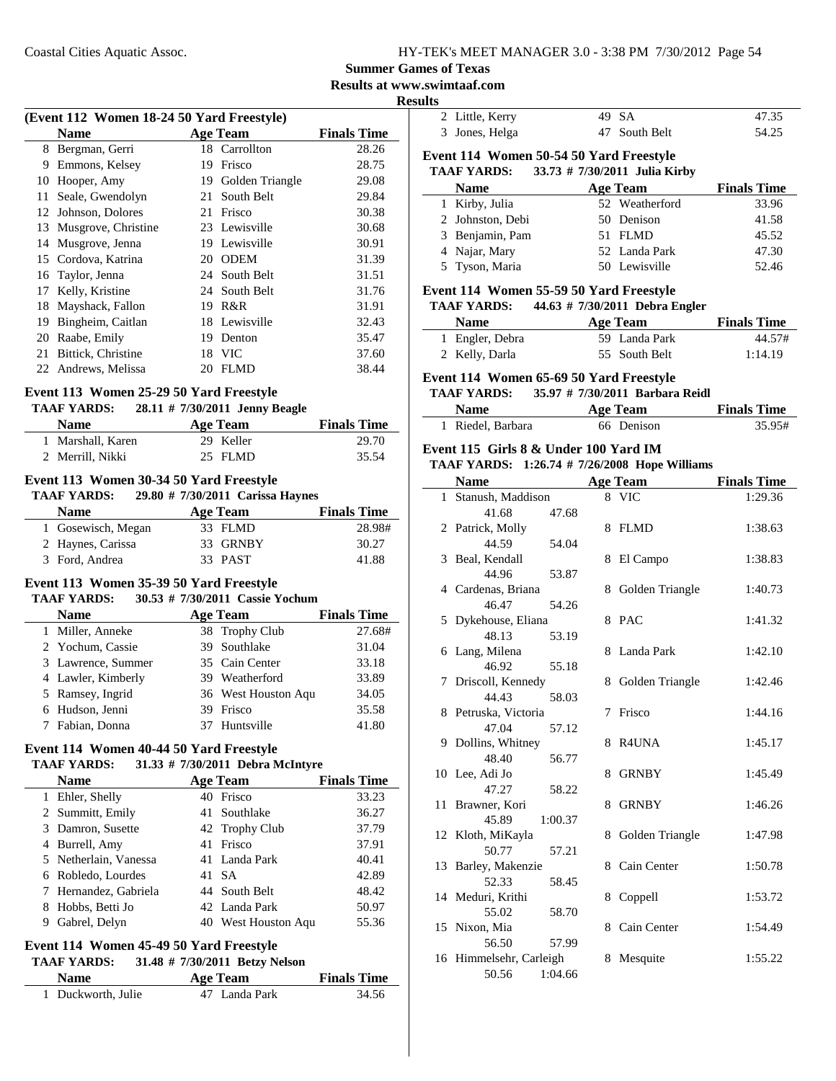### **Summer Games of Texas**

**Results at www.swimtaaf.com**

|                                                            |        |                                  | <b>Results at www.sw</b><br><b>Results</b> |
|------------------------------------------------------------|--------|----------------------------------|--------------------------------------------|
| (Event 112 Women 18-24 50 Yard Freestyle)                  |        |                                  |                                            |
| <b>Name</b>                                                |        | <b>Age Team</b>                  | <b>Finals Time</b>                         |
| 8 Bergman, Gerri                                           |        | 18 Carrollton                    | 28.26                                      |
| 9 Emmons, Kelsey                                           |        | 19 Frisco                        | 28.75                                      |
| 10 Hooper, Amy                                             |        | 17 I Lucy<br>19 Golden Triangle  | 29.08                                      |
| 11 Seale, Gwendolyn                                        |        | 21 South Belt                    | 29.84                                      |
| 12 Johnson, Dolores                                        |        | 21 Frisco                        | 30.38                                      |
| 13 Musgrove, Christine                                     |        | 23 Lewisville                    | 30.68                                      |
| 14 Musgrove, Jenna                                         |        | 19 Lewisville                    | 30.91                                      |
| 15 Cordova, Katrina                                        |        | 20 ODEM                          | 31.39                                      |
| 16 Taylor, Jenna                                           |        | 24 South Belt                    | 31.51                                      |
| 17 Kelly, Kristine                                         |        | 24 South Belt                    | 31.76                                      |
| 18 Mayshack, Fallon                                        | 19 R&R |                                  | 31.91                                      |
| 19 Bingheim, Caitlan                                       |        | 18 Lewisville                    | 32.43                                      |
| 20 Raabe, Emily                                            |        | 19 Denton                        | 35.47                                      |
| 21 Bittick, Christine                                      |        | 18 VIC                           | 37.60                                      |
| 22 Andrews, Melissa                                        |        | 20 FLMD                          | 38.44                                      |
|                                                            |        |                                  |                                            |
| Event 113 Women 25-29 50 Yard Freestyle                    |        |                                  |                                            |
| <b>TAAF YARDS:</b>                                         |        | 28.11 # 7/30/2011 Jenny Beagle   |                                            |
| Name Age Team                                              |        |                                  | <b>Finals Time</b>                         |
| 1 Marshall, Karen                                          |        | 29 Keller                        | 29.70                                      |
| 2 Merrill, Nikki                                           |        | 25 FLMD                          | 35.54                                      |
| Event 113 Women 30-34 50 Yard Freestyle                    |        |                                  |                                            |
| TAAF YARDS: 29.80 # 7/30/2011 Carissa Haynes               |        |                                  |                                            |
| <b>Name</b>                                                |        | <b>Age Team</b>                  | <b>Finals Time</b>                         |
| 1 Gosewisch, Megan                                         |        | 33 FLMD                          | 28.98#                                     |
| 2 Haynes, Carissa                                          |        | 33 GRNBY                         | 30.27                                      |
| 3 Ford, Andrea                                             |        | 33 PAST                          | 41.88                                      |
|                                                            |        |                                  |                                            |
| Event 113 Women 35-39 50 Yard Freestyle                    |        |                                  |                                            |
| <b>TAAF YARDS:</b>                                         |        | 30.53 # 7/30/2011 Cassie Yochum  |                                            |
| <b>Name</b>                                                |        | <b>Age Team</b>                  | <b>Finals Time</b>                         |
| 1 Miller, Anneke                                           |        | 38 Trophy Club                   | 27.68#                                     |
| 2 Yochum, Cassie                                           |        | 39 Southlake                     | 31.04                                      |
| 3 Lawrence, Summer                                         |        | 35 Cain Center                   | 33.18                                      |
| 4 Lawler, Kimberly                                         |        | 39 Weatherford                   | 33.89                                      |
| 5 Ramsey, Ingrid                                           |        | 36 West Houston Aqu              | 34.05                                      |
| 6 Hudson, Jenni                                            |        | 39 Frisco                        | 35.58                                      |
| 7 Fabian, Donna                                            |        | 37 Huntsville                    | 41.80                                      |
| Event 114 Women 40-44 50 Yard Freestyle                    |        |                                  |                                            |
| <b>TAAF YARDS:</b>                                         |        | 31.33 # 7/30/2011 Debra McIntyre |                                            |
| <b>Name</b>                                                |        | <b>Age Team</b>                  | <b>Finals Time</b>                         |
| 1 Ehler, Shelly                                            |        | 40 Frisco                        | 33.23                                      |
| 2 Summitt, Emily                                           |        | 41 Southlake                     | 36.27                                      |
| 3 Damron, Susette                                          |        | 42 Trophy Club                   | 37.79                                      |
| 4 Burrell, Amy                                             |        | 41 Frisco                        | 37.91                                      |
| 5 Netherlain, Vanessa                                      |        | 41 Landa Park                    | 40.41                                      |
| 6 Robledo, Lourdes                                         |        | 41 SA                            | 42.89                                      |
|                                                            |        | 44 South Belt                    | 48.42                                      |
|                                                            |        |                                  |                                            |
| 7 Hernandez, Gabriela                                      |        |                                  |                                            |
| 8 Hobbs, Betti Jo                                          |        | 42 Landa Park                    | 50.97                                      |
| 9 Gabrel, Delyn<br>Event 114 Women 45-49 50 Yard Freestyle |        | 40 West Houston Aqu              | 55.36                                      |

| <b>Name</b>        | Age Team      | <b>Finals Time</b> |
|--------------------|---------------|--------------------|
| 1 Duckworth, Julie | 47 Landa Park | 34.56              |

| யல |                                                               |                 |                                |                    |
|----|---------------------------------------------------------------|-----------------|--------------------------------|--------------------|
|    | 2 Little, Kerry                                               |                 | 49 SA                          | 47.35              |
|    | 3 Jones, Helga                                                |                 | 47 South Belt                  | 54.25              |
|    |                                                               |                 |                                |                    |
|    | Event 114 Women 50-54 50 Yard Freestyle<br><b>TAAF YARDS:</b> |                 | 33.73 # 7/30/2011 Julia Kirby  |                    |
|    |                                                               |                 |                                | <b>Finals Time</b> |
|    | <b>Name</b>                                                   |                 | <b>Age Team</b>                |                    |
|    | 1 Kirby, Julia                                                |                 | 52 Weatherford                 | 33.96              |
|    | 2 Johnston, Debi                                              |                 | 50 Denison                     | 41.58              |
|    | 3 Benjamin, Pam                                               |                 | 51 FLMD                        | 45.52              |
|    | 4 Najar, Mary                                                 |                 | 52 Landa Park                  | 47.30              |
|    | 5 Tyson, Maria                                                |                 | 50 Lewisville                  | 52.46              |
|    | Event 114 Women 55-59 50 Yard Freestyle                       |                 |                                |                    |
|    | <b>TAAF YARDS:</b>                                            |                 | 44.63 # 7/30/2011 Debra Engler |                    |
|    | <b>Name</b>                                                   |                 | <b>Age Team</b>                | <b>Finals Time</b> |
|    | 1 Engler, Debra                                               |                 | 59 Landa Park                  | 44.57#             |
|    | 2 Kelly, Darla                                                |                 | 55 South Belt                  | 1:14.19            |
|    |                                                               |                 |                                |                    |
|    | Event 114 Women 65-69 50 Yard Freestyle                       |                 |                                |                    |
|    | TAAF YARDS: 35.97 # 7/30/2011 Barbara Reidl                   |                 |                                |                    |
|    | <b>Name</b>                                                   | <b>Age Team</b> |                                | <b>Finals Time</b> |
|    | 1 Riedel, Barbara                                             |                 | 66 Denison                     | 35.95#             |
|    | Event 115 Girls 8 & Under 100 Yard IM                         |                 |                                |                    |
|    | TAAF YARDS: 1:26.74 # 7/26/2008 Hope Williams                 |                 |                                |                    |
|    | <b>Name</b>                                                   |                 | <b>Age Team</b>                | <b>Finals Time</b> |
|    | 1 Stanush, Maddison                                           |                 | 8 VIC                          | 1:29.36            |
|    | 41.68<br>47.68                                                |                 |                                |                    |
|    | 2 Patrick, Molly                                              | 8               | <b>FLMD</b>                    | 1:38.63            |
|    | 44.59<br>54.04                                                |                 |                                |                    |
| 3  | Beal, Kendall                                                 | 8               | El Campo                       | 1:38.83            |
|    | 44.96<br>53.87                                                |                 |                                |                    |
|    | 4 Cardenas, Briana                                            | 8               | Golden Triangle                | 1:40.73            |
|    | 46.47<br>54.26                                                |                 |                                |                    |
| 5  | Dykehouse, Eliana                                             |                 | 8 PAC                          | 1:41.32            |
|    | 48.13<br>53.19                                                |                 |                                |                    |
|    | 6 Lang, Milena                                                |                 | 8 Landa Park                   | 1:42.10            |
|    | 46.92<br>55.18                                                |                 |                                |                    |
|    | 7 Driscoll, Kennedy                                           |                 | 8 Golden Triangle              | 1:42.46            |
|    | 44.43<br>58.03                                                |                 |                                |                    |
|    | 8 Petruska, Victoria                                          |                 | 7 Frisco                       | 1:44.16            |
|    | 47.04<br>57.12                                                |                 |                                |                    |
|    | 9 Dollins, Whitney                                            |                 | 8 R4UNA                        | 1:45.17            |
|    | 48.40<br>56.77                                                |                 |                                |                    |
|    | 10 Lee, Adi Jo                                                | 8               | <b>GRNBY</b>                   | 1:45.49            |
|    | 47.27<br>58.22                                                |                 |                                |                    |
| 11 | Brawner, Kori                                                 | 8               | <b>GRNBY</b>                   | 1:46.26            |
|    | 45.89<br>1:00.37                                              |                 |                                |                    |
| 12 | Kloth, MiKayla                                                | 8               | Golden Triangle                | 1:47.98            |
|    | 50.77<br>57.21                                                |                 |                                |                    |
| 13 | Barley, Makenzie                                              | 8               | Cain Center                    | 1:50.78            |
|    |                                                               |                 |                                |                    |
|    | 52.33<br>58.45                                                |                 |                                |                    |
|    | 14 Meduri, Krithi                                             | 8               | Coppell                        | 1:53.72            |
|    | 55.02<br>58.70                                                |                 |                                |                    |
| 15 | Nixon, Mia                                                    | 8               | Cain Center                    | 1:54.49            |
|    | 56.50<br>57.99                                                |                 |                                |                    |
|    | 16 Himmelsehr, Carleigh                                       | 8               | Mesquite                       | 1:55.22            |
|    | 50.56<br>1:04.66                                              |                 |                                |                    |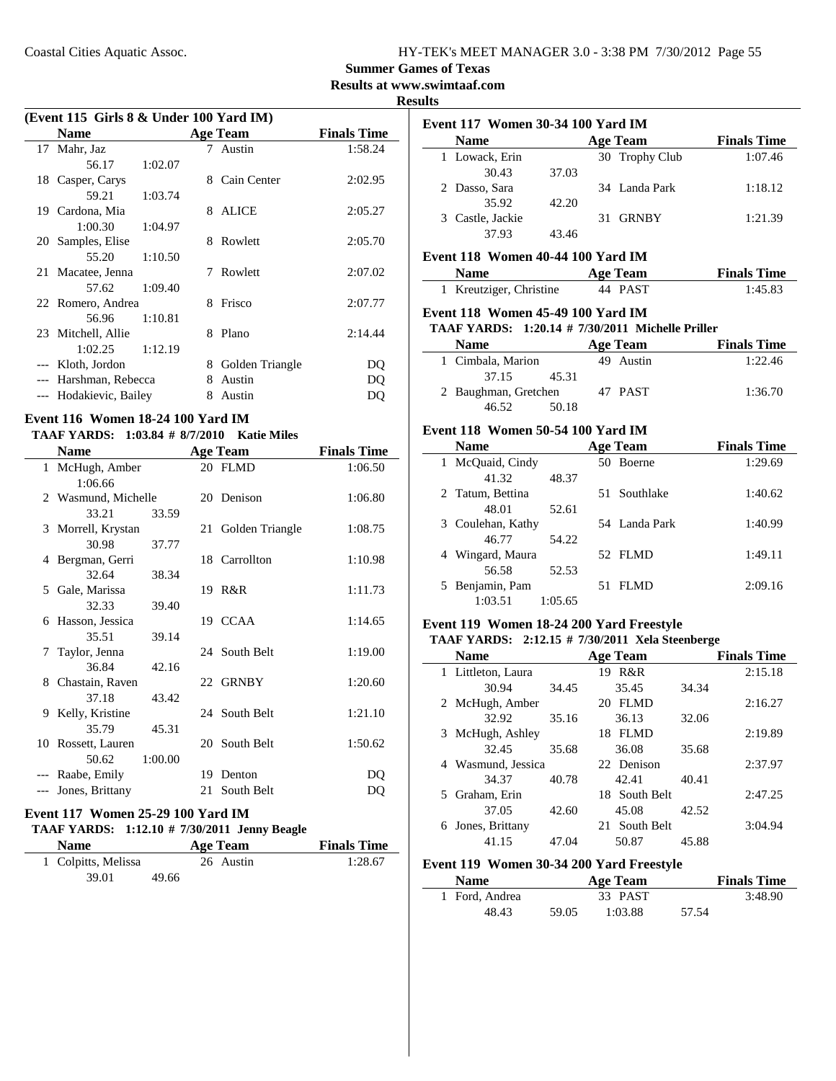### **Summer Games of Texas**

**Results at www.swimtaaf.com**

**Results**

|                                         |         |   |                   | <b>Results at w</b> |  |  |  |
|-----------------------------------------|---------|---|-------------------|---------------------|--|--|--|
| (Event 115 Girls 8 & Under 100 Yard IM) |         |   |                   |                     |  |  |  |
| <b>Name</b>                             |         |   | <b>Age Team</b>   | <b>Finals Time</b>  |  |  |  |
| 17 Mahr, Jaz                            |         |   | 7 Austin          | 1:58.24             |  |  |  |
| 56.17                                   | 1:02.07 |   |                   |                     |  |  |  |
| 18 Casper, Carys                        |         |   | 8 Cain Center     | 2:02.95             |  |  |  |
| 59.21                                   | 1:03.74 |   |                   |                     |  |  |  |
| 19 Cardona, Mia                         |         | 8 | <b>ALICE</b>      | 2:05.27             |  |  |  |
| 1:00.30                                 | 1:04.97 |   |                   |                     |  |  |  |
| 20 Samples, Elise                       |         |   | 8 Rowlett         | 2:05.70             |  |  |  |
| 55.20                                   | 1:10.50 |   |                   |                     |  |  |  |
| 21 Macatee, Jenna                       |         | 7 | Rowlett           | 2:07.02             |  |  |  |
| 57.62                                   | 1:09.40 |   |                   |                     |  |  |  |
| 22 Romero, Andrea                       |         |   | 8 Frisco          | 2:07.77             |  |  |  |
| 56.96                                   | 1:10.81 |   |                   |                     |  |  |  |
| 23 Mitchell, Allie                      |         |   | 8 Plano           | 2:14.44             |  |  |  |
| 1:02.25                                 | 1:12.19 |   |                   |                     |  |  |  |
| --- Kloth, Jordon                       |         |   | 8 Golden Triangle | DQ                  |  |  |  |
| --- Harshman, Rebecca                   |         | 8 | Austin            | DQ                  |  |  |  |
| --- Hodakievic, Bailey                  |         | 8 | Austin            | DQ                  |  |  |  |
| Event 116 Women 18-24 100 Yard IM       |         |   |                   |                     |  |  |  |

# **TAAF YARDS:** 1:03.84 # 8/7/2010 Katie Miles

|   | <b>Name</b>              |         |    | <b>Age Team</b>    | <b>Finals Time</b> |
|---|--------------------------|---------|----|--------------------|--------------------|
|   | 1 McHugh, Amber          |         |    | 20 FLMD            | 1:06.50            |
|   | 1:06.66                  |         |    |                    |                    |
|   | 2 Wasmund, Michelle      |         |    | 20 Denison         | 1:06.80            |
|   | 33.21                    | 33.59   |    |                    |                    |
|   | 3 Morrell, Krystan       |         |    | 21 Golden Triangle | 1:08.75            |
|   | 30.98                    | 37.77   |    |                    |                    |
| 4 | Bergman, Gerri           |         |    | 18 Carrollton      | 1:10.98            |
|   | 32.64                    | 38.34   |    |                    |                    |
|   | 5 Gale, Marissa          |         |    | 19 R&R             | 1:11.73            |
|   | 32.33                    | 39.40   |    |                    |                    |
|   | 6 Hasson, Jessica        |         |    | 19 CCAA            | 1:14.65            |
|   | 35.51                    | 39.14   |    |                    |                    |
|   | 7 Taylor, Jenna<br>36.84 |         |    | 24 South Belt      | 1:19.00            |
|   | 8 Chastain, Raven        | 42.16   |    | 22 GRNBY           | 1:20.60            |
|   | 37.18                    | 43.42   |    |                    |                    |
| 9 | Kelly, Kristine          |         |    | 24 South Belt      | 1:21.10            |
|   | 35.79                    | 45.31   |    |                    |                    |
|   | 10 Rossett, Lauren       |         |    | 20 South Belt      | 1:50.62            |
|   | 50.62                    | 1:00.00 |    |                    |                    |
|   | --- Raabe, Emily         |         |    | 19 Denton          | DQ                 |
|   | Jones, Brittany          |         | 21 | South Belt         | DO                 |
|   |                          |         |    |                    |                    |

### **Event 117 Women 25-29 100 Yard IM**

## **TAAF YARDS:** 1:12.10 # 7/30/2011 Jenny Beagle

| <b>Name</b>         |       | Age Team  | <b>Finals Time</b> |
|---------------------|-------|-----------|--------------------|
| 1 Colpitts, Melissa |       | 26 Austin | 1:28.67            |
| 39.01               | 49.66 |           |                    |

| Event 117 Women 30-34 100 Yard IM                       |         |                 |                    |
|---------------------------------------------------------|---------|-----------------|--------------------|
| <b>Name</b>                                             |         | <b>Age Team</b> | <b>Finals Time</b> |
| 1 Lowack, Erin                                          |         | 30 Trophy Club  | 1:07.46            |
| 30.43                                                   | 37.03   |                 |                    |
| 2 Dasso, Sara                                           |         | 34 Landa Park   | 1:18.12            |
| 35.92                                                   | 42.20   |                 |                    |
| 3 Castle, Jackie                                        |         | 31 GRNBY        | 1:21.39            |
| 37.93                                                   | 43.46   |                 |                    |
| Event 118 Women 40-44 100 Yard IM                       |         |                 |                    |
| <b>Name</b>                                             |         | <b>Age Team</b> | <b>Finals Time</b> |
| 1 Kreutziger, Christine                                 |         | 44 PAST         | 1:45.83            |
| Event 118 Women 45-49 100 Yard IM                       |         |                 |                    |
| <b>TAAF YARDS: 1:20.14 # 7/30/2011 Michelle Priller</b> |         |                 |                    |
| <b>Name</b>                                             |         | <b>Age Team</b> | <b>Finals Time</b> |
| 1 Cimbala, Marion                                       |         | 49 Austin       | 1:22.46            |
| 37.15                                                   | 45.31   |                 |                    |
| 2 Baughman, Gretchen 47 PAST                            |         |                 | 1:36.70            |
| 46.52                                                   | 50.18   |                 |                    |
| Event 118 Women 50-54 100 Yard IM                       |         |                 |                    |
| <b>Name</b>                                             |         | <b>Age Team</b> | <b>Finals Time</b> |
| 1 McQuaid, Cindy                                        |         | 50 Boerne       | 1:29.69            |
| 41.32                                                   | 48.37   |                 |                    |
| 2 Tatum, Bettina                                        |         | 51 Southlake    | 1:40.62            |
| 48.01                                                   | 52.61   |                 |                    |
| 3 Coulehan, Kathy                                       |         | 54 Landa Park   | 1:40.99            |
| 46.77                                                   | 54.22   |                 |                    |
| 4 Wingard, Maura                                        |         | 52 FLMD         | 1:49.11            |
| 56.58                                                   | 52.53   |                 |                    |
| 5 Benjamin, Pam                                         |         | 51 FLMD         | 2:09.16            |
| 1:03.51                                                 | 1:05.65 |                 |                    |
|                                                         |         |                 |                    |

#### **Event 119 Women 18-24 200 Yard Freestyle**

### **TAAF YARDS:** 2:12.15 # 7/30/2011 Xela Steenberge

|       | <b>Age Team</b>    |       | <b>Finals Time</b> |
|-------|--------------------|-------|--------------------|
|       | R&R<br>19          |       | 2:15.18            |
| 34.45 | 35.45              | 34.34 |                    |
|       | FLMD<br>20         |       | 2:16.27            |
| 35.16 | 36.13              | 32.06 |                    |
|       | 18 FLMD            |       | 2:19.89            |
| 35.68 | 36.08              | 35.68 |                    |
|       | 22 Denison         |       | 2:37.97            |
| 40.78 | 42.41              | 40.41 |                    |
|       | 18 South Belt      |       | 2:47.25            |
| 42.60 | 45.08              | 42.52 |                    |
|       | South Belt<br>21   |       | 3:04.94            |
| 47.04 | 50.87              | 45.88 |                    |
|       | 4 Wasmund, Jessica |       |                    |

#### **Event 119 Women 30-34 200 Yard Freestyle**

 $\overline{\phantom{0}}$ 

| <b>Name</b>    |       | Age Team |       | <b>Finals Time</b> |
|----------------|-------|----------|-------|--------------------|
| 1 Ford, Andrea |       | 33 PAST  |       | 3:48.90            |
| 48.43          | 59.05 | 1:03.88  | 57.54 |                    |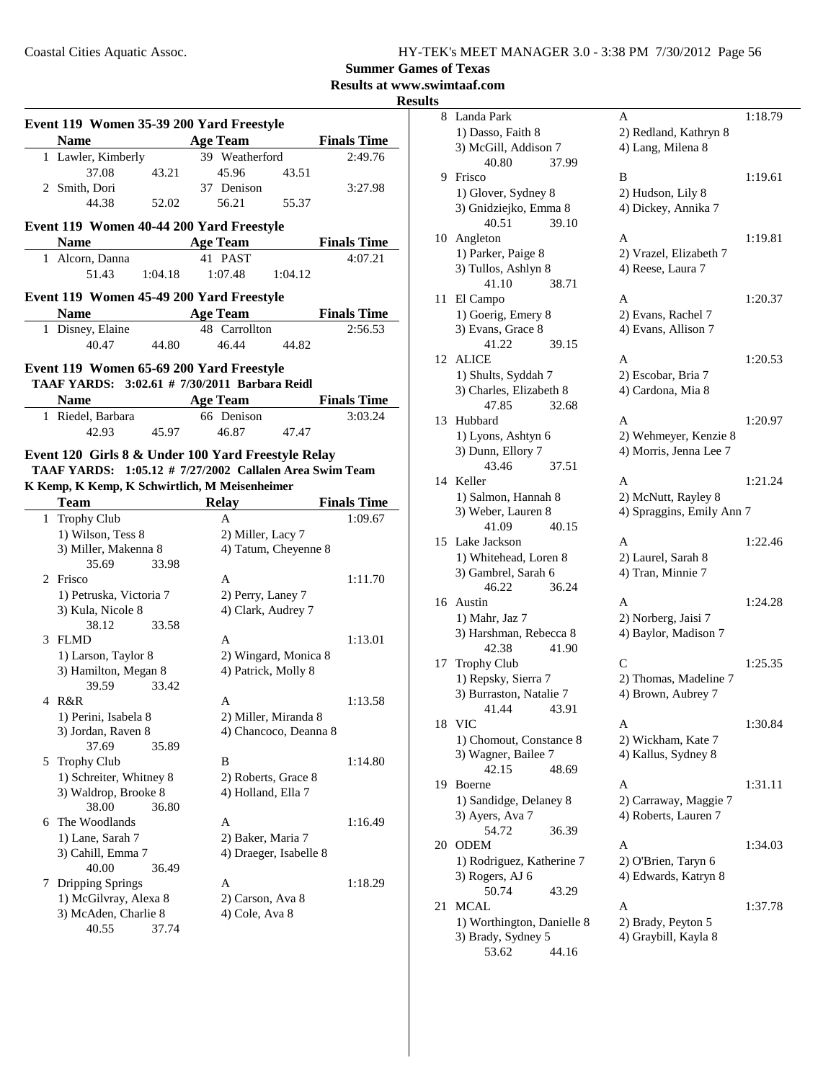**Summer Games of Texas**

**Results at www.swimtaaf.com**

| н<br>I<br>۰. |  |
|--------------|--|
|              |  |

|   | Event 119 Women 35-39 200 Yard Freestyle                |                        |                    |  |  |  |
|---|---------------------------------------------------------|------------------------|--------------------|--|--|--|
|   | <b>Name</b>                                             | <b>Age Team</b>        | <b>Finals Time</b> |  |  |  |
|   | 1 Lawler, Kimberly                                      | 39 Weatherford         | 2:49.76            |  |  |  |
|   | 37.08<br>43.21                                          | 45.96<br>43.51         |                    |  |  |  |
|   | 2 Smith, Dori                                           | 37 Denison             | 3:27.98            |  |  |  |
|   | 44.38<br>52.02                                          | 56.21<br>55.37         |                    |  |  |  |
|   |                                                         |                        |                    |  |  |  |
|   | Event 119 Women 40-44 200 Yard Freestyle                |                        |                    |  |  |  |
|   | <b>Name</b>                                             | <b>Age Team</b>        | <b>Finals Time</b> |  |  |  |
|   | 1 Alcorn, Danna                                         | 41 PAST                | 4:07.21            |  |  |  |
|   | 51.43<br>1:04.18                                        | 1:07.48<br>1:04.12     |                    |  |  |  |
|   | Event 119 Women 45-49 200 Yard Freestyle                |                        |                    |  |  |  |
|   | <b>Name</b>                                             | <b>Age Team</b>        | <b>Finals Time</b> |  |  |  |
|   |                                                         |                        |                    |  |  |  |
|   | 1 Disney, Elaine                                        | 48 Carrollton          | 2:56.53            |  |  |  |
|   | 40.47<br>44.80                                          | 46.44<br>44.82         |                    |  |  |  |
|   | Event 119 Women 65-69 200 Yard Freestyle                |                        |                    |  |  |  |
|   | TAAF YARDS: 3:02.61 # 7/30/2011 Barbara Reidl           |                        |                    |  |  |  |
|   | <b>Name</b>                                             | <b>Age Team</b>        | <b>Finals Time</b> |  |  |  |
|   | 1 Riedel, Barbara                                       | 66 Denison             | 3:03.24            |  |  |  |
|   | 42.93<br>45.97                                          | 46.87<br>47.47         |                    |  |  |  |
|   |                                                         |                        |                    |  |  |  |
|   | Event 120 Girls 8 & Under 100 Yard Freestyle Relay      |                        |                    |  |  |  |
|   | TAAF YARDS: 1:05.12 # 7/27/2002 Callalen Area Swim Team |                        |                    |  |  |  |
|   | K Kemp, K Kemp, K Schwirtlich, M Meisenheimer           |                        |                    |  |  |  |
|   | <b>Team</b>                                             | <b>Relay</b>           | <b>Finals Time</b> |  |  |  |
|   | 1 Trophy Club                                           | A                      | 1:09.67            |  |  |  |
|   | 1) Wilson, Tess 8                                       | 2) Miller, Lacy 7      |                    |  |  |  |
|   | 3) Miller, Makenna 8                                    | 4) Tatum, Cheyenne 8   |                    |  |  |  |
|   | 35.69<br>33.98                                          |                        |                    |  |  |  |
|   | 2 Frisco                                                | A                      | 1:11.70            |  |  |  |
|   | 1) Petruska, Victoria 7                                 | 2) Perry, Laney 7      |                    |  |  |  |
|   | 3) Kula, Nicole 8                                       | 4) Clark, Audrey 7     |                    |  |  |  |
|   | 38.12<br>33.58                                          |                        |                    |  |  |  |
|   | 3 FLMD                                                  | A                      |                    |  |  |  |
|   |                                                         | 2) Wingard, Monica 8   | 1:13.01            |  |  |  |
|   | 1) Larson, Taylor 8                                     |                        |                    |  |  |  |
|   |                                                         |                        |                    |  |  |  |
|   | 3) Hamilton, Megan 8                                    | 4) Patrick, Molly 8    |                    |  |  |  |
|   | 33.42<br>39.59                                          |                        |                    |  |  |  |
|   | 4 R&R                                                   | A                      | 1:13.58            |  |  |  |
|   | 1) Perini. Isabela 8                                    | 2) Miller, Miranda 8   |                    |  |  |  |
|   | 3) Jordan, Raven 8                                      | 4) Chancoco, Deanna 8  |                    |  |  |  |
|   | 37.69<br>35.89                                          |                        |                    |  |  |  |
| 5 | <b>Trophy Club</b>                                      | B                      | 1:14.80            |  |  |  |
|   | 1) Schreiter, Whitney 8                                 | 2) Roberts, Grace 8    |                    |  |  |  |
|   | 3) Waldrop, Brooke 8                                    | 4) Holland, Ella 7     |                    |  |  |  |
|   | 38.00<br>36.80                                          |                        |                    |  |  |  |
| 6 | The Woodlands                                           | A                      | 1:16.49            |  |  |  |
|   | 1) Lane, Sarah 7                                        | 2) Baker, Maria 7      |                    |  |  |  |
|   | 3) Cahill, Emma 7                                       | 4) Draeger, Isabelle 8 |                    |  |  |  |
|   | 40.00<br>36.49                                          |                        |                    |  |  |  |
| 7 |                                                         | А                      | 1:18.29            |  |  |  |
|   | <b>Dripping Springs</b>                                 |                        |                    |  |  |  |
|   | 1) McGilvray, Alexa 8                                   | 2) Carson, Ava 8       |                    |  |  |  |
|   | 3) McAden, Charlie 8<br>40.55<br>37.74                  | 4) Cole, Ava 8         |                    |  |  |  |

| 8      | Landa Park                 | A                         | 1:18.79 |
|--------|----------------------------|---------------------------|---------|
|        | 1) Dasso, Faith 8          | 2) Redland, Kathryn 8     |         |
|        | 3) McGill, Addison 7       | 4) Lang, Milena 8         |         |
|        | 40.80                      | 37.99                     |         |
| 9      | Frisco                     | B                         | 1:19.61 |
|        | 1) Glover, Sydney 8        | 2) Hudson, Lily 8         |         |
|        | 3) Gnidziejko, Emma 8      | 4) Dickey, Annika 7       |         |
|        | 40.51                      | 39.10                     |         |
| 10     | Angleton                   | A                         | 1:19.81 |
|        |                            | 2) Vrazel, Elizabeth 7    |         |
|        | 1) Parker, Paige 8         |                           |         |
|        | 3) Tullos, Ashlyn 8        | 4) Reese, Laura 7         |         |
|        | 41.10                      | 38.71                     |         |
| 11     | El Campo                   | A                         | 1:20.37 |
|        | 1) Goerig, Emery 8         | 2) Evans, Rachel 7        |         |
|        | 3) Evans, Grace 8          | 4) Evans, Allison 7       |         |
|        | 41.22                      | 39.15                     |         |
| 12     | ALICE                      | A                         | 1:20.53 |
|        | 1) Shults, Syddah 7        | 2) Escobar, Bria 7        |         |
|        | 3) Charles, Elizabeth 8    | 4) Cardona, Mia 8         |         |
|        | 47.85                      | 32.68                     |         |
| 13     | Hubbard                    | A                         | 1:20.97 |
|        | 1) Lyons, Ashtyn 6         | 2) Wehmeyer, Kenzie 8     |         |
|        | 3) Dunn, Ellory 7          | 4) Morris, Jenna Lee 7    |         |
|        | 43.46                      | 37.51                     |         |
| 14     | Keller                     | A                         | 1:21.24 |
|        | 1) Salmon, Hannah 8        | 2) McNutt, Rayley 8       |         |
|        | 3) Weber, Lauren 8         | 4) Spraggins, Emily Ann 7 |         |
|        | 41.09                      | 40.15                     |         |
| 15     | Lake Jackson               | A                         | 1:22.46 |
|        | 1) Whitehead, Loren 8      | 2) Laurel, Sarah 8        |         |
|        | 3) Gambrel, Sarah 6        | 4) Tran, Minnie 7         |         |
|        | 46.22                      | 36.24                     |         |
| 16     | Austin                     | A                         | 1:24.28 |
|        | 1) Mahr, Jaz 7             | 2) Norberg, Jaisi 7       |         |
|        | 3) Harshman, Rebecca 8     | 4) Baylor, Madison 7      |         |
|        | 42.38                      | 41.90                     |         |
| 17     | <b>Trophy Club</b>         | C                         | 1:25.35 |
|        | 1) Repsky, Sierra 7        | 2) Thomas, Madeline 7     |         |
|        | 3) Burraston, Natalie 7    | 4) Brown, Aubrey 7        |         |
|        | 41.44                      | 43.91                     |         |
| $18\,$ | <b>VIC</b>                 | Α                         | 1:30.84 |
|        | 1) Chomout, Constance 8    | 2) Wickham, Kate 7        |         |
|        | 3) Wagner, Bailee 7        | 4) Kallus, Sydney 8       |         |
|        | 42.15                      | 48.69                     |         |
| 19     | Boerne                     | Α                         | 1:31.11 |
|        |                            |                           |         |
|        | 1) Sandidge, Delaney 8     | 2) Carraway, Maggie 7     |         |
|        | 3) Ayers, Ava 7            | 4) Roberts, Lauren 7      |         |
|        | 54.72                      | 36.39                     |         |
| 20     | <b>ODEM</b>                | А                         | 1:34.03 |
|        | 1) Rodriguez, Katherine 7  | 2) O'Brien, Taryn 6       |         |
|        | 3) Rogers, AJ 6            | 4) Edwards, Katryn 8      |         |
|        | 50.74                      | 43.29                     |         |
| 21     | MCAL                       | Α                         | 1:37.78 |
|        | 1) Worthington, Danielle 8 | 2) Brady, Peyton 5        |         |
|        | 3) Brady, Sydney 5         | 4) Graybill, Kayla 8      |         |
|        | 53.62                      | 44.16                     |         |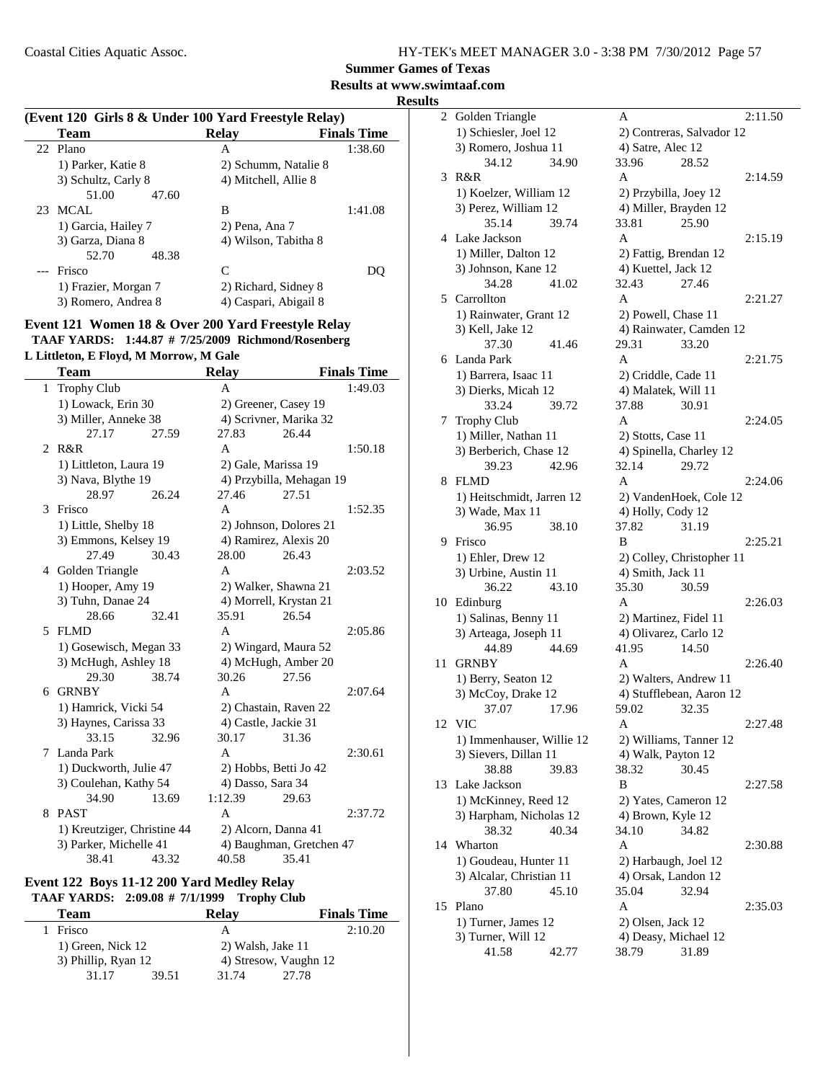**Results at www.swimtaaf.com**

| <b>Results</b> |
|----------------|
|----------------|

| (Event 120 Girls 8 & Under 100 Yard Freestyle Relay) |                      |                       |                    |  |
|------------------------------------------------------|----------------------|-----------------------|--------------------|--|
|                                                      | Team                 | <b>Relay</b>          | <b>Finals Time</b> |  |
|                                                      | 22 Plano             | A                     | 1:38.60            |  |
|                                                      | 1) Parker, Katie 8   | 2) Schumm, Natalie 8  |                    |  |
|                                                      | 3) Schultz, Carly 8  | 4) Mitchell, Allie 8  |                    |  |
|                                                      | 51.00<br>47.60       |                       |                    |  |
| 23                                                   | MCAL                 | B                     | 1:41.08            |  |
|                                                      | 1) Garcia, Hailey 7  | 2) Pena, Ana 7        |                    |  |
|                                                      | 3) Garza, Diana 8    | 4) Wilson, Tabitha 8  |                    |  |
|                                                      | 52.70<br>48.38       |                       |                    |  |
|                                                      | Frisco               | C                     |                    |  |
|                                                      | 1) Frazier, Morgan 7 | 2) Richard, Sidney 8  |                    |  |
|                                                      | 3) Romero, Andrea 8  | 4) Caspari, Abigail 8 |                    |  |
|                                                      |                      |                       |                    |  |

#### **Event 121 Women 18 & Over 200 Yard Freestyle Relay** TAAF YARDS: 1:44.87 # 7/25/2009 Richmond/Rosenberg

#### **L Littleton, E Floyd, M Morrow, M Gale**

|              | Team                        |       | <b>Relay</b>      |                          | <b>Finals Time</b> |
|--------------|-----------------------------|-------|-------------------|--------------------------|--------------------|
| $\mathbf{1}$ | <b>Trophy Club</b>          |       | A                 |                          | 1:49.03            |
|              | 1) Lowack, Erin 30          |       |                   | 2) Greener, Casey 19     |                    |
|              | 3) Miller, Anneke 38        |       |                   | 4) Scrivner, Marika 32   |                    |
|              | 27.17                       | 27.59 | 27.83             | 26.44                    |                    |
| 2            | R&R                         |       | A                 |                          | 1:50.18            |
|              | 1) Littleton, Laura 19      |       |                   | 2) Gale, Marissa 19      |                    |
|              | 3) Nava, Blythe 19          |       |                   | 4) Przybilla, Mehagan 19 |                    |
|              | 28.97                       | 26.24 | 27.46             | 27.51                    |                    |
| 3            | Frisco                      |       | A                 |                          | 1:52.35            |
|              | 1) Little, Shelby 18        |       |                   | 2) Johnson, Dolores 21   |                    |
|              | 3) Emmons, Kelsey 19        |       |                   | 4) Ramirez, Alexis 20    |                    |
|              | 27.49                       | 30.43 | 28.00             | 26.43                    |                    |
|              | 4 Golden Triangle           |       | A                 |                          | 2:03.52            |
|              | 1) Hooper, Amy 19           |       |                   | 2) Walker, Shawna 21     |                    |
|              | 3) Tuhn, Danae 24           |       |                   | 4) Morrell, Krystan 21   |                    |
|              | 28.66                       | 32.41 | 35.91             | 26.54                    |                    |
|              | 5 FLMD                      |       | A                 |                          | 2:05.86            |
|              | 1) Gosewisch, Megan 33      |       |                   | 2) Wingard, Maura 52     |                    |
|              | 3) McHugh, Ashley 18        |       |                   | 4) McHugh, Amber 20      |                    |
|              | 29.30                       | 38.74 | 30.26             | 27.56                    |                    |
|              | 6 GRNBY                     |       | A                 |                          | 2:07.64            |
|              | 1) Hamrick, Vicki 54        |       |                   | 2) Chastain, Raven 22    |                    |
|              | 3) Haynes, Carissa 33       |       |                   | 4) Castle, Jackie 31     |                    |
|              | 33.15                       | 32.96 | 30.17             | 31.36                    |                    |
| 7            | Landa Park                  |       | A                 |                          | 2:30.61            |
|              | 1) Duckworth, Julie 47      |       |                   | 2) Hobbs, Betti Jo 42    |                    |
|              | 3) Coulehan, Kathy 54       |       | 4) Dasso, Sara 34 |                          |                    |
|              | 34.90                       | 13.69 | 1:12.39           | 29.63                    |                    |
| 8            | <b>PAST</b>                 |       | A                 |                          | 2:37.72            |
|              | 1) Kreutziger, Christine 44 |       |                   | 2) Alcorn, Danna 41      |                    |
|              | 3) Parker, Michelle 41      |       |                   | 4) Baughman, Gretchen 47 |                    |
|              | 38.41                       | 43.32 | 40.58             | 35.41                    |                    |

#### **Event 122 Boys 11-12 200 Yard Medley Relay TAAF YARDS: 2:09.08 # Trophy Club 7/1/1999**

| <b>Team</b> |                     | <b>Relay</b> | <b>Finals Time</b> |                       |
|-------------|---------------------|--------------|--------------------|-----------------------|
| Frisco      |                     |              | А                  | 2:10.20               |
|             | 1) Green, Nick 12   |              | 2) Walsh, Jake 11  |                       |
|             | 3) Phillip, Ryan 12 |              |                    | 4) Stresow, Vaughn 12 |
|             | 31.17               | 39.51        | 31.74              | 27.78                 |

| 2  | Golden Triangle           | 2:11.50<br>A              |
|----|---------------------------|---------------------------|
|    | 1) Schiesler, Joel 12     | 2) Contreras, Salvador 12 |
|    | 3) Romero, Joshua 11      | 4) Satre, Alec 12         |
|    | 34.12<br>34.90            | 33.96<br>28.52            |
| 3  | R&R                       | 2:14.59<br>A              |
|    | 1) Koelzer, William 12    | 2) Przybilla, Joey 12     |
|    | 3) Perez, William 12      | 4) Miller, Brayden 12     |
|    | 35.14<br>39.74            | 33.81<br>25.90            |
| 4  | Lake Jackson              | A<br>2:15.19              |
|    | 1) Miller, Dalton 12      | 2) Fattig, Brendan 12     |
|    | 3) Johnson, Kane 12       | 4) Kuettel, Jack 12       |
|    | 34.28<br>41.02            | 32.43<br>27.46            |
| 5  | Carrollton                | A<br>2:21.27              |
|    |                           |                           |
|    | 1) Rainwater, Grant 12    | 2) Powell, Chase 11       |
|    | 3) Kell, Jake 12          | 4) Rainwater, Camden 12   |
|    | 37.30<br>41.46            | 29.31<br>33.20            |
|    | 6 Landa Park              | A<br>2:21.75              |
|    | 1) Barrera, Isaac 11      | 2) Criddle, Cade 11       |
|    | 3) Dierks, Micah 12       | 4) Malatek, Will 11       |
|    | 33.24<br>39.72            | 37.88<br>30.91            |
| 7  | <b>Trophy Club</b>        | A<br>2:24.05              |
|    | 1) Miller, Nathan 11      | 2) Stotts, Case 11        |
|    | 3) Berberich, Chase 12    | 4) Spinella, Charley 12   |
|    | 42.96<br>39.23            | 32.14<br>29.72            |
| 8  | <b>FLMD</b>               | A<br>2:24.06              |
|    | 1) Heitschmidt, Jarren 12 | 2) VandenHoek, Cole 12    |
|    | 3) Wade, Max 11           | 4) Holly, Cody 12         |
|    | 36.95<br>38.10            | 37.82<br>31.19            |
| 9  | Frisco                    | B<br>2:25.21              |
|    | 1) Ehler, Drew 12         | 2) Colley, Christopher 11 |
|    | 3) Urbine, Austin 11      | 4) Smith, Jack 11         |
|    | 36.22<br>43.10            | 35.30<br>30.59            |
| 10 | Edinburg                  | 2:26.03<br>A              |
|    | 1) Salinas, Benny 11      | 2) Martinez, Fidel 11     |
|    | 3) Arteaga, Joseph 11     | 4) Olivarez, Carlo 12     |
|    | 44.89<br>44.69            | 41.95<br>14.50            |
| 11 | <b>GRNBY</b>              | A<br>2:26.40              |
|    | 1) Berry, Seaton 12       | 2) Walters, Andrew 11     |
|    | 3) McCoy, Drake 12        | 4) Stufflebean, Aaron 12  |
|    | 37.07<br>17.96            | 59.02<br>32.35            |
| 12 | <b>VIC</b>                | 2:27.48<br>Α              |
|    | 1) Immenhauser, Willie 12 | 2) Williams, Tanner 12    |
|    | 3) Sievers, Dillan 11     | 4) Walk, Payton 12        |
|    | 38.88<br>39.83            | 38.32<br>30.45            |
| 13 | Lake Jackson              | B<br>2:27.58              |
|    | 1) McKinney, Reed 12      | 2) Yates, Cameron 12      |
|    | 3) Harpham, Nicholas 12   | 4) Brown, Kyle 12         |
|    | 38.32<br>40.34            | 34.10<br>34.82            |
| 14 | Wharton                   | A<br>2:30.88              |
|    |                           |                           |
|    | 1) Goudeau, Hunter 11     | 2) Harbaugh, Joel 12      |
|    | 3) Alcalar, Christian 11  | 4) Orsak, Landon 12       |
|    | 37.80<br>45.10            | 35.04<br>32.94            |
| 15 | Plano                     | Α<br>2:35.03              |
|    | 1) Turner, James 12       | 2) Olsen, Jack 12         |
|    | 3) Turner, Will 12        | 4) Deasy, Michael 12      |
|    | 41.58<br>42.77            | 38.79<br>31.89            |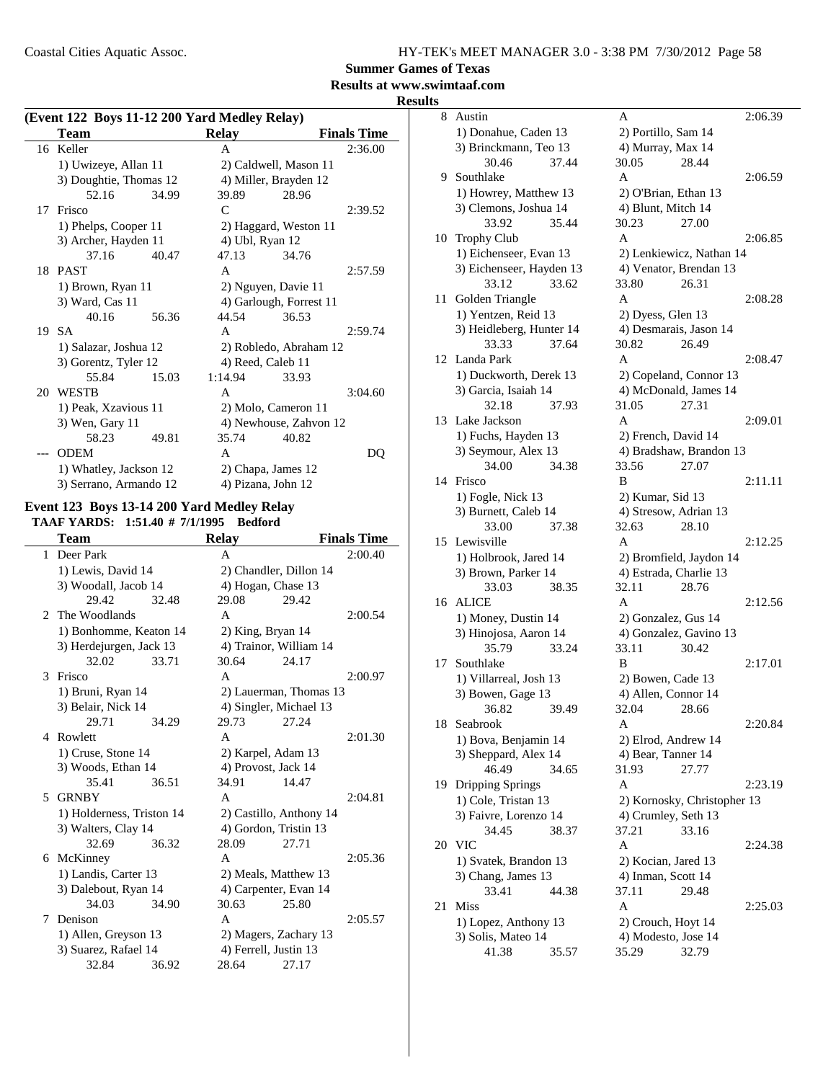**Summer Games of Texas**

### **Results at www.swimtaaf.com**

**Results**

|     | (Event 122 Boys 11-12 200 Yard Medley Relay) |       |                   |                         |                    |  |
|-----|----------------------------------------------|-------|-------------------|-------------------------|--------------------|--|
|     | Team                                         |       | <b>Relay</b>      |                         | <b>Finals Time</b> |  |
|     | 16 Keller                                    |       | A                 |                         | 2:36.00            |  |
|     | 1) Uwizeye, Allan 11                         |       |                   | 2) Caldwell, Mason 11   |                    |  |
|     | 3) Doughtie, Thomas 12                       |       |                   | 4) Miller, Brayden 12   |                    |  |
|     | 52.16                                        | 34.99 | 39.89             | 28.96                   |                    |  |
| 17  | Frisco                                       |       | C                 |                         | 2:39.52            |  |
|     | 1) Phelps, Cooper 11                         |       |                   | 2) Haggard, Weston 11   |                    |  |
|     | 3) Archer, Hayden 11                         |       | 4) Ubl, Ryan 12   |                         |                    |  |
|     | 37.16                                        | 40.47 | 47.13             | 34.76                   |                    |  |
|     | 18 PAST                                      |       | A                 |                         | 2:57.59            |  |
|     | 1) Brown, Ryan 11                            |       |                   | 2) Nguyen, Davie 11     |                    |  |
|     | 3) Ward, Cas 11                              |       |                   | 4) Garlough, Forrest 11 |                    |  |
|     | 40.16                                        | 56.36 | 44.54             | 36.53                   |                    |  |
|     | 19 SA                                        |       | A                 |                         | 2:59.74            |  |
|     | 1) Salazar, Joshua 12                        |       |                   | 2) Robledo, Abraham 12  |                    |  |
|     | 3) Gorentz, Tyler 12                         |       | 4) Reed, Caleb 11 |                         |                    |  |
|     | 55.84                                        | 15.03 | 1:14.94           | 33.93                   |                    |  |
|     | 20 WESTB                                     |       | A                 |                         | 3:04.60            |  |
|     | 1) Peak, Xzavious 11                         |       |                   | 2) Molo, Cameron 11     |                    |  |
|     | 3) Wen, Gary 11                              |       |                   | 4) Newhouse, Zahvon 12  |                    |  |
|     | 58.23                                        | 49.81 | 35.74             | 40.82                   |                    |  |
| --- | <b>ODEM</b>                                  |       | A                 |                         | DO                 |  |
|     | 1) Whatley, Jackson 12                       |       |                   | 2) Chapa, James 12      |                    |  |
|     | 3) Serrano, Armando 12                       |       |                   | 4) Pizana, John 12      |                    |  |

### **Event 123 Boys 13-14 200 Yard Medley Relay**

**TAAF YARDS:** 1:51.40 # 7/1/1995 Bedford

|              | Team                      |       | <b>Relay</b>        |                         | <b>Finals Time</b> |
|--------------|---------------------------|-------|---------------------|-------------------------|--------------------|
| $\mathbf{1}$ | Deer Park                 |       | A                   |                         | 2:00.40            |
|              | 1) Lewis, David 14        |       |                     | 2) Chandler, Dillon 14  |                    |
|              | 3) Woodall, Jacob 14      |       |                     | 4) Hogan, Chase 13      |                    |
|              | 29.42                     | 32.48 | 29.08               | 29.42                   |                    |
|              | 2 The Woodlands           |       | A                   |                         | 2:00.54            |
|              | 1) Bonhomme, Keaton 14    |       | 2) King, Bryan 14   |                         |                    |
|              | 3) Herdejurgen, Jack 13   |       |                     | 4) Trainor, William 14  |                    |
|              | 32.02                     | 33.71 | 30.64               | 24.17                   |                    |
|              | 3 Frisco                  |       | A                   |                         | 2:00.97            |
|              | 1) Bruni, Ryan 14         |       |                     | 2) Lauerman, Thomas 13  |                    |
|              | 3) Belair, Nick 14        |       |                     | 4) Singler, Michael 13  |                    |
|              | 29.71                     | 34.29 | 29.73               | 27.24                   |                    |
|              | 4 Rowlett                 |       | A                   |                         | 2:01.30            |
|              | 1) Cruse, Stone 14        |       |                     | 2) Karpel, Adam 13      |                    |
|              | 3) Woods, Ethan 14        |       | 4) Provost, Jack 14 |                         |                    |
|              | 35.41                     | 36.51 | 34.91               | 14.47                   |                    |
| 5.           | <b>GRNBY</b>              |       | A                   |                         | 2:04.81            |
|              | 1) Holderness, Triston 14 |       |                     | 2) Castillo, Anthony 14 |                    |
|              | 3) Walters, Clay 14       |       |                     | 4) Gordon, Tristin 13   |                    |
|              | 32.69                     | 36.32 | 28.09               | 27.71                   |                    |
|              | 6 McKinney                |       | A                   |                         | 2:05.36            |
|              | 1) Landis, Carter 13      |       |                     | 2) Meals, Matthew 13    |                    |
|              | 3) Dalebout, Ryan 14      |       |                     | 4) Carpenter, Evan 14   |                    |
|              | 34.03                     | 34.90 | 30.63               | 25.80                   |                    |
| 7            | Denison                   |       | $\mathsf{A}$        |                         | 2:05.57            |
|              | 1) Allen, Greyson 13      |       |                     | 2) Magers, Zachary 13   |                    |
|              | 3) Suarez, Rafael 14      |       |                     | 4) Ferrell, Justin 13   |                    |
|              | 32.84                     | 36.92 | 28.64               | 27.17                   |                    |
|              |                           |       |                     |                         |                    |

| 8  | Austin                   | А                           | 2:06.39 |
|----|--------------------------|-----------------------------|---------|
|    | 1) Donahue, Caden 13     | 2) Portillo, Sam 14         |         |
|    | 3) Brinckmann, Teo 13    | 4) Murray, Max 14           |         |
|    | 30.46<br>37.44           | 30.05<br>28.44              |         |
| 9  | Southlake                | A                           | 2:06.59 |
|    | 1) Howrey, Matthew 13    | 2) O'Brian, Ethan 13        |         |
|    | 3) Clemons, Joshua 14    | 4) Blunt, Mitch 14          |         |
|    | 33.92<br>35.44           | 30.23<br>27.00              |         |
| 10 | <b>Trophy Club</b>       | A                           | 2:06.85 |
|    | 1) Eichenseer, Evan 13   | 2) Lenkiewicz, Nathan 14    |         |
|    | 3) Eichenseer, Hayden 13 | 4) Venator, Brendan 13      |         |
|    | 33.12<br>33.62           | 26.31<br>33.80              |         |
| 11 | Golden Triangle          | A                           | 2:08.28 |
|    | 1) Yentzen, Reid 13      | 2) Dyess, Glen 13           |         |
|    | 3) Heidleberg, Hunter 14 | 4) Desmarais, Jason 14      |         |
|    | 37.64<br>33.33           | 30.82<br>26.49              |         |
| 12 | Landa Park               | A                           | 2:08.47 |
|    | 1) Duckworth, Derek 13   | 2) Copeland, Connor 13      |         |
|    | 3) Garcia, Isaiah 14     | 4) McDonald, James 14       |         |
|    | 32.18<br>37.93           | 31.05<br>27.31              |         |
| 13 | Lake Jackson             | A                           | 2:09.01 |
|    | 1) Fuchs, Hayden 13      |                             |         |
|    |                          | 2) French, David 14         |         |
|    | 3) Seymour, Alex 13      | 4) Bradshaw, Brandon 13     |         |
|    | 34.00<br>34.38           | 27.07<br>33.56              |         |
| 14 | Frisco                   | B                           | 2:11.11 |
|    | 1) Fogle, Nick 13        | 2) Kumar, Sid 13            |         |
|    | 3) Burnett, Caleb 14     | 4) Stresow, Adrian 13       |         |
|    | 33.00<br>37.38           | 32.63<br>28.10              |         |
| 15 | Lewisville               | A                           | 2:12.25 |
|    | 1) Holbrook, Jared 14    | 2) Bromfield, Jaydon 14     |         |
|    | 3) Brown, Parker 14      | 4) Estrada, Charlie 13      |         |
|    | 33.03<br>38.35           | 32.11<br>28.76              |         |
| 16 | <b>ALICE</b>             | A                           | 2:12.56 |
|    | 1) Money, Dustin 14      | 2) Gonzalez, Gus 14         |         |
|    | 3) Hinojosa, Aaron 14    | 4) Gonzalez, Gavino 13      |         |
|    | 35.79<br>33.24           | 33.11<br>30.42              |         |
| 17 | Southlake                | B                           | 2:17.01 |
|    | 1) Villarreal, Josh 13   | 2) Bowen, Cade 13           |         |
|    | 3) Bowen, Gage 13        | 4) Allen, Connor 14         |         |
|    | 36.82<br>39.49           | 32.04<br>28.66              |         |
| 18 | Seabrook                 | A                           | 2:20.84 |
|    | 1) Bova, Benjamin 14     | 2) Elrod, Andrew 14         |         |
|    | 3) Sheppard, Alex 14     | 4) Bear, Tanner 14          |         |
|    | 34.65<br>46.49           | 31.93<br>27.77              |         |
| 19 | <b>Dripping Springs</b>  | Α                           | 2:23.19 |
|    | 1) Cole, Tristan 13      | 2) Kornosky, Christopher 13 |         |
|    | 3) Faivre, Lorenzo 14    | 4) Crumley, Seth 13         |         |
|    | 34.45<br>38.37           | 37.21<br>33.16              |         |
| 20 | VIC                      | A                           | 2:24.38 |
|    | 1) Svatek, Brandon 13    | 2) Kocian, Jared 13         |         |
|    | 3) Chang, James 13       | 4) Inman, Scott 14          |         |
|    | 33.41<br>44.38           | 37.11<br>29.48              |         |
| 21 | Miss                     | Α                           | 2:25.03 |
|    | 1) Lopez, Anthony 13     | 2) Crouch, Hoyt 14          |         |
|    | 3) Solis, Mateo 14       | 4) Modesto, Jose 14         |         |
|    | 41.38<br>35.57           | 35.29<br>32.79              |         |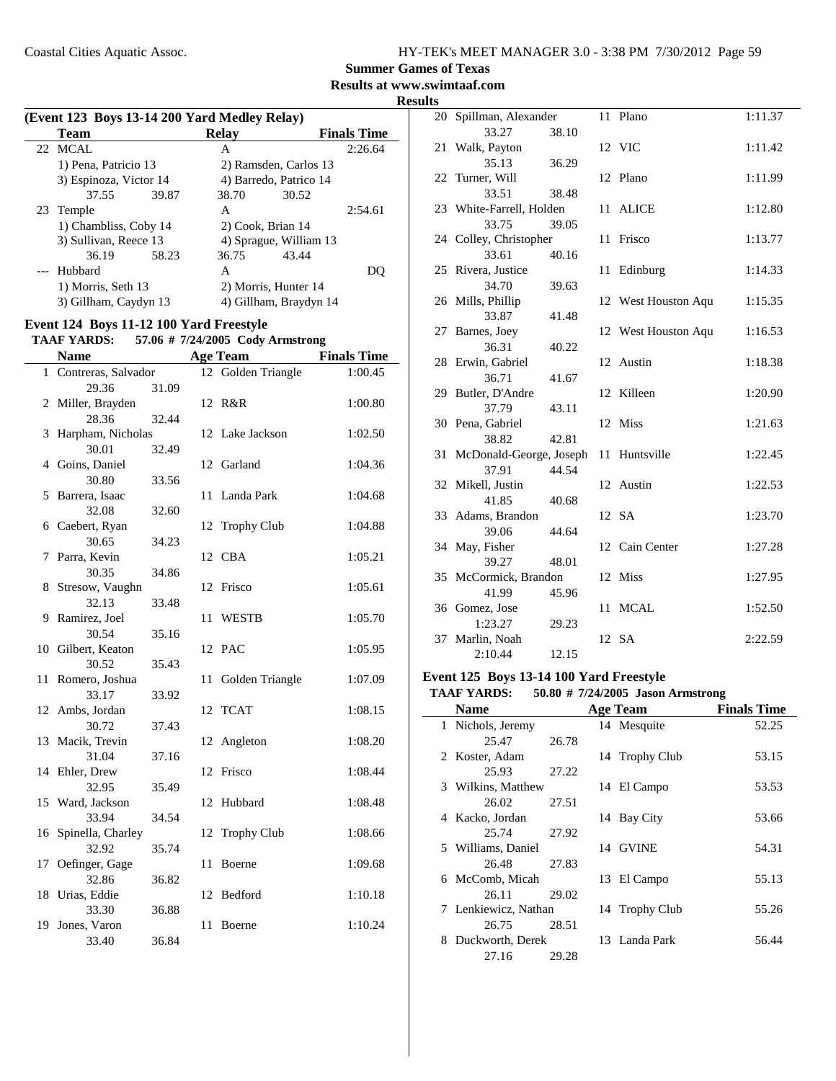**Summer Games of Texas**

**Results at www.swimtaaf.com**

**Results**

| (Event 123 Boys 13-14 200 Yard Medley Relay) |                        |       |       |                        |                    |
|----------------------------------------------|------------------------|-------|-------|------------------------|--------------------|
|                                              | <b>Team</b>            |       | Relav |                        | <b>Finals Time</b> |
|                                              | 22 MCAL                |       | A     |                        | 2:26.64            |
|                                              | 1) Pena, Patricio 13   |       |       | 2) Ramsden, Carlos 13  |                    |
|                                              | 3) Espinoza, Victor 14 |       |       | 4) Barredo, Patrico 14 |                    |
|                                              | 37.55                  | 39.87 | 38.70 | 30.52                  |                    |
|                                              | 23 Temple              |       | A     |                        | 2:54.61            |
|                                              | 1) Chambliss, Coby 14  |       |       | 2) Cook, Brian 14      |                    |
|                                              | 3) Sullivan, Reece 13  |       |       | 4) Sprague, William 13 |                    |
|                                              | 36.19                  | 58.23 | 36.75 | 43.44                  |                    |
|                                              | Hubbard                |       | A     |                        |                    |
|                                              | 1) Morris, Seth 13     |       |       | 2) Morris, Hunter 14   |                    |
|                                              | 3) Gillham, Caydyn 13  |       |       | 4) Gillham, Braydyn 14 |                    |

#### **Event 124 Boys 11-12 100 Yard Freestyle**

#### **TAAF YARDS:** 57.06 # 7/24/2005 Cody Armstrong

|    | <b>Name</b>                |       |    | <b>Age Team</b>    | <b>Finals Time</b> |
|----|----------------------------|-------|----|--------------------|--------------------|
|    | 1 Contreras, Salvador      |       |    | 12 Golden Triangle | 1:00.45            |
|    | 29.36                      | 31.09 |    |                    |                    |
|    | 2 Miller, Brayden          |       |    | 12 R&R             | 1:00.80            |
|    | 28.36                      | 32.44 |    |                    |                    |
| 3  | Harpham, Nicholas          |       |    | 12 Lake Jackson    | 1:02.50            |
|    | 30.01                      | 32.49 |    |                    |                    |
|    | 4 Goins, Daniel            |       |    | 12 Garland         | 1:04.36            |
|    | 30.80                      | 33.56 |    |                    |                    |
| 5  | Barrera, Isaac             |       | 11 | Landa Park         | 1:04.68            |
|    | 32.08                      | 32.60 |    |                    |                    |
| 6  | Caebert, Ryan              |       | 12 | <b>Trophy Club</b> | 1:04.88            |
|    | 30.65                      | 34.23 |    |                    |                    |
| 7  | Parra, Kevin               |       |    | 12 CBA             | 1:05.21            |
|    | 30.35                      | 34.86 |    |                    |                    |
| 8  | Stresow, Vaughn            |       |    | 12 Frisco          | 1:05.61            |
|    | 32.13                      | 33.48 |    |                    |                    |
| 9  | Ramirez, Joel              |       | 11 | <b>WESTB</b>       | 1:05.70            |
|    | 30.54                      | 35.16 |    |                    |                    |
| 10 | Gilbert, Keaton            |       |    | 12 PAC             | 1:05.95            |
|    | 30.52                      | 35.43 |    |                    |                    |
| 11 | Romero, Joshua             |       | 11 | Golden Triangle    | 1:07.09            |
|    | 33.17                      | 33.92 |    |                    |                    |
|    | 12 Ambs, Jordan            |       |    | 12 TCAT            | 1:08.15            |
|    | 30.72                      | 37.43 |    |                    |                    |
| 13 | Macik, Trevin              |       |    | 12 Angleton        | 1:08.20            |
|    | 31.04                      | 37.16 |    |                    |                    |
| 14 | Ehler, Drew                |       | 12 | Frisco             | 1:08.44            |
|    | 32.95                      | 35.49 |    |                    |                    |
|    | 15 Ward, Jackson<br>33.94  | 34.54 | 12 | Hubbard            | 1:08.48            |
|    |                            |       |    |                    | 1:08.66            |
| 16 | Spinella, Charley<br>32.92 | 35.74 | 12 | <b>Trophy Club</b> |                    |
|    | Oefinger, Gage             |       | 11 | Boerne             | 1:09.68            |
| 17 | 32.86                      | 36.82 |    |                    |                    |
|    | 18 Urias, Eddie            |       | 12 | Bedford            | 1:10.18            |
|    | 33.30                      | 36.88 |    |                    |                    |
| 19 | Jones, Varon               |       | 11 | Boerne             | 1:10.24            |
|    | 33.40                      | 36.84 |    |                    |                    |
|    |                            |       |    |                    |                    |

|    | 20 Spillman, Alexander     |       |     | 11 Plano            | 1:11.37 |
|----|----------------------------|-------|-----|---------------------|---------|
|    | 33.27                      | 38.10 |     |                     |         |
|    | 21 Walk, Payton            |       |     | 12 VIC              | 1:11.42 |
|    | 35.13                      | 36.29 |     |                     |         |
|    | 22 Turner, Will            |       |     | 12 Plano            | 1:11.99 |
|    | 33.51                      | 38.48 |     |                     |         |
|    | 23 White-Farrell, Holden   |       |     | 11 ALICE            | 1:12.80 |
|    | 33.75                      | 39.05 |     |                     |         |
|    | 24 Colley, Christopher     |       |     | 11 Frisco           | 1:13.77 |
|    | 33.61                      | 40.16 |     |                     |         |
|    | 25 Rivera, Justice         |       | 11  | Edinburg            | 1:14.33 |
|    | 34.70                      | 39.63 |     |                     |         |
|    | 26 Mills, Phillip          |       |     | 12 West Houston Aqu | 1:15.35 |
|    | 33.87                      | 41.48 |     |                     |         |
|    | 27 Barnes, Joey            |       |     | 12 West Houston Aqu | 1:16.53 |
|    | 36.31                      | 40.22 |     |                     |         |
|    | 28 Erwin, Gabriel          |       |     | 12 Austin           | 1:18.38 |
|    | 36.71                      | 41.67 |     |                     |         |
|    | 29 Butler, D'Andre         |       |     | 12 Killeen          | 1:20.90 |
|    | 37.79                      | 43.11 |     |                     |         |
|    | 30 Pena, Gabriel           |       |     | 12 Miss             | 1:21.63 |
|    | 38.82                      | 42.81 |     |                     |         |
|    | 31 McDonald-George, Joseph |       | 11  | Huntsville          | 1:22.45 |
|    | 37.91                      | 44.54 |     |                     |         |
|    | 32 Mikell, Justin          |       |     | 12 Austin           | 1:22.53 |
|    | 41.85                      | 40.68 |     |                     |         |
|    | 33 Adams, Brandon          |       |     | 12 SA               | 1:23.70 |
|    | 39.06                      | 44.64 |     |                     |         |
|    | 34 May, Fisher             |       |     | 12 Cain Center      | 1:27.28 |
|    | 39.27                      | 48.01 |     |                     |         |
|    | 35 McCormick, Brandon      |       |     | 12 Miss             | 1:27.95 |
|    | 41.99                      | 45.96 |     |                     |         |
|    | 36 Gomez, Jose             |       | 11- | <b>MCAL</b>         | 1:52.50 |
|    | 1:23.27                    | 29.23 |     |                     |         |
| 37 | Marlin, Noah               |       |     | 12 SA               | 2:22.59 |
|    | 2:10.44                    | 12.15 |     |                     |         |

### **Event 125 Boys 13-14 100 Yard Freestyle**

#### **TAAF YARDS:** 50.80 # 7/24/2005 Jason Armstrong

|   | <b>Name</b>          |       | <b>Age Team</b> | <b>Finals Time</b> |
|---|----------------------|-------|-----------------|--------------------|
|   | 1 Nichols, Jeremy    |       | 14 Mesquite     | 52.25              |
|   | 25.47                | 26.78 |                 |                    |
|   | 2 Koster, Adam       |       | 14 Trophy Club  | 53.15              |
|   | 25.93                | 27.22 |                 |                    |
|   | 3 Wilkins, Matthew   |       | 14 El Campo     | 53.53              |
|   | 26.02                | 27.51 |                 |                    |
|   | 4 Kacko, Jordan      |       | 14 Bay City     | 53.66              |
|   | 25.74                | 27.92 |                 |                    |
|   | 5 Williams, Daniel   |       | 14 GVINE        | 54.31              |
|   | 26.48                | 27.83 |                 |                    |
|   | 6 McComb, Micah      |       | 13 El Campo     | 55.13              |
|   | 26.11                | 29.02 |                 |                    |
|   | 7 Lenkiewicz, Nathan |       | 14 Trophy Club  | 55.26              |
|   | 26.75                | 28.51 |                 |                    |
| 8 | Duckworth, Derek     |       | 13 Landa Park   | 56.44              |
|   | 27.16                | 29.28 |                 |                    |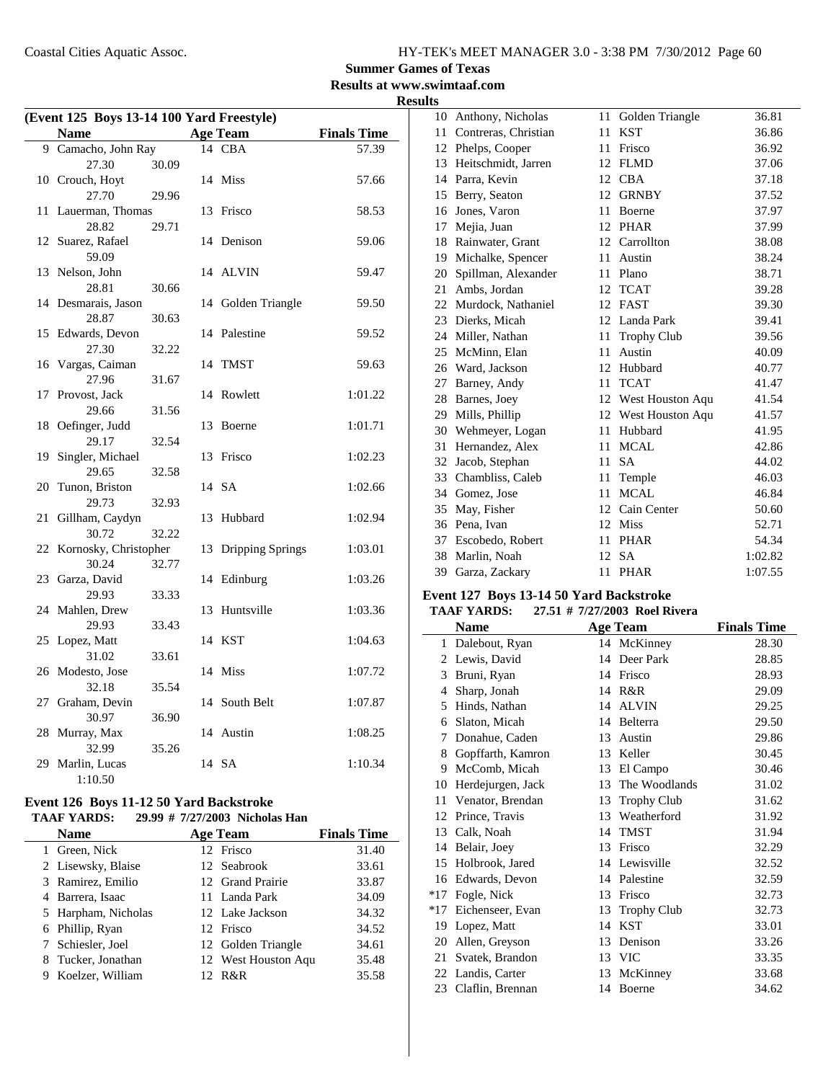#### **Summer Games of Texas Results at www.swimtaaf.com**

### **Results**

| (Event 125 Boys 13-14 100 Yard Freestyle) |                            |       |    |                    |                    |  |
|-------------------------------------------|----------------------------|-------|----|--------------------|--------------------|--|
|                                           | <b>Name</b>                |       |    | <b>Age Team</b>    | <b>Finals Time</b> |  |
|                                           | 9 Camacho, John Ray        |       |    | 14 CBA             | 57.39              |  |
|                                           | 27.30                      | 30.09 |    |                    |                    |  |
|                                           | 10 Crouch, Hoyt            |       |    | 14 Miss            | 57.66              |  |
|                                           | 27.70                      | 29.96 |    |                    |                    |  |
| 11                                        | Lauerman, Thomas           |       | 13 | Frisco             | 58.53              |  |
|                                           | 28.82                      | 29.71 |    |                    |                    |  |
|                                           | 12 Suarez, Rafael<br>59.09 |       |    | 14 Denison         | 59.06              |  |
|                                           | 13 Nelson, John            |       |    | 14 ALVIN           | 59.47              |  |
|                                           | 28.81                      | 30.66 |    |                    |                    |  |
| 14                                        | Desmarais, Jason           |       |    | 14 Golden Triangle | 59.50              |  |
|                                           | 28.87                      | 30.63 |    |                    |                    |  |
| 15                                        | Edwards, Devon             |       |    | 14 Palestine       | 59.52              |  |
|                                           | 27.30                      | 32.22 |    |                    |                    |  |
| 16                                        | Vargas, Caiman             |       |    | 14 TMST            | 59.63              |  |
|                                           | 27.96                      | 31.67 |    |                    |                    |  |
| 17                                        | Provost, Jack              |       | 14 | Rowlett            | 1:01.22            |  |
|                                           | 29.66                      | 31.56 |    |                    |                    |  |
| 18                                        | Oefinger, Judd             |       | 13 | Boerne             | 1:01.71            |  |
|                                           | 29.17                      | 32.54 |    |                    |                    |  |
| 19                                        | Singler, Michael<br>29.65  | 32.58 | 13 | Frisco             | 1:02.23            |  |
| 20                                        | Tunon, Briston             |       |    | 14 SA              | 1:02.66            |  |
|                                           | 29.73                      | 32.93 |    |                    |                    |  |
| 21                                        | Gillham, Caydyn            |       | 13 | Hubbard            | 1:02.94            |  |
|                                           | 30.72                      | 32.22 |    |                    |                    |  |
| 22                                        | Kornosky, Christopher      |       | 13 | Dripping Springs   | 1:03.01            |  |
|                                           | 30.24                      | 32.77 |    |                    |                    |  |
| 23                                        | Garza, David               |       |    | 14 Edinburg        | 1:03.26            |  |
|                                           | 29.93                      | 33.33 |    |                    |                    |  |
| 24                                        | Mahlen, Drew               |       | 13 | Huntsville         | 1:03.36            |  |
|                                           | 29.93                      | 33.43 |    |                    |                    |  |
| 25                                        | Lopez, Matt<br>31.02       |       |    | 14 KST             | 1:04.63            |  |
|                                           | 26 Modesto, Jose           | 33.61 |    | 14 Miss            | 1:07.72            |  |
|                                           | 32.18                      | 35.54 |    |                    |                    |  |
| 27                                        | Graham, Devin              |       |    | 14 South Belt      | 1:07.87            |  |
|                                           | 30.97                      | 36.90 |    |                    |                    |  |
| 28                                        | Murray, Max                |       |    | 14 Austin          | 1:08.25            |  |
|                                           | 32.99                      | 35.26 |    |                    |                    |  |
| 29                                        | Marlin, Lucas              |       |    | 14 SA              | 1:10.34            |  |
|                                           | 1:10.50                    |       |    |                    |                    |  |

#### **Event 126 Boys 11-12 50 Yard Backstroke**

#### **TAAF YARDS:** 29.99 # 7/27/2003 Nicholas Han

|   | <b>Name</b>         | <b>Age Team</b>     | <b>Finals Time</b> |
|---|---------------------|---------------------|--------------------|
|   | 1 Green, Nick       | 12 Frisco           | 31.40              |
|   | 2 Lisewsky, Blaise  | 12 Seabrook         | 33.61              |
|   | 3 Ramirez, Emilio   | 12 Grand Prairie    | 33.87              |
|   | 4 Barrera, Isaac    | 11 Landa Park       | 34.09              |
|   | 5 Harpham, Nicholas | 12 Lake Jackson     | 34.32              |
|   | 6 Phillip, Ryan     | 12 Frisco           | 34.52              |
|   | 7 Schiesler, Joel   | 12 Golden Triangle  | 34.61              |
|   | 8 Tucker, Jonathan  | 12 West Houston Aqu | 35.48              |
| 9 | Koelzer, William    | 12 R&R              | 35.58              |

| 10 | Anthony, Nicholas    | 11 | Golden Triangle     | 36.81   |
|----|----------------------|----|---------------------|---------|
| 11 | Contreras, Christian | 11 | <b>KST</b>          | 36.86   |
|    | 12 Phelps, Cooper    | 11 | Frisco              | 36.92   |
| 13 | Heitschmidt, Jarren  | 12 | <b>FLMD</b>         | 37.06   |
| 14 | Parra, Kevin         | 12 | <b>CBA</b>          | 37.18   |
| 15 | Berry, Seaton        | 12 | <b>GRNBY</b>        | 37.52   |
| 16 | Jones, Varon         | 11 | Boerne              | 37.97   |
| 17 | Mejia, Juan          | 12 | <b>PHAR</b>         | 37.99   |
| 18 | Rainwater, Grant     | 12 | Carrollton          | 38.08   |
| 19 | Michalke, Spencer    | 11 | Austin              | 38.24   |
| 20 | Spillman, Alexander  | 11 | Plano               | 38.71   |
| 21 | Ambs, Jordan         | 12 | <b>TCAT</b>         | 39.28   |
| 22 | Murdock, Nathaniel   | 12 | <b>FAST</b>         | 39.30   |
| 23 | Dierks, Micah        | 12 | Landa Park          | 39.41   |
| 24 | Miller, Nathan       | 11 | <b>Trophy Club</b>  | 39.56   |
| 25 | McMinn, Elan         | 11 | Austin              | 40.09   |
| 26 | Ward, Jackson        | 12 | Hubbard             | 40.77   |
| 27 | Barney, Andy         | 11 | <b>TCAT</b>         | 41.47   |
| 28 | Barnes, Joey         |    | 12 West Houston Aqu | 41.54   |
| 29 | Mills, Phillip       |    | 12 West Houston Aqu | 41.57   |
| 30 | Wehmeyer, Logan      | 11 | Hubbard             | 41.95   |
| 31 | Hernandez, Alex      | 11 | <b>MCAL</b>         | 42.86   |
| 32 | Jacob, Stephan       | 11 | <b>SA</b>           | 44.02   |
| 33 | Chambliss, Caleb     | 11 | Temple              | 46.03   |
| 34 | Gomez, Jose          | 11 | <b>MCAL</b>         | 46.84   |
| 35 | May, Fisher          |    | 12 Cain Center      | 50.60   |
| 36 | Pena, Ivan           | 12 | <b>Miss</b>         | 52.71   |
| 37 | Escobedo, Robert     | 11 | <b>PHAR</b>         | 54.34   |
| 38 | Marlin, Noah         | 12 | <b>SA</b>           | 1:02.82 |
|    | 39 Garza, Zackary    | 11 | <b>PHAR</b>         | 1:07.55 |
|    |                      |    |                     |         |

### **Event 127 Boys 13-14 50 Yard Backstroke**

### **TAAF YARDS:** 27.51 # 7/27/2003 Roel Rivera

|       | Name              |    | <b>Age Team</b>    | <b>Finals Time</b> |
|-------|-------------------|----|--------------------|--------------------|
| 1     | Dalebout, Ryan    |    | 14 McKinney        | 28.30              |
| 2     | Lewis, David      | 14 | Deer Park          | 28.85              |
| 3     | Bruni, Ryan       | 14 | Frisco             | 28.93              |
| 4     | Sharp, Jonah      | 14 | R&R                | 29.09              |
| 5     | Hinds, Nathan     | 14 | <b>ALVIN</b>       | 29.25              |
| 6     | Slaton, Micah     | 14 | Belterra           | 29.50              |
| 7     | Donahue, Caden    | 13 | Austin             | 29.86              |
| 8     | Gopffarth, Kamron | 13 | Keller             | 30.45              |
| 9     | McComb, Micah     | 13 | El Campo           | 30.46              |
| 10    | Herdejurgen, Jack | 13 | The Woodlands      | 31.02              |
| 11    | Venator, Brendan  | 13 | <b>Trophy Club</b> | 31.62              |
| 12    | Prince, Travis    | 13 | Weatherford        | 31.92              |
| 13    | Calk, Noah        | 14 | <b>TMST</b>        | 31.94              |
| 14    | Belair, Joey      | 13 | Frisco             | 32.29              |
| 15    | Holbrook, Jared   | 14 | Lewisville         | 32.52              |
| 16    | Edwards, Devon    | 14 | Palestine          | 32.59              |
| $*17$ | Fogle, Nick       | 13 | Frisco             | 32.73              |
| $*17$ | Eichenseer, Evan  | 13 | <b>Trophy Club</b> | 32.73              |
| 19    | Lopez, Matt       | 14 | <b>KST</b>         | 33.01              |
| 20    | Allen, Greyson    | 13 | Denison            | 33.26              |
| 21    | Svatek, Brandon   | 13 | <b>VIC</b>         | 33.35              |
| 22    | Landis, Carter    | 13 | McKinney           | 33.68              |
| 23    | Claflin, Brennan  | 14 | Boerne             | 34.62              |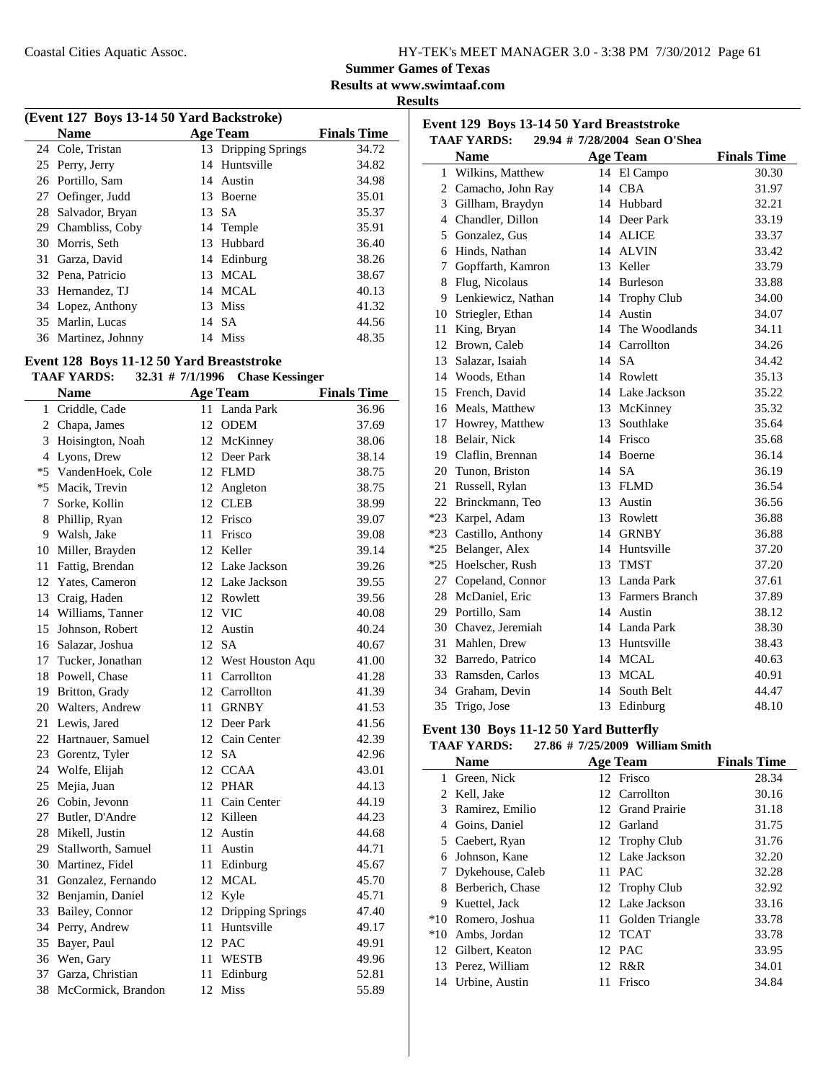**Results at www.swimtaaf.com**

**Results**

| (Event 127 Boys 13-14 50 Yard Backstroke) |                     |     |                     |                    |  |  |
|-------------------------------------------|---------------------|-----|---------------------|--------------------|--|--|
|                                           | <b>Name</b>         |     | <b>Age Team</b>     | <b>Finals Time</b> |  |  |
|                                           | 24 Cole, Tristan    |     | 13 Dripping Springs | 34.72              |  |  |
|                                           | 25 Perry, Jerry     |     | 14 Huntsville       | 34.82              |  |  |
|                                           | 26 Portillo, Sam    |     | 14 Austin           | 34.98              |  |  |
| 27                                        | Oefinger, Judd      |     | 13 Boerne           | 35.01              |  |  |
| 28                                        | Salvador, Bryan     |     | 13 SA               | 35.37              |  |  |
|                                           | 29 Chambliss, Coby  |     | 14 Temple           | 35.91              |  |  |
|                                           | 30 Morris, Seth     |     | 13 Hubbard          | 36.40              |  |  |
| 31                                        | Garza, David        |     | 14 Edinburg         | 38.26              |  |  |
|                                           | 32 Pena, Patricio   | 13. | MCAL                | 38.67              |  |  |
|                                           | 33 Hernandez, TJ    |     | 14 MCAL             | 40.13              |  |  |
|                                           | 34 Lopez, Anthony   |     | 13 Miss             | 41.32              |  |  |
|                                           | 35 Marlin, Lucas    |     | 14 SA               | 44.56              |  |  |
|                                           | 36 Martinez, Johnny |     | 14 Miss             | 48.35              |  |  |

### **Event 128 Boys 11-12 50 Yard Breaststroke**

#### **TAAF YARDS:** 32.31 # 7/1/1996 Chase Kessinger

|    | <b>Name</b>           |    | <b>Age Team</b>     | <b>Finals Time</b> |
|----|-----------------------|----|---------------------|--------------------|
| 1  | Criddle, Cade         |    | 11 Landa Park       | 36.96              |
|    | 2 Chapa, James        | 12 | <b>ODEM</b>         | 37.69              |
|    | 3 Hoisington, Noah    |    | 12 McKinney         | 38.06              |
|    | 4 Lyons, Drew         |    | 12 Deer Park        | 38.14              |
|    | *5 VandenHoek, Cole   |    | 12 FLMD             | 38.75              |
|    | *5 Macik, Trevin      |    | 12 Angleton         | 38.75              |
| 7  | Sorke, Kollin         |    | 12 CLEB             | 38.99              |
|    | 8 Phillip, Ryan       |    | 12 Frisco           | 39.07              |
|    | 9 Walsh, Jake         | 11 | Frisco              | 39.08              |
|    | 10 Miller, Brayden    |    | 12 Keller           | 39.14              |
| 11 | Fattig, Brendan       |    | 12 Lake Jackson     | 39.26              |
|    | 12 Yates, Cameron     |    | 12 Lake Jackson     | 39.55              |
|    | 13 Craig, Haden       |    | 12 Rowlett          | 39.56              |
|    | 14 Williams, Tanner   |    | 12 VIC              | 40.08              |
|    | 15 Johnson, Robert    |    | 12 Austin           | 40.24              |
|    | 16 Salazar, Joshua    |    | 12 SA               | 40.67              |
|    | 17 Tucker, Jonathan   |    | 12 West Houston Aqu | 41.00              |
|    | 18 Powell, Chase      |    | 11 Carrollton       | 41.28              |
|    | 19 Britton, Grady     |    | 12 Carrollton       | 41.39              |
|    | 20 Walters, Andrew    |    | 11 GRNBY            | 41.53              |
|    | 21 Lewis, Jared       |    | 12 Deer Park        | 41.56              |
|    | 22 Hartnauer, Samuel  |    | 12 Cain Center      | 42.39              |
|    | 23 Gorentz, Tyler     |    | 12 SA               | 42.96              |
|    | 24 Wolfe, Elijah      |    | 12 CCAA             | 43.01              |
| 25 | Mejia, Juan           |    | 12 PHAR             | 44.13              |
|    | 26 Cobin, Jevonn      |    | 11 Cain Center      | 44.19              |
|    | 27 Butler, D'Andre    |    | 12 Killeen          | 44.23              |
|    | 28 Mikell, Justin     |    | 12 Austin           | 44.68              |
|    | 29 Stallworth, Samuel | 11 | Austin              | 44.71              |
|    | 30 Martinez, Fidel    |    | 11 Edinburg         | 45.67              |
|    | 31 Gonzalez, Fernando |    | 12 MCAL             | 45.70              |
|    | 32 Benjamin, Daniel   |    | 12 Kyle             | 45.71              |
| 33 | Bailey, Connor        |    | 12 Dripping Springs | 47.40              |
|    | 34 Perry, Andrew      |    | 11 Huntsville       | 49.17              |
| 35 | Bayer, Paul           |    | 12 PAC              | 49.91              |
|    | 36 Wen, Gary          |    | 11 WESTB            | 49.96              |
|    | 37 Garza, Christian   | 11 | Edinburg            | 52.81              |
|    | 38 McCormick, Brandon |    | 12 Miss             | 55.89              |
|    |                       |    |                     |                    |

| Event 129 Boys 13-14 50 Yard Breaststroke<br><b>TAAF YARDS:</b><br>29.94 # 7/28/2004 Sean O'Shea |                       |    |                   |                    |  |  |
|--------------------------------------------------------------------------------------------------|-----------------------|----|-------------------|--------------------|--|--|
|                                                                                                  | <b>Name</b>           |    | <b>Age Team</b>   | <b>Finals Time</b> |  |  |
| 1                                                                                                | Wilkins, Matthew      |    | 14 El Campo       | 30.30              |  |  |
|                                                                                                  | 2 Camacho, John Ray   | 14 | <b>CBA</b>        | 31.97              |  |  |
|                                                                                                  | 3 Gillham, Braydyn    | 14 | Hubbard           | 32.21              |  |  |
|                                                                                                  | 4 Chandler, Dillon    |    | 14 Deer Park      | 33.19              |  |  |
|                                                                                                  | 5 Gonzalez, Gus       |    | 14 ALICE          | 33.37              |  |  |
|                                                                                                  | 6 Hinds, Nathan       |    | 14 ALVIN          | 33.42              |  |  |
|                                                                                                  | 7 Gopffarth, Kamron   | 13 | Keller            | 33.79              |  |  |
|                                                                                                  | 8 Flug, Nicolaus      |    | 14 Burleson       | 33.88              |  |  |
|                                                                                                  | 9 Lenkiewicz, Nathan  |    | 14 Trophy Club    | 34.00              |  |  |
| 10                                                                                               | Striegler, Ethan      |    | 14 Austin         | 34.07              |  |  |
| 11                                                                                               | King, Bryan           |    | 14 The Woodlands  | 34.11              |  |  |
| 12                                                                                               | Brown, Caleb          |    | 14 Carrollton     | 34.26              |  |  |
|                                                                                                  | 13 Salazar, Isaiah    |    | 14 SA             | 34.42              |  |  |
|                                                                                                  | 14 Woods, Ethan       |    | 14 Rowlett        | 35.13              |  |  |
| 15                                                                                               | French, David         |    | 14 Lake Jackson   | 35.22              |  |  |
|                                                                                                  | 16 Meals, Matthew     |    | 13 McKinney       | 35.32              |  |  |
|                                                                                                  | 17 Howrey, Matthew    | 13 | Southlake         | 35.64              |  |  |
| 18                                                                                               | Belair, Nick          |    | 14 Frisco         | 35.68              |  |  |
|                                                                                                  | 19 Claflin, Brennan   | 14 | Boerne            | 36.14              |  |  |
|                                                                                                  | 20 Tunon, Briston     | 14 | <b>SA</b>         | 36.19              |  |  |
| 21                                                                                               | Russell, Rylan        | 13 | <b>FLMD</b>       | 36.54              |  |  |
|                                                                                                  | 22 Brinckmann, Teo    | 13 | Austin            | 36.56              |  |  |
|                                                                                                  | *23 Karpel, Adam      |    | 13 Rowlett        | 36.88              |  |  |
|                                                                                                  | *23 Castillo, Anthony | 14 | <b>GRNBY</b>      | 36.88              |  |  |
| $*25$                                                                                            | Belanger, Alex        | 14 | Huntsville        | 37.20              |  |  |
| $*25$                                                                                            | Hoelscher, Rush       | 13 | <b>TMST</b>       | 37.20              |  |  |
| 27                                                                                               | Copeland, Connor      |    | 13 Landa Park     | 37.61              |  |  |
| 28                                                                                               | McDaniel, Eric        |    | 13 Farmers Branch | 37.89              |  |  |
|                                                                                                  | 29 Portillo, Sam      |    | 14 Austin         | 38.12              |  |  |
|                                                                                                  | 30 Chavez, Jeremiah   |    | 14 Landa Park     | 38.30              |  |  |
| 31                                                                                               | Mahlen, Drew          |    | 13 Huntsville     | 38.43              |  |  |
|                                                                                                  | 32 Barredo, Patrico   |    | 14 MCAL           | 40.63              |  |  |
|                                                                                                  | 33 Ramsden, Carlos    | 13 | <b>MCAL</b>       | 40.91              |  |  |
|                                                                                                  | 34 Graham, Devin      | 14 | South Belt        | 44.47              |  |  |
| 35                                                                                               | Trigo, Jose           | 13 | Edinburg          | 48.10              |  |  |

#### **Event 130 Boys 11-12 50 Yard Butterfly**

#### **TAAF YARDS:** 27.86 # 7/25/2009 William Smith

|       | <b>Name</b>        |    | <b>Age Team</b>    | <b>Finals Time</b> |
|-------|--------------------|----|--------------------|--------------------|
| 1     | Green, Nick        |    | 12 Frisco          | 28.34              |
|       | 2 Kell, Jake       |    | 12 Carrollton      | 30.16              |
| 3     | Ramirez, Emilio    |    | 12 Grand Prairie   | 31.18              |
| 4     | Goins, Daniel      |    | 12 Garland         | 31.75              |
|       | 5 Caebert, Ryan    |    | 12 Trophy Club     | 31.76              |
| 6     | Johnson, Kane      |    | 12 Lake Jackson    | 32.20              |
|       | Dykehouse, Caleb   |    | 11 PAC             | 32.28              |
| 8     | Berberich, Chase   |    | 12 Trophy Club     | 32.92              |
| 9     | Kuettel, Jack      |    | 12 Lake Jackson    | 33.16              |
|       | *10 Romero, Joshua |    | 11 Golden Triangle | 33.78              |
| $*10$ | Ambs, Jordan       |    | 12 TCAT            | 33.78              |
|       | 12 Gilbert, Keaton |    | 12 PAC             | 33.95              |
|       | 13 Perez, William  |    | 12 R&R             | 34.01              |
|       | 14 Urbine, Austin  | 11 | Frisco             | 34.84              |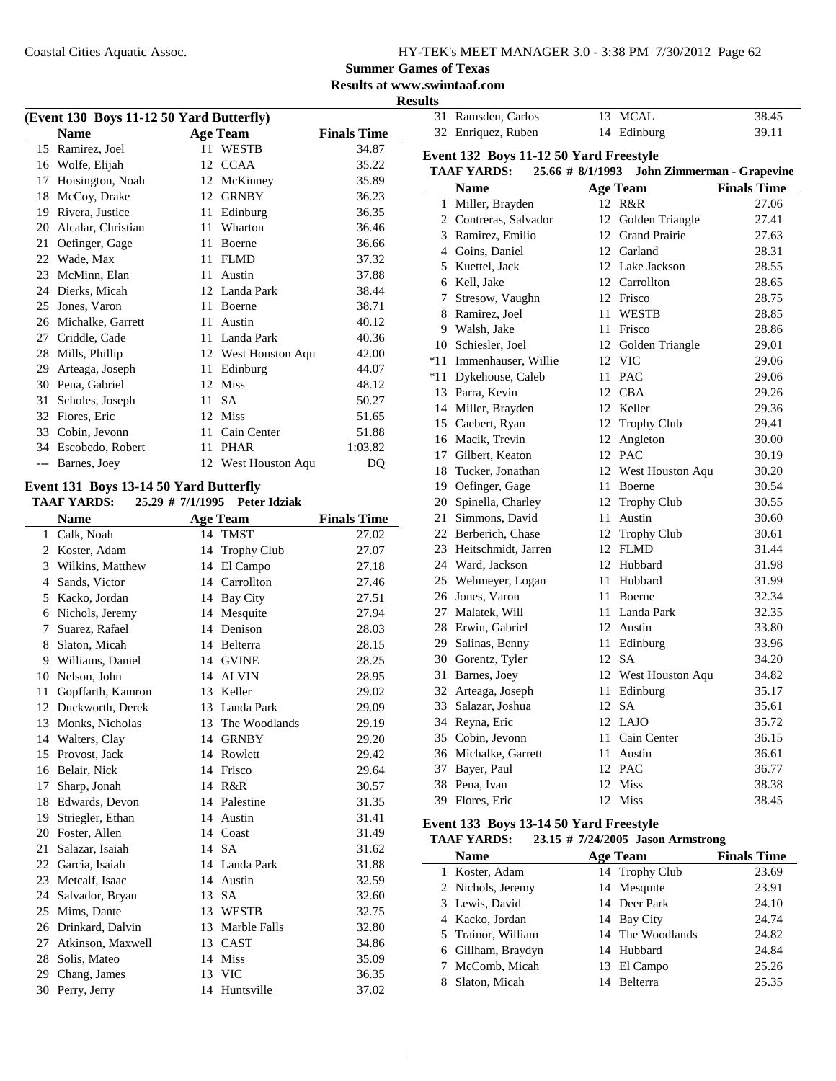| HY-TEK's MEET MANAGER 3.0 - 3:38 PM 7/30/2012 Page 62 |  |  |  |
|-------------------------------------------------------|--|--|--|
|-------------------------------------------------------|--|--|--|

**Results at www.swimtaaf.com**

**Results**

| (Event 130 Boys 11-12 50 Yard Butterfly) |                    |    |                     |                    |  |
|------------------------------------------|--------------------|----|---------------------|--------------------|--|
|                                          | <b>Name</b>        |    | <b>Age Team</b>     | <b>Finals Time</b> |  |
| 15                                       | Ramirez, Joel      | 11 | <b>WESTB</b>        | 34.87              |  |
| 16                                       | Wolfe, Elijah      | 12 | <b>CCAA</b>         | 35.22              |  |
| 17                                       | Hoisington, Noah   | 12 | McKinney            | 35.89              |  |
| 18                                       | McCoy, Drake       | 12 | <b>GRNBY</b>        | 36.23              |  |
| 19                                       | Rivera, Justice    | 11 | Edinburg            | 36.35              |  |
| 20                                       | Alcalar, Christian | 11 | Wharton             | 36.46              |  |
| 21                                       | Oefinger, Gage     | 11 | Boerne              | 36.66              |  |
| 22                                       | Wade, Max          | 11 | <b>FLMD</b>         | 37.32              |  |
| 23                                       | McMinn, Elan       | 11 | Austin              | 37.88              |  |
| 24                                       | Dierks, Micah      |    | 12 Landa Park       | 38.44              |  |
| 25                                       | Jones, Varon       | 11 | Boerne              | 38.71              |  |
| 26                                       | Michalke, Garrett  | 11 | Austin              | 40.12              |  |
| 27                                       | Criddle, Cade      | 11 | Landa Park          | 40.36              |  |
| 28                                       | Mills, Phillip     |    | 12 West Houston Aqu | 42.00              |  |
| 29                                       | Arteaga, Joseph    | 11 | Edinburg            | 44.07              |  |
| 30                                       | Pena, Gabriel      | 12 | <b>Miss</b>         | 48.12              |  |
| 31                                       | Scholes, Joseph    | 11 | <b>SA</b>           | 50.27              |  |
| 32                                       | Flores, Eric       | 12 | <b>Miss</b>         | 51.65              |  |
| 33                                       | Cobin, Jevonn      | 11 | Cain Center         | 51.88              |  |
| 34                                       | Escobedo, Robert   | 11 | <b>PHAR</b>         | 1:03.82            |  |
| $---$                                    | Barnes, Joey       |    | 12 West Houston Aqu | DQ                 |  |

#### **Event 131 Boys 13-14 50 Yard Butterfly**

**TAAF YARDS:** 25.29 # 7/1/1995 Peter Idziak

|    | <b>Name</b>        |    | <b>Age Team</b>    | <b>Finals Time</b> |
|----|--------------------|----|--------------------|--------------------|
| 1  | Calk, Noah         |    | 14 TMST            | 27.02              |
| 2  | Koster, Adam       | 14 | <b>Trophy Club</b> | 27.07              |
|    | 3 Wilkins, Matthew |    | 14 El Campo        | 27.18              |
| 4  | Sands, Victor      | 14 | Carrollton         | 27.46              |
| 5  | Kacko, Jordan      |    | 14 Bay City        | 27.51              |
| 6  | Nichols, Jeremy    |    | 14 Mesquite        | 27.94              |
| 7  | Suarez, Rafael     | 14 | Denison            | 28.03              |
| 8  | Slaton, Micah      |    | 14 Belterra        | 28.15              |
|    | 9 Williams, Daniel |    | 14 GVINE           | 28.25              |
| 10 | Nelson, John       |    | 14 ALVIN           | 28.95              |
| 11 | Gopffarth, Kamron  |    | 13 Keller          | 29.02              |
| 12 | Duckworth, Derek   |    | 13 Landa Park      | 29.09              |
| 13 | Monks, Nicholas    |    | 13 The Woodlands   | 29.19              |
|    | 14 Walters, Clay   |    | 14 GRNBY           | 29.20              |
| 15 | Provost, Jack      |    | 14 Rowlett         | 29.42              |
| 16 | Belair, Nick       |    | 14 Frisco          | 29.64              |
| 17 | Sharp, Jonah       |    | 14 R&R             | 30.57              |
| 18 | Edwards, Devon     | 14 | Palestine          | 31.35              |
| 19 | Striegler, Ethan   |    | 14 Austin          | 31.41              |
| 20 | Foster, Allen      | 14 | Coast              | 31.49              |
| 21 | Salazar, Isaiah    |    | 14 SA              | 31.62              |
|    | 22 Garcia, Isaiah  |    | 14 Landa Park      | 31.88              |
| 23 | Metcalf, Isaac     |    | 14 Austin          | 32.59              |
| 24 | Salvador, Bryan    | 13 | <b>SA</b>          | 32.60              |
| 25 | Mims, Dante        |    | 13 WESTB           | 32.75              |
| 26 | Drinkard, Dalvin   |    | 13 Marble Falls    | 32.80              |
| 27 | Atkinson, Maxwell  |    | 13 CAST            | 34.86              |
| 28 | Solis, Mateo       | 14 | <b>Miss</b>        | 35.09              |
| 29 | Chang, James       | 13 | <b>VIC</b>         | 36.35              |
| 30 | Perry, Jerry       |    | 14 Huntsville      | 37.02              |
|    |                    |    |                    |                    |

| 31 Ramsden, Carlos | 13 MCAL     | 38.45 |
|--------------------|-------------|-------|
| 32 Enriquez, Ruben | 14 Edinburg | 39.11 |

#### **Event 132 Boys 11-12 50 Yard Freestyle**

|     | <b>TAAF YARDS:</b>      | 25.66 # 8/1/1993 | John Zimmerman - Grapevine |                    |
|-----|-------------------------|------------------|----------------------------|--------------------|
|     | <b>Name</b>             |                  | Age Team                   | <b>Finals Time</b> |
|     | 1 Miller, Brayden       |                  | 12 R&R                     | 27.06              |
|     | 2 Contreras, Salvador   |                  | 12 Golden Triangle         | 27.41              |
|     | 3 Ramirez, Emilio       |                  | 12 Grand Prairie           | 27.63              |
|     | 4 Goins, Daniel         |                  | 12 Garland                 | 28.31              |
|     | 5 Kuettel, Jack         |                  | 12 Lake Jackson            | 28.55              |
|     | 6 Kell, Jake            |                  | 12 Carrollton              | 28.65              |
| 7   | Stresow, Vaughn         |                  | 12 Frisco                  | 28.75              |
|     | 8 Ramirez, Joel         |                  | 11 WESTB                   | 28.85              |
|     | 9 Walsh, Jake           |                  | 11 Frisco                  | 28.86              |
|     | 10 Schiesler, Joel      |                  | 12 Golden Triangle         | 29.01              |
|     | *11 Immenhauser, Willie |                  | 12 VIC                     | 29.06              |
| *11 | Dykehouse, Caleb        |                  | 11 PAC                     | 29.06              |
|     | 13 Parra, Kevin         |                  | 12 CBA                     | 29.26              |
|     | 14 Miller, Brayden      |                  | 12 Keller                  | 29.36              |
|     | 15 Caebert, Ryan        |                  | 12 Trophy Club             | 29.41              |
|     | 16 Macik, Trevin        |                  | 12 Angleton                | 30.00              |
|     | 17 Gilbert, Keaton      |                  | 12 PAC                     | 30.19              |
|     | 18 Tucker, Jonathan     |                  | 12 West Houston Aqu        | 30.20              |
|     | 19 Oefinger, Gage       |                  | 11 Boerne                  | 30.54              |
|     | 20 Spinella, Charley    |                  | 12 Trophy Club             | 30.55              |
|     | 21 Simmons, David       |                  | 11 Austin                  | 30.60              |
|     | 22 Berberich, Chase     |                  | 12 Trophy Club             | 30.61              |
|     | 23 Heitschmidt, Jarren  |                  | 12 FLMD                    | 31.44              |
|     | 24 Ward, Jackson        |                  | 12 Hubbard                 | 31.98              |
|     | 25 Wehmeyer, Logan      |                  | 11 Hubbard                 | 31.99              |
|     | 26 Jones, Varon         |                  | 11 Boerne                  | 32.34              |
|     | 27 Malatek, Will        |                  | 11 Landa Park              | 32.35              |
|     | 28 Erwin, Gabriel       |                  | 12 Austin                  | 33.80              |
|     | 29 Salinas, Benny       |                  | 11 Edinburg                | 33.96              |
|     | 30 Gorentz, Tyler       |                  | 12 SA                      | 34.20              |
|     | 31 Barnes, Joey         |                  | 12 West Houston Aqu        | 34.82              |
|     | 32 Arteaga, Joseph      |                  | 11 Edinburg                | 35.17              |
|     | 33 Salazar, Joshua      |                  | 12 SA                      | 35.61              |
|     | 34 Reyna, Eric          |                  | 12 LAJO                    | 35.72              |
|     | 35 Cobin, Jevonn        |                  | 11 Cain Center             | 36.15              |
|     | 36 Michalke, Garrett    |                  | 11 Austin                  | 36.61              |
|     | 37 Bayer, Paul          |                  | 12 PAC                     | 36.77              |
|     | 38 Pena, Ivan           |                  | 12 Miss                    | 38.38              |
|     | 39 Flores, Eric         |                  | 12 Miss                    | 38.45              |

#### **Event 133 Boys 13-14 50 Yard Freestyle**

#### **TAAF YARDS:** 23.15 # 7/24/2005 Jason Armstrong

| <b>Name</b>        | <b>Age Team</b>  | <b>Finals Time</b> |
|--------------------|------------------|--------------------|
| 1 Koster, Adam     | 14 Trophy Club   | 23.69              |
| 2 Nichols, Jeremy  | 14 Mesquite      | 23.91              |
| 3 Lewis, David     | 14 Deer Park     | 24.10              |
| 4 Kacko, Jordan    | 14 Bay City      | 24.74              |
| 5 Trainor, William | 14 The Woodlands | 24.82              |
| 6 Gillham, Braydyn | 14 Hubbard       | 24.84              |
| 7 McComb, Micah    | 13 El Campo      | 25.26              |
| Slaton, Micah      | 14 Belterra      | 25.35              |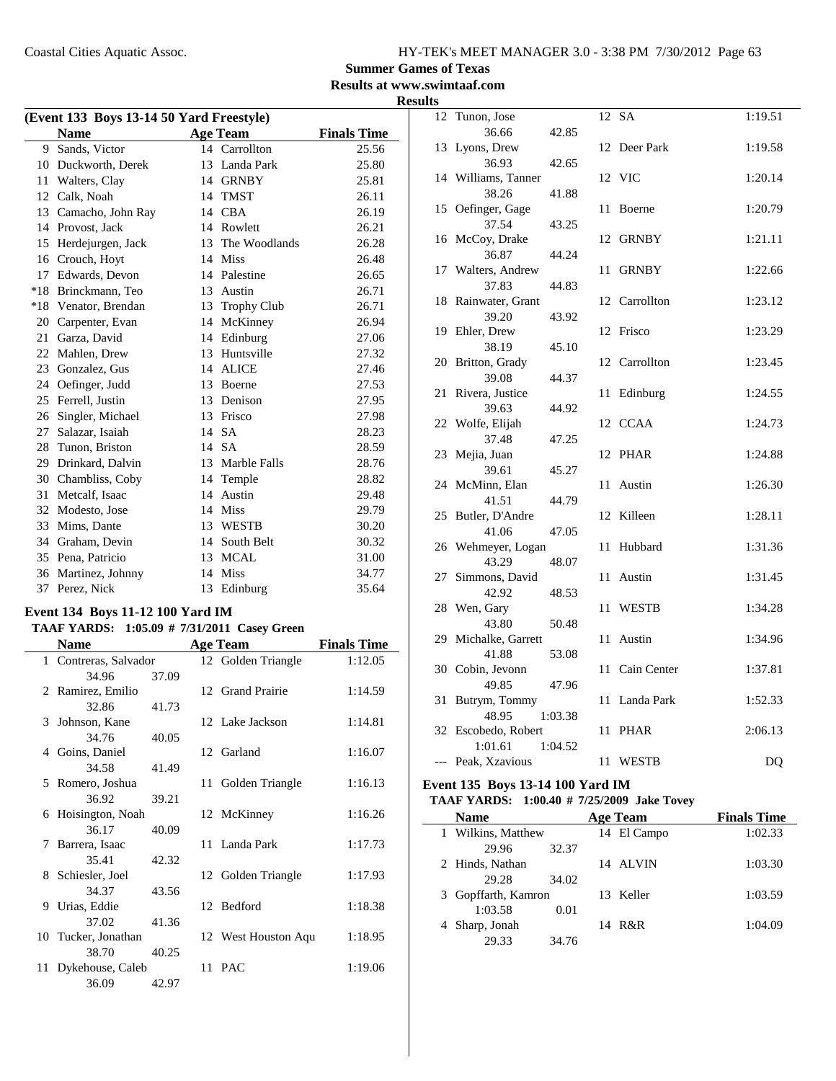**Summer Games of Texas**

**Results at www.swimtaaf.com Results**

| (Event 133 Boys 13-14 50 Yard Freestyle) |                   |    |                 |                    |  |  |
|------------------------------------------|-------------------|----|-----------------|--------------------|--|--|
|                                          | <b>Name</b>       |    | <b>Age Team</b> | <b>Finals Time</b> |  |  |
| 9                                        | Sands, Victor     |    | 14 Carrollton   | 25.56              |  |  |
| 10                                       | Duckworth, Derek  | 13 | Landa Park      | 25.80              |  |  |
| 11                                       | Walters, Clay     | 14 | GRNBY           | 25.81              |  |  |
| 12                                       | Calk, Noah        | 14 | <b>TMST</b>     | 26.11              |  |  |
| 13                                       | Camacho, John Ray | 14 | <b>CBA</b>      | 26.19              |  |  |
| 14                                       | Provost, Jack     | 14 | Rowlett         | 26.21              |  |  |
| 15                                       | Herdejurgen, Jack | 13 | The Woodlands   | 26.28              |  |  |
| 16                                       | Crouch, Hoyt      | 14 | <b>Miss</b>     | 26.48              |  |  |
| 17                                       | Edwards, Devon    |    | 14 Palestine    | 26.65              |  |  |
| $*18$                                    | Brinckmann, Teo   | 13 | Austin          | 26.71              |  |  |
| $*18$                                    | Venator, Brendan  | 13 | Trophy Club     | 26.71              |  |  |
| 20                                       | Carpenter, Evan   | 14 | McKinney        | 26.94              |  |  |
| 21                                       | Garza, David      | 14 | Edinburg        | 27.06              |  |  |
| 22                                       | Mahlen, Drew      | 13 | Huntsville      | 27.32              |  |  |
| 23                                       | Gonzalez, Gus     | 14 | <b>ALICE</b>    | 27.46              |  |  |
| 24                                       | Oefinger, Judd    | 13 | Boerne          | 27.53              |  |  |
| 25                                       | Ferrell, Justin   | 13 | Denison         | 27.95              |  |  |
| 26                                       | Singler, Michael  | 13 | Frisco          | 27.98              |  |  |
| 27                                       | Salazar, Isaiah   | 14 | <b>SA</b>       | 28.23              |  |  |
| 28                                       | Tunon, Briston    | 14 | <b>SA</b>       | 28.59              |  |  |
| 29                                       | Drinkard, Dalvin  | 13 | Marble Falls    | 28.76              |  |  |
| 30                                       | Chambliss, Coby   | 14 | Temple          | 28.82              |  |  |
| 31                                       | Metcalf, Isaac    | 14 | Austin          | 29.48              |  |  |
| 32                                       | Modesto, Jose     | 14 | Miss            | 29.79              |  |  |
| 33                                       | Mims, Dante       | 13 | <b>WESTB</b>    | 30.20              |  |  |
| 34                                       | Graham, Devin     | 14 | South Belt      | 30.32              |  |  |
| 35                                       | Pena, Patricio    | 13 | <b>MCAL</b>     | 31.00              |  |  |
| 36                                       | Martinez, Johnny  | 14 | <b>Miss</b>     | 34.77              |  |  |
| 37                                       | Perez, Nick       | 13 | Edinburg        | 35.64              |  |  |

### **Event 134 Boys 11-12 100 Yard IM**

#### **TAAF YARDS:** 1:05.09 # 7/31/2011 Casey Green

|     | Name                  |       | <b>Age Team</b>     | <b>Finals Time</b> |
|-----|-----------------------|-------|---------------------|--------------------|
|     | 1 Contreras, Salvador |       | 12 Golden Triangle  | 1:12.05            |
|     | 34.96                 | 37.09 |                     |                    |
|     | 2 Ramirez, Emilio     |       | 12 Grand Prairie    | 1:14.59            |
|     | 32.86                 | 41.73 |                     |                    |
|     | 3 Johnson, Kane       |       | 12 Lake Jackson     | 1:14.81            |
|     | 34.76                 | 40.05 |                     |                    |
|     | 4 Goins, Daniel       |       | 12 Garland          | 1:16.07            |
|     | 34.58                 | 41.49 |                     |                    |
|     | 5 Romero, Joshua      |       | 11 Golden Triangle  | 1:16.13            |
|     | 36.92                 | 39.21 |                     |                    |
| 6   | Hoisington, Noah      |       | 12 McKinney         | 1:16.26            |
|     | 36.17                 | 40.09 |                     |                    |
| 7   | Barrera, Isaac        |       | 11 Landa Park       | 1:17.73            |
|     | 35.41                 | 42.32 |                     |                    |
|     | 8 Schiesler, Joel     |       | 12 Golden Triangle  | 1:17.93            |
|     | 34.37                 | 43.56 |                     |                    |
|     | 9 Urias, Eddie        |       | 12 Bedford          | 1:18.38            |
|     | 37.02                 | 41.36 |                     |                    |
|     | 10 Tucker, Jonathan   |       | 12 West Houston Aqu | 1:18.95            |
|     | 38.70                 | 40.25 |                     |                    |
| 11- | Dykehouse, Caleb      |       | 11 PAC              | 1:19.06            |
|     | 36.09                 | 42.97 |                     |                    |

|       | 12 Tunon, Jose     |    | 12 SA          | 1:19.51 |
|-------|--------------------|----|----------------|---------|
|       | 36.66<br>42.85     |    |                |         |
| 13    | Lyons, Drew        |    | 12 Deer Park   | 1:19.58 |
|       | 36.93<br>42.65     |    |                |         |
| 14    | Williams, Tanner   |    | 12 VIC         | 1:20.14 |
|       | 38.26<br>41.88     |    |                |         |
|       | 15 Oefinger, Gage  | 11 | Boerne         | 1:20.79 |
|       | 37.54<br>43.25     |    |                |         |
|       | 16 McCoy, Drake    |    | 12 GRNBY       | 1:21.11 |
|       | 36.87<br>44.24     |    |                |         |
| 17    | Walters, Andrew    |    | 11 GRNBY       | 1:22.66 |
|       | 37.83<br>44.83     |    |                |         |
| 18    | Rainwater, Grant   |    | 12 Carrollton  | 1:23.12 |
|       | 39.20<br>43.92     |    |                |         |
| 19    | Ehler, Drew        |    | 12 Frisco      | 1:23.29 |
|       | 38.19<br>45.10     |    |                |         |
| 20    | Britton, Grady     |    | 12 Carrollton  | 1:23.45 |
|       | 39.08<br>44.37     |    |                |         |
| 21    | Rivera, Justice    | 11 | Edinburg       | 1:24.55 |
|       | 39.63<br>44.92     |    |                |         |
| 22    | Wolfe, Elijah      |    | 12 CCAA        | 1:24.73 |
|       | 37.48<br>47.25     |    |                |         |
| 23    | Mejia, Juan        |    | 12 PHAR        | 1:24.88 |
|       | 39.61<br>45.27     |    |                |         |
| 24    | McMinn, Elan       | 11 | Austin         | 1:26.30 |
|       | 41.51<br>44.79     |    |                |         |
| 25    | Butler, D'Andre    | 12 | Killeen        | 1:28.11 |
|       | 41.06<br>47.05     |    |                |         |
| 26    | Wehmeyer, Logan    | 11 | Hubbard        | 1:31.36 |
|       | 43.29<br>48.07     |    |                |         |
| 27    | Simmons, David     | 11 | Austin         | 1:31.45 |
|       | 42.92<br>48.53     |    |                |         |
| 28    | Wen, Gary          | 11 | <b>WESTB</b>   | 1:34.28 |
|       | 43.80<br>50.48     |    |                |         |
| 29    | Michalke, Garrett  | 11 | Austin         | 1:34.96 |
|       | 41.88<br>53.08     |    |                |         |
|       | 30 Cobin, Jevonn   |    | 11 Cain Center | 1:37.81 |
|       | 49.85<br>47.96     |    |                |         |
| 31    | Butrym, Tommy      |    | 11 Landa Park  | 1:52.33 |
|       | 48.95<br>1:03.38   |    |                |         |
| 32    | Escobedo, Robert   |    | 11 PHAR        | 2:06.13 |
|       | 1:01.61<br>1:04.52 |    |                |         |
| $---$ | Peak, Xzavious     |    | 11 WESTB       | DQ      |
|       |                    |    |                |         |

### **Event 135 Boys 13-14 100 Yard IM**

#### **TAAF YARDS:** 1:00.40 # 7/25/2009 Jake Tovey

| <b>Name</b>         |       | <b>Age Team</b> | <b>Finals Time</b> |
|---------------------|-------|-----------------|--------------------|
| 1 Wilkins, Matthew  |       | 14 El Campo     | 1:02.33            |
| 29.96               | 32.37 |                 |                    |
| 2 Hinds, Nathan     |       | 14 ALVIN        | 1:03.30            |
| 29.28               | 34.02 |                 |                    |
| 3 Gopffarth, Kamron |       | 13 Keller       | 1:03.59            |
| 1:03.58             | 0.01  |                 |                    |
| 4 Sharp, Jonah      |       | 14 R&R          | 1:04.09            |
| 29.33               | 34.76 |                 |                    |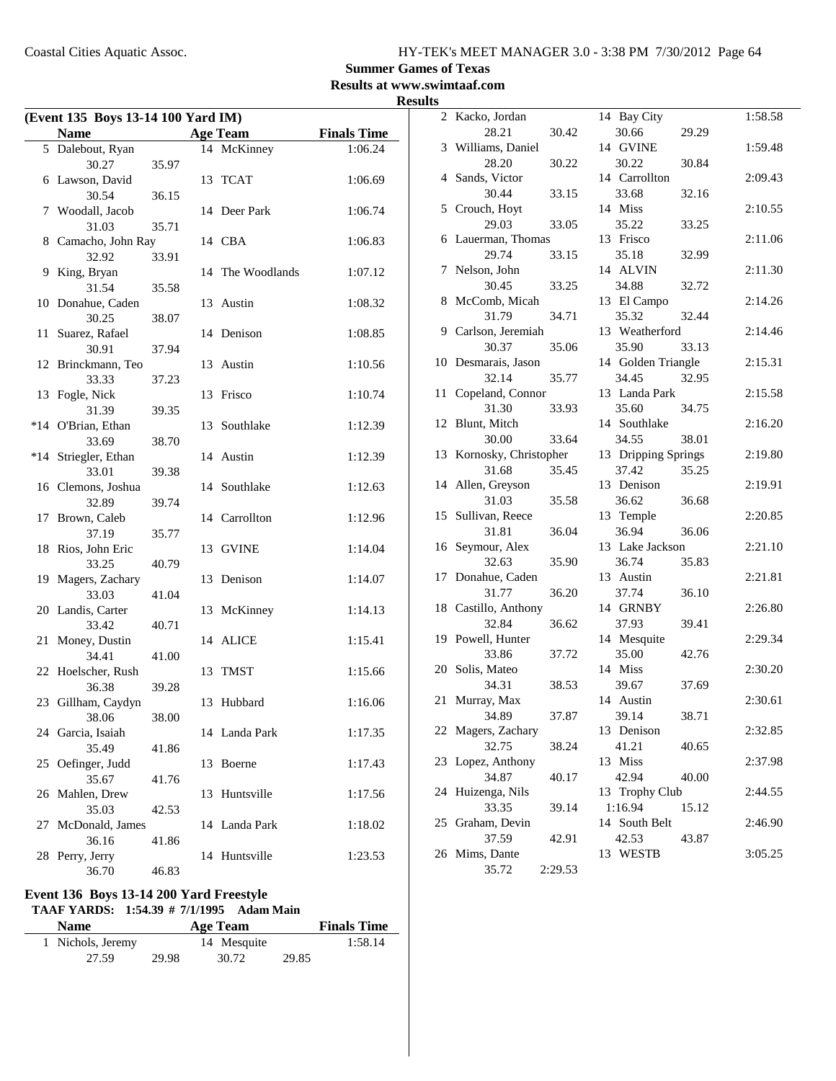### **Summer Games of Texas**

**Results at www.swimtaaf.com**

| <b>Results</b> |
|----------------|
|----------------|

|       | (Event 135 Boys 13-14 100 Yard IM) |       |    |                  |                    |  |
|-------|------------------------------------|-------|----|------------------|--------------------|--|
|       | <b>Name</b>                        |       |    | <b>Age Team</b>  | <b>Finals Time</b> |  |
|       | 5 Dalebout, Ryan                   |       |    | 14 McKinney      | 1:06.24            |  |
|       | 30.27                              | 35.97 |    |                  |                    |  |
| 6     | Lawson, David                      |       | 13 | TCAT             | 1:06.69            |  |
|       | 30.54                              | 36.15 |    |                  |                    |  |
| 7     | Woodall, Jacob                     |       |    | 14 Deer Park     | 1:06.74            |  |
|       | 31.03                              | 35.71 |    |                  |                    |  |
|       | 8 Camacho, John Ray                |       |    | 14 CBA           | 1:06.83            |  |
|       | 32.92                              | 33.91 |    |                  |                    |  |
| 9     | King, Bryan                        |       |    | 14 The Woodlands | 1:07.12            |  |
|       | 31.54                              | 35.58 |    |                  |                    |  |
|       | 10 Donahue, Caden<br>30.25         |       | 13 | Austin           | 1:08.32            |  |
| 11    | Suarez, Rafael                     | 38.07 |    | 14 Denison       | 1:08.85            |  |
|       | 30.91                              | 37.94 |    |                  |                    |  |
|       | 12 Brinckmann, Teo                 |       | 13 | Austin           | 1:10.56            |  |
|       | 33.33                              | 37.23 |    |                  |                    |  |
| 13    | Fogle, Nick                        |       | 13 | Frisco           | 1:10.74            |  |
|       | 31.39                              | 39.35 |    |                  |                    |  |
| $*14$ | O'Brian, Ethan                     |       | 13 | Southlake        | 1:12.39            |  |
|       | 33.69                              | 38.70 |    |                  |                    |  |
| $*14$ | Striegler, Ethan                   |       |    | 14 Austin        | 1:12.39            |  |
|       | 33.01                              | 39.38 |    |                  |                    |  |
| 16    | Clemons, Joshua                    |       |    | 14 Southlake     | 1:12.63            |  |
|       | 32.89                              | 39.74 |    |                  |                    |  |
| 17    | Brown, Caleb                       |       |    | 14 Carrollton    | 1:12.96            |  |
|       | 37.19                              | 35.77 |    |                  |                    |  |
|       | 18 Rios, John Eric                 |       | 13 | <b>GVINE</b>     | 1:14.04            |  |
|       | 33.25                              | 40.79 |    | 13 Denison       |                    |  |
| 19    | Magers, Zachary<br>33.03           | 41.04 |    |                  | 1:14.07            |  |
|       | 20 Landis, Carter                  |       | 13 | McKinney         | 1:14.13            |  |
|       | 33.42                              | 40.71 |    |                  |                    |  |
| 21    | Money, Dustin                      |       | 14 | <b>ALICE</b>     | 1:15.41            |  |
|       | 34.41                              | 41.00 |    |                  |                    |  |
|       | 22 Hoelscher, Rush                 |       | 13 | TMST             | 1:15.66            |  |
|       | 36.38                              | 39.28 |    |                  |                    |  |
|       | 23 Gillham, Caydyn                 |       |    | 13 Hubbard       | 1:16.06            |  |
|       | 38.06                              | 38.00 |    |                  |                    |  |
| 24    | Garcia, Isaiah                     |       |    | 14 Landa Park    | 1:17.35            |  |
|       | 35.49                              | 41.86 |    |                  |                    |  |
| 25    | Oefinger, Judd                     |       | 13 | Boerne           | 1:17.43            |  |
|       | 35.67                              | 41.76 |    |                  |                    |  |
| 26    | Mahlen, Drew                       |       | 13 | Huntsville       | 1:17.56            |  |
|       | 35.03                              | 42.53 | 14 | Landa Park       |                    |  |
| 27    | McDonald, James<br>36.16           | 41.86 |    |                  | 1:18.02            |  |
| 28    | Perry, Jerry                       |       | 14 | Huntsville       | 1:23.53            |  |
|       | 36.70                              | 46.83 |    |                  |                    |  |

### **Event 136 Boys 13-14 200 Yard Freestyle**

**TAAF YARDS:** 1:54.39 # 7/1/1995 Adam Main

| <b>Name</b>       |       | Age Team    |       | <b>Finals Time</b> |
|-------------------|-------|-------------|-------|--------------------|
| 1 Nichols, Jeremy |       | 14 Mesquite |       | 1:58.14            |
| 27.59             | 29.98 | 30.72       | 29.85 |                    |

| S              |                       |         |                     |       |         |
|----------------|-----------------------|---------|---------------------|-------|---------|
| $\overline{2}$ | Kacko, Jordan         |         | 14 Bay City         |       | 1:58.58 |
|                | 28.21                 | 30.42   | 30.66               | 29.29 |         |
| 3              | Williams, Daniel      |         | 14 GVINE            |       | 1:59.48 |
|                | 28.20                 | 30.22   | 30.22               | 30.84 |         |
| 4              | Sands, Victor         |         | 14 Carrollton       |       | 2:09.43 |
|                | 30.44                 | 33.15   | 33.68               | 32.16 |         |
| 5              | Crouch, Hoyt          |         | 14 Miss             |       | 2:10.55 |
|                | 29.03                 | 33.05   | 35.22               | 33.25 |         |
| 6              | Lauerman, Thomas      |         | 13 Frisco           |       | 2:11.06 |
|                | 29.74                 | 33.15   | 35.18               | 32.99 |         |
| 7              | Nelson, John          |         | 14 ALVIN            |       | 2:11.30 |
|                | 30.45                 | 33.25   | 34.88               | 32.72 |         |
| 8              | McComb, Micah         |         | 13 El Campo         |       | 2:14.26 |
|                | 31.79                 | 34.71   | 35.32               | 32.44 |         |
| 9.             | Carlson, Jeremiah     |         | 13 Weatherford      |       | 2:14.46 |
|                | 30.37                 | 35.06   | 35.90               | 33.13 |         |
| 10             | Desmarais, Jason      |         | 14 Golden Triangle  |       | 2:15.31 |
|                | 32.14                 | 35.77   | 34.45               |       |         |
| 11             | Copeland, Connor      |         | 13 Landa Park       | 32.95 | 2:15.58 |
|                | 31.30                 |         |                     |       |         |
|                |                       | 33.93   | 35.60               | 34.75 |         |
| 12             | Blunt, Mitch          |         | 14 Southlake        |       | 2:16.20 |
|                | 30.00                 | 33.64   | 34.55               | 38.01 |         |
| 13             | Kornosky, Christopher |         | 13 Dripping Springs |       | 2:19.80 |
|                | 31.68                 | 35.45   | 37.42               | 35.25 |         |
| 14             | Allen, Greyson        |         | 13 Denison          |       | 2:19.91 |
|                | 31.03                 | 35.58   | 36.62               | 36.68 |         |
| 15             | Sullivan, Reece       |         | 13 Temple           |       | 2:20.85 |
|                | 31.81                 | 36.04   | 36.94               | 36.06 |         |
| 16             | Seymour, Alex         |         | 13 Lake Jackson     |       | 2:21.10 |
|                | 32.63                 | 35.90   | 36.74               | 35.83 |         |
| 17             | Donahue, Caden        |         | 13 Austin           |       | 2:21.81 |
|                | 31.77                 | 36.20   | 37.74               | 36.10 |         |
|                | 18 Castillo, Anthony  |         | 14 GRNBY            |       | 2:26.80 |
|                | 32.84                 | 36.62   | 37.93               | 39.41 |         |
| 19             | Powell, Hunter        |         | 14 Mesquite         |       | 2:29.34 |
|                | 33.86                 | 37.72   | 35.00               | 42.76 |         |
| 20             | Solis, Mateo          |         | 14 Miss             |       | 2:30.20 |
|                | 34.31                 | 38.53   | 39.67               | 37.69 |         |
|                | 21 Murray, Max        |         | 14 Austin           |       | 2:30.61 |
|                | 34.89                 | 37.87   | 39.14               | 38.71 |         |
|                | 22 Magers, Zachary    |         | 13 Denison          |       | 2:32.85 |
|                | 32.75                 | 38.24   | 41.21               | 40.65 |         |
| 23             | Lopez, Anthony        |         | 13 Miss             |       | 2:37.98 |
|                | 34.87                 | 40.17   | 42.94               | 40.00 |         |
| 24             | Huizenga, Nils        |         | 13 Trophy Club      |       | 2:44.55 |
|                | 33.35                 | 39.14   | 1:16.94             | 15.12 |         |
| 25             | Graham, Devin         |         | 14 South Belt       |       | 2:46.90 |
|                | 37.59                 | 42.91   | 42.53               | 43.87 |         |
| 26             | Mims, Dante           |         | 13 WESTB            |       | 3:05.25 |
|                | 35.72                 | 2:29.53 |                     |       |         |
|                |                       |         |                     |       |         |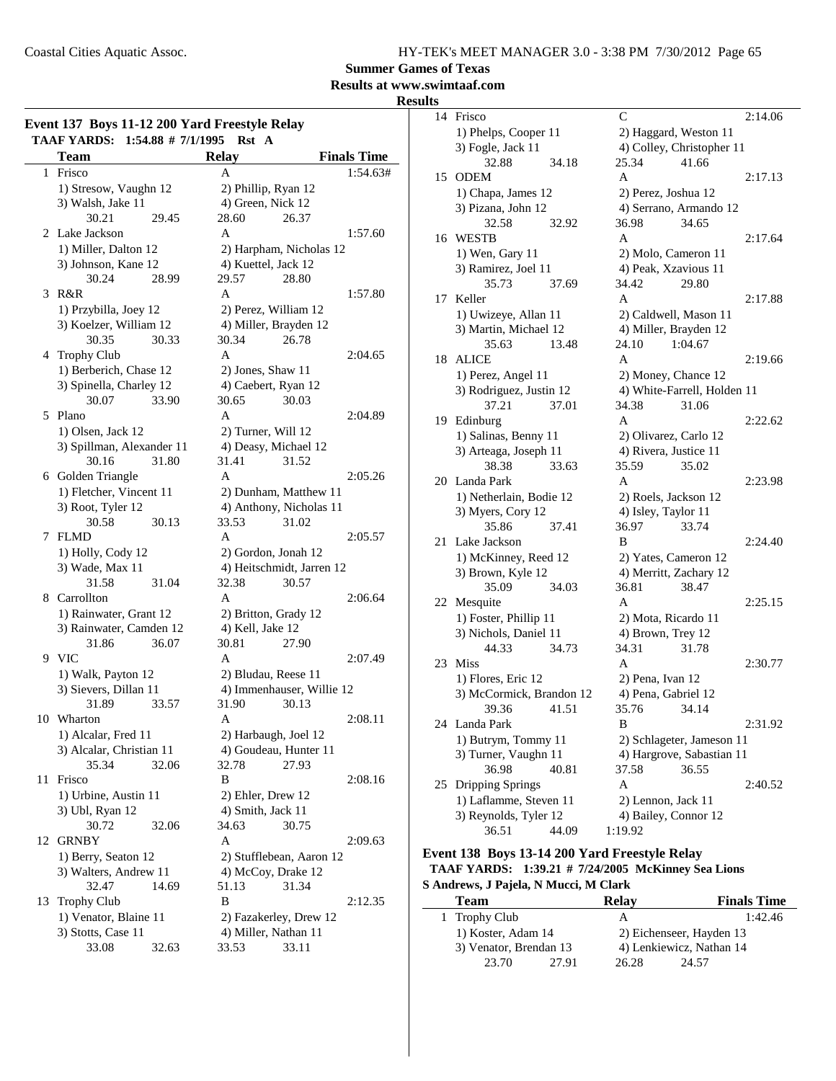**Summer Games of Texas**

### **Results at www.swimtaaf.com**

#### **Results**

| Event 137 Boys 11-12 200 Yard Freestyle Relay<br>TAAF YARDS: 1:54.88 # 7/1/1995<br>Rst A |                            |       |                      |                           |                    |  |
|------------------------------------------------------------------------------------------|----------------------------|-------|----------------------|---------------------------|--------------------|--|
|                                                                                          | <b>Team</b>                |       | <b>Relay</b>         |                           | <b>Finals Time</b> |  |
| 1                                                                                        | Frisco                     |       | A                    |                           | 1:54.63#           |  |
|                                                                                          | 1) Stresow, Vaughn 12      |       | 2) Phillip, Ryan 12  |                           |                    |  |
|                                                                                          | 3) Walsh, Jake 11          |       | 4) Green, Nick 12    |                           |                    |  |
|                                                                                          | 30.21                      | 29.45 | 28.60                | 26.37                     |                    |  |
| 2                                                                                        | Lake Jackson               |       | A                    |                           | 1:57.60            |  |
|                                                                                          | 1) Miller, Dalton 12       |       |                      | 2) Harpham, Nicholas 12   |                    |  |
|                                                                                          | 3) Johnson, Kane 12        |       | 4) Kuettel, Jack 12  |                           |                    |  |
|                                                                                          | 30.24                      | 28.99 | 29.57                | 28.80                     |                    |  |
| 3                                                                                        | R&R                        |       | A                    |                           | 1:57.80            |  |
|                                                                                          | 1) Przybilla, Joey 12      |       | 2) Perez, William 12 |                           |                    |  |
|                                                                                          | 3) Koelzer, William 12     |       |                      | 4) Miller, Brayden 12     |                    |  |
|                                                                                          | 30.35                      | 30.33 | 30.34                | 26.78                     |                    |  |
| 4                                                                                        | <b>Trophy Club</b>         |       | A                    |                           | 2:04.65            |  |
|                                                                                          | 1) Berberich, Chase 12     |       | 2) Jones, Shaw 11    |                           |                    |  |
|                                                                                          | 3) Spinella, Charley 12    |       | 4) Caebert, Ryan 12  |                           |                    |  |
|                                                                                          | 30.07                      | 33.90 | 30.65                | 30.03                     |                    |  |
| 5                                                                                        | Plano                      |       | A                    |                           | 2:04.89            |  |
|                                                                                          | 1) Olsen, Jack 12          |       | 2) Turner, Will 12   |                           |                    |  |
|                                                                                          | 3) Spillman, Alexander 11  |       |                      | 4) Deasy, Michael 12      |                    |  |
|                                                                                          | 30.16                      | 31.80 | 31.41                | 31.52                     |                    |  |
| 6                                                                                        | Golden Triangle            |       | A                    |                           | 2:05.26            |  |
|                                                                                          | 1) Fletcher, Vincent 11    |       |                      | 2) Dunham, Matthew 11     |                    |  |
|                                                                                          |                            |       |                      | 4) Anthony, Nicholas 11   |                    |  |
|                                                                                          | 3) Root, Tyler 12<br>30.58 |       | 33.53                | 31.02                     |                    |  |
| 7                                                                                        | <b>FLMD</b>                | 30.13 | A                    |                           | 2:05.57            |  |
|                                                                                          |                            |       |                      |                           |                    |  |
|                                                                                          | 1) Holly, Cody 12          |       | 2) Gordon, Jonah 12  | 4) Heitschmidt, Jarren 12 |                    |  |
|                                                                                          | 3) Wade, Max 11            |       |                      |                           |                    |  |
|                                                                                          | 31.58                      | 31.04 | 32.38                | 30.57                     |                    |  |
| 8                                                                                        | Carrollton                 |       | A                    |                           | 2:06.64            |  |
|                                                                                          | 1) Rainwater, Grant 12     |       | 2) Britton, Grady 12 |                           |                    |  |
|                                                                                          | 3) Rainwater, Camden 12    |       | 4) Kell, Jake 12     |                           |                    |  |
|                                                                                          | 31.86                      | 36.07 | 30.81                | 27.90                     |                    |  |
|                                                                                          | 9 VIC                      |       | A                    |                           | 2:07.49            |  |
|                                                                                          | 1) Walk, Payton 12         |       | 2) Bludau, Reese 11  |                           |                    |  |
|                                                                                          | 3) Sievers, Dillan 11      |       |                      | 4) Immenhauser, Willie 12 |                    |  |
|                                                                                          | 31.89                      | 33.57 | 31.90                | 30.13                     |                    |  |
|                                                                                          | 10 Wharton                 |       | Α                    |                           | 2:08.11            |  |
|                                                                                          | 1) Alcalar, Fred 11        |       |                      | 2) Harbaugh, Joel 12      |                    |  |
|                                                                                          | 3) Alcalar, Christian 11   |       |                      | 4) Goudeau, Hunter 11     |                    |  |
|                                                                                          | 35.34                      | 32.06 | 32.78                | 27.93                     |                    |  |
| 11                                                                                       | Frisco                     |       | B                    |                           | 2:08.16            |  |
|                                                                                          | 1) Urbine, Austin 11       |       | 2) Ehler, Drew 12    |                           |                    |  |
|                                                                                          | 3) Ubl, Ryan 12            |       | 4) Smith, Jack 11    |                           |                    |  |
|                                                                                          | 30.72                      | 32.06 | 34.63                | 30.75                     |                    |  |
| 12                                                                                       | GRNBY                      |       | A                    |                           | 2:09.63            |  |
|                                                                                          | 1) Berry, Seaton 12        |       |                      | 2) Stufflebean, Aaron 12  |                    |  |
|                                                                                          | 3) Walters, Andrew 11      |       | 4) McCoy, Drake 12   |                           |                    |  |
|                                                                                          | 32.47                      | 14.69 | 51.13                | 31.34                     |                    |  |
| 13                                                                                       | <b>Trophy Club</b>         |       | B                    |                           | 2:12.35            |  |
|                                                                                          | 1) Venator, Blaine 11      |       |                      | 2) Fazakerley, Drew 12    |                    |  |
|                                                                                          | 3) Stotts, Case 11         |       | 4) Miller, Nathan 11 |                           |                    |  |
|                                                                                          | 33.08                      | 32.63 | 33.53                | 33.11                     |                    |  |
|                                                                                          |                            |       |                      |                           |                    |  |

| 14 | Frisco                   |       | $\mathcal{C}$             |                           |                             | 2:14.06 |
|----|--------------------------|-------|---------------------------|---------------------------|-----------------------------|---------|
|    | 1) Phelps, Cooper 11     |       | 2) Haggard, Weston 11     |                           |                             |         |
|    | 3) Fogle, Jack 11        |       | 4) Colley, Christopher 11 |                           |                             |         |
|    | 32.88                    | 34.18 | 25.34                     |                           | 41.66                       |         |
| 15 | <b>ODEM</b>              |       | A                         |                           |                             | 2:17.13 |
|    | 1) Chapa, James 12       |       |                           |                           | 2) Perez, Joshua 12         |         |
|    | 3) Pizana, John 12       |       |                           |                           | 4) Serrano, Armando 12      |         |
|    | 32.58                    | 32.92 | 36.98                     |                           | 34.65                       |         |
|    | 16 WESTB                 |       | A                         |                           |                             | 2:17.64 |
|    | 1) Wen, Gary 11          |       |                           |                           | 2) Molo, Cameron 11         |         |
|    | 3) Ramirez, Joel 11      |       |                           |                           | 4) Peak, Xzavious 11        |         |
|    | 35.73                    | 37.69 | 34.42                     |                           | 29.80                       |         |
| 17 | Keller                   |       | A                         |                           |                             | 2:17.88 |
|    | 1) Uwizeye, Allan 11     |       |                           |                           | 2) Caldwell, Mason 11       |         |
|    | 3) Martin, Michael 12    |       |                           |                           | 4) Miller, Brayden 12       |         |
|    | 35.63                    | 13.48 | 24.10                     |                           | 1:04.67                     |         |
| 18 | <b>ALICE</b>             |       | A                         |                           |                             | 2:19.66 |
|    | 1) Perez, Angel 11       |       |                           |                           | 2) Money, Chance 12         |         |
|    | 3) Rodriguez, Justin 12  |       |                           |                           | 4) White-Farrell, Holden 11 |         |
|    | 37.21                    | 37.01 | 34.38                     |                           | 31.06                       |         |
| 19 | Edinburg                 |       | A                         |                           |                             | 2:22.62 |
|    | 1) Salinas, Benny 11     |       | 2) Olivarez, Carlo 12     |                           |                             |         |
|    | 3) Arteaga, Joseph 11    |       |                           |                           | 4) Rivera, Justice 11       |         |
|    | 38.38                    | 33.63 | 35.59                     |                           | 35.02                       |         |
| 20 | Landa Park               |       | A                         |                           |                             | 2:23.98 |
|    | 1) Netherlain, Bodie 12  |       |                           |                           | 2) Roels, Jackson 12        |         |
|    | 3) Myers, Cory 12        |       | 4) Isley, Taylor 11       |                           |                             |         |
|    | 35.86                    | 37.41 | 36.97                     |                           | 33.74                       |         |
| 21 | Lake Jackson             |       | B                         |                           |                             | 2:24.40 |
|    | 1) McKinney, Reed 12     |       | 2) Yates, Cameron 12      |                           |                             |         |
|    | 3) Brown, Kyle 12        |       |                           | 4) Merritt, Zachary 12    |                             |         |
|    | 35.09                    | 34.03 | 36.81                     |                           | 38.47                       |         |
| 22 | Mesquite                 |       | A                         |                           |                             | 2:25.15 |
|    | 1) Foster, Phillip 11    |       | 2) Mota, Ricardo 11       |                           |                             |         |
|    | 3) Nichols, Daniel 11    |       | 4) Brown, Trey 12         |                           |                             |         |
|    | 44.33                    | 34.73 | 34.31                     |                           | 31.78                       |         |
| 23 | <b>Miss</b>              |       | A                         |                           |                             | 2:30.77 |
|    | 1) Flores, Eric 12       |       | 2) Pena, Ivan 12          |                           |                             |         |
|    | 3) McCormick, Brandon 12 |       |                           |                           | 4) Pena, Gabriel 12         |         |
|    | 39.36                    | 41.51 | 35.76                     |                           | 34.14                       |         |
| 24 | Landa Park               |       | B                         |                           |                             | 2:31.92 |
|    | 1) Butrym, Tommy 11      |       |                           | 2) Schlageter, Jameson 11 |                             |         |
|    | 3) Turner, Vaughn 11     |       |                           |                           | 4) Hargrove, Sabastian 11   |         |
|    | 36.98                    | 40.81 | 37.58                     |                           | 36.55                       |         |
| 25 | Dripping Springs         |       | A                         |                           |                             | 2:40.52 |
|    | 1) Laflamme, Steven 11   |       | 2) Lennon, Jack 11        |                           |                             |         |
|    | 3) Reynolds, Tyler 12    |       |                           |                           | 4) Bailey, Connor 12        |         |
|    | 36.51                    | 44.09 | 1:19.92                   |                           |                             |         |

#### **Event 138 Boys 13-14 200 Yard Freestyle Relay TAAF YARDS: 1:39.21 # 7/24/2005 McKinney Sea Lions S Andrews, J Pajela, N Mucci, M Clark**

| Team          |                        | <b>Relay</b> | <b>Finals Time</b>       |
|---------------|------------------------|--------------|--------------------------|
| 1 Trophy Club |                        |              | 1:42.46                  |
|               | 1) Koster, Adam 14     |              | 2) Eichenseer, Hayden 13 |
|               | 3) Venator, Brendan 13 |              | 4) Lenkiewicz, Nathan 14 |
| 23.70         | 27.91                  | 26.28        | 24.57                    |